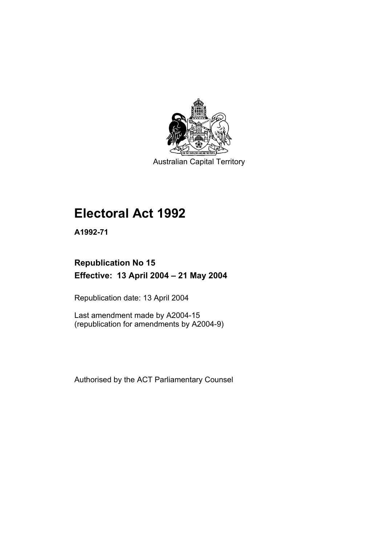

Australian Capital Territory

# **Electoral Act 1992**

**A1992-71** 

# **Republication No 15 Effective: 13 April 2004 – 21 May 2004**

Republication date: 13 April 2004

Last amendment made by A2004-15 (republication for amendments by A2004-9)

Authorised by the ACT Parliamentary Counsel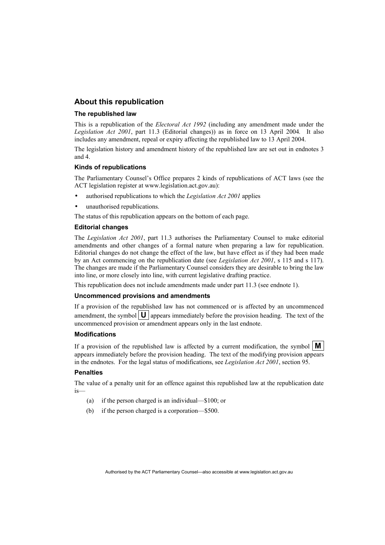### **About this republication**

#### **The republished law**

This is a republication of the *Electoral Act 1992* (including any amendment made under the *Legislation Act 2001*, part 11.3 (Editorial changes)) as in force on 13 April 2004*.* It also includes any amendment, repeal or expiry affecting the republished law to 13 April 2004.

The legislation history and amendment history of the republished law are set out in endnotes 3 and 4.

#### **Kinds of republications**

The Parliamentary Counsel's Office prepares 2 kinds of republications of ACT laws (see the ACT legislation register at www.legislation.act.gov.au):

- authorised republications to which the *Legislation Act 2001* applies
- unauthorised republications.

The status of this republication appears on the bottom of each page.

#### **Editorial changes**

The *Legislation Act 2001*, part 11.3 authorises the Parliamentary Counsel to make editorial amendments and other changes of a formal nature when preparing a law for republication. Editorial changes do not change the effect of the law, but have effect as if they had been made by an Act commencing on the republication date (see *Legislation Act 2001*, s 115 and s 117). The changes are made if the Parliamentary Counsel considers they are desirable to bring the law into line, or more closely into line, with current legislative drafting practice.

This republication does not include amendments made under part 11.3 (see endnote 1).

#### **Uncommenced provisions and amendments**

If a provision of the republished law has not commenced or is affected by an uncommenced amendment, the symbol  $\mathbf{U}$  appears immediately before the provision heading. The text of the uncommenced provision or amendment appears only in the last endnote.

#### **Modifications**

If a provision of the republished law is affected by a current modification, the symbol  $\mathbf{M}$ appears immediately before the provision heading. The text of the modifying provision appears in the endnotes. For the legal status of modifications, see *Legislation Act 2001*, section 95.

#### **Penalties**

The value of a penalty unit for an offence against this republished law at the republication date is—

- (a) if the person charged is an individual—\$100; or
- (b) if the person charged is a corporation—\$500.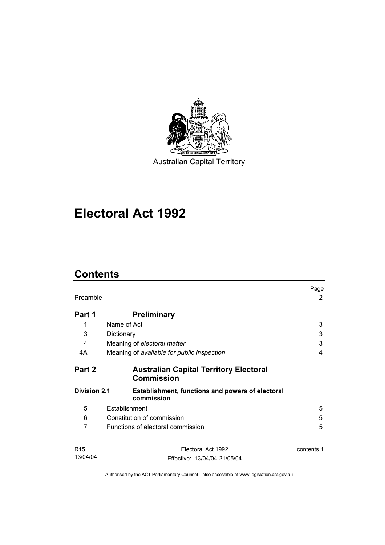

Australian Capital Territory

# **Electoral Act 1992**

# **Contents**

| Preamble            |                                                                       | Page<br>2  |
|---------------------|-----------------------------------------------------------------------|------------|
| Part 1              | <b>Preliminary</b>                                                    |            |
| 1                   | Name of Act                                                           | 3          |
| 3                   | Dictionary                                                            | 3          |
| 4                   | Meaning of electoral matter                                           | 3          |
| 4A                  | Meaning of available for public inspection                            | 4          |
| Part 2              | <b>Australian Capital Territory Electoral</b><br><b>Commission</b>    |            |
| <b>Division 2.1</b> | <b>Establishment, functions and powers of electoral</b><br>commission |            |
| 5                   | Establishment                                                         | 5          |
| 6                   | Constitution of commission                                            | 5          |
| 7                   | Functions of electoral commission                                     | 5          |
| R <sub>15</sub>     | Electoral Act 1992                                                    | contents 1 |
| 13/04/04            | Effective: 13/04/04-21/05/04                                          |            |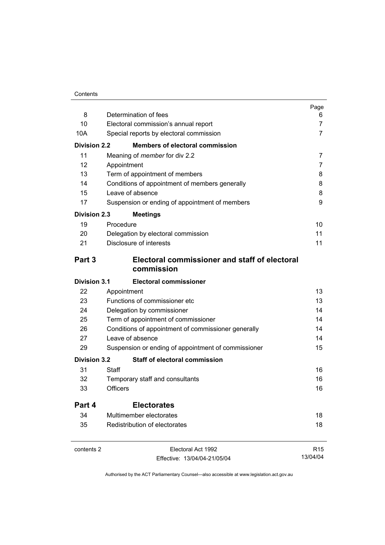#### **Contents**

| 8                   | Determination of fees                               | Page<br>6       |
|---------------------|-----------------------------------------------------|-----------------|
| 10                  | Electoral commission's annual report                | $\overline{7}$  |
| 10A                 | Special reports by electoral commission             | 7               |
| <b>Division 2.2</b> | <b>Members of electoral commission</b>              |                 |
| 11                  | Meaning of <i>member</i> for div 2.2                | 7               |
| 12                  | Appointment                                         | 7               |
| 13                  | Term of appointment of members                      | 8               |
| 14                  | Conditions of appointment of members generally      | 8               |
| 15                  | Leave of absence                                    | 8               |
| 17                  | Suspension or ending of appointment of members      | 9               |
| <b>Division 2.3</b> | <b>Meetings</b>                                     |                 |
| 19                  | Procedure                                           | 10              |
| 20                  | Delegation by electoral commission                  | 11              |
| 21                  | Disclosure of interests                             | 11              |
| Part 3              | Electoral commissioner and staff of electoral       |                 |
|                     | commission                                          |                 |
| <b>Division 3.1</b> | <b>Electoral commissioner</b>                       |                 |
| 22                  | Appointment                                         | 13              |
| 23                  | Functions of commissioner etc                       | 13              |
| 24                  | Delegation by commissioner                          | 14              |
| 25                  | Term of appointment of commissioner                 | 14              |
| 26                  | Conditions of appointment of commissioner generally | 14              |
| 27                  | Leave of absence                                    | 14              |
| 29                  | Suspension or ending of appointment of commissioner | 15              |
| <b>Division 3.2</b> | <b>Staff of electoral commission</b>                |                 |
| 31                  | Staff                                               | 16              |
| 32                  | Temporary staff and consultants                     | 16              |
| 33                  | <b>Officers</b>                                     | 16              |
| Part 4              | <b>Electorates</b>                                  |                 |
| 34                  | Multimember electorates                             | 18              |
| 35                  | Redistribution of electorates                       | 18              |
| contents 2          | Electoral Act 1992                                  | R <sub>15</sub> |

Effective: 13/04/04-21/05/04

13/04/04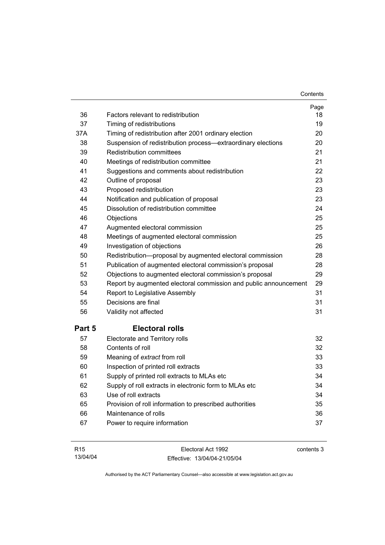| 36     | Factors relevant to redistribution                               | Page<br>18 |
|--------|------------------------------------------------------------------|------------|
| 37     | Timing of redistributions                                        | 19         |
| 37A    | Timing of redistribution after 2001 ordinary election            | 20         |
| 38     | Suspension of redistribution process-extraordinary elections     | 20         |
| 39     | <b>Redistribution committees</b>                                 | 21         |
| 40     | Meetings of redistribution committee                             | 21         |
| 41     | Suggestions and comments about redistribution                    | 22         |
| 42     | Outline of proposal                                              | 23         |
| 43     | Proposed redistribution                                          | 23         |
| 44     | Notification and publication of proposal                         | 23         |
| 45     | Dissolution of redistribution committee                          | 24         |
| 46     | Objections                                                       | 25         |
| 47     | Augmented electoral commission                                   | 25         |
| 48     | Meetings of augmented electoral commission                       | 25         |
| 49     | Investigation of objections                                      | 26         |
| 50     | Redistribution-proposal by augmented electoral commission        | 28         |
| 51     | Publication of augmented electoral commission's proposal         | 28         |
| 52     | Objections to augmented electoral commission's proposal          | 29         |
| 53     | Report by augmented electoral commission and public announcement | 29         |
| 54     | Report to Legislative Assembly                                   | 31         |
| 55     | Decisions are final                                              | 31         |
| 56     | Validity not affected                                            | 31         |
| Part 5 | <b>Electoral rolls</b>                                           |            |
| 57     | Electorate and Territory rolls                                   | 32         |
| 58     | Contents of roll                                                 | 32         |
| 59     | Meaning of extract from roll                                     | 33         |
| 60     | Inspection of printed roll extracts                              | 33         |
| 61     | Supply of printed roll extracts to MLAs etc                      | 34         |
| 62     | Supply of roll extracts in electronic form to MLAs etc           | 34         |
| 63     | Use of roll extracts                                             | 34         |
| 65     | Provision of roll information to prescribed authorities          | 35         |
| 66     | Maintenance of rolls                                             | 36         |
| 67     | Power to require information                                     | 37         |
|        |                                                                  |            |

| R <sub>15</sub> | Electoral Act 1992           | contents 3 |
|-----------------|------------------------------|------------|
| 13/04/04        | Effective: 13/04/04-21/05/04 |            |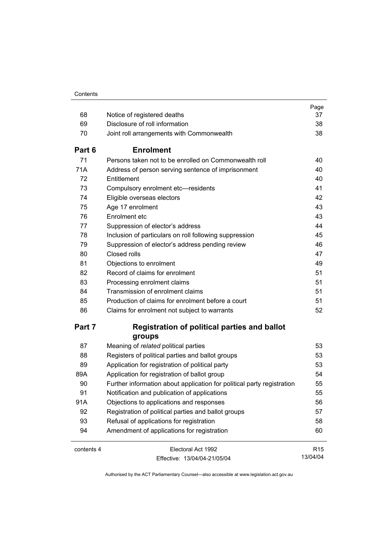|            |                                                                        | Page            |
|------------|------------------------------------------------------------------------|-----------------|
| 68         | Notice of registered deaths                                            | 37              |
| 69         | Disclosure of roll information                                         | 38              |
| 70         | Joint roll arrangements with Commonwealth                              | 38              |
| Part 6     | <b>Enrolment</b>                                                       |                 |
| 71         | Persons taken not to be enrolled on Commonwealth roll                  | 40              |
| 71A        | Address of person serving sentence of imprisonment                     | 40              |
| 72         | Entitlement                                                            | 40              |
| 73         | Compulsory enrolment etc-residents                                     | 41              |
| 74         | Eligible overseas electors                                             | 42              |
| 75         | Age 17 enrolment                                                       | 43              |
| 76         | Enrolment etc                                                          | 43              |
| 77         | Suppression of elector's address                                       | 44              |
| 78         | Inclusion of particulars on roll following suppression                 | 45              |
| 79         | Suppression of elector's address pending review                        | 46              |
| 80         | Closed rolls                                                           | 47              |
| 81         | Objections to enrolment                                                | 49              |
| 82         | Record of claims for enrolment                                         | 51              |
| 83         | Processing enrolment claims                                            | 51              |
| 84         | Transmission of enrolment claims                                       | 51              |
| 85         | Production of claims for enrolment before a court                      | 51              |
| 86         | Claims for enrolment not subject to warrants                           | 52              |
| Part 7     | <b>Registration of political parties and ballot</b>                    |                 |
|            | groups                                                                 |                 |
| 87         | Meaning of related political parties                                   | 53              |
| 88         | Registers of political parties and ballot groups                       | 53              |
| 89         | Application for registration of political party                        | 53              |
| 89A        | Application for registration of ballot group                           | 54              |
| 90         | Further information about application for political party registration | 55              |
| 91         | Notification and publication of applications                           | 55              |
| 91A        | Objections to applications and responses                               | 56              |
| 92         | Registration of political parties and ballot groups                    | 57              |
| 93         | Refusal of applications for registration                               | 58              |
| 94         | Amendment of applications for registration                             | 60              |
| contents 4 | Electoral Act 1992                                                     | R <sub>15</sub> |
|            | Fffective: 13/04/04-21/05/04                                           | 13/04/04        |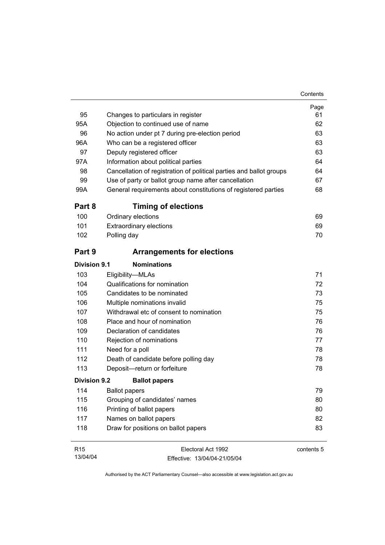| 95                  | Changes to particulars in register                                  | Page<br>61 |
|---------------------|---------------------------------------------------------------------|------------|
| 95A                 | Objection to continued use of name                                  | 62         |
| 96                  | No action under pt 7 during pre-election period                     | 63         |
| 96A                 | Who can be a registered officer                                     | 63         |
| 97                  | Deputy registered officer                                           | 63         |
| 97A                 | Information about political parties                                 | 64         |
| 98                  | Cancellation of registration of political parties and ballot groups | 64         |
| 99                  | Use of party or ballot group name after cancellation                | 67         |
| 99A                 | General requirements about constitutions of registered parties      | 68         |
| Part 8              | <b>Timing of elections</b>                                          |            |
| 100                 | Ordinary elections                                                  | 69         |
| 101                 | <b>Extraordinary elections</b>                                      | 69         |
| 102                 | Polling day                                                         | 70         |
| Part 9              | <b>Arrangements for elections</b>                                   |            |
| <b>Division 9.1</b> | <b>Nominations</b>                                                  |            |
| 103                 | Eligibility-MLAs                                                    | 71         |
| 104                 | Qualifications for nomination                                       | 72         |
| 105                 | Candidates to be nominated                                          | 73         |
| 106                 | Multiple nominations invalid                                        | 75         |
| 107                 | Withdrawal etc of consent to nomination                             | 75         |
| 108                 | Place and hour of nomination                                        | 76         |
| 109                 | Declaration of candidates                                           | 76         |
| 110                 | Rejection of nominations                                            | 77         |
| 111                 | Need for a poll                                                     | 78         |
| 112                 | Death of candidate before polling day                               | 78         |
| 113                 | Deposit-return or forfeiture                                        | 78         |
| <b>Division 9.2</b> | <b>Ballot papers</b>                                                |            |
| 114                 | <b>Ballot papers</b>                                                | 79         |
| 115                 | Grouping of candidates' names                                       | 80         |
| 116                 | Printing of ballot papers                                           | 80         |
| 117                 | Names on ballot papers                                              | 82         |
| 118                 | Draw for positions on ballot papers                                 | 83         |
| R <sub>15</sub>     | Electoral Act 1992                                                  | contents 5 |

13/04/04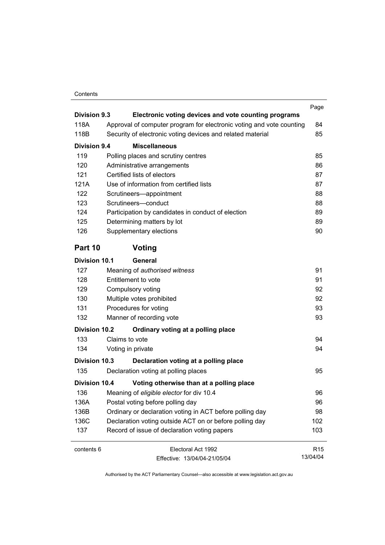#### Contents

| <b>Division 9.3</b>  | Electronic voting devices and vote counting programs                 | Page            |
|----------------------|----------------------------------------------------------------------|-----------------|
| 118A                 | Approval of computer program for electronic voting and vote counting | 84              |
| 118B                 | Security of electronic voting devices and related material           | 85              |
| <b>Division 9.4</b>  | <b>Miscellaneous</b>                                                 |                 |
| 119                  | Polling places and scrutiny centres                                  | 85              |
| 120                  | Administrative arrangements                                          | 86              |
| 121                  | Certified lists of electors                                          | 87              |
| 121A                 | Use of information from certified lists                              | 87              |
| 122                  | Scrutineers-appointment                                              | 88              |
| 123                  | Scrutineers-conduct                                                  | 88              |
| 124                  | Participation by candidates in conduct of election                   | 89              |
| 125                  | Determining matters by lot                                           | 89              |
| 126                  | Supplementary elections                                              | 90              |
| Part 10              | Voting                                                               |                 |
| Division 10.1        | General                                                              |                 |
| 127                  | Meaning of authorised witness                                        | 91              |
| 128                  | Entitlement to vote                                                  | 91              |
| 129                  | Compulsory voting                                                    | 92              |
| 130                  | Multiple votes prohibited                                            | 92              |
| 131                  | Procedures for voting                                                | 93              |
| 132                  | Manner of recording vote                                             | 93              |
| <b>Division 10.2</b> | Ordinary voting at a polling place                                   |                 |
| 133                  | Claims to vote                                                       | 94              |
| 134                  | Voting in private                                                    | 94              |
| Division 10.3        | Declaration voting at a polling place                                |                 |
| 135                  | Declaration voting at polling places                                 | 95              |
| <b>Division 10.4</b> | Voting otherwise than at a polling place                             |                 |
| 136                  | Meaning of eligible elector for div 10.4                             | 96              |
| 136A                 | Postal voting before polling day                                     | 96              |
| 136B                 | Ordinary or declaration voting in ACT before polling day             | 98              |
| 136C                 | Declaration voting outside ACT on or before polling day              | 102             |
| 137                  | Record of issue of declaration voting papers                         | 103             |
| contents 6           | Electoral Act 1992                                                   | R <sub>15</sub> |
|                      | Fffective: 13/04/04-21/05/04                                         | 13/04/04        |

Effective: 13/04/04-21/05/04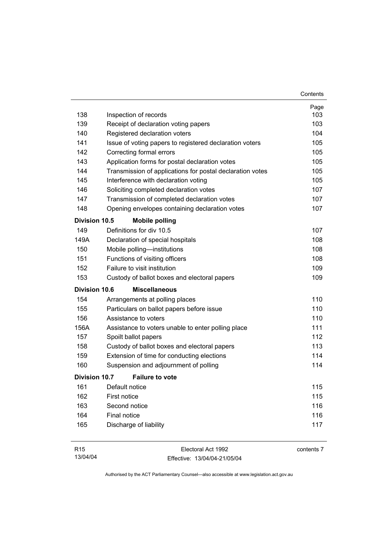|                      |                                                           | Contents |
|----------------------|-----------------------------------------------------------|----------|
|                      |                                                           | Page     |
| 138                  | Inspection of records                                     | 103      |
| 139                  | Receipt of declaration voting papers                      | 103      |
| 140                  | Registered declaration voters                             | 104      |
| 141                  | Issue of voting papers to registered declaration voters   | 105      |
| 142                  | Correcting formal errors                                  | 105      |
| 143                  | Application forms for postal declaration votes            | 105      |
| 144                  | Transmission of applications for postal declaration votes | 105      |
| 145                  | Interference with declaration voting                      | 105      |
| 146                  | Soliciting completed declaration votes                    | 107      |
| 147                  | Transmission of completed declaration votes               | 107      |
| 148                  | Opening envelopes containing declaration votes            | 107      |
| <b>Division 10.5</b> | <b>Mobile polling</b>                                     |          |
| 149                  | Definitions for div 10.5                                  | 107      |
| 149A                 | Declaration of special hospitals                          | 108      |
| 150                  | Mobile polling-institutions                               | 108      |
| 151                  | Functions of visiting officers                            | 108      |
| 152                  | Failure to visit institution                              | 109      |
| 153                  | Custody of ballot boxes and electoral papers              | 109      |
| <b>Division 10.6</b> | <b>Miscellaneous</b>                                      |          |
| 154                  | Arrangements at polling places                            | 110      |
| 155                  | Particulars on ballot papers before issue                 | 110      |
| 156                  | Assistance to voters                                      | 110      |
| 156A                 | Assistance to voters unable to enter polling place        | 111      |
| 157                  | Spoilt ballot papers                                      | 112      |
| 158                  | Custody of ballot boxes and electoral papers              | 113      |
| 159                  | Extension of time for conducting elections                | 114      |
| 160                  | Suspension and adjournment of polling                     | 114      |
| Division 10.7        | <b>Failure to vote</b>                                    |          |
| 161                  | Default notice                                            | 115      |
| 162                  | First notice                                              | 115      |
| 163                  | Second notice                                             | 116      |
| 164                  | Final notice                                              | 116      |
| 165                  | Discharge of liability                                    | 117      |
|                      |                                                           |          |

| R15      | Electoral Act 1992           | contents 7 |
|----------|------------------------------|------------|
| 13/04/04 | Effective: 13/04/04-21/05/04 |            |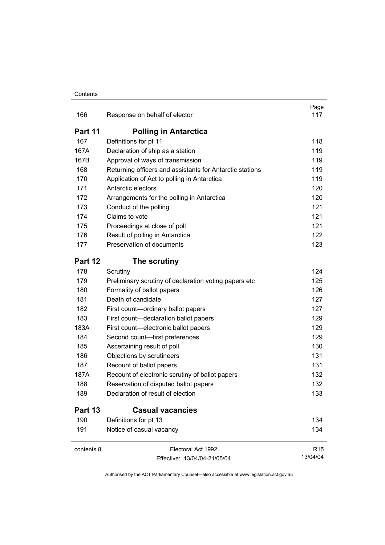| 166        | Response on behalf of elector                            | Page<br>117     |
|------------|----------------------------------------------------------|-----------------|
| Part 11    | <b>Polling in Antarctica</b>                             |                 |
| 167        | Definitions for pt 11                                    | 118             |
| 167A       | Declaration of ship as a station                         | 119             |
| 167B       | Approval of ways of transmission                         | 119             |
| 168        | Returning officers and assistants for Antarctic stations | 119             |
| 170        | Application of Act to polling in Antarctica              | 119             |
| 171        | Antarctic electors                                       | 120             |
| 172        | Arrangements for the polling in Antarctica               | 120             |
| 173        | Conduct of the polling                                   | 121             |
| 174        | Claims to vote                                           | 121             |
| 175        | Proceedings at close of poll                             | 121             |
| 176        | Result of polling in Antarctica                          | 122             |
| 177        | Preservation of documents                                | 123             |
| Part 12    | The scrutiny                                             |                 |
| 178        | Scrutiny                                                 | 124             |
| 179        | Preliminary scrutiny of declaration voting papers etc    | 125             |
| 180        | Formality of ballot papers                               | 126             |
| 181        | Death of candidate                                       | 127             |
| 182        | First count-ordinary ballot papers                       | 127             |
| 183        | First count-declaration ballot papers                    | 129             |
| 183A       | First count-electronic ballot papers                     | 129             |
| 184        | Second count-first preferences                           | 129             |
| 185        | Ascertaining result of poll                              | 130             |
| 186        | Objections by scrutineers                                | 131             |
| 187        | Recount of ballot papers                                 | 131             |
| 187A       | Recount of electronic scrutiny of ballot papers          | 132             |
| 188        | Reservation of disputed ballot papers                    | 132             |
| 189        | Declaration of result of election                        | 133             |
| Part 13    | <b>Casual vacancies</b>                                  |                 |
| 190        | Definitions for pt 13                                    | 134             |
| 191        | Notice of casual vacancy                                 | 134             |
| contents 8 | Electoral Act 1992                                       | R <sub>15</sub> |
|            | Effective: 13/04/04-21/05/04                             | 13/04/04        |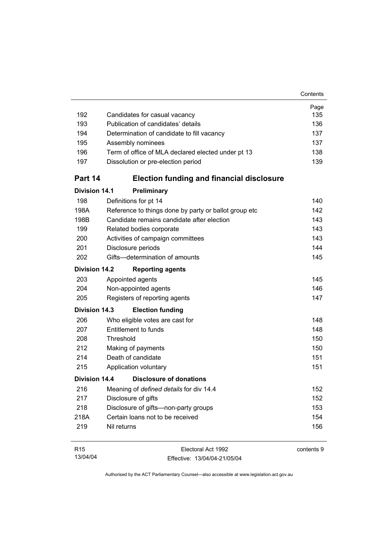| 192                  | Candidates for casual vacancy                         | Page<br>135 |
|----------------------|-------------------------------------------------------|-------------|
| 193                  | Publication of candidates' details                    | 136         |
| 194                  | Determination of candidate to fill vacancy            | 137         |
| 195                  | Assembly nominees                                     | 137         |
| 196                  | Term of office of MLA declared elected under pt 13    | 138         |
| 197                  | Dissolution or pre-election period                    | 139         |
| Part 14              | <b>Election funding and financial disclosure</b>      |             |
| <b>Division 14.1</b> | Preliminary                                           |             |
| 198                  | Definitions for pt 14                                 | 140         |
| 198A                 | Reference to things done by party or ballot group etc | 142         |
| 198B                 | Candidate remains candidate after election            | 143         |
| 199                  | Related bodies corporate                              | 143         |
| 200                  | Activities of campaign committees                     | 143         |
| 201                  | Disclosure periods                                    | 144         |
| 202                  | Gifts-determination of amounts                        | 145         |
| <b>Division 14.2</b> | <b>Reporting agents</b>                               |             |
| 203                  | Appointed agents                                      | 145         |
| 204                  | Non-appointed agents                                  | 146         |
| 205                  | Registers of reporting agents                         | 147         |
| Division 14.3        | <b>Election funding</b>                               |             |
| 206                  | Who eligible votes are cast for                       | 148         |
| 207                  | Entitlement to funds                                  | 148         |
| 208                  | Threshold                                             | 150         |
| 212                  | Making of payments                                    | 150         |
| 214                  | Death of candidate                                    | 151         |
| 215                  | Application voluntary                                 | 151         |
| Division 14.4        | Disclosure of donations                               |             |
| 216                  | Meaning of defined details for div 14.4               | 152         |
| 217                  | Disclosure of gifts                                   | 152         |
| 218                  | Disclosure of gifts-non-party groups                  | 153         |
| 218A                 | Certain loans not to be received                      | 154         |
| 219                  | Nil returns                                           | 156         |
| R <sub>15</sub>      | Electoral Act 1992                                    | contents 9  |

13/04/04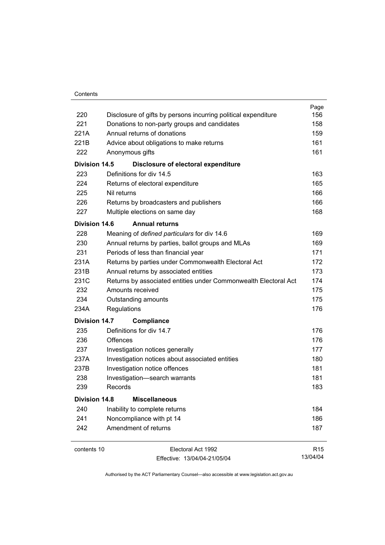| 220<br>Disclosure of gifts by persons incurring political expenditure<br>221<br>Donations to non-party groups and candidates<br>Annual returns of donations<br>221A<br>221B<br>Advice about obligations to make returns<br>222<br>Anonymous gifts<br>Division 14.5<br>Disclosure of electoral expenditure<br>Definitions for div 14.5<br>223<br>224<br>Returns of electoral expenditure<br>225<br>Nil returns<br>226<br>Returns by broadcasters and publishers<br>227<br>Multiple elections on same day<br><b>Annual returns</b><br>Division 14.6<br>228<br>Meaning of defined particulars for div 14.6 | 156             |
|---------------------------------------------------------------------------------------------------------------------------------------------------------------------------------------------------------------------------------------------------------------------------------------------------------------------------------------------------------------------------------------------------------------------------------------------------------------------------------------------------------------------------------------------------------------------------------------------------------|-----------------|
|                                                                                                                                                                                                                                                                                                                                                                                                                                                                                                                                                                                                         |                 |
|                                                                                                                                                                                                                                                                                                                                                                                                                                                                                                                                                                                                         | 158             |
|                                                                                                                                                                                                                                                                                                                                                                                                                                                                                                                                                                                                         | 159             |
|                                                                                                                                                                                                                                                                                                                                                                                                                                                                                                                                                                                                         | 161             |
|                                                                                                                                                                                                                                                                                                                                                                                                                                                                                                                                                                                                         | 161             |
|                                                                                                                                                                                                                                                                                                                                                                                                                                                                                                                                                                                                         |                 |
|                                                                                                                                                                                                                                                                                                                                                                                                                                                                                                                                                                                                         | 163             |
|                                                                                                                                                                                                                                                                                                                                                                                                                                                                                                                                                                                                         | 165             |
|                                                                                                                                                                                                                                                                                                                                                                                                                                                                                                                                                                                                         | 166             |
|                                                                                                                                                                                                                                                                                                                                                                                                                                                                                                                                                                                                         | 166             |
|                                                                                                                                                                                                                                                                                                                                                                                                                                                                                                                                                                                                         | 168             |
|                                                                                                                                                                                                                                                                                                                                                                                                                                                                                                                                                                                                         |                 |
|                                                                                                                                                                                                                                                                                                                                                                                                                                                                                                                                                                                                         | 169             |
| 230<br>Annual returns by parties, ballot groups and MLAs                                                                                                                                                                                                                                                                                                                                                                                                                                                                                                                                                | 169             |
| 231<br>Periods of less than financial year                                                                                                                                                                                                                                                                                                                                                                                                                                                                                                                                                              | 171             |
| 231A<br>Returns by parties under Commonwealth Electoral Act                                                                                                                                                                                                                                                                                                                                                                                                                                                                                                                                             | 172             |
| 231B<br>Annual returns by associated entities                                                                                                                                                                                                                                                                                                                                                                                                                                                                                                                                                           | 173             |
| 231C<br>Returns by associated entities under Commonwealth Electoral Act                                                                                                                                                                                                                                                                                                                                                                                                                                                                                                                                 | 174             |
| 232<br>Amounts received                                                                                                                                                                                                                                                                                                                                                                                                                                                                                                                                                                                 | 175             |
| 234<br>Outstanding amounts                                                                                                                                                                                                                                                                                                                                                                                                                                                                                                                                                                              | 175             |
| 234A<br>Regulations                                                                                                                                                                                                                                                                                                                                                                                                                                                                                                                                                                                     | 176             |
| Division 14.7<br>Compliance                                                                                                                                                                                                                                                                                                                                                                                                                                                                                                                                                                             |                 |
| Definitions for div 14.7<br>235                                                                                                                                                                                                                                                                                                                                                                                                                                                                                                                                                                         | 176             |
| 236<br>Offences                                                                                                                                                                                                                                                                                                                                                                                                                                                                                                                                                                                         | 176             |
| 237<br>Investigation notices generally                                                                                                                                                                                                                                                                                                                                                                                                                                                                                                                                                                  | 177             |
| 237A<br>Investigation notices about associated entities                                                                                                                                                                                                                                                                                                                                                                                                                                                                                                                                                 | 180             |
| Investigation notice offences<br>237B                                                                                                                                                                                                                                                                                                                                                                                                                                                                                                                                                                   | 181             |
| 238<br>Investigation-search warrants                                                                                                                                                                                                                                                                                                                                                                                                                                                                                                                                                                    | 181             |
| Records<br>239                                                                                                                                                                                                                                                                                                                                                                                                                                                                                                                                                                                          | 183             |
| <b>Division 14.8</b><br><b>Miscellaneous</b>                                                                                                                                                                                                                                                                                                                                                                                                                                                                                                                                                            |                 |
| 240<br>Inability to complete returns                                                                                                                                                                                                                                                                                                                                                                                                                                                                                                                                                                    | 184             |
| 241<br>Noncompliance with pt 14                                                                                                                                                                                                                                                                                                                                                                                                                                                                                                                                                                         | 186             |
| Amendment of returns<br>242                                                                                                                                                                                                                                                                                                                                                                                                                                                                                                                                                                             | 187             |
| contents 10<br>Electoral Act 1992                                                                                                                                                                                                                                                                                                                                                                                                                                                                                                                                                                       | R <sub>15</sub> |

13/04/04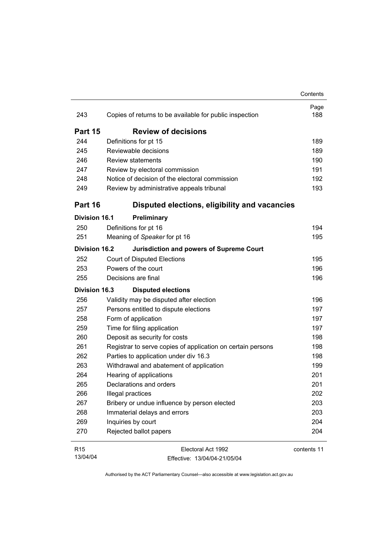|                      |                                                             | Contents    |
|----------------------|-------------------------------------------------------------|-------------|
| 243                  | Copies of returns to be available for public inspection     | Page<br>188 |
| Part 15              | <b>Review of decisions</b>                                  |             |
| 244                  | Definitions for pt 15                                       | 189         |
| 245                  | Reviewable decisions                                        | 189         |
| 246                  | <b>Review statements</b>                                    | 190         |
| 247                  | Review by electoral commission                              | 191         |
| 248                  | Notice of decision of the electoral commission              | 192         |
| 249                  | Review by administrative appeals tribunal                   | 193         |
| Part 16              | Disputed elections, eligibility and vacancies               |             |
| Division 16.1        | Preliminary                                                 |             |
| 250                  | Definitions for pt 16                                       | 194         |
| 251                  | Meaning of Speaker for pt 16                                | 195         |
| <b>Division 16.2</b> | <b>Jurisdiction and powers of Supreme Court</b>             |             |
| 252                  | <b>Court of Disputed Elections</b>                          | 195         |
| 253                  | Powers of the court                                         | 196         |
| 255                  | Decisions are final                                         | 196         |
| <b>Division 16.3</b> | <b>Disputed elections</b>                                   |             |
| 256                  | Validity may be disputed after election                     | 196         |
| 257                  | Persons entitled to dispute elections                       | 197         |
| 258                  | Form of application                                         | 197         |
| 259                  | Time for filing application                                 | 197         |
| 260                  | Deposit as security for costs                               | 198         |
| 261                  | Registrar to serve copies of application on certain persons | 198         |
| 262                  | Parties to application under div 16.3                       | 198         |
| 263                  | Withdrawal and abatement of application                     | 199         |
| 264                  | Hearing of applications                                     | 201         |
| 265                  | Declarations and orders                                     | 201         |
| 266                  | Illegal practices                                           | 202         |
| 267                  | Bribery or undue influence by person elected                | 203         |
| 268                  | Immaterial delays and errors                                | 203         |
| 269                  | Inquiries by court                                          | 204         |
| 270                  | Rejected ballot papers                                      | 204         |
| R <sub>15</sub>      | Electoral Act 1992                                          | contents 11 |

13/04/04

contents 11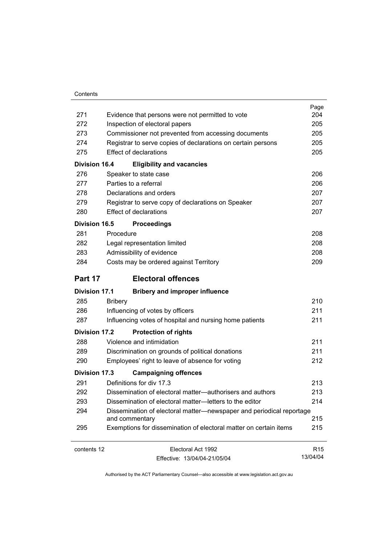| Contents |
|----------|
|          |

| 271                  | Evidence that persons were not permitted to vote                                       | Page<br>204     |
|----------------------|----------------------------------------------------------------------------------------|-----------------|
| 272                  | Inspection of electoral papers                                                         | 205             |
| 273                  | Commissioner not prevented from accessing documents                                    | 205             |
| 274                  | Registrar to serve copies of declarations on certain persons                           | 205             |
| 275                  | <b>Effect of declarations</b>                                                          | 205             |
| <b>Division 16.4</b> | <b>Eligibility and vacancies</b>                                                       |                 |
| 276                  | Speaker to state case                                                                  | 206             |
| 277                  | Parties to a referral                                                                  | 206             |
| 278                  | Declarations and orders                                                                | 207             |
| 279                  | Registrar to serve copy of declarations on Speaker                                     | 207             |
| 280                  | <b>Effect of declarations</b>                                                          | 207             |
| Division 16.5        | <b>Proceedings</b>                                                                     |                 |
| 281                  | Procedure                                                                              | 208             |
| 282                  | Legal representation limited                                                           | 208             |
| 283                  | Admissibility of evidence                                                              | 208             |
| 284                  | Costs may be ordered against Territory                                                 | 209             |
| Part 17              | <b>Electoral offences</b>                                                              |                 |
| <b>Division 17.1</b> | <b>Bribery and improper influence</b>                                                  |                 |
| 285                  | <b>Bribery</b>                                                                         | 210             |
| 286                  | Influencing of votes by officers                                                       | 211             |
| 287                  | Influencing votes of hospital and nursing home patients                                | 211             |
| <b>Division 17.2</b> | <b>Protection of rights</b>                                                            |                 |
| 288                  | Violence and intimidation                                                              | 211             |
| 289                  | Discrimination on grounds of political donations                                       | 211             |
| 290                  | Employees' right to leave of absence for voting                                        | 212             |
| Division 17.3        | <b>Campaigning offences</b>                                                            |                 |
| 291                  | Definitions for div 17.3                                                               | 213             |
| 292                  | Dissemination of electoral matter-authorisers and authors                              | 213             |
| 293                  | Dissemination of electoral matter-letters to the editor                                | 214             |
| 294                  | Dissemination of electoral matter-newspaper and periodical reportage<br>and commentary | 215             |
| 295                  | Exemptions for dissemination of electoral matter on certain items                      | 215             |
| contents 12          | Electoral Act 1992                                                                     | R <sub>15</sub> |

13/04/04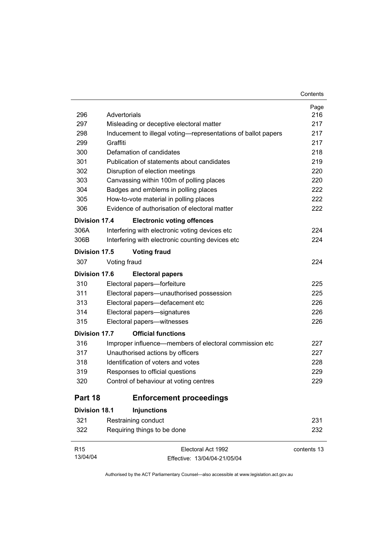| R <sub>15</sub>      | Electoral Act 1992                                                                                        | contents 13 |
|----------------------|-----------------------------------------------------------------------------------------------------------|-------------|
| 322                  | Requiring things to be done                                                                               | 232         |
| 321                  | Restraining conduct                                                                                       | 231         |
| <b>Division 18.1</b> | <b>Injunctions</b>                                                                                        |             |
| Part 18              | <b>Enforcement proceedings</b>                                                                            |             |
| 320                  | Control of behaviour at voting centres                                                                    | 229         |
| 319                  | Responses to official questions                                                                           | 229         |
| 318                  | Identification of voters and votes                                                                        | 228         |
| 317                  | Unauthorised actions by officers                                                                          | 227         |
| 316                  | Improper influence—members of electoral commission etc                                                    | 227         |
| <b>Division 17.7</b> | <b>Official functions</b>                                                                                 |             |
| 315                  | Electoral papers-witnesses                                                                                | 226         |
| 314                  | Electoral papers-signatures                                                                               | 226         |
| 313                  | Electoral papers-defacement etc                                                                           | 226         |
| 311                  | Electoral papers—unauthorised possession                                                                  | 225         |
| 310                  | Electoral papers-forfeiture                                                                               | 225         |
| <b>Division 17.6</b> | <b>Electoral papers</b>                                                                                   |             |
| 307                  | Voting fraud                                                                                              | 224         |
| Division 17.5        | <b>Voting fraud</b>                                                                                       |             |
|                      |                                                                                                           |             |
| 306B                 | Interfering with electronic counting devices etc                                                          | 224         |
| 306A                 | Interfering with electronic voting devices etc                                                            | 224         |
| <b>Division 17.4</b> | <b>Electronic voting offences</b>                                                                         |             |
| 306                  | Evidence of authorisation of electoral matter                                                             | 222         |
| 305                  | How-to-vote material in polling places                                                                    | 222         |
| 304                  | Badges and emblems in polling places                                                                      | 222         |
| 303                  | Canvassing within 100m of polling places                                                                  | 220         |
| 302                  | Disruption of election meetings                                                                           | 220         |
| 301                  | Publication of statements about candidates                                                                | 219         |
| 300                  | Defamation of candidates                                                                                  | 218         |
| 299                  | Graffiti                                                                                                  | 217         |
| 298                  | Misleading or deceptive electoral matter<br>Inducement to illegal voting—representations of ballot papers | 217         |
| 297                  | Advertorials                                                                                              | 217         |
| 296                  |                                                                                                           | 216         |

Contents

Effective: 13/04/04-21/05/04

13/04/04

 $\overline{\phantom{0}}$ 

 $\overline{\phantom{0}}$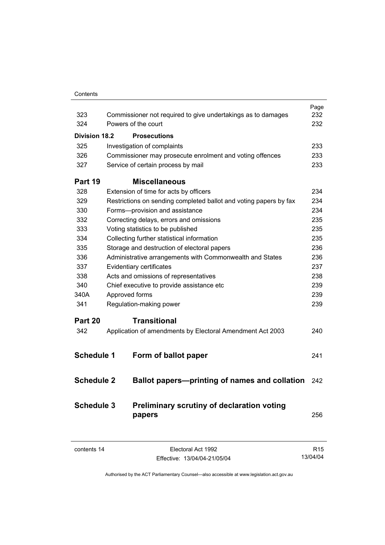| Contents |
|----------|
|          |

|                      |                                                                   | Page |
|----------------------|-------------------------------------------------------------------|------|
| 323                  | Commissioner not required to give undertakings as to damages      | 232  |
| 324                  | Powers of the court                                               | 232  |
| <b>Division 18.2</b> | <b>Prosecutions</b>                                               |      |
| 325                  | Investigation of complaints                                       | 233  |
| 326                  | Commissioner may prosecute enrolment and voting offences          | 233  |
| 327                  | Service of certain process by mail                                | 233  |
| Part 19              | <b>Miscellaneous</b>                                              |      |
| 328                  | Extension of time for acts by officers                            | 234  |
| 329                  | Restrictions on sending completed ballot and voting papers by fax | 234  |
| 330                  | Forms-provision and assistance                                    | 234  |
| 332                  | Correcting delays, errors and omissions                           | 235  |
| 333                  | Voting statistics to be published                                 | 235  |
| 334                  | Collecting further statistical information                        | 235  |
| 335                  | Storage and destruction of electoral papers                       | 236  |
| 336                  | Administrative arrangements with Commonwealth and States          | 236  |
| 337                  | Evidentiary certificates                                          | 237  |
| 338                  | Acts and omissions of representatives                             | 238  |
| 340                  | Chief executive to provide assistance etc                         | 239  |
| 340A                 | Approved forms                                                    | 239  |
| 341                  | Regulation-making power                                           | 239  |
| Part 20              | <b>Transitional</b>                                               |      |
| 342                  | Application of amendments by Electoral Amendment Act 2003         | 240  |
|                      |                                                                   |      |
| <b>Schedule 1</b>    | Form of ballot paper                                              | 241  |
|                      |                                                                   |      |
| <b>Schedule 2</b>    | Ballot papers—printing of names and collation                     | 242  |
| <b>Schedule 3</b>    | Preliminary scrutiny of declaration voting<br>papers              | 256  |
|                      |                                                                   |      |

contents 14 Electoral Act 1992 Effective: 13/04/04-21/05/04

R15 13/04/04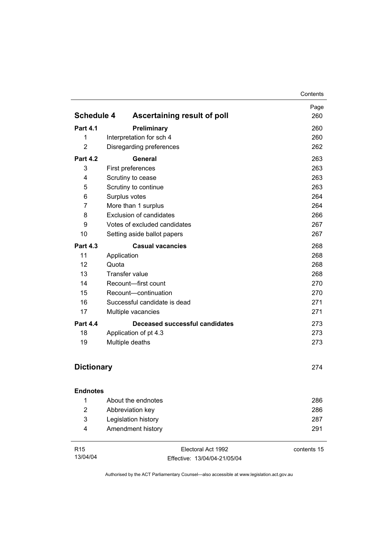|                   |                                       | Contents    |
|-------------------|---------------------------------------|-------------|
|                   |                                       | Page        |
| <b>Schedule 4</b> | Ascertaining result of poll           | 260         |
| <b>Part 4.1</b>   | Preliminary                           | 260         |
| 1                 | Interpretation for sch 4              | 260         |
| $\overline{2}$    | Disregarding preferences              | 262         |
| <b>Part 4.2</b>   | General                               | 263         |
| 3                 | First preferences                     |             |
| 4                 | Scrutiny to cease                     | 263         |
| 5                 | Scrutiny to continue                  | 263         |
| 6                 | Surplus votes                         | 264         |
| 7                 | More than 1 surplus                   |             |
| 8                 | <b>Exclusion of candidates</b>        |             |
| 9                 | Votes of excluded candidates          | 267         |
| 10                | Setting aside ballot papers           | 267         |
| <b>Part 4.3</b>   | <b>Casual vacancies</b>               | 268         |
| 11                | Application                           | 268         |
| 12                | Quota                                 | 268         |
| 13                | <b>Transfer value</b>                 | 268         |
| 14                | Recount-first count                   | 270         |
| 15                | Recount-continuation                  | 270         |
| 16                | Successful candidate is dead          | 271         |
| 17                | Multiple vacancies                    | 271         |
| <b>Part 4.4</b>   | <b>Deceased successful candidates</b> | 273         |
| 18                | Application of pt 4.3                 | 273         |
| 19                | Multiple deaths                       | 273         |
| <b>Dictionary</b> |                                       | 274         |
|                   |                                       |             |
| <b>Endnotes</b>   |                                       |             |
| 1                 | About the endnotes                    | 286         |
| $\overline{2}$    | Abbreviation key                      | 286         |
| 3                 | Legislation history                   | 287         |
| 4                 | Amendment history                     | 291         |
| R <sub>15</sub>   | Electoral Act 1992                    | contents 15 |

Authorised by the ACT Parliamentary Counsel—also accessible at www.legislation.act.gov.au

Effective: 13/04/04-21/05/04

13/04/04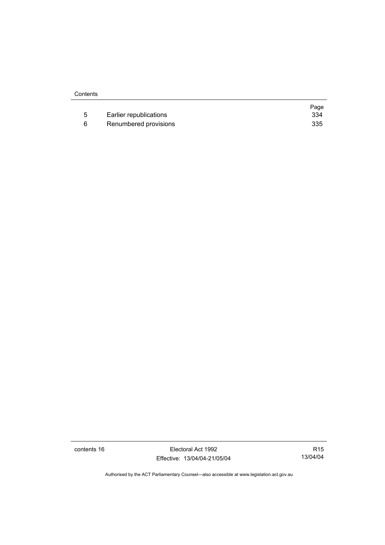|    |                        | Page |
|----|------------------------|------|
| -5 | Earlier republications | 334  |
|    | Renumbered provisions  | 335  |

contents 16 Electoral Act 1992 Effective: 13/04/04-21/05/04

R15 13/04/04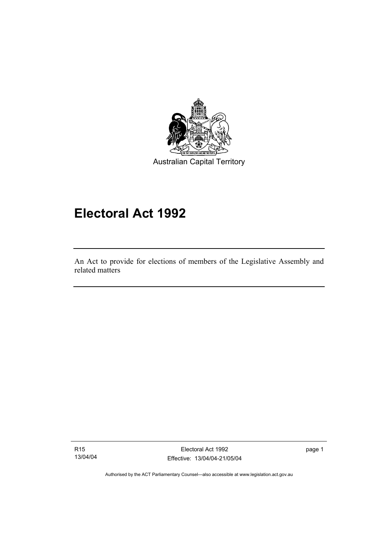

# **Electoral Act 1992**

An Act to provide for elections of members of the Legislative Assembly and related matters

R15 13/04/04

I

Electoral Act 1992 Effective: 13/04/04-21/05/04 page 1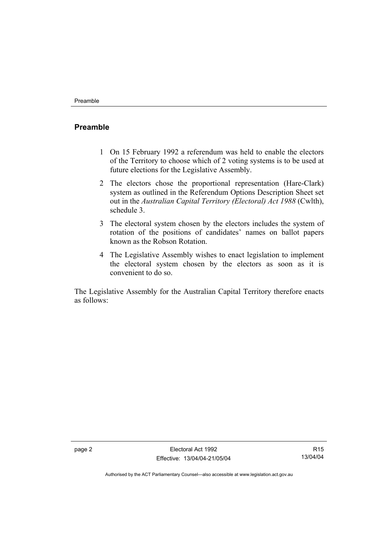### **Preamble**

- 1 On 15 February 1992 a referendum was held to enable the electors of the Territory to choose which of 2 voting systems is to be used at future elections for the Legislative Assembly.
- 2 The electors chose the proportional representation (Hare-Clark) system as outlined in the Referendum Options Description Sheet set out in the *Australian Capital Territory (Electoral) Act 1988* (Cwlth), schedule 3.
- 3 The electoral system chosen by the electors includes the system of rotation of the positions of candidates' names on ballot papers known as the Robson Rotation.
- 4 The Legislative Assembly wishes to enact legislation to implement the electoral system chosen by the electors as soon as it is convenient to do so.

The Legislative Assembly for the Australian Capital Territory therefore enacts as follows:

R15 13/04/04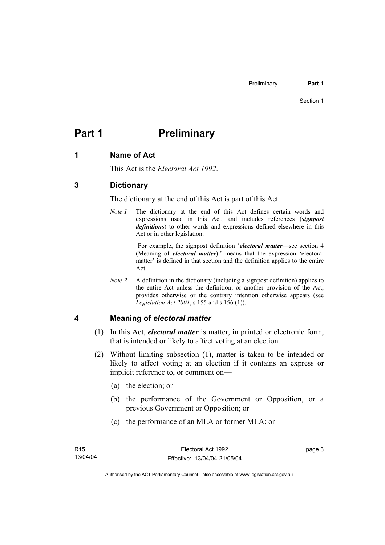# **Part 1** Preliminary

#### **1 Name of Act**

This Act is the *Electoral Act 1992*.

# **3 Dictionary**

The dictionary at the end of this Act is part of this Act.

*Note 1* The dictionary at the end of this Act defines certain words and expressions used in this Act, and includes references (*signpost definitions*) to other words and expressions defined elsewhere in this Act or in other legislation.

> For example, the signpost definition '*electoral matter*—see section 4 (Meaning of *electoral matter*).' means that the expression 'electoral matter' is defined in that section and the definition applies to the entire Act.

*Note 2* A definition in the dictionary (including a signpost definition) applies to the entire Act unless the definition, or another provision of the Act, provides otherwise or the contrary intention otherwise appears (see *Legislation Act 2001*, s 155 and s 156 (1)).

#### **4 Meaning of** *electoral matter*

- (1) In this Act, *electoral matter* is matter, in printed or electronic form, that is intended or likely to affect voting at an election.
- (2) Without limiting subsection (1), matter is taken to be intended or likely to affect voting at an election if it contains an express or implicit reference to, or comment on—
	- (a) the election; or
	- (b) the performance of the Government or Opposition, or a previous Government or Opposition; or
	- (c) the performance of an MLA or former MLA; or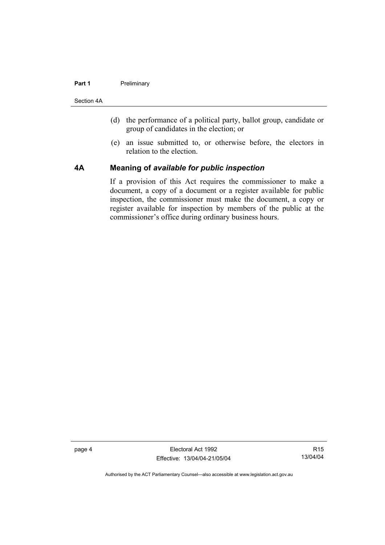#### **Part 1** Preliminary

Section 4A

- (d) the performance of a political party, ballot group, candidate or group of candidates in the election; or
- (e) an issue submitted to, or otherwise before, the electors in relation to the election.

### **4A Meaning of** *available for public inspection*

If a provision of this Act requires the commissioner to make a document, a copy of a document or a register available for public inspection, the commissioner must make the document, a copy or register available for inspection by members of the public at the commissioner's office during ordinary business hours.

page 4 Electoral Act 1992 Effective: 13/04/04-21/05/04

R15 13/04/04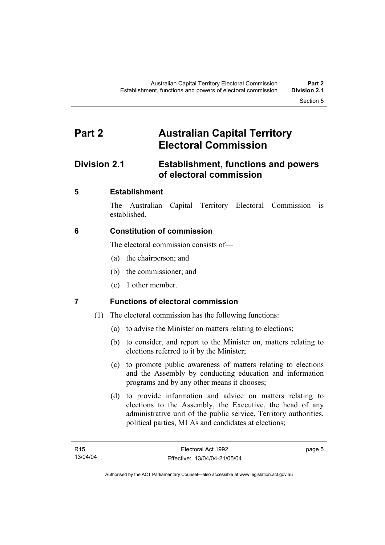# **Part 2 Australian Capital Territory Electoral Commission**

# **Division 2.1 Establishment, functions and powers of electoral commission**

# **5 Establishment**

The Australian Capital Territory Electoral Commission is established.

# **6 Constitution of commission**

The electoral commission consists of—

- (a) the chairperson; and
- (b) the commissioner; and
- (c) 1 other member.

# **7 Functions of electoral commission**

- (1) The electoral commission has the following functions:
	- (a) to advise the Minister on matters relating to elections;
	- (b) to consider, and report to the Minister on, matters relating to elections referred to it by the Minister;
	- (c) to promote public awareness of matters relating to elections and the Assembly by conducting education and information programs and by any other means it chooses;
	- (d) to provide information and advice on matters relating to elections to the Assembly, the Executive, the head of any administrative unit of the public service, Territory authorities, political parties, MLAs and candidates at elections;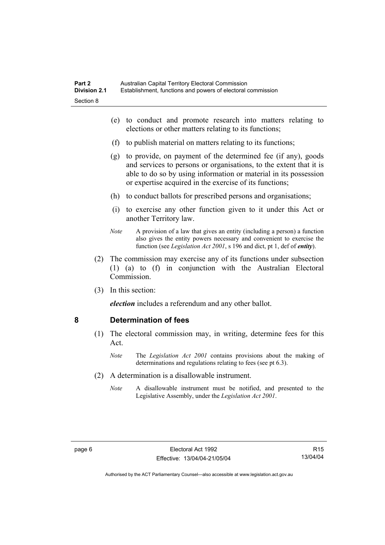- (e) to conduct and promote research into matters relating to elections or other matters relating to its functions;
- (f) to publish material on matters relating to its functions;
- (g) to provide, on payment of the determined fee (if any), goods and services to persons or organisations, to the extent that it is able to do so by using information or material in its possession or expertise acquired in the exercise of its functions;
- (h) to conduct ballots for prescribed persons and organisations;
- (i) to exercise any other function given to it under this Act or another Territory law.
- *Note* A provision of a law that gives an entity (including a person) a function also gives the entity powers necessary and convenient to exercise the function (see *Legislation Act 2001*, s 196 and dict, pt 1, def of *entity*).
- (2) The commission may exercise any of its functions under subsection (1) (a) to (f) in conjunction with the Australian Electoral **Commission**
- (3) In this section:

*election* includes a referendum and any other ballot.

#### **8 Determination of fees**

- (1) The electoral commission may, in writing, determine fees for this Act.
	- *Note* The *Legislation Act 2001* contains provisions about the making of determinations and regulations relating to fees (see pt 6.3).
- (2) A determination is a disallowable instrument.
	- *Note* A disallowable instrument must be notified, and presented to the Legislative Assembly, under the *Legislation Act 2001*.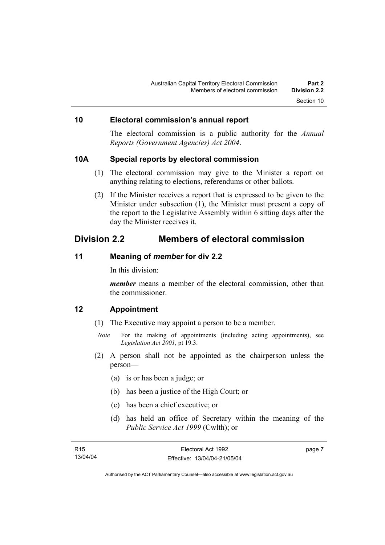### **10 Electoral commission's annual report**

The electoral commission is a public authority for the *Annual Reports (Government Agencies) Act 2004*.

#### **10A Special reports by electoral commission**

- (1) The electoral commission may give to the Minister a report on anything relating to elections, referendums or other ballots.
- (2) If the Minister receives a report that is expressed to be given to the Minister under subsection (1), the Minister must present a copy of the report to the Legislative Assembly within 6 sitting days after the day the Minister receives it.

# **Division 2.2 Members of electoral commission**

### **11 Meaning of** *member* **for div 2.2**

In this division:

*member* means a member of the electoral commission, other than the commissioner.

#### **12 Appointment**

- (1) The Executive may appoint a person to be a member.
	- *Note* For the making of appointments (including acting appointments), see *Legislation Act 2001*, pt 19.3.
- (2) A person shall not be appointed as the chairperson unless the person—
	- (a) is or has been a judge; or
	- (b) has been a justice of the High Court; or
	- (c) has been a chief executive; or
	- (d) has held an office of Secretary within the meaning of the *Public Service Act 1999* (Cwlth); or

| R15      | Electoral Act 1992           | page 7 |
|----------|------------------------------|--------|
| 13/04/04 | Effective: 13/04/04-21/05/04 |        |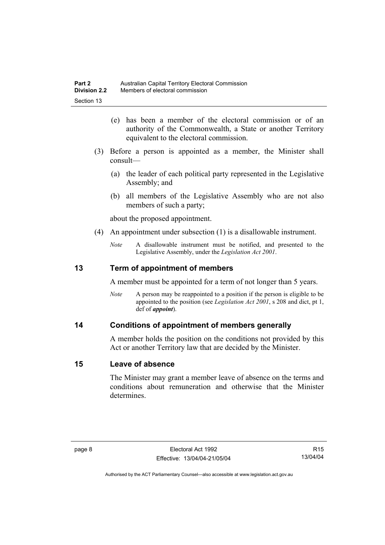- (e) has been a member of the electoral commission or of an authority of the Commonwealth, a State or another Territory equivalent to the electoral commission.
- (3) Before a person is appointed as a member, the Minister shall consult—
	- (a) the leader of each political party represented in the Legislative Assembly; and
	- (b) all members of the Legislative Assembly who are not also members of such a party;

about the proposed appointment.

- (4) An appointment under subsection (1) is a disallowable instrument.
	- *Note* A disallowable instrument must be notified, and presented to the Legislative Assembly, under the *Legislation Act 2001*.

### **13 Term of appointment of members**

A member must be appointed for a term of not longer than 5 years.

*Note* A person may be reappointed to a position if the person is eligible to be appointed to the position (see *Legislation Act 2001*, s 208 and dict, pt 1, def of *appoint*).

#### **14 Conditions of appointment of members generally**

A member holds the position on the conditions not provided by this Act or another Territory law that are decided by the Minister.

#### **15 Leave of absence**

The Minister may grant a member leave of absence on the terms and conditions about remuneration and otherwise that the Minister determines.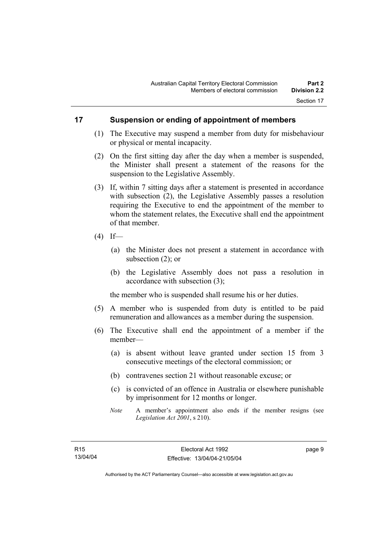### **17 Suspension or ending of appointment of members**

- (1) The Executive may suspend a member from duty for misbehaviour or physical or mental incapacity.
- (2) On the first sitting day after the day when a member is suspended, the Minister shall present a statement of the reasons for the suspension to the Legislative Assembly.
- (3) If, within 7 sitting days after a statement is presented in accordance with subsection (2), the Legislative Assembly passes a resolution requiring the Executive to end the appointment of the member to whom the statement relates, the Executive shall end the appointment of that member.
- $(4)$  If—
	- (a) the Minister does not present a statement in accordance with subsection (2); or
	- (b) the Legislative Assembly does not pass a resolution in accordance with subsection (3);

the member who is suspended shall resume his or her duties.

- (5) A member who is suspended from duty is entitled to be paid remuneration and allowances as a member during the suspension.
- (6) The Executive shall end the appointment of a member if the member—
	- (a) is absent without leave granted under section 15 from 3 consecutive meetings of the electoral commission; or
	- (b) contravenes section 21 without reasonable excuse; or
	- (c) is convicted of an offence in Australia or elsewhere punishable by imprisonment for 12 months or longer.
	- *Note* A member's appointment also ends if the member resigns (see *Legislation Act 2001*, s 210).

page 9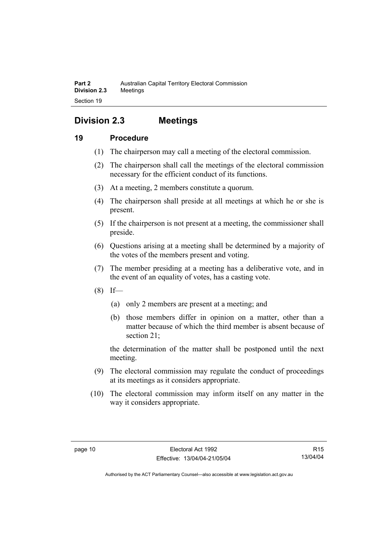# **Division 2.3 Meetings**

# **19 Procedure**

- (1) The chairperson may call a meeting of the electoral commission.
- (2) The chairperson shall call the meetings of the electoral commission necessary for the efficient conduct of its functions.
- (3) At a meeting, 2 members constitute a quorum.
- (4) The chairperson shall preside at all meetings at which he or she is present.
- (5) If the chairperson is not present at a meeting, the commissioner shall preside.
- (6) Questions arising at a meeting shall be determined by a majority of the votes of the members present and voting.
- (7) The member presiding at a meeting has a deliberative vote, and in the event of an equality of votes, has a casting vote.
- $(8)$  If—
	- (a) only 2 members are present at a meeting; and
	- (b) those members differ in opinion on a matter, other than a matter because of which the third member is absent because of section 21;

the determination of the matter shall be postponed until the next meeting.

- (9) The electoral commission may regulate the conduct of proceedings at its meetings as it considers appropriate.
- (10) The electoral commission may inform itself on any matter in the way it considers appropriate.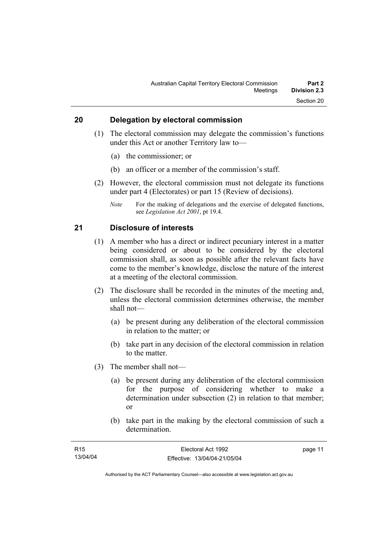# **20 Delegation by electoral commission**

- (1) The electoral commission may delegate the commission's functions under this Act or another Territory law to—
	- (a) the commissioner; or
	- (b) an officer or a member of the commission's staff.
- (2) However, the electoral commission must not delegate its functions under part 4 (Electorates) or part 15 (Review of decisions).
	- *Note* For the making of delegations and the exercise of delegated functions, see *Legislation Act 2001*, pt 19.4.

#### **21 Disclosure of interests**

- (1) A member who has a direct or indirect pecuniary interest in a matter being considered or about to be considered by the electoral commission shall, as soon as possible after the relevant facts have come to the member's knowledge, disclose the nature of the interest at a meeting of the electoral commission.
- (2) The disclosure shall be recorded in the minutes of the meeting and, unless the electoral commission determines otherwise, the member shall not—
	- (a) be present during any deliberation of the electoral commission in relation to the matter; or
	- (b) take part in any decision of the electoral commission in relation to the matter.
- (3) The member shall not—
	- (a) be present during any deliberation of the electoral commission for the purpose of considering whether to make a determination under subsection (2) in relation to that member; or
	- (b) take part in the making by the electoral commission of such a determination.

| R15      | Electoral Act 1992           | page 11 |
|----------|------------------------------|---------|
| 13/04/04 | Effective: 13/04/04-21/05/04 |         |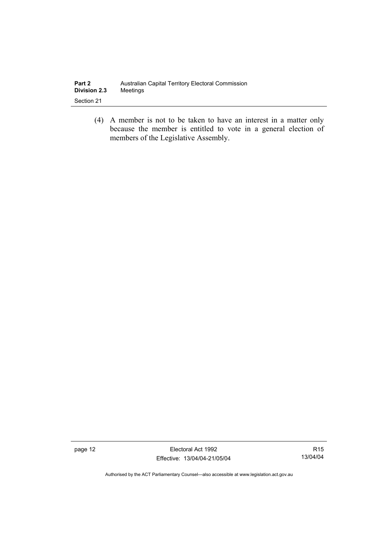| Part 2              | Australian Capital Territory Electoral Commission |
|---------------------|---------------------------------------------------|
| <b>Division 2.3</b> | Meetinas                                          |
| Section 21          |                                                   |

 (4) A member is not to be taken to have an interest in a matter only because the member is entitled to vote in a general election of members of the Legislative Assembly.

page 12 **Electoral Act 1992** Effective: 13/04/04-21/05/04

R15 13/04/04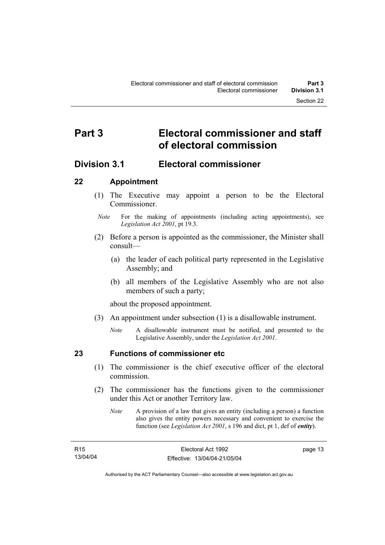# **Part 3 Electoral commissioner and staff of electoral commission**

# **Division 3.1 Electoral commissioner**

# **22 Appointment**

- (1) The Executive may appoint a person to be the Electoral **Commissioner**
- *Note* For the making of appointments (including acting appointments), see *Legislation Act 2001*, pt 19.3.
- (2) Before a person is appointed as the commissioner, the Minister shall consult—
	- (a) the leader of each political party represented in the Legislative Assembly; and
	- (b) all members of the Legislative Assembly who are not also members of such a party;

about the proposed appointment.

- (3) An appointment under subsection (1) is a disallowable instrument.
	- *Note* A disallowable instrument must be notified, and presented to the Legislative Assembly, under the *Legislation Act 2001*.

# **23 Functions of commissioner etc**

- (1) The commissioner is the chief executive officer of the electoral commission.
- (2) The commissioner has the functions given to the commissioner under this Act or another Territory law.
	- *Note* A provision of a law that gives an entity (including a person) a function also gives the entity powers necessary and convenient to exercise the function (see *Legislation Act 2001*, s 196 and dict, pt 1, def of *entity*).

page 13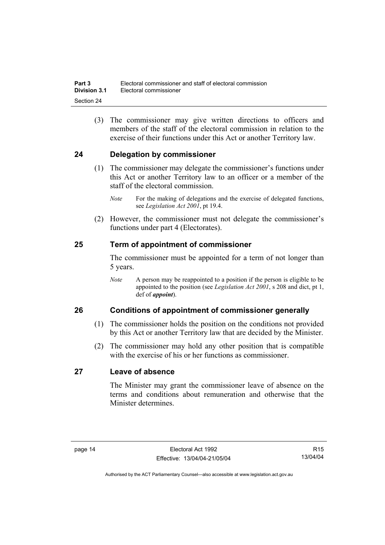(3) The commissioner may give written directions to officers and members of the staff of the electoral commission in relation to the exercise of their functions under this Act or another Territory law.

# **24 Delegation by commissioner**

- (1) The commissioner may delegate the commissioner's functions under this Act or another Territory law to an officer or a member of the staff of the electoral commission.
	- *Note* For the making of delegations and the exercise of delegated functions, see *Legislation Act 2001*, pt 19.4.
- (2) However, the commissioner must not delegate the commissioner's functions under part 4 (Electorates).

# **25 Term of appointment of commissioner**

The commissioner must be appointed for a term of not longer than 5 years.

*Note* A person may be reappointed to a position if the person is eligible to be appointed to the position (see *Legislation Act 2001*, s 208 and dict, pt 1, def of *appoint*).

# **26 Conditions of appointment of commissioner generally**

- (1) The commissioner holds the position on the conditions not provided by this Act or another Territory law that are decided by the Minister.
- (2) The commissioner may hold any other position that is compatible with the exercise of his or her functions as commissioner.

# **27 Leave of absence**

The Minister may grant the commissioner leave of absence on the terms and conditions about remuneration and otherwise that the Minister determines.

R15 13/04/04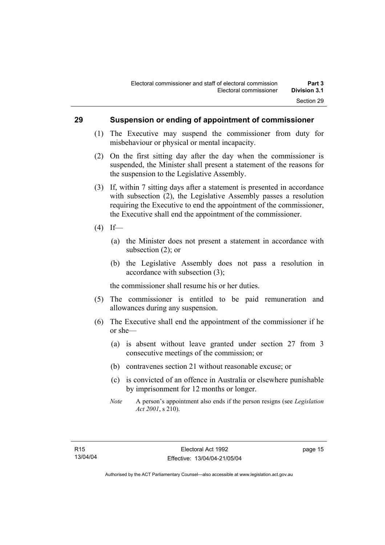#### **29 Suspension or ending of appointment of commissioner**

- (1) The Executive may suspend the commissioner from duty for misbehaviour or physical or mental incapacity.
- (2) On the first sitting day after the day when the commissioner is suspended, the Minister shall present a statement of the reasons for the suspension to the Legislative Assembly.
- (3) If, within 7 sitting days after a statement is presented in accordance with subsection (2), the Legislative Assembly passes a resolution requiring the Executive to end the appointment of the commissioner, the Executive shall end the appointment of the commissioner.
- $(4)$  If—
	- (a) the Minister does not present a statement in accordance with subsection (2); or
	- (b) the Legislative Assembly does not pass a resolution in accordance with subsection (3);

the commissioner shall resume his or her duties.

- (5) The commissioner is entitled to be paid remuneration and allowances during any suspension.
- (6) The Executive shall end the appointment of the commissioner if he or she—
	- (a) is absent without leave granted under section 27 from 3 consecutive meetings of the commission; or
	- (b) contravenes section 21 without reasonable excuse; or
	- (c) is convicted of an offence in Australia or elsewhere punishable by imprisonment for 12 months or longer.
	- *Note* A person's appointment also ends if the person resigns (see *Legislation Act 2001*, s 210).

page 15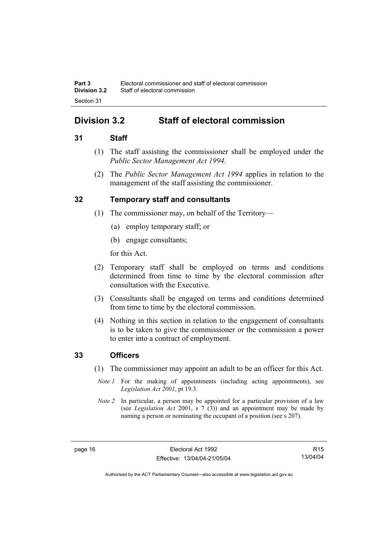# **Division 3.2 Staff of electoral commission**

### **31 Staff**

- (1) The staff assisting the commissioner shall be employed under the *Public Sector Management Act 1994*.
- (2) The *Public Sector Management Act 1994* applies in relation to the management of the staff assisting the commissioner.

# **32 Temporary staff and consultants**

- (1) The commissioner may, on behalf of the Territory—
	- (a) employ temporary staff; or
	- (b) engage consultants;

for this Act.

- (2) Temporary staff shall be employed on terms and conditions determined from time to time by the electoral commission after consultation with the Executive.
- (3) Consultants shall be engaged on terms and conditions determined from time to time by the electoral commission.
- (4) Nothing in this section in relation to the engagement of consultants is to be taken to give the commissioner or the commission a power to enter into a contract of employment.

#### **33 Officers**

- (1) The commissioner may appoint an adult to be an officer for this Act.
	- *Note 1* For the making of appointments (including acting appointments), see *Legislation Act 2001*, pt 19.3.
- *Note 2* In particular, a person may be appointed for a particular provision of a law (see *Legislation Act* 2001, s 7 (3)) and an appointment may be made by naming a person or nominating the occupant of a position (see s 207).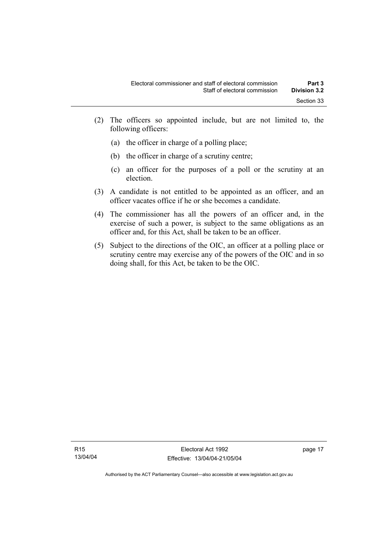- (2) The officers so appointed include, but are not limited to, the following officers:
	- (a) the officer in charge of a polling place;
	- (b) the officer in charge of a scrutiny centre;
	- (c) an officer for the purposes of a poll or the scrutiny at an election.
- (3) A candidate is not entitled to be appointed as an officer, and an officer vacates office if he or she becomes a candidate.
- (4) The commissioner has all the powers of an officer and, in the exercise of such a power, is subject to the same obligations as an officer and, for this Act, shall be taken to be an officer.
- (5) Subject to the directions of the OIC, an officer at a polling place or scrutiny centre may exercise any of the powers of the OIC and in so doing shall, for this Act, be taken to be the OIC.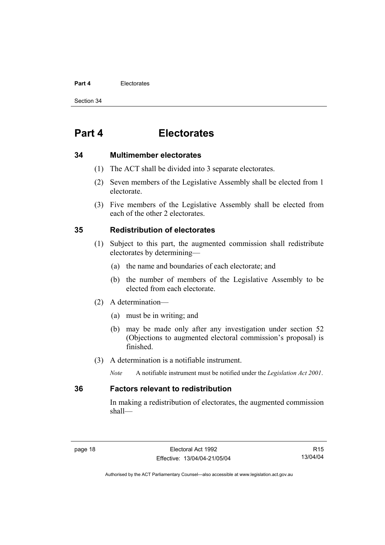#### **Part 4** Electorates

Section 34

# **Part 4 Electorates**

#### **34 Multimember electorates**

- (1) The ACT shall be divided into 3 separate electorates.
- (2) Seven members of the Legislative Assembly shall be elected from 1 electorate.
- (3) Five members of the Legislative Assembly shall be elected from each of the other 2 electorates.

### **35 Redistribution of electorates**

- (1) Subject to this part, the augmented commission shall redistribute electorates by determining—
	- (a) the name and boundaries of each electorate; and
	- (b) the number of members of the Legislative Assembly to be elected from each electorate.
- (2) A determination—
	- (a) must be in writing; and
	- (b) may be made only after any investigation under section 52 (Objections to augmented electoral commission's proposal) is finished.
- (3) A determination is a notifiable instrument.
	- *Note* A notifiable instrument must be notified under the *Legislation Act 2001*.

#### **36 Factors relevant to redistribution**

In making a redistribution of electorates, the augmented commission shall—

R15 13/04/04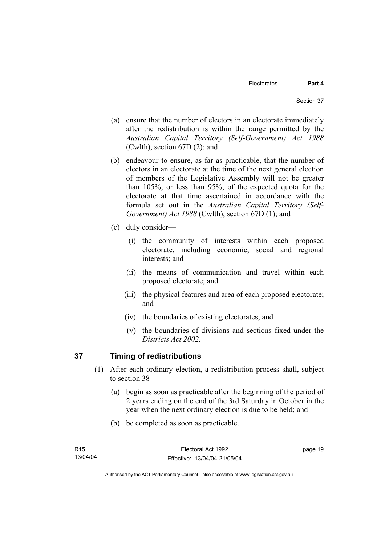- (a) ensure that the number of electors in an electorate immediately after the redistribution is within the range permitted by the *Australian Capital Territory (Self-Government) Act 1988*  (Cwlth), section 67D (2); and
- (b) endeavour to ensure, as far as practicable, that the number of electors in an electorate at the time of the next general election of members of the Legislative Assembly will not be greater than 105%, or less than 95%, of the expected quota for the electorate at that time ascertained in accordance with the formula set out in the *Australian Capital Territory (Self-Government) Act 1988* (Cwlth), section 67D (1); and
- (c) duly consider—
	- (i) the community of interests within each proposed electorate, including economic, social and regional interests; and
	- (ii) the means of communication and travel within each proposed electorate; and
	- (iii) the physical features and area of each proposed electorate; and
	- (iv) the boundaries of existing electorates; and
	- (v) the boundaries of divisions and sections fixed under the *Districts Act 2002*.

# **37 Timing of redistributions**

- (1) After each ordinary election, a redistribution process shall, subject to section 38—
	- (a) begin as soon as practicable after the beginning of the period of 2 years ending on the end of the 3rd Saturday in October in the year when the next ordinary election is due to be held; and
	- (b) be completed as soon as practicable.

page 19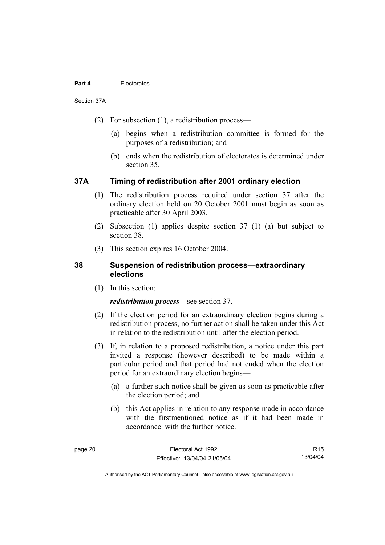## **Part 4** Electorates

Section 37A

- (2) For subsection (1), a redistribution process—
	- (a) begins when a redistribution committee is formed for the purposes of a redistribution; and
	- (b) ends when the redistribution of electorates is determined under section 35.

# **37A Timing of redistribution after 2001 ordinary election**

- (1) The redistribution process required under section 37 after the ordinary election held on 20 October 2001 must begin as soon as practicable after 30 April 2003.
- (2) Subsection (1) applies despite section 37 (1) (a) but subject to section 38.
- (3) This section expires 16 October 2004.

# **38 Suspension of redistribution process—extraordinary elections**

(1) In this section:

## *redistribution process*—see section 37.

- (2) If the election period for an extraordinary election begins during a redistribution process, no further action shall be taken under this Act in relation to the redistribution until after the election period.
- (3) If, in relation to a proposed redistribution, a notice under this part invited a response (however described) to be made within a particular period and that period had not ended when the election period for an extraordinary election begins—
	- (a) a further such notice shall be given as soon as practicable after the election period; and
	- (b) this Act applies in relation to any response made in accordance with the firstmentioned notice as if it had been made in accordance with the further notice.

R15 13/04/04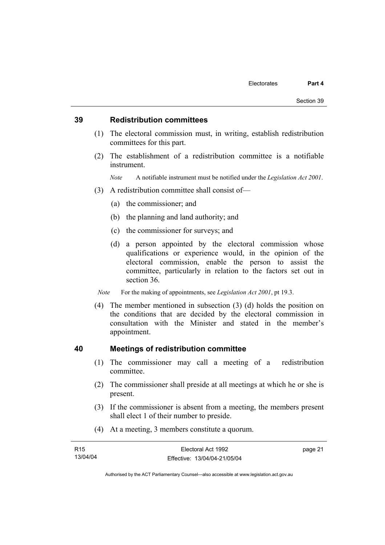## **39 Redistribution committees**

- (1) The electoral commission must, in writing, establish redistribution committees for this part.
- (2) The establishment of a redistribution committee is a notifiable instrument.

*Note* A notifiable instrument must be notified under the *Legislation Act 2001*.

- (3) A redistribution committee shall consist of—
	- (a) the commissioner; and
	- (b) the planning and land authority; and
	- (c) the commissioner for surveys; and
	- (d) a person appointed by the electoral commission whose qualifications or experience would, in the opinion of the electoral commission, enable the person to assist the committee, particularly in relation to the factors set out in section 36.

*Note* For the making of appointments, see *Legislation Act 2001*, pt 19.3.

 (4) The member mentioned in subsection (3) (d) holds the position on the conditions that are decided by the electoral commission in consultation with the Minister and stated in the member's appointment.

## **40 Meetings of redistribution committee**

- (1) The commissioner may call a meeting of a redistribution committee.
- (2) The commissioner shall preside at all meetings at which he or she is present.
- (3) If the commissioner is absent from a meeting, the members present shall elect 1 of their number to preside.
- (4) At a meeting, 3 members constitute a quorum.

| R <sub>15</sub> | Electoral Act 1992           | page 21 |
|-----------------|------------------------------|---------|
| 13/04/04        | Effective: 13/04/04-21/05/04 |         |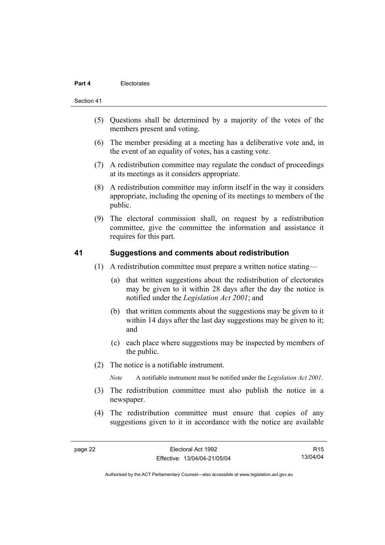### **Part 4** Electorates

#### Section 41

- (5) Questions shall be determined by a majority of the votes of the members present and voting.
- (6) The member presiding at a meeting has a deliberative vote and, in the event of an equality of votes, has a casting vote.
- (7) A redistribution committee may regulate the conduct of proceedings at its meetings as it considers appropriate.
- (8) A redistribution committee may inform itself in the way it considers appropriate, including the opening of its meetings to members of the public.
- (9) The electoral commission shall, on request by a redistribution committee, give the committee the information and assistance it requires for this part.

## **41 Suggestions and comments about redistribution**

- (1) A redistribution committee must prepare a written notice stating—
	- (a) that written suggestions about the redistribution of electorates may be given to it within 28 days after the day the notice is notified under the *Legislation Act 2001*; and
	- (b) that written comments about the suggestions may be given to it within 14 days after the last day suggestions may be given to it; and
	- (c) each place where suggestions may be inspected by members of the public.
- (2) The notice is a notifiable instrument.

*Note* A notifiable instrument must be notified under the *Legislation Act 2001*.

- (3) The redistribution committee must also publish the notice in a newspaper.
- (4) The redistribution committee must ensure that copies of any suggestions given to it in accordance with the notice are available

R15 13/04/04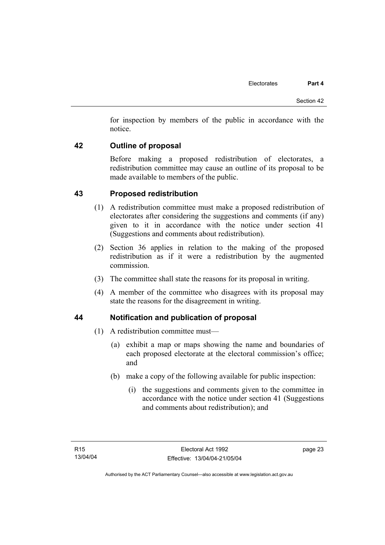for inspection by members of the public in accordance with the notice.

# **42 Outline of proposal**

Before making a proposed redistribution of electorates, a redistribution committee may cause an outline of its proposal to be made available to members of the public.

# **43 Proposed redistribution**

- (1) A redistribution committee must make a proposed redistribution of electorates after considering the suggestions and comments (if any) given to it in accordance with the notice under section 41 (Suggestions and comments about redistribution).
- (2) Section 36 applies in relation to the making of the proposed redistribution as if it were a redistribution by the augmented commission.
- (3) The committee shall state the reasons for its proposal in writing.
- (4) A member of the committee who disagrees with its proposal may state the reasons for the disagreement in writing.

# **44 Notification and publication of proposal**

- (1) A redistribution committee must—
	- (a) exhibit a map or maps showing the name and boundaries of each proposed electorate at the electoral commission's office; and
	- (b) make a copy of the following available for public inspection:
		- (i) the suggestions and comments given to the committee in accordance with the notice under section 41 (Suggestions and comments about redistribution); and

page 23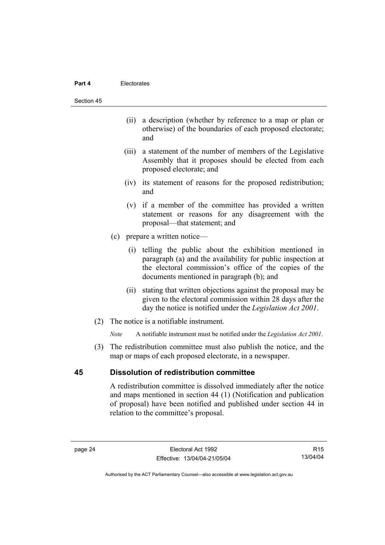#### **Part 4** Electorates

#### Section 45

- (ii) a description (whether by reference to a map or plan or otherwise) of the boundaries of each proposed electorate; and
- (iii) a statement of the number of members of the Legislative Assembly that it proposes should be elected from each proposed electorate; and
- (iv) its statement of reasons for the proposed redistribution; and
- (v) if a member of the committee has provided a written statement or reasons for any disagreement with the proposal—that statement; and
- (c) prepare a written notice—
	- (i) telling the public about the exhibition mentioned in paragraph (a) and the availability for public inspection at the electoral commission's office of the copies of the documents mentioned in paragraph (b); and
	- (ii) stating that written objections against the proposal may be given to the electoral commission within 28 days after the day the notice is notified under the *Legislation Act 2001*.
- (2) The notice is a notifiable instrument.

*Note* A notifiable instrument must be notified under the *Legislation Act 2001*.

 (3) The redistribution committee must also publish the notice, and the map or maps of each proposed electorate, in a newspaper.

# **45 Dissolution of redistribution committee**

A redistribution committee is dissolved immediately after the notice and maps mentioned in section 44 (1) (Notification and publication of proposal) have been notified and published under section 44 in relation to the committee's proposal.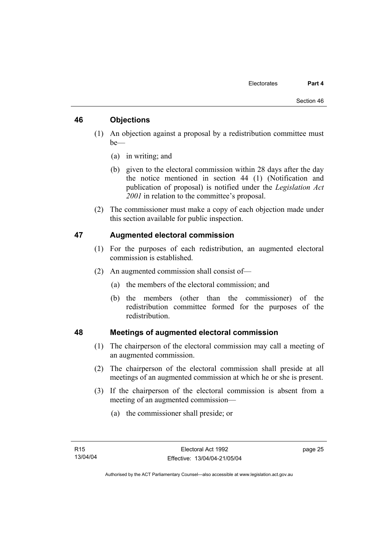# **46 Objections**

- (1) An objection against a proposal by a redistribution committee must be—
	- (a) in writing; and
	- (b) given to the electoral commission within 28 days after the day the notice mentioned in section 44 (1) (Notification and publication of proposal) is notified under the *Legislation Act 2001* in relation to the committee's proposal.
- (2) The commissioner must make a copy of each objection made under this section available for public inspection.

# **47 Augmented electoral commission**

- (1) For the purposes of each redistribution, an augmented electoral commission is established.
- (2) An augmented commission shall consist of—
	- (a) the members of the electoral commission; and
	- (b) the members (other than the commissioner) of the redistribution committee formed for the purposes of the redistribution.

# **48 Meetings of augmented electoral commission**

- (1) The chairperson of the electoral commission may call a meeting of an augmented commission.
- (2) The chairperson of the electoral commission shall preside at all meetings of an augmented commission at which he or she is present.
- (3) If the chairperson of the electoral commission is absent from a meeting of an augmented commission—
	- (a) the commissioner shall preside; or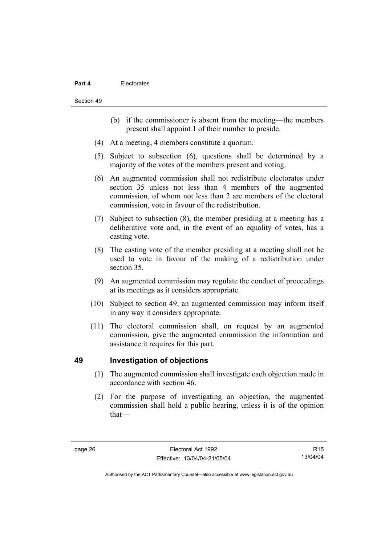## **Part 4** Electorates

Section 49

- (b) if the commissioner is absent from the meeting—the members present shall appoint 1 of their number to preside.
- (4) At a meeting, 4 members constitute a quorum.
- (5) Subject to subsection (6), questions shall be determined by a majority of the votes of the members present and voting.
- (6) An augmented commission shall not redistribute electorates under section 35 unless not less than 4 members of the augmented commission, of whom not less than 2 are members of the electoral commission, vote in favour of the redistribution.
- (7) Subject to subsection (8), the member presiding at a meeting has a deliberative vote and, in the event of an equality of votes, has a casting vote.
- (8) The casting vote of the member presiding at a meeting shall not be used to vote in favour of the making of a redistribution under section 35.
- (9) An augmented commission may regulate the conduct of proceedings at its meetings as it considers appropriate.
- (10) Subject to section 49, an augmented commission may inform itself in any way it considers appropriate.
- (11) The electoral commission shall, on request by an augmented commission, give the augmented commission the information and assistance it requires for this part.

# **49 Investigation of objections**

- (1) The augmented commission shall investigate each objection made in accordance with section 46.
- (2) For the purpose of investigating an objection, the augmented commission shall hold a public hearing, unless it is of the opinion that—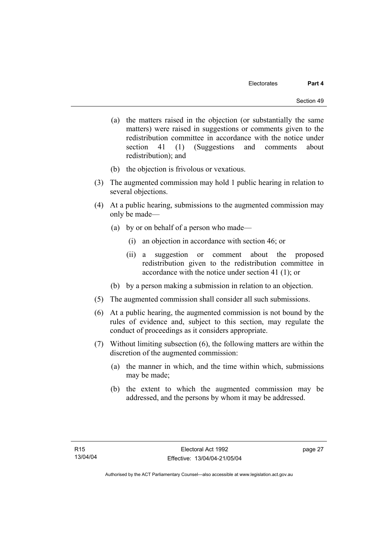- (a) the matters raised in the objection (or substantially the same matters) were raised in suggestions or comments given to the redistribution committee in accordance with the notice under section 41 (1) (Suggestions and comments about redistribution); and
- (b) the objection is frivolous or vexatious.
- (3) The augmented commission may hold 1 public hearing in relation to several objections.
- (4) At a public hearing, submissions to the augmented commission may only be made—
	- (a) by or on behalf of a person who made—
		- (i) an objection in accordance with section 46; or
		- (ii) a suggestion or comment about the proposed redistribution given to the redistribution committee in accordance with the notice under section 41 (1); or
	- (b) by a person making a submission in relation to an objection.
- (5) The augmented commission shall consider all such submissions.
- (6) At a public hearing, the augmented commission is not bound by the rules of evidence and, subject to this section, may regulate the conduct of proceedings as it considers appropriate.
- (7) Without limiting subsection (6), the following matters are within the discretion of the augmented commission:
	- (a) the manner in which, and the time within which, submissions may be made;
	- (b) the extent to which the augmented commission may be addressed, and the persons by whom it may be addressed.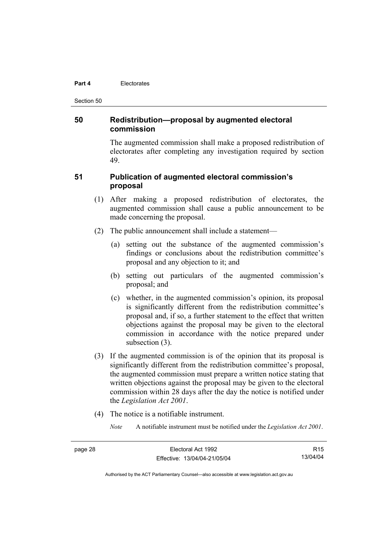#### **Part 4** Electorates

Section 50

# **50 Redistribution—proposal by augmented electoral commission**

The augmented commission shall make a proposed redistribution of electorates after completing any investigation required by section 49.

# **51 Publication of augmented electoral commission's proposal**

- (1) After making a proposed redistribution of electorates, the augmented commission shall cause a public announcement to be made concerning the proposal.
- (2) The public announcement shall include a statement—
	- (a) setting out the substance of the augmented commission's findings or conclusions about the redistribution committee's proposal and any objection to it; and
	- (b) setting out particulars of the augmented commission's proposal; and
	- (c) whether, in the augmented commission's opinion, its proposal is significantly different from the redistribution committee's proposal and, if so, a further statement to the effect that written objections against the proposal may be given to the electoral commission in accordance with the notice prepared under subsection (3).
- (3) If the augmented commission is of the opinion that its proposal is significantly different from the redistribution committee's proposal, the augmented commission must prepare a written notice stating that written objections against the proposal may be given to the electoral commission within 28 days after the day the notice is notified under the *Legislation Act 2001*.
- (4) The notice is a notifiable instrument.
	- *Note* A notifiable instrument must be notified under the *Legislation Act 2001*.

| . |  |
|---|--|
|---|--|

R15 13/04/04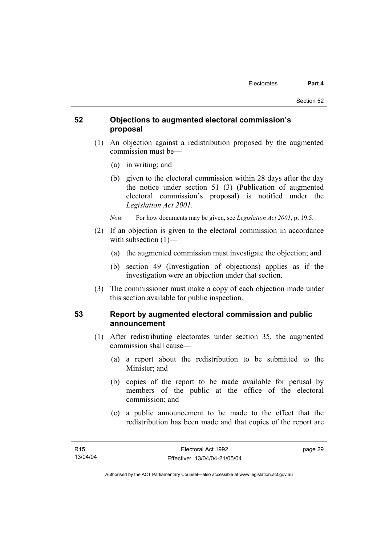# **52 Objections to augmented electoral commission's proposal**

- (1) An objection against a redistribution proposed by the augmented commission must be—
	- (a) in writing; and
	- (b) given to the electoral commission within 28 days after the day the notice under section 51 (3) (Publication of augmented electoral commission's proposal) is notified under the *Legislation Act 2001*.
	- *Note* For how documents may be given, see *Legislation Act 2001*, pt 19.5.
- (2) If an objection is given to the electoral commission in accordance with subsection  $(1)$ —
	- (a) the augmented commission must investigate the objection; and
	- (b) section 49 (Investigation of objections) applies as if the investigation were an objection under that section.
- (3) The commissioner must make a copy of each objection made under this section available for public inspection.

# **53 Report by augmented electoral commission and public announcement**

- (1) After redistributing electorates under section 35, the augmented commission shall cause—
	- (a) a report about the redistribution to be submitted to the Minister; and
	- (b) copies of the report to be made available for perusal by members of the public at the office of the electoral commission; and
	- (c) a public announcement to be made to the effect that the redistribution has been made and that copies of the report are

page 29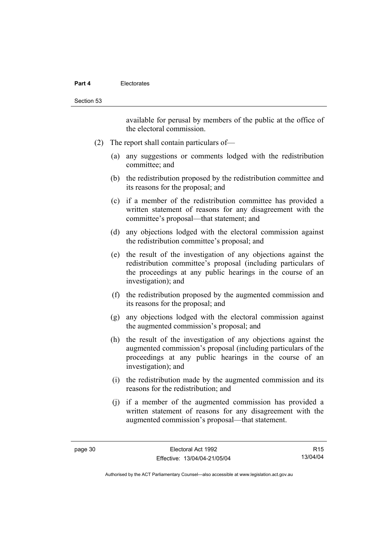### **Part 4** Electorates

available for perusal by members of the public at the office of the electoral commission.

- (2) The report shall contain particulars of—
	- (a) any suggestions or comments lodged with the redistribution committee; and
	- (b) the redistribution proposed by the redistribution committee and its reasons for the proposal; and
	- (c) if a member of the redistribution committee has provided a written statement of reasons for any disagreement with the committee's proposal—that statement; and
	- (d) any objections lodged with the electoral commission against the redistribution committee's proposal; and
	- (e) the result of the investigation of any objections against the redistribution committee's proposal (including particulars of the proceedings at any public hearings in the course of an investigation); and
	- (f) the redistribution proposed by the augmented commission and its reasons for the proposal; and
	- (g) any objections lodged with the electoral commission against the augmented commission's proposal; and
	- (h) the result of the investigation of any objections against the augmented commission's proposal (including particulars of the proceedings at any public hearings in the course of an investigation); and
	- (i) the redistribution made by the augmented commission and its reasons for the redistribution; and
	- (j) if a member of the augmented commission has provided a written statement of reasons for any disagreement with the augmented commission's proposal—that statement.

R15 13/04/04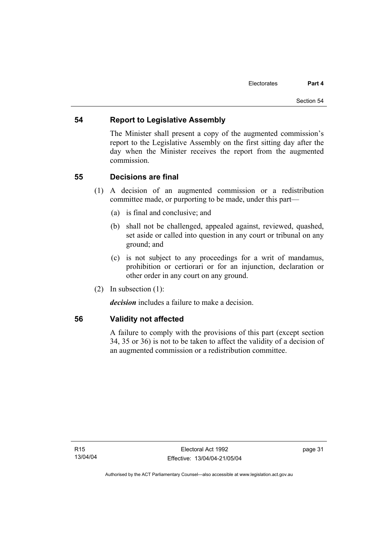# **54 Report to Legislative Assembly**

The Minister shall present a copy of the augmented commission's report to the Legislative Assembly on the first sitting day after the day when the Minister receives the report from the augmented commission.

# **55 Decisions are final**

- (1) A decision of an augmented commission or a redistribution committee made, or purporting to be made, under this part—
	- (a) is final and conclusive; and
	- (b) shall not be challenged, appealed against, reviewed, quashed, set aside or called into question in any court or tribunal on any ground; and
	- (c) is not subject to any proceedings for a writ of mandamus, prohibition or certiorari or for an injunction, declaration or other order in any court on any ground.
- (2) In subsection (1):

*decision* includes a failure to make a decision.

# **56 Validity not affected**

A failure to comply with the provisions of this part (except section 34, 35 or 36) is not to be taken to affect the validity of a decision of an augmented commission or a redistribution committee.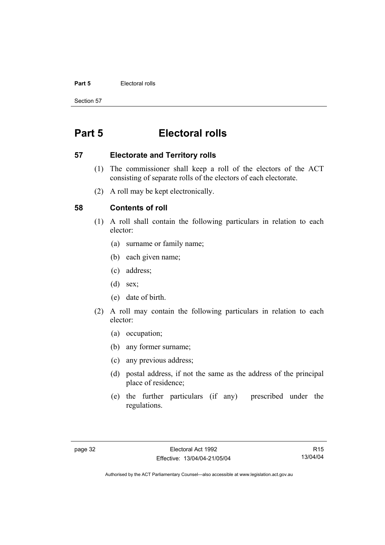## **Part 5 Electoral rolls**

Section 57

# **Part 5 Electoral rolls**

## **57 Electorate and Territory rolls**

- (1) The commissioner shall keep a roll of the electors of the ACT consisting of separate rolls of the electors of each electorate.
- (2) A roll may be kept electronically.

# **58 Contents of roll**

- (1) A roll shall contain the following particulars in relation to each elector:
	- (a) surname or family name;
	- (b) each given name;
	- (c) address;
	- (d) sex;
	- (e) date of birth.
- (2) A roll may contain the following particulars in relation to each elector:
	- (a) occupation;
	- (b) any former surname;
	- (c) any previous address;
	- (d) postal address, if not the same as the address of the principal place of residence;
	- (e) the further particulars (if any) prescribed under the regulations.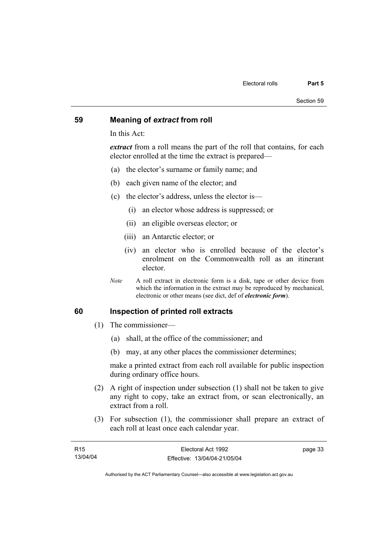## **59 Meaning of** *extract* **from roll**

In this Act:

*extract* from a roll means the part of the roll that contains, for each elector enrolled at the time the extract is prepared—

- (a) the elector's surname or family name; and
- (b) each given name of the elector; and
- (c) the elector's address, unless the elector is—
	- (i) an elector whose address is suppressed; or
	- (ii) an eligible overseas elector; or
	- (iii) an Antarctic elector; or
	- (iv) an elector who is enrolled because of the elector's enrolment on the Commonwealth roll as an itinerant elector.
- *Note* A roll extract in electronic form is a disk, tape or other device from which the information in the extract may be reproduced by mechanical, electronic or other means (see dict, def of *electronic form*).

# **60 Inspection of printed roll extracts**

- (1) The commissioner—
	- (a) shall, at the office of the commissioner; and
	- (b) may, at any other places the commissioner determines;

make a printed extract from each roll available for public inspection during ordinary office hours.

- (2) A right of inspection under subsection (1) shall not be taken to give any right to copy, take an extract from, or scan electronically, an extract from a roll.
- (3) For subsection (1), the commissioner shall prepare an extract of each roll at least once each calendar year.

| R15      | Electoral Act 1992           | page 33 |
|----------|------------------------------|---------|
| 13/04/04 | Effective: 13/04/04-21/05/04 |         |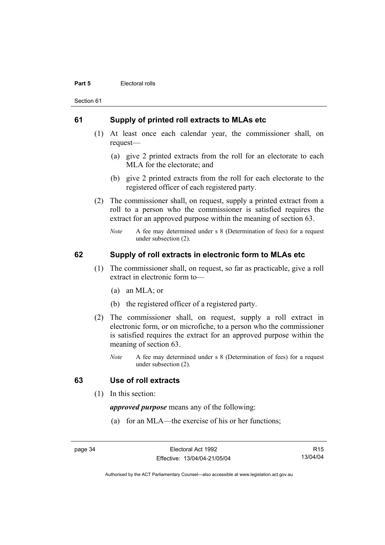#### **Part 5 Electoral rolls**

Section 61

## **61 Supply of printed roll extracts to MLAs etc**

- (1) At least once each calendar year, the commissioner shall, on request—
	- (a) give 2 printed extracts from the roll for an electorate to each MLA for the electorate; and
	- (b) give 2 printed extracts from the roll for each electorate to the registered officer of each registered party.
- (2) The commissioner shall, on request, supply a printed extract from a roll to a person who the commissioner is satisfied requires the extract for an approved purpose within the meaning of section 63.
	- *Note* A fee may determined under s 8 (Determination of fees) for a request under subsection (2).

# **62 Supply of roll extracts in electronic form to MLAs etc**

- (1) The commissioner shall, on request, so far as practicable, give a roll extract in electronic form to—
	- (a) an MLA; or
	- (b) the registered officer of a registered party.
- (2) The commissioner shall, on request, supply a roll extract in electronic form, or on microfiche, to a person who the commissioner is satisfied requires the extract for an approved purpose within the meaning of section 63.
	- *Note* A fee may determined under s 8 (Determination of fees) for a request under subsection (2).

# **63 Use of roll extracts**

(1) In this section:

*approved purpose* means any of the following:

(a) for an MLA—the exercise of his or her functions;

page 34 Electoral Act 1992 Effective: 13/04/04-21/05/04

R15 13/04/04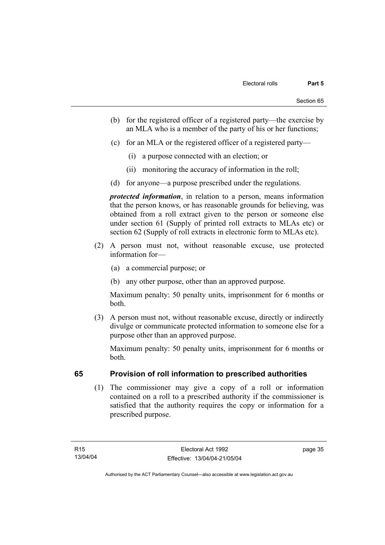- (b) for the registered officer of a registered party—the exercise by an MLA who is a member of the party of his or her functions;
- (c) for an MLA or the registered officer of a registered party—
	- (i) a purpose connected with an election; or
	- (ii) monitoring the accuracy of information in the roll;
- (d) for anyone—a purpose prescribed under the regulations.

*protected information*, in relation to a person, means information that the person knows, or has reasonable grounds for believing, was obtained from a roll extract given to the person or someone else under section 61 (Supply of printed roll extracts to MLAs etc) or section 62 (Supply of roll extracts in electronic form to MLAs etc).

- (2) A person must not, without reasonable excuse, use protected information for—
	- (a) a commercial purpose; or
	- (b) any other purpose, other than an approved purpose.

Maximum penalty: 50 penalty units, imprisonment for 6 months or both.

 (3) A person must not, without reasonable excuse, directly or indirectly divulge or communicate protected information to someone else for a purpose other than an approved purpose.

Maximum penalty: 50 penalty units, imprisonment for 6 months or both.

# **65 Provision of roll information to prescribed authorities**

 (1) The commissioner may give a copy of a roll or information contained on a roll to a prescribed authority if the commissioner is satisfied that the authority requires the copy or information for a prescribed purpose.

page 35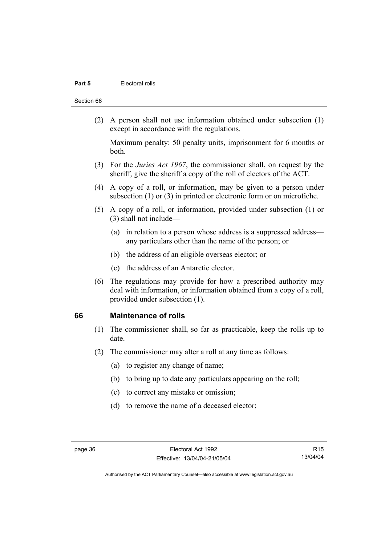## **Part 5 Electoral rolls**

#### Section 66

 (2) A person shall not use information obtained under subsection (1) except in accordance with the regulations.

Maximum penalty: 50 penalty units, imprisonment for 6 months or both.

- (3) For the *Juries Act 1967*, the commissioner shall, on request by the sheriff, give the sheriff a copy of the roll of electors of the ACT.
- (4) A copy of a roll, or information, may be given to a person under subsection (1) or (3) in printed or electronic form or on microfiche.
- (5) A copy of a roll, or information, provided under subsection (1) or (3) shall not include—
	- (a) in relation to a person whose address is a suppressed address any particulars other than the name of the person; or
	- (b) the address of an eligible overseas elector; or
	- (c) the address of an Antarctic elector.
- (6) The regulations may provide for how a prescribed authority may deal with information, or information obtained from a copy of a roll, provided under subsection (1).

## **66 Maintenance of rolls**

- (1) The commissioner shall, so far as practicable, keep the rolls up to date.
- (2) The commissioner may alter a roll at any time as follows:
	- (a) to register any change of name;
	- (b) to bring up to date any particulars appearing on the roll;
	- (c) to correct any mistake or omission;
	- (d) to remove the name of a deceased elector;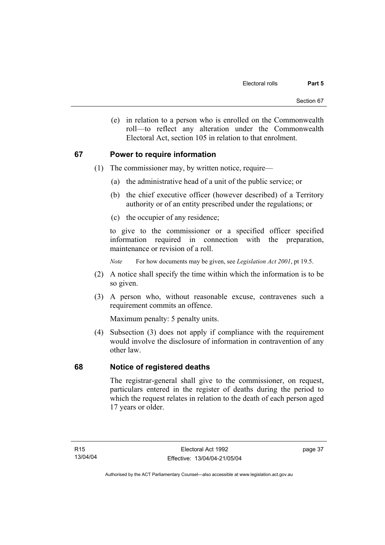(e) in relation to a person who is enrolled on the Commonwealth roll—to reflect any alteration under the Commonwealth Electoral Act, section 105 in relation to that enrolment.

# **67 Power to require information**

- (1) The commissioner may, by written notice, require—
	- (a) the administrative head of a unit of the public service; or
	- (b) the chief executive officer (however described) of a Territory authority or of an entity prescribed under the regulations; or
	- (c) the occupier of any residence;

to give to the commissioner or a specified officer specified information required in connection with the preparation, maintenance or revision of a roll.

*Note* For how documents may be given, see *Legislation Act 2001*, pt 19.5.

- (2) A notice shall specify the time within which the information is to be so given.
- (3) A person who, without reasonable excuse, contravenes such a requirement commits an offence.

Maximum penalty: 5 penalty units.

 (4) Subsection (3) does not apply if compliance with the requirement would involve the disclosure of information in contravention of any other law.

# **68 Notice of registered deaths**

The registrar-general shall give to the commissioner, on request, particulars entered in the register of deaths during the period to which the request relates in relation to the death of each person aged 17 years or older.

page 37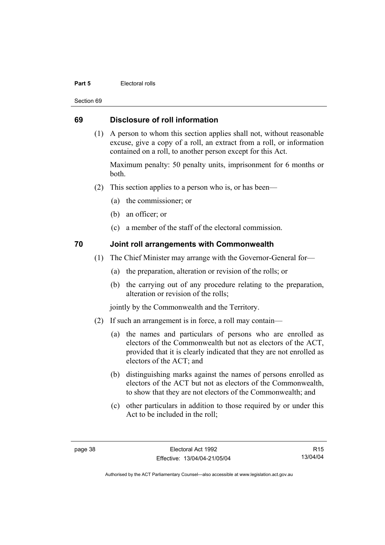## **Part 5 Electoral rolls**

Section 69

# **69 Disclosure of roll information**

 (1) A person to whom this section applies shall not, without reasonable excuse, give a copy of a roll, an extract from a roll, or information contained on a roll, to another person except for this Act.

Maximum penalty: 50 penalty units, imprisonment for 6 months or both.

- (2) This section applies to a person who is, or has been—
	- (a) the commissioner; or
	- (b) an officer; or
	- (c) a member of the staff of the electoral commission.

# **70 Joint roll arrangements with Commonwealth**

- (1) The Chief Minister may arrange with the Governor-General for—
	- (a) the preparation, alteration or revision of the rolls; or
	- (b) the carrying out of any procedure relating to the preparation, alteration or revision of the rolls;

jointly by the Commonwealth and the Territory.

- (2) If such an arrangement is in force, a roll may contain—
	- (a) the names and particulars of persons who are enrolled as electors of the Commonwealth but not as electors of the ACT, provided that it is clearly indicated that they are not enrolled as electors of the ACT; and
	- (b) distinguishing marks against the names of persons enrolled as electors of the ACT but not as electors of the Commonwealth, to show that they are not electors of the Commonwealth; and
	- (c) other particulars in addition to those required by or under this Act to be included in the roll;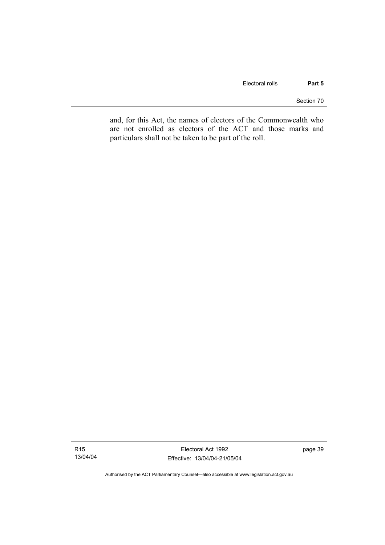Section 70

and, for this Act, the names of electors of the Commonwealth who are not enrolled as electors of the ACT and those marks and particulars shall not be taken to be part of the roll.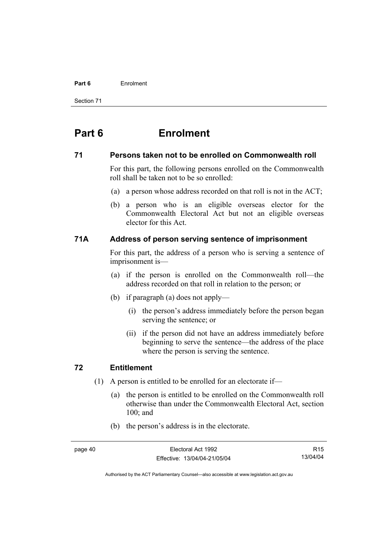#### **Part 6** Enrolment

Section 71

# **Part 6 Enrolment**

## **71 Persons taken not to be enrolled on Commonwealth roll**

For this part, the following persons enrolled on the Commonwealth roll shall be taken not to be so enrolled:

- (a) a person whose address recorded on that roll is not in the ACT;
- (b) a person who is an eligible overseas elector for the Commonwealth Electoral Act but not an eligible overseas elector for this Act.

# **71A Address of person serving sentence of imprisonment**

For this part, the address of a person who is serving a sentence of imprisonment is—

- (a) if the person is enrolled on the Commonwealth roll—the address recorded on that roll in relation to the person; or
- (b) if paragraph (a) does not apply—
	- (i) the person's address immediately before the person began serving the sentence; or
	- (ii) if the person did not have an address immediately before beginning to serve the sentence—the address of the place where the person is serving the sentence.

# **72 Entitlement**

- (1) A person is entitled to be enrolled for an electorate if—
	- (a) the person is entitled to be enrolled on the Commonwealth roll otherwise than under the Commonwealth Electoral Act, section 100; and
	- (b) the person's address is in the electorate.

R15 13/04/04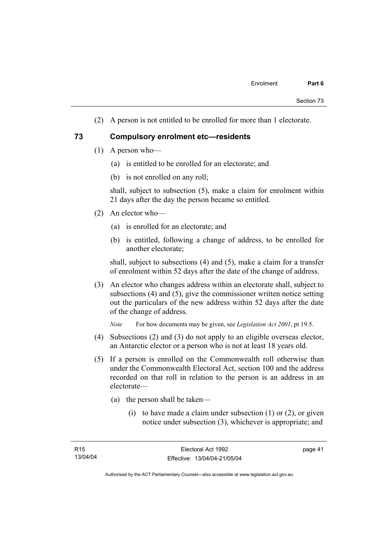(2) A person is not entitled to be enrolled for more than 1 electorate.

## **73 Compulsory enrolment etc—residents**

- (1) A person who—
	- (a) is entitled to be enrolled for an electorate; and
	- (b) is not enrolled on any roll;

shall, subject to subsection (5), make a claim for enrolment within 21 days after the day the person became so entitled.

- (2) An elector who—
	- (a) is enrolled for an electorate; and
	- (b) is entitled, following a change of address, to be enrolled for another electorate;

shall, subject to subsections (4) and (5), make a claim for a transfer of enrolment within 52 days after the date of the change of address.

 (3) An elector who changes address within an electorate shall, subject to subsections (4) and (5), give the commissioner written notice setting out the particulars of the new address within 52 days after the date of the change of address.

*Note* For how documents may be given, see *Legislation Act 2001*, pt 19.5.

- (4) Subsections (2) and (3) do not apply to an eligible overseas elector, an Antarctic elector or a person who is not at least 18 years old.
- (5) If a person is enrolled on the Commonwealth roll otherwise than under the Commonwealth Electoral Act, section 100 and the address recorded on that roll in relation to the person is an address in an electorate—
	- (a) the person shall be taken—
		- (i) to have made a claim under subsection  $(1)$  or  $(2)$ , or given notice under subsection (3), whichever is appropriate; and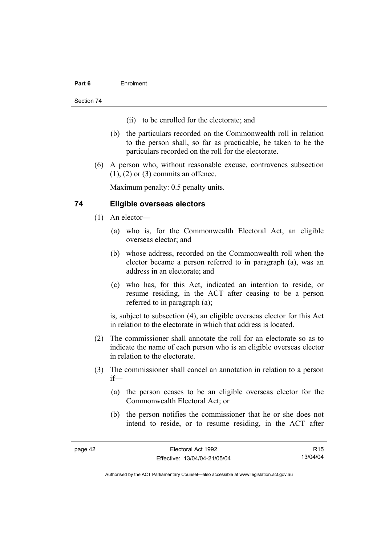## **Part 6** Enrolment

Section 74

- (ii) to be enrolled for the electorate; and
- (b) the particulars recorded on the Commonwealth roll in relation to the person shall, so far as practicable, be taken to be the particulars recorded on the roll for the electorate.
- (6) A person who, without reasonable excuse, contravenes subsection  $(1)$ ,  $(2)$  or  $(3)$  commits an offence.

Maximum penalty: 0.5 penalty units.

# **74 Eligible overseas electors**

- (1) An elector—
	- (a) who is, for the Commonwealth Electoral Act, an eligible overseas elector; and
	- (b) whose address, recorded on the Commonwealth roll when the elector became a person referred to in paragraph (a), was an address in an electorate; and
	- (c) who has, for this Act, indicated an intention to reside, or resume residing, in the ACT after ceasing to be a person referred to in paragraph (a);

is, subject to subsection (4), an eligible overseas elector for this Act in relation to the electorate in which that address is located.

- (2) The commissioner shall annotate the roll for an electorate so as to indicate the name of each person who is an eligible overseas elector in relation to the electorate.
- (3) The commissioner shall cancel an annotation in relation to a person if—
	- (a) the person ceases to be an eligible overseas elector for the Commonwealth Electoral Act; or
	- (b) the person notifies the commissioner that he or she does not intend to reside, or to resume residing, in the ACT after

R15 13/04/04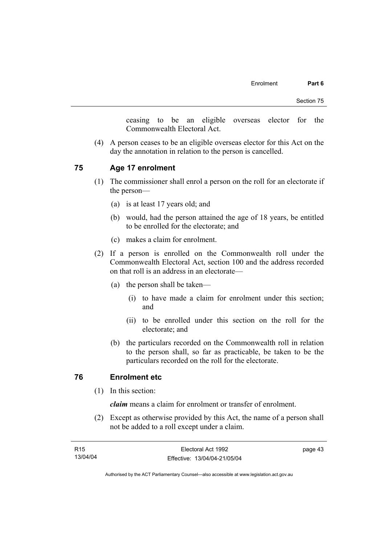ceasing to be an eligible overseas elector for the Commonwealth Electoral Act.

 (4) A person ceases to be an eligible overseas elector for this Act on the day the annotation in relation to the person is cancelled.

# **75 Age 17 enrolment**

- (1) The commissioner shall enrol a person on the roll for an electorate if the person—
	- (a) is at least 17 years old; and
	- (b) would, had the person attained the age of 18 years, be entitled to be enrolled for the electorate; and
	- (c) makes a claim for enrolment.
- (2) If a person is enrolled on the Commonwealth roll under the Commonwealth Electoral Act, section 100 and the address recorded on that roll is an address in an electorate—
	- (a) the person shall be taken—
		- (i) to have made a claim for enrolment under this section; and
		- (ii) to be enrolled under this section on the roll for the electorate; and
	- (b) the particulars recorded on the Commonwealth roll in relation to the person shall, so far as practicable, be taken to be the particulars recorded on the roll for the electorate.

# **76 Enrolment etc**

(1) In this section:

*claim* means a claim for enrolment or transfer of enrolment.

 (2) Except as otherwise provided by this Act, the name of a person shall not be added to a roll except under a claim.

| R15      | Electoral Act 1992           | page 43 |
|----------|------------------------------|---------|
| 13/04/04 | Effective: 13/04/04-21/05/04 |         |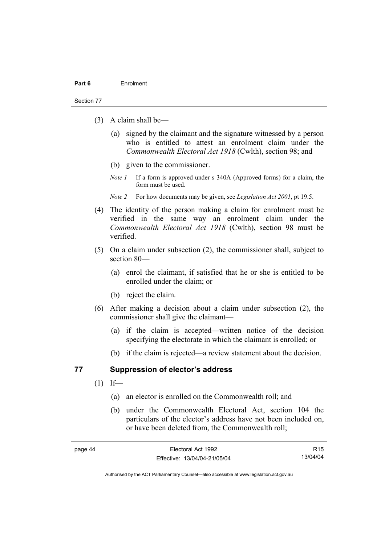#### Section 77

- (3) A claim shall be—
	- (a) signed by the claimant and the signature witnessed by a person who is entitled to attest an enrolment claim under the *Commonwealth Electoral Act 1918* (Cwlth), section 98; and
	- (b) given to the commissioner.
	- *Note 1* If a form is approved under s 340A (Approved forms) for a claim, the form must be used.
	- *Note 2* For how documents may be given, see *Legislation Act 2001*, pt 19.5.
- (4) The identity of the person making a claim for enrolment must be verified in the same way an enrolment claim under the *Commonwealth Electoral Act 1918* (Cwlth), section 98 must be verified.
- (5) On a claim under subsection (2), the commissioner shall, subject to section 80—
	- (a) enrol the claimant, if satisfied that he or she is entitled to be enrolled under the claim; or
	- (b) reject the claim.
- (6) After making a decision about a claim under subsection (2), the commissioner shall give the claimant—
	- (a) if the claim is accepted—written notice of the decision specifying the electorate in which the claimant is enrolled; or
	- (b) if the claim is rejected—a review statement about the decision.

## **77 Suppression of elector's address**

- $(1)$  If—
	- (a) an elector is enrolled on the Commonwealth roll; and
	- (b) under the Commonwealth Electoral Act, section 104 the particulars of the elector's address have not been included on, or have been deleted from, the Commonwealth roll;

R15 13/04/04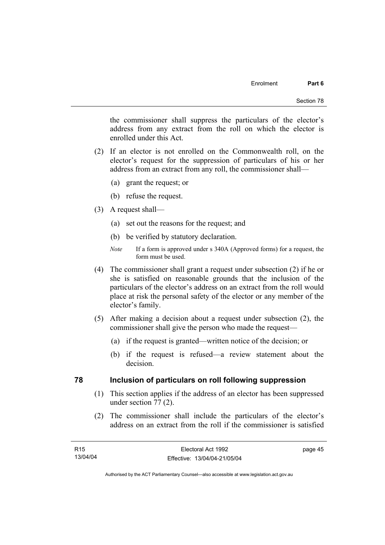the commissioner shall suppress the particulars of the elector's address from any extract from the roll on which the elector is enrolled under this Act.

- (2) If an elector is not enrolled on the Commonwealth roll, on the elector's request for the suppression of particulars of his or her address from an extract from any roll, the commissioner shall—
	- (a) grant the request; or
	- (b) refuse the request.
- (3) A request shall—
	- (a) set out the reasons for the request; and
	- (b) be verified by statutory declaration.
	- *Note* If a form is approved under s 340A (Approved forms) for a request, the form must be used.
- (4) The commissioner shall grant a request under subsection (2) if he or she is satisfied on reasonable grounds that the inclusion of the particulars of the elector's address on an extract from the roll would place at risk the personal safety of the elector or any member of the elector's family.
- (5) After making a decision about a request under subsection (2), the commissioner shall give the person who made the request—
	- (a) if the request is granted—written notice of the decision; or
	- (b) if the request is refused—a review statement about the decision.

# **78 Inclusion of particulars on roll following suppression**

- (1) This section applies if the address of an elector has been suppressed under section 77 (2).
- (2) The commissioner shall include the particulars of the elector's address on an extract from the roll if the commissioner is satisfied

page 45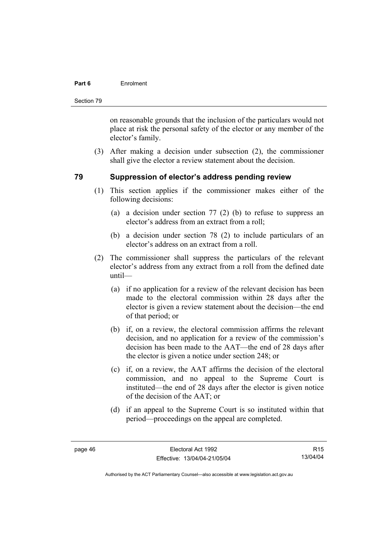## **Part 6** Enrolment

Section 79

on reasonable grounds that the inclusion of the particulars would not place at risk the personal safety of the elector or any member of the elector's family.

 (3) After making a decision under subsection (2), the commissioner shall give the elector a review statement about the decision.

# **79 Suppression of elector's address pending review**

- (1) This section applies if the commissioner makes either of the following decisions:
	- (a) a decision under section 77 (2) (b) to refuse to suppress an elector's address from an extract from a roll;
	- (b) a decision under section 78 (2) to include particulars of an elector's address on an extract from a roll.
- (2) The commissioner shall suppress the particulars of the relevant elector's address from any extract from a roll from the defined date until—
	- (a) if no application for a review of the relevant decision has been made to the electoral commission within 28 days after the elector is given a review statement about the decision—the end of that period; or
	- (b) if, on a review, the electoral commission affirms the relevant decision, and no application for a review of the commission's decision has been made to the AAT—the end of 28 days after the elector is given a notice under section 248; or
	- (c) if, on a review, the AAT affirms the decision of the electoral commission, and no appeal to the Supreme Court is instituted—the end of 28 days after the elector is given notice of the decision of the AAT; or
	- (d) if an appeal to the Supreme Court is so instituted within that period—proceedings on the appeal are completed.

R15 13/04/04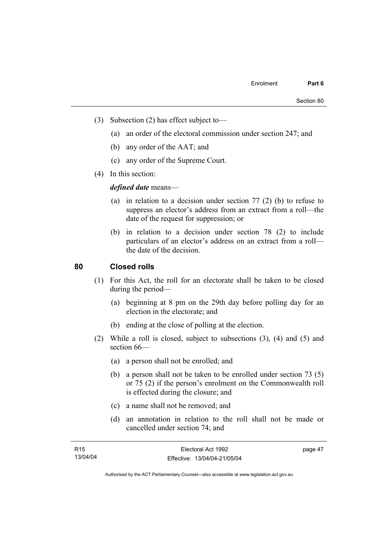- (3) Subsection (2) has effect subject to—
	- (a) an order of the electoral commission under section 247; and
	- (b) any order of the AAT; and
	- (c) any order of the Supreme Court.
- (4) In this section:

*defined date* means—

- (a) in relation to a decision under section 77 (2) (b) to refuse to suppress an elector's address from an extract from a roll—the date of the request for suppression; or
- (b) in relation to a decision under section 78 (2) to include particulars of an elector's address on an extract from a roll the date of the decision.

# **80 Closed rolls**

- (1) For this Act, the roll for an electorate shall be taken to be closed during the period—
	- (a) beginning at 8 pm on the 29th day before polling day for an election in the electorate; and
	- (b) ending at the close of polling at the election.
- (2) While a roll is closed, subject to subsections (3), (4) and (5) and section 66—
	- (a) a person shall not be enrolled; and
	- (b) a person shall not be taken to be enrolled under section 73 (5) or 75 (2) if the person's enrolment on the Commonwealth roll is effected during the closure; and
	- (c) a name shall not be removed; and
	- (d) an annotation in relation to the roll shall not be made or cancelled under section 74; and

| R <sub>15</sub> | Electoral Act 1992           | page 47 |
|-----------------|------------------------------|---------|
| 13/04/04        | Effective: 13/04/04-21/05/04 |         |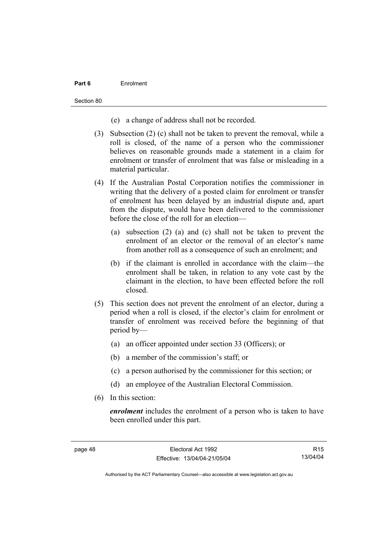## **Part 6** Enrolment

Section 80

- (e) a change of address shall not be recorded.
- (3) Subsection (2) (c) shall not be taken to prevent the removal, while a roll is closed, of the name of a person who the commissioner believes on reasonable grounds made a statement in a claim for enrolment or transfer of enrolment that was false or misleading in a material particular.
- (4) If the Australian Postal Corporation notifies the commissioner in writing that the delivery of a posted claim for enrolment or transfer of enrolment has been delayed by an industrial dispute and, apart from the dispute, would have been delivered to the commissioner before the close of the roll for an election—
	- (a) subsection (2) (a) and (c) shall not be taken to prevent the enrolment of an elector or the removal of an elector's name from another roll as a consequence of such an enrolment; and
	- (b) if the claimant is enrolled in accordance with the claim—the enrolment shall be taken, in relation to any vote cast by the claimant in the election, to have been effected before the roll closed.
- (5) This section does not prevent the enrolment of an elector, during a period when a roll is closed, if the elector's claim for enrolment or transfer of enrolment was received before the beginning of that period by—
	- (a) an officer appointed under section 33 (Officers); or
	- (b) a member of the commission's staff; or
	- (c) a person authorised by the commissioner for this section; or
	- (d) an employee of the Australian Electoral Commission.
- (6) In this section:

*enrolment* includes the enrolment of a person who is taken to have been enrolled under this part.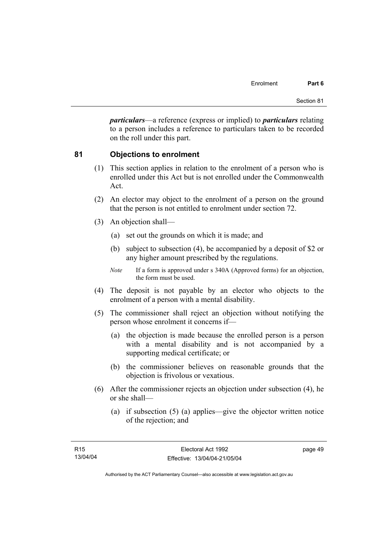*particulars*—a reference (express or implied) to *particulars* relating to a person includes a reference to particulars taken to be recorded on the roll under this part.

# **81 Objections to enrolment**

- (1) This section applies in relation to the enrolment of a person who is enrolled under this Act but is not enrolled under the Commonwealth Act.
- (2) An elector may object to the enrolment of a person on the ground that the person is not entitled to enrolment under section 72.
- (3) An objection shall—
	- (a) set out the grounds on which it is made; and
	- (b) subject to subsection (4), be accompanied by a deposit of \$2 or any higher amount prescribed by the regulations.
	- *Note* If a form is approved under s 340A (Approved forms) for an objection, the form must be used.
- (4) The deposit is not payable by an elector who objects to the enrolment of a person with a mental disability.
- (5) The commissioner shall reject an objection without notifying the person whose enrolment it concerns if—
	- (a) the objection is made because the enrolled person is a person with a mental disability and is not accompanied by a supporting medical certificate; or
	- (b) the commissioner believes on reasonable grounds that the objection is frivolous or vexatious.
- (6) After the commissioner rejects an objection under subsection (4), he or she shall—
	- (a) if subsection (5) (a) applies—give the objector written notice of the rejection; and

page 49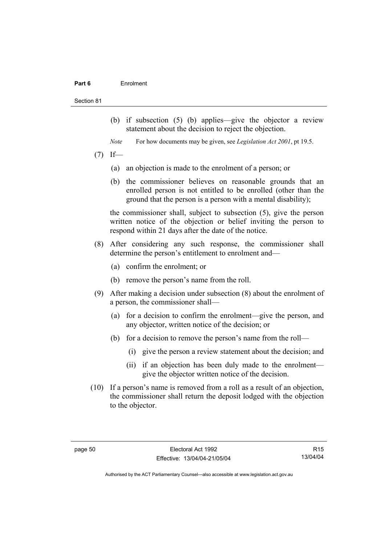#### **Part 6** Enrolment

#### Section 81

- (b) if subsection (5) (b) applies—give the objector a review statement about the decision to reject the objection.
- *Note* For how documents may be given, see *Legislation Act 2001*, pt 19.5.
- $(7)$  If—
	- (a) an objection is made to the enrolment of a person; or
	- (b) the commissioner believes on reasonable grounds that an enrolled person is not entitled to be enrolled (other than the ground that the person is a person with a mental disability);

the commissioner shall, subject to subsection (5), give the person written notice of the objection or belief inviting the person to respond within 21 days after the date of the notice.

- (8) After considering any such response, the commissioner shall determine the person's entitlement to enrolment and—
	- (a) confirm the enrolment; or
	- (b) remove the person's name from the roll.
- (9) After making a decision under subsection (8) about the enrolment of a person, the commissioner shall—
	- (a) for a decision to confirm the enrolment—give the person, and any objector, written notice of the decision; or
	- (b) for a decision to remove the person's name from the roll—
		- (i) give the person a review statement about the decision; and
		- (ii) if an objection has been duly made to the enrolment give the objector written notice of the decision.
- (10) If a person's name is removed from a roll as a result of an objection, the commissioner shall return the deposit lodged with the objection to the objector.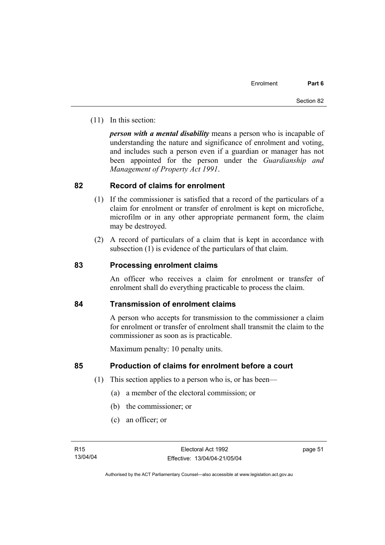(11) In this section:

*person with a mental disability* means a person who is incapable of understanding the nature and significance of enrolment and voting, and includes such a person even if a guardian or manager has not been appointed for the person under the *Guardianship and Management of Property Act 1991*.

# **82 Record of claims for enrolment**

- (1) If the commissioner is satisfied that a record of the particulars of a claim for enrolment or transfer of enrolment is kept on microfiche, microfilm or in any other appropriate permanent form, the claim may be destroyed.
- (2) A record of particulars of a claim that is kept in accordance with subsection (1) is evidence of the particulars of that claim.

# **83 Processing enrolment claims**

An officer who receives a claim for enrolment or transfer of enrolment shall do everything practicable to process the claim.

# **84 Transmission of enrolment claims**

A person who accepts for transmission to the commissioner a claim for enrolment or transfer of enrolment shall transmit the claim to the commissioner as soon as is practicable.

Maximum penalty: 10 penalty units.

# **85 Production of claims for enrolment before a court**

- (1) This section applies to a person who is, or has been—
	- (a) a member of the electoral commission; or
	- (b) the commissioner; or
	- (c) an officer; or

page 51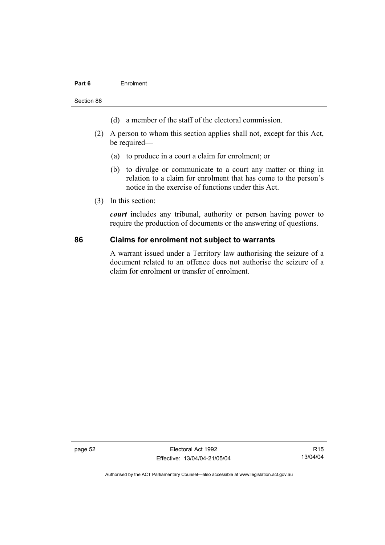## **Part 6** Enrolment

Section 86

- (d) a member of the staff of the electoral commission.
- (2) A person to whom this section applies shall not, except for this Act, be required—
	- (a) to produce in a court a claim for enrolment; or
	- (b) to divulge or communicate to a court any matter or thing in relation to a claim for enrolment that has come to the person's notice in the exercise of functions under this Act.
- (3) In this section:

*court* includes any tribunal, authority or person having power to require the production of documents or the answering of questions.

## **86 Claims for enrolment not subject to warrants**

A warrant issued under a Territory law authorising the seizure of a document related to an offence does not authorise the seizure of a claim for enrolment or transfer of enrolment.

page 52 Electoral Act 1992 Effective: 13/04/04-21/05/04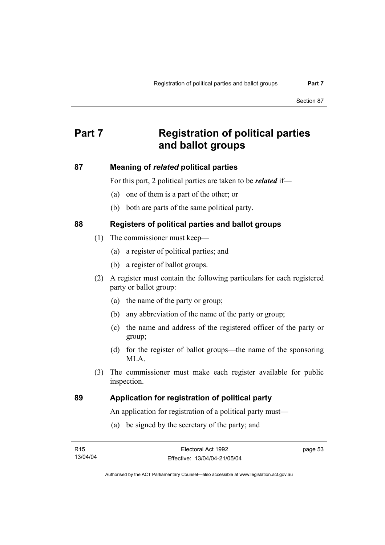# **Part 7 Registration of political parties and ballot groups**

# **87 Meaning of** *related* **political parties**

For this part, 2 political parties are taken to be *related* if—

- (a) one of them is a part of the other; or
- (b) both are parts of the same political party.

# **88 Registers of political parties and ballot groups**

- (1) The commissioner must keep—
	- (a) a register of political parties; and
	- (b) a register of ballot groups.
- (2) A register must contain the following particulars for each registered party or ballot group:
	- (a) the name of the party or group;
	- (b) any abbreviation of the name of the party or group;
	- (c) the name and address of the registered officer of the party or group;
	- (d) for the register of ballot groups—the name of the sponsoring MLA.
- (3) The commissioner must make each register available for public inspection.

# **89 Application for registration of political party**

An application for registration of a political party must—

(a) be signed by the secretary of the party; and

| R15      | Electoral Act 1992           | page 53 |
|----------|------------------------------|---------|
| 13/04/04 | Effective: 13/04/04-21/05/04 |         |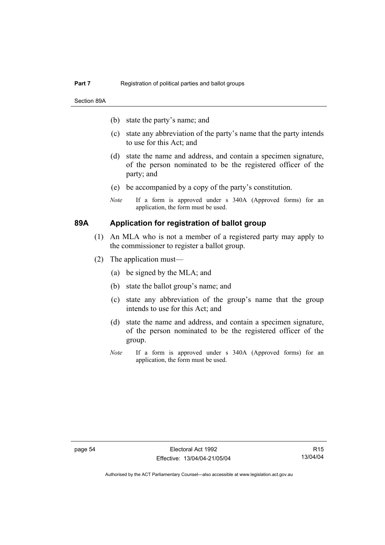Section 89A

- (b) state the party's name; and
- (c) state any abbreviation of the party's name that the party intends to use for this Act; and
- (d) state the name and address, and contain a specimen signature, of the person nominated to be the registered officer of the party; and
- (e) be accompanied by a copy of the party's constitution.
- *Note* If a form is approved under s 340A (Approved forms) for an application, the form must be used.

# **89A Application for registration of ballot group**

- (1) An MLA who is not a member of a registered party may apply to the commissioner to register a ballot group.
- (2) The application must—
	- (a) be signed by the MLA; and
	- (b) state the ballot group's name; and
	- (c) state any abbreviation of the group's name that the group intends to use for this Act; and
	- (d) state the name and address, and contain a specimen signature, of the person nominated to be the registered officer of the group.
	- *Note* If a form is approved under s 340A (Approved forms) for an application, the form must be used.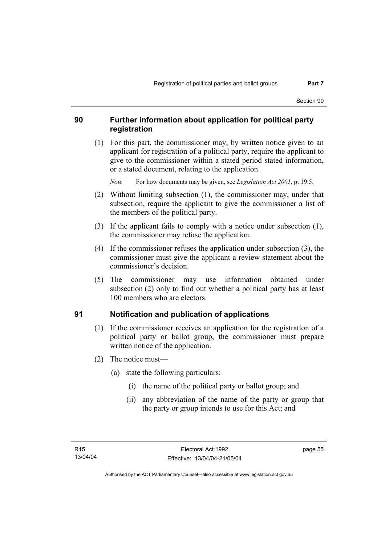### **90 Further information about application for political party registration**

 (1) For this part, the commissioner may, by written notice given to an applicant for registration of a political party, require the applicant to give to the commissioner within a stated period stated information, or a stated document, relating to the application.

*Note* For how documents may be given, see *Legislation Act 2001*, pt 19.5.

- (2) Without limiting subsection (1), the commissioner may, under that subsection, require the applicant to give the commissioner a list of the members of the political party.
- (3) If the applicant fails to comply with a notice under subsection (1), the commissioner may refuse the application.
- (4) If the commissioner refuses the application under subsection (3), the commissioner must give the applicant a review statement about the commissioner's decision.
- (5) The commissioner may use information obtained under subsection (2) only to find out whether a political party has at least 100 members who are electors.

# **91 Notification and publication of applications**

- (1) If the commissioner receives an application for the registration of a political party or ballot group, the commissioner must prepare written notice of the application.
- (2) The notice must—
	- (a) state the following particulars:
		- (i) the name of the political party or ballot group; and
		- (ii) any abbreviation of the name of the party or group that the party or group intends to use for this Act; and

page 55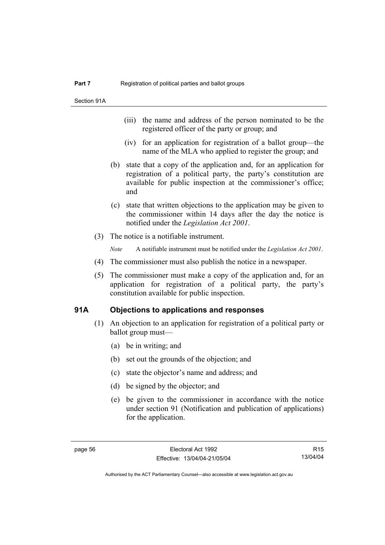- (iii) the name and address of the person nominated to be the registered officer of the party or group; and
- (iv) for an application for registration of a ballot group—the name of the MLA who applied to register the group; and
- (b) state that a copy of the application and, for an application for registration of a political party, the party's constitution are available for public inspection at the commissioner's office; and
- (c) state that written objections to the application may be given to the commissioner within 14 days after the day the notice is notified under the *Legislation Act 2001*.
- (3) The notice is a notifiable instrument.

*Note* A notifiable instrument must be notified under the *Legislation Act 2001*.

- (4) The commissioner must also publish the notice in a newspaper.
- (5) The commissioner must make a copy of the application and, for an application for registration of a political party, the party's constitution available for public inspection.

#### **91A Objections to applications and responses**

- (1) An objection to an application for registration of a political party or ballot group must—
	- (a) be in writing; and
	- (b) set out the grounds of the objection; and
	- (c) state the objector's name and address; and
	- (d) be signed by the objector; and
	- (e) be given to the commissioner in accordance with the notice under section 91 (Notification and publication of applications) for the application.

R15 13/04/04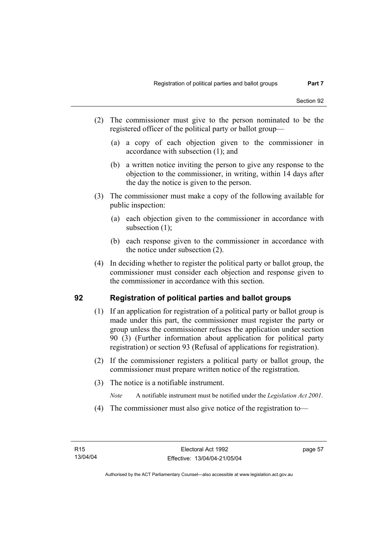- (2) The commissioner must give to the person nominated to be the registered officer of the political party or ballot group—
	- (a) a copy of each objection given to the commissioner in accordance with subsection (1); and
	- (b) a written notice inviting the person to give any response to the objection to the commissioner, in writing, within 14 days after the day the notice is given to the person.
- (3) The commissioner must make a copy of the following available for public inspection:
	- (a) each objection given to the commissioner in accordance with subsection (1);
	- (b) each response given to the commissioner in accordance with the notice under subsection (2).
- (4) In deciding whether to register the political party or ballot group, the commissioner must consider each objection and response given to the commissioner in accordance with this section.

# **92 Registration of political parties and ballot groups**

- (1) If an application for registration of a political party or ballot group is made under this part, the commissioner must register the party or group unless the commissioner refuses the application under section 90 (3) (Further information about application for political party registration) or section 93 (Refusal of applications for registration).
- (2) If the commissioner registers a political party or ballot group, the commissioner must prepare written notice of the registration.
- (3) The notice is a notifiable instrument.
	- *Note* A notifiable instrument must be notified under the *Legislation Act 2001*.
- (4) The commissioner must also give notice of the registration to—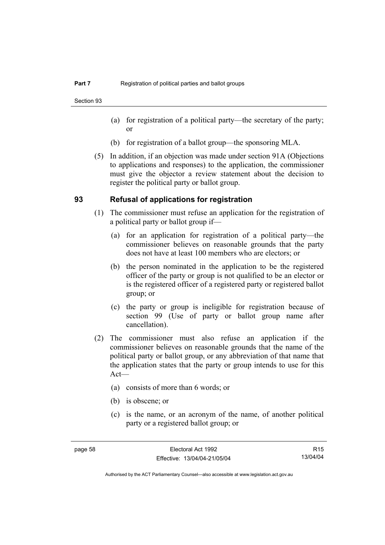Section 93

- (a) for registration of a political party—the secretary of the party; or
- (b) for registration of a ballot group—the sponsoring MLA.
- (5) In addition, if an objection was made under section 91A (Objections to applications and responses) to the application, the commissioner must give the objector a review statement about the decision to register the political party or ballot group.

#### **93 Refusal of applications for registration**

- (1) The commissioner must refuse an application for the registration of a political party or ballot group if—
	- (a) for an application for registration of a political party—the commissioner believes on reasonable grounds that the party does not have at least 100 members who are electors; or
	- (b) the person nominated in the application to be the registered officer of the party or group is not qualified to be an elector or is the registered officer of a registered party or registered ballot group; or
	- (c) the party or group is ineligible for registration because of section 99 (Use of party or ballot group name after cancellation).
- (2) The commissioner must also refuse an application if the commissioner believes on reasonable grounds that the name of the political party or ballot group, or any abbreviation of that name that the application states that the party or group intends to use for this Act—
	- (a) consists of more than 6 words; or
	- (b) is obscene; or
	- (c) is the name, or an acronym of the name, of another political party or a registered ballot group; or

R15 13/04/04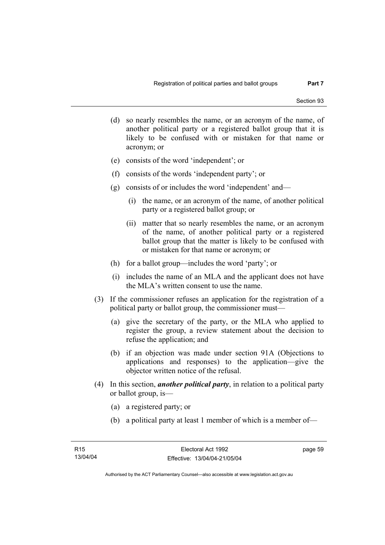- (d) so nearly resembles the name, or an acronym of the name, of another political party or a registered ballot group that it is likely to be confused with or mistaken for that name or acronym; or
- (e) consists of the word 'independent'; or
- (f) consists of the words 'independent party'; or
- (g) consists of or includes the word 'independent' and—
	- (i) the name, or an acronym of the name, of another political party or a registered ballot group; or
	- (ii) matter that so nearly resembles the name, or an acronym of the name, of another political party or a registered ballot group that the matter is likely to be confused with or mistaken for that name or acronym; or
- (h) for a ballot group—includes the word 'party'; or
- (i) includes the name of an MLA and the applicant does not have the MLA's written consent to use the name.
- (3) If the commissioner refuses an application for the registration of a political party or ballot group, the commissioner must—
	- (a) give the secretary of the party, or the MLA who applied to register the group, a review statement about the decision to refuse the application; and
	- (b) if an objection was made under section 91A (Objections to applications and responses) to the application—give the objector written notice of the refusal.
- (4) In this section, *another political party*, in relation to a political party or ballot group, is—
	- (a) a registered party; or
	- (b) a political party at least 1 member of which is a member of—

page 59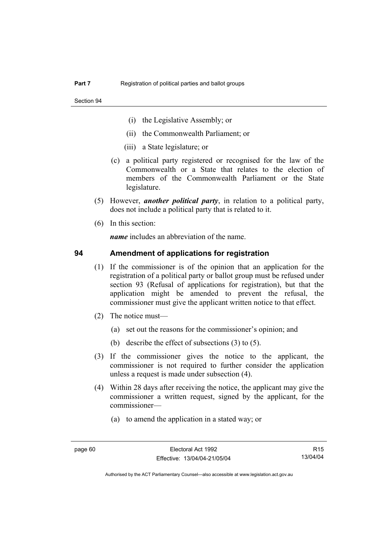- (i) the Legislative Assembly; or
- (ii) the Commonwealth Parliament; or
- (iii) a State legislature; or
- (c) a political party registered or recognised for the law of the Commonwealth or a State that relates to the election of members of the Commonwealth Parliament or the State legislature.
- (5) However, *another political party*, in relation to a political party, does not include a political party that is related to it.
- (6) In this section:

*name* includes an abbreviation of the name.

#### **94 Amendment of applications for registration**

- (1) If the commissioner is of the opinion that an application for the registration of a political party or ballot group must be refused under section 93 (Refusal of applications for registration), but that the application might be amended to prevent the refusal, the commissioner must give the applicant written notice to that effect.
- (2) The notice must—
	- (a) set out the reasons for the commissioner's opinion; and
	- (b) describe the effect of subsections (3) to (5).
- (3) If the commissioner gives the notice to the applicant, the commissioner is not required to further consider the application unless a request is made under subsection (4).
- (4) Within 28 days after receiving the notice, the applicant may give the commissioner a written request, signed by the applicant, for the commissioner—
	- (a) to amend the application in a stated way; or

R15 13/04/04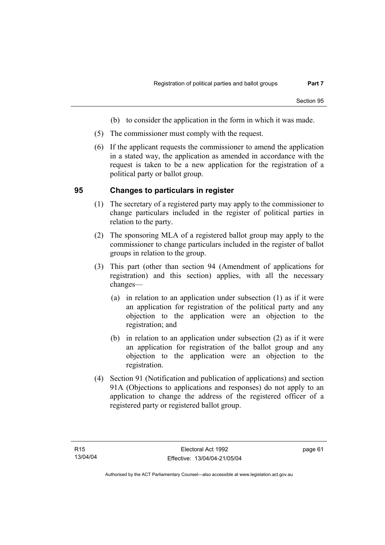- (b) to consider the application in the form in which it was made.
- (5) The commissioner must comply with the request.
- (6) If the applicant requests the commissioner to amend the application in a stated way, the application as amended in accordance with the request is taken to be a new application for the registration of a political party or ballot group.

#### **95 Changes to particulars in register**

- (1) The secretary of a registered party may apply to the commissioner to change particulars included in the register of political parties in relation to the party.
- (2) The sponsoring MLA of a registered ballot group may apply to the commissioner to change particulars included in the register of ballot groups in relation to the group.
- (3) This part (other than section 94 (Amendment of applications for registration) and this section) applies, with all the necessary changes—
	- (a) in relation to an application under subsection (1) as if it were an application for registration of the political party and any objection to the application were an objection to the registration; and
	- (b) in relation to an application under subsection (2) as if it were an application for registration of the ballot group and any objection to the application were an objection to the registration.
- (4) Section 91 (Notification and publication of applications) and section 91A (Objections to applications and responses) do not apply to an application to change the address of the registered officer of a registered party or registered ballot group.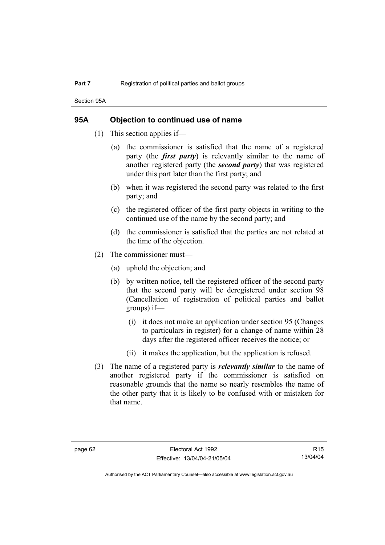Section 95A

#### **95A Objection to continued use of name**

- (1) This section applies if—
	- (a) the commissioner is satisfied that the name of a registered party (the *first party*) is relevantly similar to the name of another registered party (the *second party*) that was registered under this part later than the first party; and
	- (b) when it was registered the second party was related to the first party; and
	- (c) the registered officer of the first party objects in writing to the continued use of the name by the second party; and
	- (d) the commissioner is satisfied that the parties are not related at the time of the objection.
- (2) The commissioner must—
	- (a) uphold the objection; and
	- (b) by written notice, tell the registered officer of the second party that the second party will be deregistered under section 98 (Cancellation of registration of political parties and ballot groups) if—
		- (i) it does not make an application under section 95 (Changes to particulars in register) for a change of name within 28 days after the registered officer receives the notice; or
		- (ii) it makes the application, but the application is refused.
- (3) The name of a registered party is *relevantly similar* to the name of another registered party if the commissioner is satisfied on reasonable grounds that the name so nearly resembles the name of the other party that it is likely to be confused with or mistaken for that name.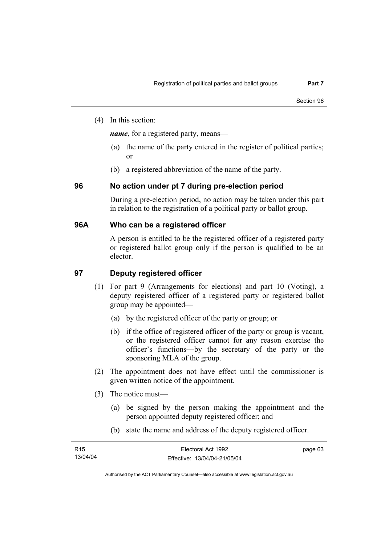(4) In this section:

*name*, for a registered party, means—

- (a) the name of the party entered in the register of political parties; or
- (b) a registered abbreviation of the name of the party.

# **96 No action under pt 7 during pre-election period**

During a pre-election period, no action may be taken under this part in relation to the registration of a political party or ballot group.

#### **96A Who can be a registered officer**

A person is entitled to be the registered officer of a registered party or registered ballot group only if the person is qualified to be an elector.

# **97 Deputy registered officer**

- (1) For part 9 (Arrangements for elections) and part 10 (Voting), a deputy registered officer of a registered party or registered ballot group may be appointed—
	- (a) by the registered officer of the party or group; or
	- (b) if the office of registered officer of the party or group is vacant, or the registered officer cannot for any reason exercise the officer's functions—by the secretary of the party or the sponsoring MLA of the group.
- (2) The appointment does not have effect until the commissioner is given written notice of the appointment.
- (3) The notice must—
	- (a) be signed by the person making the appointment and the person appointed deputy registered officer; and
	- (b) state the name and address of the deputy registered officer.

| R <sub>15</sub> | Electoral Act 1992           | page 63 |
|-----------------|------------------------------|---------|
| 13/04/04        | Effective: 13/04/04-21/05/04 |         |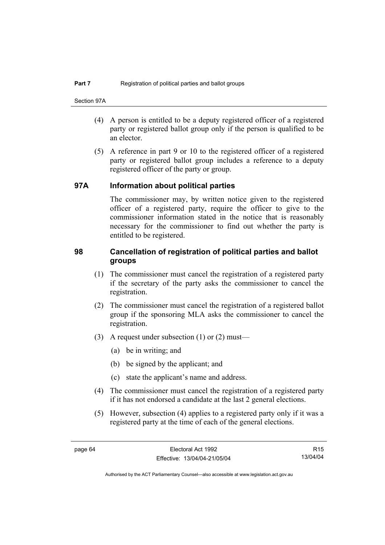- (4) A person is entitled to be a deputy registered officer of a registered party or registered ballot group only if the person is qualified to be an elector.
- (5) A reference in part 9 or 10 to the registered officer of a registered party or registered ballot group includes a reference to a deputy registered officer of the party or group.

#### **97A Information about political parties**

The commissioner may, by written notice given to the registered officer of a registered party, require the officer to give to the commissioner information stated in the notice that is reasonably necessary for the commissioner to find out whether the party is entitled to be registered.

### **98 Cancellation of registration of political parties and ballot groups**

- (1) The commissioner must cancel the registration of a registered party if the secretary of the party asks the commissioner to cancel the registration.
- (2) The commissioner must cancel the registration of a registered ballot group if the sponsoring MLA asks the commissioner to cancel the registration.
- (3) A request under subsection (1) or (2) must—
	- (a) be in writing; and
	- (b) be signed by the applicant; and
	- (c) state the applicant's name and address.
- (4) The commissioner must cancel the registration of a registered party if it has not endorsed a candidate at the last 2 general elections.
- (5) However, subsection (4) applies to a registered party only if it was a registered party at the time of each of the general elections.

R15 13/04/04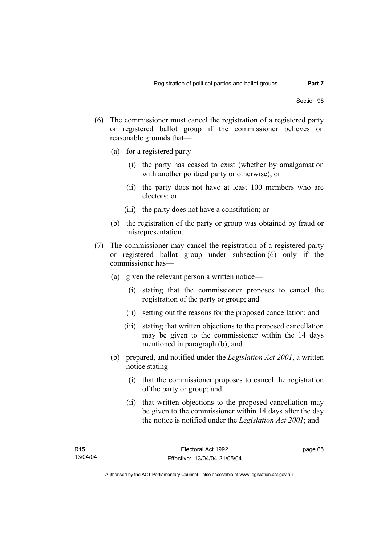- (6) The commissioner must cancel the registration of a registered party or registered ballot group if the commissioner believes on reasonable grounds that—
	- (a) for a registered party—
		- (i) the party has ceased to exist (whether by amalgamation with another political party or otherwise); or
		- (ii) the party does not have at least 100 members who are electors; or
		- (iii) the party does not have a constitution; or
	- (b) the registration of the party or group was obtained by fraud or misrepresentation.
- (7) The commissioner may cancel the registration of a registered party or registered ballot group under subsection (6) only if the commissioner has—
	- (a) given the relevant person a written notice—
		- (i) stating that the commissioner proposes to cancel the registration of the party or group; and
		- (ii) setting out the reasons for the proposed cancellation; and
		- (iii) stating that written objections to the proposed cancellation may be given to the commissioner within the 14 days mentioned in paragraph (b); and
	- (b) prepared, and notified under the *Legislation Act 2001*, a written notice stating—
		- (i) that the commissioner proposes to cancel the registration of the party or group; and
		- (ii) that written objections to the proposed cancellation may be given to the commissioner within 14 days after the day the notice is notified under the *Legislation Act 2001*; and

page 65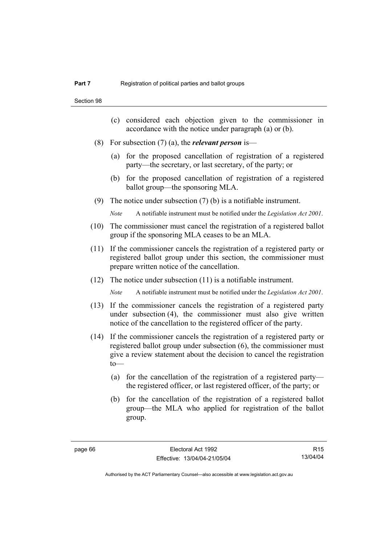- (c) considered each objection given to the commissioner in accordance with the notice under paragraph (a) or (b).
- (8) For subsection (7) (a), the *relevant person* is—
	- (a) for the proposed cancellation of registration of a registered party—the secretary, or last secretary, of the party; or
	- (b) for the proposed cancellation of registration of a registered ballot group—the sponsoring MLA.
- (9) The notice under subsection (7) (b) is a notifiable instrument.

*Note* A notifiable instrument must be notified under the *Legislation Act 2001*.

- (10) The commissioner must cancel the registration of a registered ballot group if the sponsoring MLA ceases to be an MLA.
- (11) If the commissioner cancels the registration of a registered party or registered ballot group under this section, the commissioner must prepare written notice of the cancellation.
- (12) The notice under subsection (11) is a notifiable instrument.

*Note* A notifiable instrument must be notified under the *Legislation Act 2001*.

- (13) If the commissioner cancels the registration of a registered party under subsection (4), the commissioner must also give written notice of the cancellation to the registered officer of the party.
- (14) If the commissioner cancels the registration of a registered party or registered ballot group under subsection (6), the commissioner must give a review statement about the decision to cancel the registration  $to$ —
	- (a) for the cancellation of the registration of a registered party the registered officer, or last registered officer, of the party; or
	- (b) for the cancellation of the registration of a registered ballot group—the MLA who applied for registration of the ballot group.

R15 13/04/04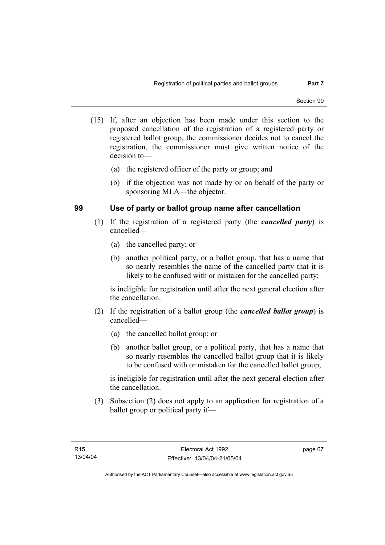- (15) If, after an objection has been made under this section to the proposed cancellation of the registration of a registered party or registered ballot group, the commissioner decides not to cancel the registration, the commissioner must give written notice of the decision to—
	- (a) the registered officer of the party or group; and
	- (b) if the objection was not made by or on behalf of the party or sponsoring MLA—the objector.

# **99 Use of party or ballot group name after cancellation**

- (1) If the registration of a registered party (the *cancelled party*) is cancelled—
	- (a) the cancelled party; or
	- (b) another political party, or a ballot group, that has a name that so nearly resembles the name of the cancelled party that it is likely to be confused with or mistaken for the cancelled party;

is ineligible for registration until after the next general election after the cancellation.

- (2) If the registration of a ballot group (the *cancelled ballot group*) is cancelled—
	- (a) the cancelled ballot group; or
	- (b) another ballot group, or a political party, that has a name that so nearly resembles the cancelled ballot group that it is likely to be confused with or mistaken for the cancelled ballot group;

is ineligible for registration until after the next general election after the cancellation.

 (3) Subsection (2) does not apply to an application for registration of a ballot group or political party if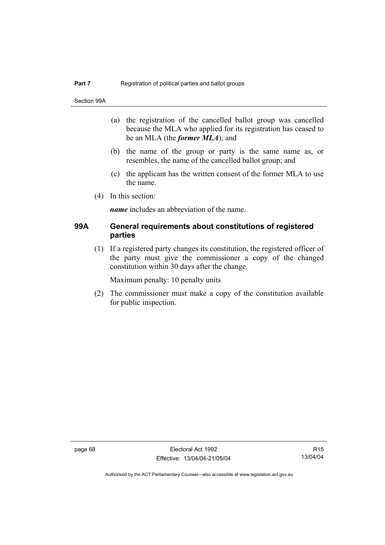Section 99A

- (a) the registration of the cancelled ballot group was cancelled because the MLA who applied for its registration has ceased to be an MLA (the *former MLA*); and
- (b) the name of the group or party is the same name as, or resembles, the name of the cancelled ballot group; and
- (c) the applicant has the written consent of the former MLA to use the name.
- (4) In this section:

*name* includes an abbreviation of the name.

#### **99A General requirements about constitutions of registered parties**

 (1) If a registered party changes its constitution, the registered officer of the party must give the commissioner a copy of the changed constitution within 30 days after the change.

Maximum penalty: 10 penalty units

 (2) The commissioner must make a copy of the constitution available for public inspection.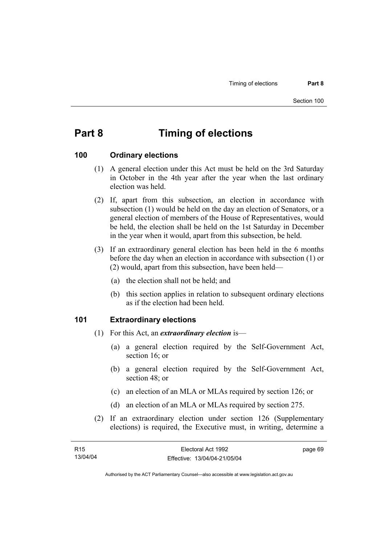# **Part 8 Timing of elections**

#### **100 Ordinary elections**

- (1) A general election under this Act must be held on the 3rd Saturday in October in the 4th year after the year when the last ordinary election was held.
- (2) If, apart from this subsection, an election in accordance with subsection (1) would be held on the day an election of Senators, or a general election of members of the House of Representatives, would be held, the election shall be held on the 1st Saturday in December in the year when it would, apart from this subsection, be held.
- (3) If an extraordinary general election has been held in the 6 months before the day when an election in accordance with subsection (1) or (2) would, apart from this subsection, have been held—
	- (a) the election shall not be held; and
	- (b) this section applies in relation to subsequent ordinary elections as if the election had been held.

#### **101 Extraordinary elections**

- (1) For this Act, an *extraordinary election* is—
	- (a) a general election required by the Self-Government Act, section 16; or
	- (b) a general election required by the Self-Government Act, section 48; or
	- (c) an election of an MLA or MLAs required by section 126; or
	- (d) an election of an MLA or MLAs required by section 275.
- (2) If an extraordinary election under section 126 (Supplementary elections) is required, the Executive must, in writing, determine a

| R15      | Electoral Act 1992           | page 69 |
|----------|------------------------------|---------|
| 13/04/04 | Effective: 13/04/04-21/05/04 |         |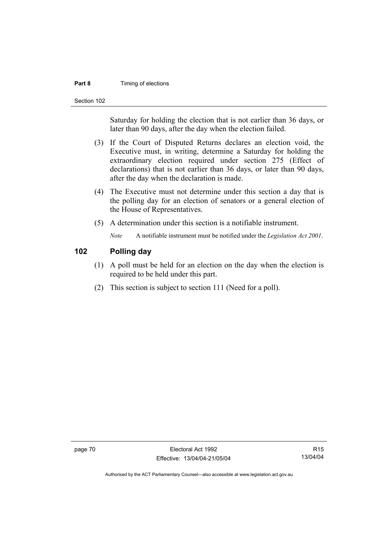#### **Part 8 Timing of elections**

Section 102

Saturday for holding the election that is not earlier than 36 days, or later than 90 days, after the day when the election failed.

- (3) If the Court of Disputed Returns declares an election void, the Executive must, in writing, determine a Saturday for holding the extraordinary election required under section 275 (Effect of declarations) that is not earlier than 36 days, or later than 90 days, after the day when the declaration is made.
- (4) The Executive must not determine under this section a day that is the polling day for an election of senators or a general election of the House of Representatives.
- (5) A determination under this section is a notifiable instrument.

*Note* A notifiable instrument must be notified under the *Legislation Act 2001*.

# **102 Polling day**

- (1) A poll must be held for an election on the day when the election is required to be held under this part.
- (2) This section is subject to section 111 (Need for a poll).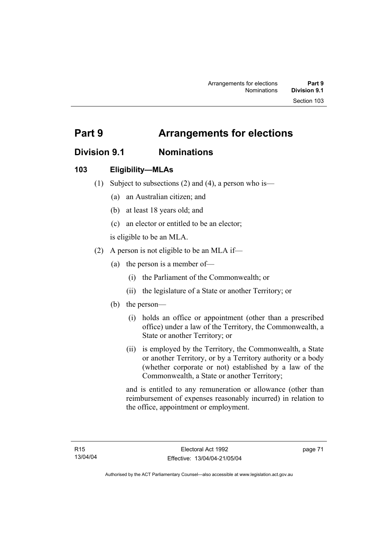# **Division 9.1 Nominations**

# **103 Eligibility—MLAs**

- (1) Subject to subsections (2) and (4), a person who is—
	- (a) an Australian citizen; and
	- (b) at least 18 years old; and
	- (c) an elector or entitled to be an elector;

is eligible to be an MLA.

- (2) A person is not eligible to be an MLA if—
	- (a) the person is a member of—
		- (i) the Parliament of the Commonwealth; or
		- (ii) the legislature of a State or another Territory; or
	- (b) the person—
		- (i) holds an office or appointment (other than a prescribed office) under a law of the Territory, the Commonwealth, a State or another Territory; or
		- (ii) is employed by the Territory, the Commonwealth, a State or another Territory, or by a Territory authority or a body (whether corporate or not) established by a law of the Commonwealth, a State or another Territory;

and is entitled to any remuneration or allowance (other than reimbursement of expenses reasonably incurred) in relation to the office, appointment or employment.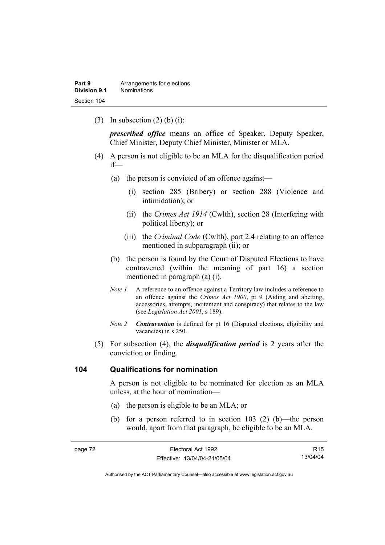(3) In subsection  $(2)$  (b) (i):

*prescribed office* means an office of Speaker, Deputy Speaker, Chief Minister, Deputy Chief Minister, Minister or MLA.

- (4) A person is not eligible to be an MLA for the disqualification period if—
	- (a) the person is convicted of an offence against—
		- (i) section 285 (Bribery) or section 288 (Violence and intimidation); or
		- (ii) the *Crimes Act 1914* (Cwlth), section 28 (Interfering with political liberty); or
		- (iii) the *Criminal Code* (Cwlth), part 2.4 relating to an offence mentioned in subparagraph (ii); or
	- (b) the person is found by the Court of Disputed Elections to have contravened (within the meaning of part 16) a section mentioned in paragraph (a) (i).
	- *Note 1* A reference to an offence against a Territory law includes a reference to an offence against the *Crimes Act 1900*, pt 9 (Aiding and abetting, accessories, attempts, incitement and conspiracy) that relates to the law (see *Legislation Act 2001*, s 189).
	- *Note 2 Contravention* is defined for pt 16 (Disputed elections, eligibility and vacancies) in s 250.
- (5) For subsection (4), the *disqualification period* is 2 years after the conviction or finding.

#### **104 Qualifications for nomination**

A person is not eligible to be nominated for election as an MLA unless, at the hour of nomination—

- (a) the person is eligible to be an MLA; or
- (b) for a person referred to in section 103 (2) (b)—the person would, apart from that paragraph, be eligible to be an MLA.

| page 72 | Electoral Act 1992           | R <sub>15</sub> |
|---------|------------------------------|-----------------|
|         | Effective: 13/04/04-21/05/04 | 13/04/04        |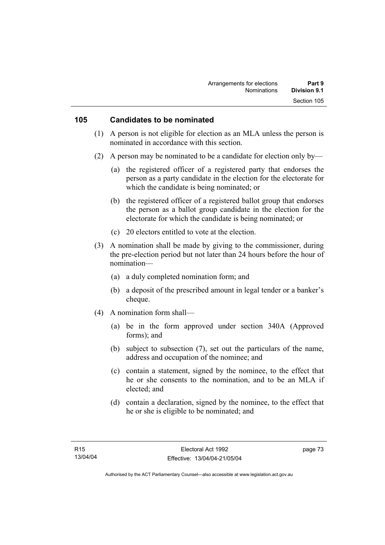#### **105 Candidates to be nominated**

- (1) A person is not eligible for election as an MLA unless the person is nominated in accordance with this section.
- (2) A person may be nominated to be a candidate for election only by—
	- (a) the registered officer of a registered party that endorses the person as a party candidate in the election for the electorate for which the candidate is being nominated; or
	- (b) the registered officer of a registered ballot group that endorses the person as a ballot group candidate in the election for the electorate for which the candidate is being nominated; or
	- (c) 20 electors entitled to vote at the election.
- (3) A nomination shall be made by giving to the commissioner, during the pre-election period but not later than 24 hours before the hour of nomination—
	- (a) a duly completed nomination form; and
	- (b) a deposit of the prescribed amount in legal tender or a banker's cheque.
- (4) A nomination form shall—
	- (a) be in the form approved under section 340A (Approved forms); and
	- (b) subject to subsection (7), set out the particulars of the name, address and occupation of the nominee; and
	- (c) contain a statement, signed by the nominee, to the effect that he or she consents to the nomination, and to be an MLA if elected; and
	- (d) contain a declaration, signed by the nominee, to the effect that he or she is eligible to be nominated; and

page 73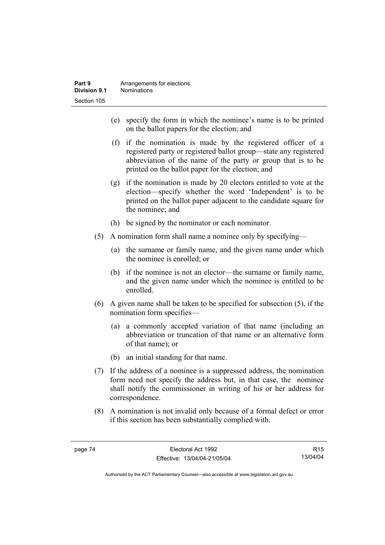- (e) specify the form in which the nominee's name is to be printed on the ballot papers for the election; and
- (f) if the nomination is made by the registered officer of a registered party or registered ballot group—state any registered abbreviation of the name of the party or group that is to be printed on the ballot paper for the election; and
- (g) if the nomination is made by 20 electors entitled to vote at the election—specify whether the word 'Independent' is to be printed on the ballot paper adjacent to the candidate square for the nominee; and
- (h) be signed by the nominator or each nominator.
- (5) A nomination form shall name a nominee only by specifying—
	- (a) the surname or family name, and the given name under which the nominee is enrolled; or
	- (b) if the nominee is not an elector—the surname or family name, and the given name under which the nominee is entitled to be enrolled.
- (6) A given name shall be taken to be specified for subsection (5), if the nomination form specifies—
	- (a) a commonly accepted variation of that name (including an abbreviation or truncation of that name or an alternative form of that name); or
	- (b) an initial standing for that name.
- (7) If the address of a nominee is a suppressed address, the nomination form need not specify the address but, in that case, the nominee shall notify the commissioner in writing of his or her address for correspondence.
- (8) A nomination is not invalid only because of a formal defect or error if this section has been substantially complied with.

R15 13/04/04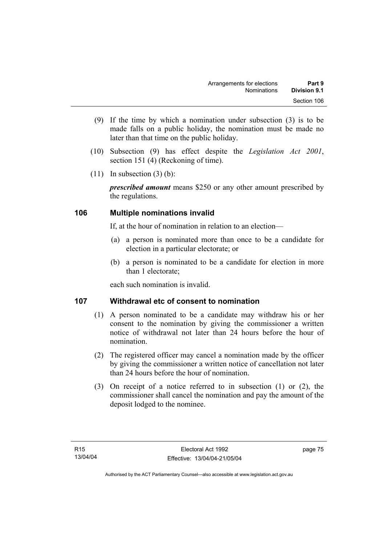- (9) If the time by which a nomination under subsection (3) is to be made falls on a public holiday, the nomination must be made no later than that time on the public holiday.
- (10) Subsection (9) has effect despite the *Legislation Act 2001*, section 151 (4) (Reckoning of time).
- $(11)$  In subsection  $(3)$  (b):

*prescribed amount* means \$250 or any other amount prescribed by the regulations.

# **106 Multiple nominations invalid**

If, at the hour of nomination in relation to an election—

- (a) a person is nominated more than once to be a candidate for election in a particular electorate; or
- (b) a person is nominated to be a candidate for election in more than 1 electorate;

each such nomination is invalid.

# **107 Withdrawal etc of consent to nomination**

- (1) A person nominated to be a candidate may withdraw his or her consent to the nomination by giving the commissioner a written notice of withdrawal not later than 24 hours before the hour of nomination.
- (2) The registered officer may cancel a nomination made by the officer by giving the commissioner a written notice of cancellation not later than 24 hours before the hour of nomination.
- (3) On receipt of a notice referred to in subsection (1) or (2), the commissioner shall cancel the nomination and pay the amount of the deposit lodged to the nominee.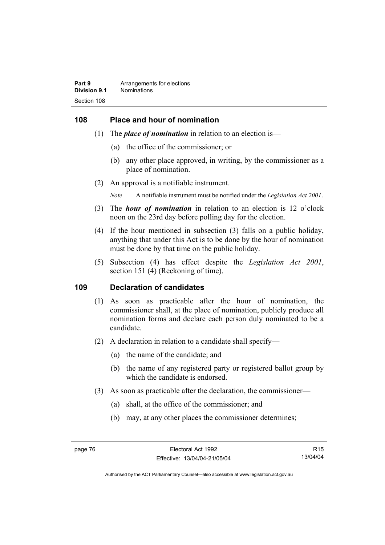#### **108 Place and hour of nomination**

- (1) The *place of nomination* in relation to an election is—
	- (a) the office of the commissioner; or
	- (b) any other place approved, in writing, by the commissioner as a place of nomination.
- (2) An approval is a notifiable instrument.

*Note* A notifiable instrument must be notified under the *Legislation Act 2001*.

- (3) The *hour of nomination* in relation to an election is 12 o'clock noon on the 23rd day before polling day for the election.
- (4) If the hour mentioned in subsection (3) falls on a public holiday, anything that under this Act is to be done by the hour of nomination must be done by that time on the public holiday.
- (5) Subsection (4) has effect despite the *Legislation Act 2001*, section 151 (4) (Reckoning of time).

#### **109 Declaration of candidates**

- (1) As soon as practicable after the hour of nomination, the commissioner shall, at the place of nomination, publicly produce all nomination forms and declare each person duly nominated to be a candidate.
- (2) A declaration in relation to a candidate shall specify—
	- (a) the name of the candidate; and
	- (b) the name of any registered party or registered ballot group by which the candidate is endorsed.
- (3) As soon as practicable after the declaration, the commissioner—
	- (a) shall, at the office of the commissioner; and
	- (b) may, at any other places the commissioner determines;

R15 13/04/04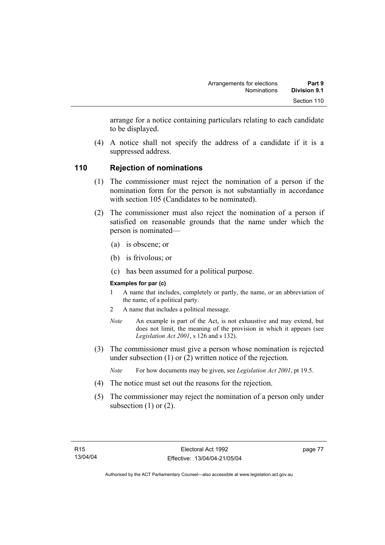arrange for a notice containing particulars relating to each candidate to be displayed.

 (4) A notice shall not specify the address of a candidate if it is a suppressed address.

# **110 Rejection of nominations**

- (1) The commissioner must reject the nomination of a person if the nomination form for the person is not substantially in accordance with section 105 (Candidates to be nominated).
- (2) The commissioner must also reject the nomination of a person if satisfied on reasonable grounds that the name under which the person is nominated—
	- (a) is obscene; or
	- (b) is frivolous; or
	- (c) has been assumed for a political purpose.

#### **Examples for par (c)**

- 1 A name that includes, completely or partly, the name, or an abbreviation of the name, of a political party.
- 2 A name that includes a political message.
- *Note* An example is part of the Act, is not exhaustive and may extend, but does not limit, the meaning of the provision in which it appears (see *Legislation Act 2001*, s 126 and s 132).
- (3) The commissioner must give a person whose nomination is rejected under subsection (1) or (2) written notice of the rejection.
	- *Note* For how documents may be given, see *Legislation Act 2001*, pt 19.5.
- (4) The notice must set out the reasons for the rejection.
- (5) The commissioner may reject the nomination of a person only under subsection  $(1)$  or  $(2)$ .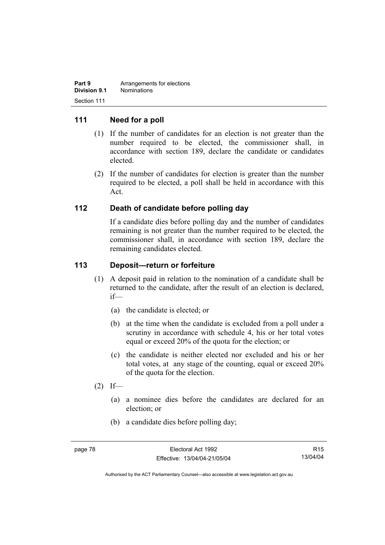| Part 9       | Arrangements for elections |
|--------------|----------------------------|
| Division 9.1 | <b>Nominations</b>         |
| Section 111  |                            |

### **111 Need for a poll**

- (1) If the number of candidates for an election is not greater than the number required to be elected, the commissioner shall, in accordance with section 189, declare the candidate or candidates elected.
- (2) If the number of candidates for election is greater than the number required to be elected, a poll shall be held in accordance with this Act.

#### **112 Death of candidate before polling day**

If a candidate dies before polling day and the number of candidates remaining is not greater than the number required to be elected, the commissioner shall, in accordance with section 189, declare the remaining candidates elected.

#### **113 Deposit—return or forfeiture**

- (1) A deposit paid in relation to the nomination of a candidate shall be returned to the candidate, after the result of an election is declared, if—
	- (a) the candidate is elected; or
	- (b) at the time when the candidate is excluded from a poll under a scrutiny in accordance with schedule 4, his or her total votes equal or exceed 20% of the quota for the election; or
	- (c) the candidate is neither elected nor excluded and his or her total votes, at any stage of the counting, equal or exceed 20% of the quota for the election.
- $(2)$  If—
	- (a) a nominee dies before the candidates are declared for an election; or
	- (b) a candidate dies before polling day;

R15 13/04/04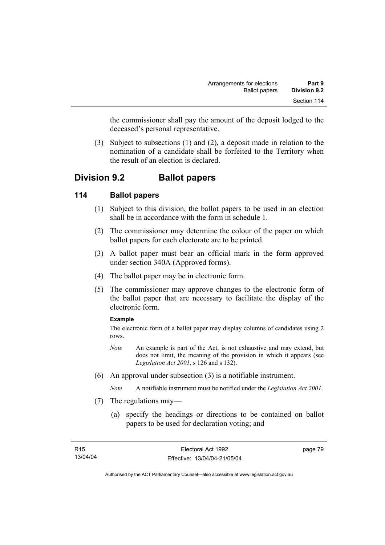the commissioner shall pay the amount of the deposit lodged to the deceased's personal representative.

 (3) Subject to subsections (1) and (2), a deposit made in relation to the nomination of a candidate shall be forfeited to the Territory when the result of an election is declared.

# **Division 9.2 Ballot papers**

# **114 Ballot papers**

- (1) Subject to this division, the ballot papers to be used in an election shall be in accordance with the form in schedule 1.
- (2) The commissioner may determine the colour of the paper on which ballot papers for each electorate are to be printed.
- (3) A ballot paper must bear an official mark in the form approved under section 340A (Approved forms).
- (4) The ballot paper may be in electronic form.
- (5) The commissioner may approve changes to the electronic form of the ballot paper that are necessary to facilitate the display of the electronic form.

#### **Example**

The electronic form of a ballot paper may display columns of candidates using 2 rows.

- *Note* An example is part of the Act, is not exhaustive and may extend, but does not limit, the meaning of the provision in which it appears (see *Legislation Act 2001*, s 126 and s 132).
- (6) An approval under subsection (3) is a notifiable instrument.

*Note* A notifiable instrument must be notified under the *Legislation Act 2001*.

- (7) The regulations may—
	- (a) specify the headings or directions to be contained on ballot papers to be used for declaration voting; and

page 79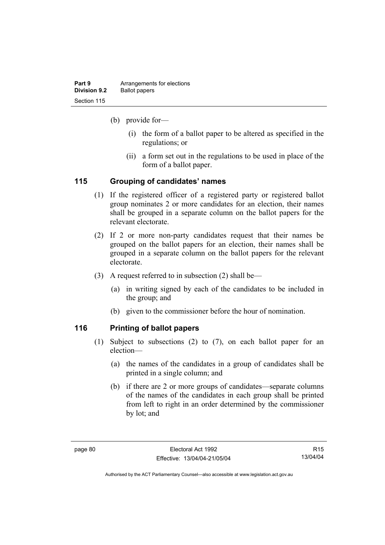| Part 9       | Arrangements for elections |
|--------------|----------------------------|
| Division 9.2 | <b>Ballot papers</b>       |
| Section 115  |                            |

(b) provide for—

- (i) the form of a ballot paper to be altered as specified in the regulations; or
- (ii) a form set out in the regulations to be used in place of the form of a ballot paper.

### **115 Grouping of candidates' names**

- (1) If the registered officer of a registered party or registered ballot group nominates 2 or more candidates for an election, their names shall be grouped in a separate column on the ballot papers for the relevant electorate.
- (2) If 2 or more non-party candidates request that their names be grouped on the ballot papers for an election, their names shall be grouped in a separate column on the ballot papers for the relevant electorate.
- (3) A request referred to in subsection (2) shall be—
	- (a) in writing signed by each of the candidates to be included in the group; and
	- (b) given to the commissioner before the hour of nomination.

# **116 Printing of ballot papers**

- (1) Subject to subsections (2) to (7), on each ballot paper for an election—
	- (a) the names of the candidates in a group of candidates shall be printed in a single column; and
	- (b) if there are 2 or more groups of candidates—separate columns of the names of the candidates in each group shall be printed from left to right in an order determined by the commissioner by lot; and

R15 13/04/04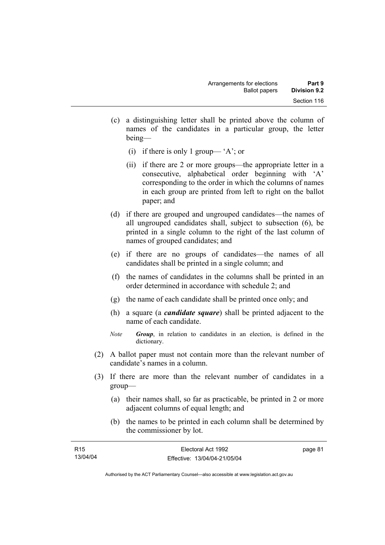- (c) a distinguishing letter shall be printed above the column of names of the candidates in a particular group, the letter being—
	- (i) if there is only 1 group— 'A'; or
	- (ii) if there are 2 or more groups—the appropriate letter in a consecutive, alphabetical order beginning with 'A' corresponding to the order in which the columns of names in each group are printed from left to right on the ballot paper; and
- (d) if there are grouped and ungrouped candidates—the names of all ungrouped candidates shall, subject to subsection (6), be printed in a single column to the right of the last column of names of grouped candidates; and
- (e) if there are no groups of candidates—the names of all candidates shall be printed in a single column; and
- (f) the names of candidates in the columns shall be printed in an order determined in accordance with schedule 2; and
- (g) the name of each candidate shall be printed once only; and
- (h) a square (a *candidate square*) shall be printed adjacent to the name of each candidate.
- *Note Group*, in relation to candidates in an election, is defined in the dictionary.
- (2) A ballot paper must not contain more than the relevant number of candidate's names in a column.
- (3) If there are more than the relevant number of candidates in a group—
	- (a) their names shall, so far as practicable, be printed in 2 or more adjacent columns of equal length; and
	- (b) the names to be printed in each column shall be determined by the commissioner by lot.

| R15      | Electoral Act 1992           | page 81 |
|----------|------------------------------|---------|
| 13/04/04 | Effective: 13/04/04-21/05/04 |         |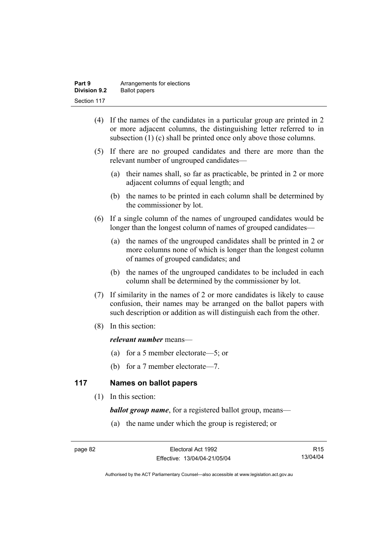| Part 9              | Arrangements for elections |
|---------------------|----------------------------|
| <b>Division 9.2</b> | <b>Ballot papers</b>       |
| Section 117         |                            |

- (4) If the names of the candidates in a particular group are printed in 2 or more adjacent columns, the distinguishing letter referred to in subsection (1) (c) shall be printed once only above those columns.
- (5) If there are no grouped candidates and there are more than the relevant number of ungrouped candidates—
	- (a) their names shall, so far as practicable, be printed in 2 or more adjacent columns of equal length; and
	- (b) the names to be printed in each column shall be determined by the commissioner by lot.
- (6) If a single column of the names of ungrouped candidates would be longer than the longest column of names of grouped candidates—
	- (a) the names of the ungrouped candidates shall be printed in 2 or more columns none of which is longer than the longest column of names of grouped candidates; and
	- (b) the names of the ungrouped candidates to be included in each column shall be determined by the commissioner by lot.
- (7) If similarity in the names of 2 or more candidates is likely to cause confusion, their names may be arranged on the ballot papers with such description or addition as will distinguish each from the other.
- (8) In this section:

#### *relevant number* means—

- (a) for a 5 member electorate—5; or
- (b) for a 7 member electorate—7.

# **117 Names on ballot papers**

(1) In this section:

*ballot group name*, for a registered ballot group, means—

(a) the name under which the group is registered; or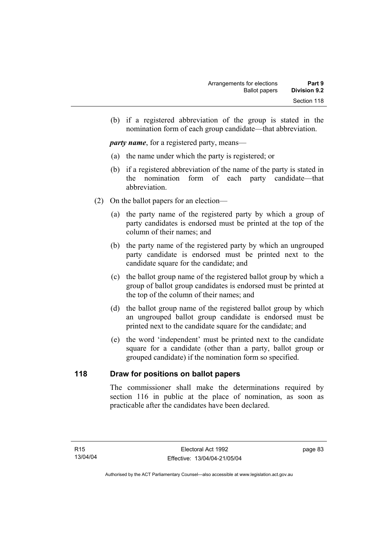(b) if a registered abbreviation of the group is stated in the nomination form of each group candidate—that abbreviation.

*party name*, for a registered party, means—

- (a) the name under which the party is registered; or
- (b) if a registered abbreviation of the name of the party is stated in the nomination form of each party candidate—that abbreviation.
- (2) On the ballot papers for an election—
	- (a) the party name of the registered party by which a group of party candidates is endorsed must be printed at the top of the column of their names; and
	- (b) the party name of the registered party by which an ungrouped party candidate is endorsed must be printed next to the candidate square for the candidate; and
	- (c) the ballot group name of the registered ballot group by which a group of ballot group candidates is endorsed must be printed at the top of the column of their names; and
	- (d) the ballot group name of the registered ballot group by which an ungrouped ballot group candidate is endorsed must be printed next to the candidate square for the candidate; and
	- (e) the word 'independent' must be printed next to the candidate square for a candidate (other than a party, ballot group or grouped candidate) if the nomination form so specified.

### **118 Draw for positions on ballot papers**

The commissioner shall make the determinations required by section 116 in public at the place of nomination, as soon as practicable after the candidates have been declared.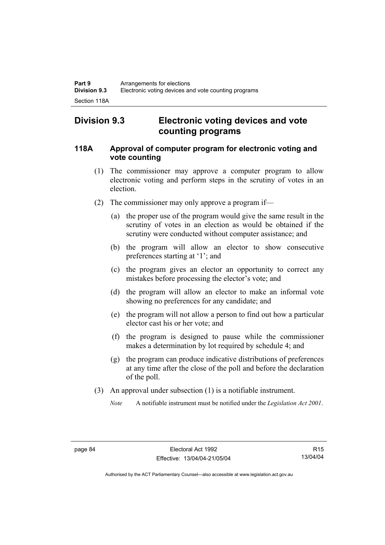# **Division 9.3 Electronic voting devices and vote counting programs**

### **118A Approval of computer program for electronic voting and vote counting**

- (1) The commissioner may approve a computer program to allow electronic voting and perform steps in the scrutiny of votes in an election.
- (2) The commissioner may only approve a program if—
	- (a) the proper use of the program would give the same result in the scrutiny of votes in an election as would be obtained if the scrutiny were conducted without computer assistance; and
	- (b) the program will allow an elector to show consecutive preferences starting at '1'; and
	- (c) the program gives an elector an opportunity to correct any mistakes before processing the elector's vote; and
	- (d) the program will allow an elector to make an informal vote showing no preferences for any candidate; and
	- (e) the program will not allow a person to find out how a particular elector cast his or her vote; and
	- (f) the program is designed to pause while the commissioner makes a determination by lot required by schedule 4; and
	- (g) the program can produce indicative distributions of preferences at any time after the close of the poll and before the declaration of the poll.
- (3) An approval under subsection (1) is a notifiable instrument.
	- *Note* A notifiable instrument must be notified under the *Legislation Act 2001*.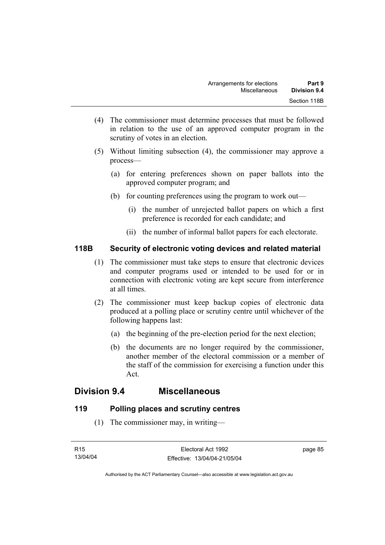- (4) The commissioner must determine processes that must be followed in relation to the use of an approved computer program in the scrutiny of votes in an election.
- (5) Without limiting subsection (4), the commissioner may approve a process—
	- (a) for entering preferences shown on paper ballots into the approved computer program; and
	- (b) for counting preferences using the program to work out—
		- (i) the number of unrejected ballot papers on which a first preference is recorded for each candidate; and
		- (ii) the number of informal ballot papers for each electorate.

# **118B Security of electronic voting devices and related material**

- (1) The commissioner must take steps to ensure that electronic devices and computer programs used or intended to be used for or in connection with electronic voting are kept secure from interference at all times.
- (2) The commissioner must keep backup copies of electronic data produced at a polling place or scrutiny centre until whichever of the following happens last:
	- (a) the beginning of the pre-election period for the next election;
	- (b) the documents are no longer required by the commissioner, another member of the electoral commission or a member of the staff of the commission for exercising a function under this Act.

# **Division 9.4 Miscellaneous**

# **119 Polling places and scrutiny centres**

(1) The commissioner may, in writing—

page 85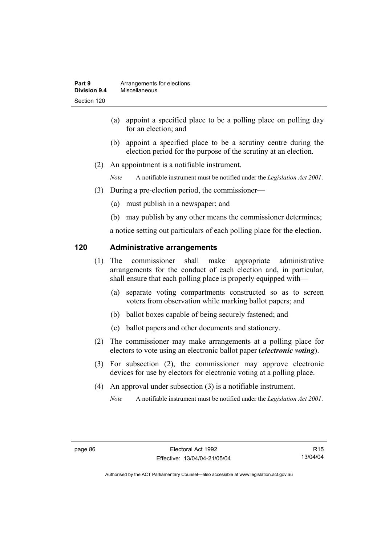- (a) appoint a specified place to be a polling place on polling day for an election; and
- (b) appoint a specified place to be a scrutiny centre during the election period for the purpose of the scrutiny at an election.
- (2) An appointment is a notifiable instrument.

*Note* A notifiable instrument must be notified under the *Legislation Act 2001*.

- (3) During a pre-election period, the commissioner—
	- (a) must publish in a newspaper; and
	- (b) may publish by any other means the commissioner determines;

a notice setting out particulars of each polling place for the election.

#### **120 Administrative arrangements**

- (1) The commissioner shall make appropriate administrative arrangements for the conduct of each election and, in particular, shall ensure that each polling place is properly equipped with—
	- (a) separate voting compartments constructed so as to screen voters from observation while marking ballot papers; and
	- (b) ballot boxes capable of being securely fastened; and
	- (c) ballot papers and other documents and stationery.
- (2) The commissioner may make arrangements at a polling place for electors to vote using an electronic ballot paper (*electronic voting*).
- (3) For subsection (2), the commissioner may approve electronic devices for use by electors for electronic voting at a polling place.
- (4) An approval under subsection (3) is a notifiable instrument.

*Note* A notifiable instrument must be notified under the *Legislation Act 2001*.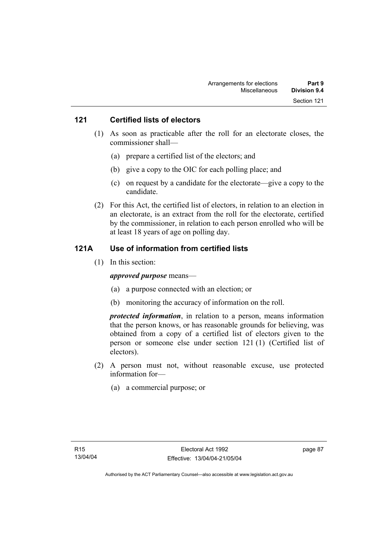#### **121 Certified lists of electors**

- (1) As soon as practicable after the roll for an electorate closes, the commissioner shall—
	- (a) prepare a certified list of the electors; and
	- (b) give a copy to the OIC for each polling place; and
	- (c) on request by a candidate for the electorate—give a copy to the candidate.
- (2) For this Act, the certified list of electors, in relation to an election in an electorate, is an extract from the roll for the electorate, certified by the commissioner, in relation to each person enrolled who will be at least 18 years of age on polling day.

#### **121A Use of information from certified lists**

(1) In this section:

#### *approved purpose* means—

- (a) a purpose connected with an election; or
- (b) monitoring the accuracy of information on the roll.

*protected information*, in relation to a person, means information that the person knows, or has reasonable grounds for believing, was obtained from a copy of a certified list of electors given to the person or someone else under section 121 (1) (Certified list of electors).

- (2) A person must not, without reasonable excuse, use protected information for—
	- (a) a commercial purpose; or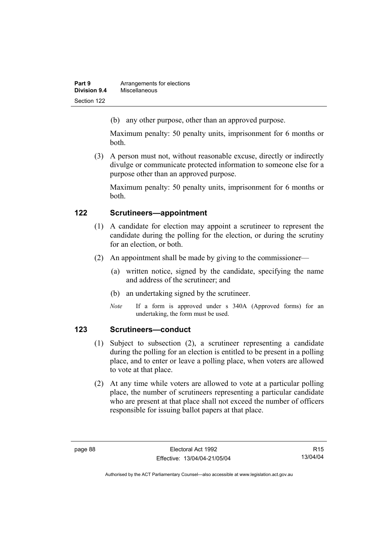| Part 9       | Arrangements for elections |
|--------------|----------------------------|
| Division 9.4 | Miscellaneous              |
| Section 122  |                            |

(b) any other purpose, other than an approved purpose.

Maximum penalty: 50 penalty units, imprisonment for 6 months or both.

 (3) A person must not, without reasonable excuse, directly or indirectly divulge or communicate protected information to someone else for a purpose other than an approved purpose.

Maximum penalty: 50 penalty units, imprisonment for 6 months or both.

# **122 Scrutineers—appointment**

- (1) A candidate for election may appoint a scrutineer to represent the candidate during the polling for the election, or during the scrutiny for an election, or both.
- (2) An appointment shall be made by giving to the commissioner—
	- (a) written notice, signed by the candidate, specifying the name and address of the scrutineer; and
	- (b) an undertaking signed by the scrutineer.
	- *Note* If a form is approved under s 340A (Approved forms) for an undertaking, the form must be used.

# **123 Scrutineers—conduct**

- (1) Subject to subsection (2), a scrutineer representing a candidate during the polling for an election is entitled to be present in a polling place, and to enter or leave a polling place, when voters are allowed to vote at that place.
- (2) At any time while voters are allowed to vote at a particular polling place, the number of scrutineers representing a particular candidate who are present at that place shall not exceed the number of officers responsible for issuing ballot papers at that place.

R15 13/04/04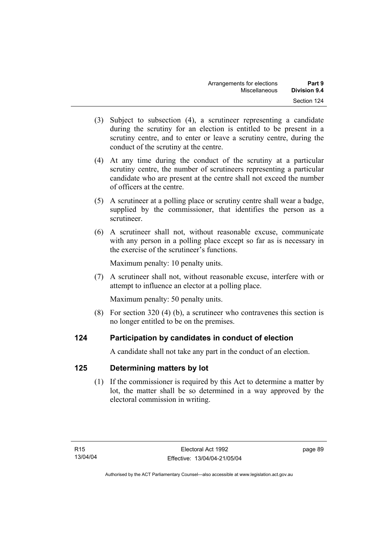- (3) Subject to subsection (4), a scrutineer representing a candidate during the scrutiny for an election is entitled to be present in a scrutiny centre, and to enter or leave a scrutiny centre, during the conduct of the scrutiny at the centre.
- (4) At any time during the conduct of the scrutiny at a particular scrutiny centre, the number of scrutineers representing a particular candidate who are present at the centre shall not exceed the number of officers at the centre.
- (5) A scrutineer at a polling place or scrutiny centre shall wear a badge, supplied by the commissioner, that identifies the person as a scrutineer.
- (6) A scrutineer shall not, without reasonable excuse, communicate with any person in a polling place except so far as is necessary in the exercise of the scrutineer's functions.

Maximum penalty: 10 penalty units.

 (7) A scrutineer shall not, without reasonable excuse, interfere with or attempt to influence an elector at a polling place.

Maximum penalty: 50 penalty units.

 (8) For section 320 (4) (b), a scrutineer who contravenes this section is no longer entitled to be on the premises.

# **124 Participation by candidates in conduct of election**

A candidate shall not take any part in the conduct of an election.

# **125 Determining matters by lot**

 (1) If the commissioner is required by this Act to determine a matter by lot, the matter shall be so determined in a way approved by the electoral commission in writing.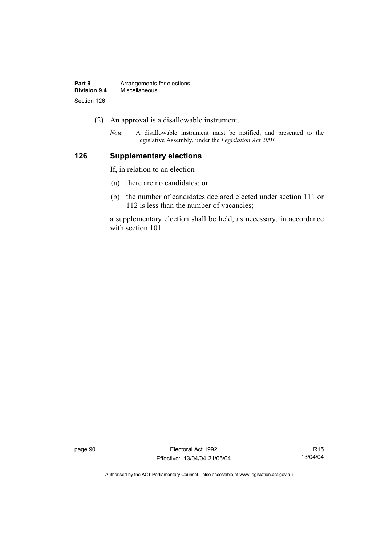| Part 9       | Arrangements for elections |
|--------------|----------------------------|
| Division 9.4 | Miscellaneous              |
| Section 126  |                            |

- (2) An approval is a disallowable instrument.
	- *Note* A disallowable instrument must be notified, and presented to the Legislative Assembly, under the *Legislation Act 2001*.

#### **126 Supplementary elections**

If, in relation to an election—

- (a) there are no candidates; or
- (b) the number of candidates declared elected under section 111 or 112 is less than the number of vacancies;

a supplementary election shall be held, as necessary, in accordance with section 101.

page 90 Electoral Act 1992 Effective: 13/04/04-21/05/04

R15 13/04/04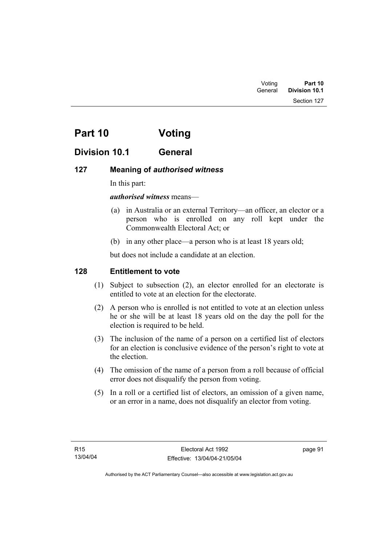Section 127

# **Part 10 Voting**

# **Division 10.1 General**

## **127 Meaning of** *authorised witness*

In this part:

#### *authorised witness* means—

- (a) in Australia or an external Territory—an officer, an elector or a person who is enrolled on any roll kept under the Commonwealth Electoral Act; or
- (b) in any other place—a person who is at least 18 years old;

but does not include a candidate at an election.

## **128 Entitlement to vote**

- (1) Subject to subsection (2), an elector enrolled for an electorate is entitled to vote at an election for the electorate.
- (2) A person who is enrolled is not entitled to vote at an election unless he or she will be at least 18 years old on the day the poll for the election is required to be held.
- (3) The inclusion of the name of a person on a certified list of electors for an election is conclusive evidence of the person's right to vote at the election.
- (4) The omission of the name of a person from a roll because of official error does not disqualify the person from voting.
- (5) In a roll or a certified list of electors, an omission of a given name, or an error in a name, does not disqualify an elector from voting.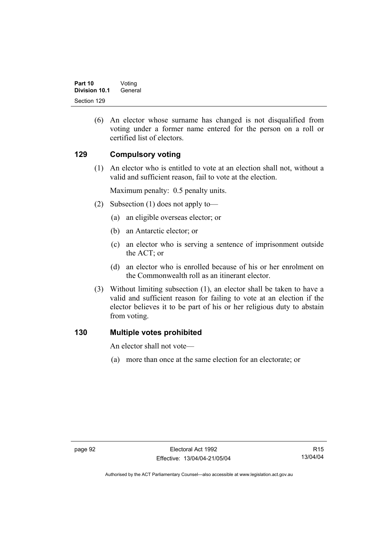(6) An elector whose surname has changed is not disqualified from voting under a former name entered for the person on a roll or certified list of electors.

### **129 Compulsory voting**

 (1) An elector who is entitled to vote at an election shall not, without a valid and sufficient reason, fail to vote at the election.

Maximum penalty: 0.5 penalty units.

- (2) Subsection (1) does not apply to—
	- (a) an eligible overseas elector; or
	- (b) an Antarctic elector; or
	- (c) an elector who is serving a sentence of imprisonment outside the ACT; or
	- (d) an elector who is enrolled because of his or her enrolment on the Commonwealth roll as an itinerant elector.
- (3) Without limiting subsection (1), an elector shall be taken to have a valid and sufficient reason for failing to vote at an election if the elector believes it to be part of his or her religious duty to abstain from voting.

#### **130 Multiple votes prohibited**

An elector shall not vote—

(a) more than once at the same election for an electorate; or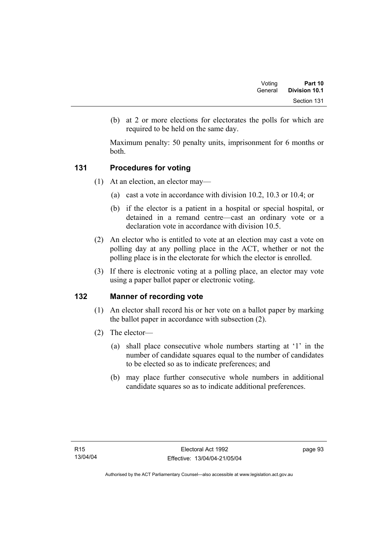| Voting  | Part 10       |
|---------|---------------|
| General | Division 10.1 |
|         | Section 131   |

 (b) at 2 or more elections for electorates the polls for which are required to be held on the same day.

Maximum penalty: 50 penalty units, imprisonment for 6 months or both.

#### **131 Procedures for voting**

- (1) At an election, an elector may—
	- (a) cast a vote in accordance with division 10.2, 10.3 or 10.4; or
	- (b) if the elector is a patient in a hospital or special hospital, or detained in a remand centre—cast an ordinary vote or a declaration vote in accordance with division 10.5.
- (2) An elector who is entitled to vote at an election may cast a vote on polling day at any polling place in the ACT, whether or not the polling place is in the electorate for which the elector is enrolled.
- (3) If there is electronic voting at a polling place, an elector may vote using a paper ballot paper or electronic voting.

#### **132 Manner of recording vote**

- (1) An elector shall record his or her vote on a ballot paper by marking the ballot paper in accordance with subsection (2).
- (2) The elector—
	- (a) shall place consecutive whole numbers starting at '1' in the number of candidate squares equal to the number of candidates to be elected so as to indicate preferences; and
	- (b) may place further consecutive whole numbers in additional candidate squares so as to indicate additional preferences.

page 93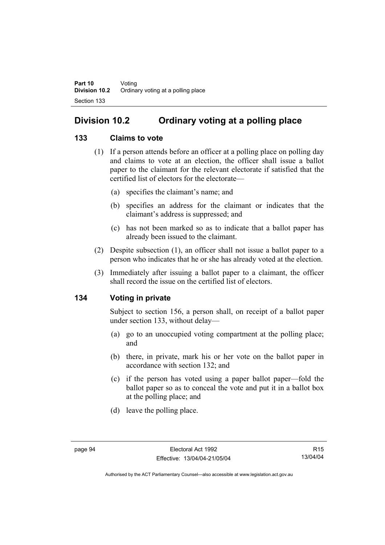# **Division 10.2 Ordinary voting at a polling place**

#### **133 Claims to vote**

- (1) If a person attends before an officer at a polling place on polling day and claims to vote at an election, the officer shall issue a ballot paper to the claimant for the relevant electorate if satisfied that the certified list of electors for the electorate—
	- (a) specifies the claimant's name; and
	- (b) specifies an address for the claimant or indicates that the claimant's address is suppressed; and
	- (c) has not been marked so as to indicate that a ballot paper has already been issued to the claimant.
- (2) Despite subsection (1), an officer shall not issue a ballot paper to a person who indicates that he or she has already voted at the election.
- (3) Immediately after issuing a ballot paper to a claimant, the officer shall record the issue on the certified list of electors.

#### **134 Voting in private**

Subject to section 156, a person shall, on receipt of a ballot paper under section 133, without delay—

- (a) go to an unoccupied voting compartment at the polling place; and
- (b) there, in private, mark his or her vote on the ballot paper in accordance with section 132; and
- (c) if the person has voted using a paper ballot paper—fold the ballot paper so as to conceal the vote and put it in a ballot box at the polling place; and
- (d) leave the polling place.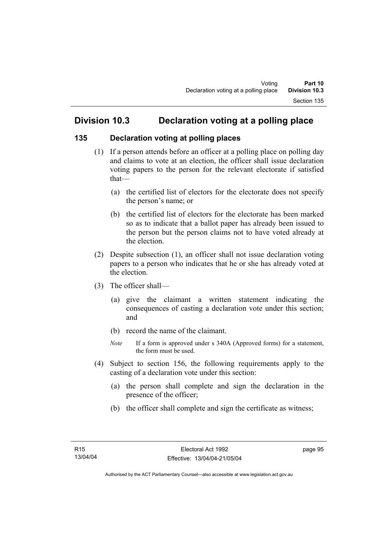# **Division 10.3 Declaration voting at a polling place**

#### **135 Declaration voting at polling places**

- (1) If a person attends before an officer at a polling place on polling day and claims to vote at an election, the officer shall issue declaration voting papers to the person for the relevant electorate if satisfied that—
	- (a) the certified list of electors for the electorate does not specify the person's name; or
	- (b) the certified list of electors for the electorate has been marked so as to indicate that a ballot paper has already been issued to the person but the person claims not to have voted already at the election.
- (2) Despite subsection (1), an officer shall not issue declaration voting papers to a person who indicates that he or she has already voted at the election.
- (3) The officer shall—
	- (a) give the claimant a written statement indicating the consequences of casting a declaration vote under this section; and
	- (b) record the name of the claimant.
	- *Note* If a form is approved under s 340A (Approved forms) for a statement, the form must be used.
- (4) Subject to section 156, the following requirements apply to the casting of a declaration vote under this section:
	- (a) the person shall complete and sign the declaration in the presence of the officer;
	- (b) the officer shall complete and sign the certificate as witness;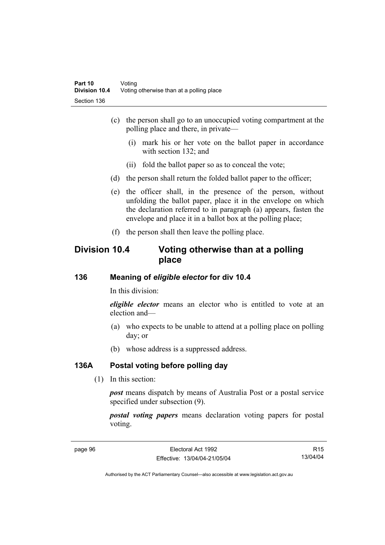- (c) the person shall go to an unoccupied voting compartment at the polling place and there, in private—
	- (i) mark his or her vote on the ballot paper in accordance with section 132; and
	- (ii) fold the ballot paper so as to conceal the vote;
- (d) the person shall return the folded ballot paper to the officer;
- (e) the officer shall, in the presence of the person, without unfolding the ballot paper, place it in the envelope on which the declaration referred to in paragraph (a) appears, fasten the envelope and place it in a ballot box at the polling place;
- (f) the person shall then leave the polling place.

## **Division 10.4 Voting otherwise than at a polling place**

#### **136 Meaning of** *eligible elector* **for div 10.4**

In this division:

*eligible elector* means an elector who is entitled to vote at an election and—

- (a) who expects to be unable to attend at a polling place on polling day; or
- (b) whose address is a suppressed address.

#### **136A Postal voting before polling day**

(1) In this section:

*post* means dispatch by means of Australia Post or a postal service specified under subsection (9).

*postal voting papers* means declaration voting papers for postal voting.

R15 13/04/04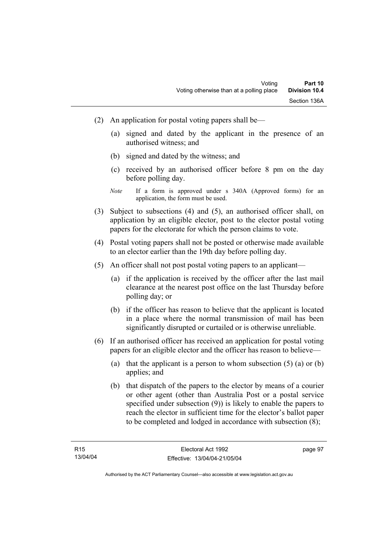- (2) An application for postal voting papers shall be—
	- (a) signed and dated by the applicant in the presence of an authorised witness; and
	- (b) signed and dated by the witness; and
	- (c) received by an authorised officer before 8 pm on the day before polling day.
	- *Note* If a form is approved under s 340A (Approved forms) for an application, the form must be used.
- (3) Subject to subsections (4) and (5), an authorised officer shall, on application by an eligible elector, post to the elector postal voting papers for the electorate for which the person claims to vote.
- (4) Postal voting papers shall not be posted or otherwise made available to an elector earlier than the 19th day before polling day.
- (5) An officer shall not post postal voting papers to an applicant—
	- (a) if the application is received by the officer after the last mail clearance at the nearest post office on the last Thursday before polling day; or
	- (b) if the officer has reason to believe that the applicant is located in a place where the normal transmission of mail has been significantly disrupted or curtailed or is otherwise unreliable.
- (6) If an authorised officer has received an application for postal voting papers for an eligible elector and the officer has reason to believe—
	- (a) that the applicant is a person to whom subsection  $(5)$  (a) or (b) applies; and
	- (b) that dispatch of the papers to the elector by means of a courier or other agent (other than Australia Post or a postal service specified under subsection (9)) is likely to enable the papers to reach the elector in sufficient time for the elector's ballot paper to be completed and lodged in accordance with subsection (8);

page 97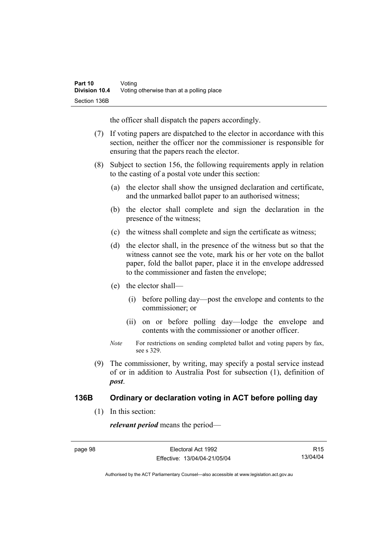the officer shall dispatch the papers accordingly.

- (7) If voting papers are dispatched to the elector in accordance with this section, neither the officer nor the commissioner is responsible for ensuring that the papers reach the elector.
- (8) Subject to section 156, the following requirements apply in relation to the casting of a postal vote under this section:
	- (a) the elector shall show the unsigned declaration and certificate, and the unmarked ballot paper to an authorised witness;
	- (b) the elector shall complete and sign the declaration in the presence of the witness;
	- (c) the witness shall complete and sign the certificate as witness;
	- (d) the elector shall, in the presence of the witness but so that the witness cannot see the vote, mark his or her vote on the ballot paper, fold the ballot paper, place it in the envelope addressed to the commissioner and fasten the envelope;
	- (e) the elector shall—
		- (i) before polling day—post the envelope and contents to the commissioner; or
		- (ii) on or before polling day—lodge the envelope and contents with the commissioner or another officer.
	- *Note* For restrictions on sending completed ballot and voting papers by fax, see s 329.
- (9) The commissioner, by writing, may specify a postal service instead of or in addition to Australia Post for subsection (1), definition of *post*.

#### **136B Ordinary or declaration voting in ACT before polling day**

(1) In this section:

*relevant period* means the period—

R15 13/04/04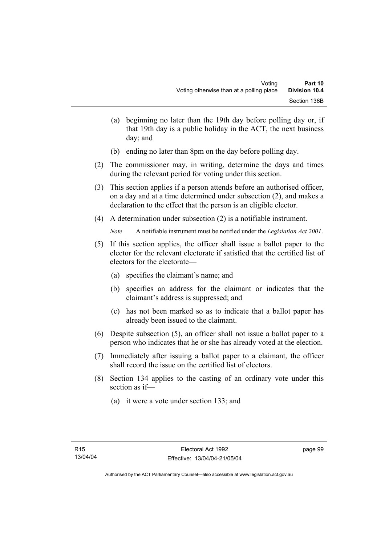- (a) beginning no later than the 19th day before polling day or, if that 19th day is a public holiday in the ACT, the next business day; and
- (b) ending no later than 8pm on the day before polling day.
- (2) The commissioner may, in writing, determine the days and times during the relevant period for voting under this section.
- (3) This section applies if a person attends before an authorised officer, on a day and at a time determined under subsection (2), and makes a declaration to the effect that the person is an eligible elector.
- (4) A determination under subsection (2) is a notifiable instrument.

*Note* A notifiable instrument must be notified under the *Legislation Act 2001*.

- (5) If this section applies, the officer shall issue a ballot paper to the elector for the relevant electorate if satisfied that the certified list of electors for the electorate—
	- (a) specifies the claimant's name; and
	- (b) specifies an address for the claimant or indicates that the claimant's address is suppressed; and
	- (c) has not been marked so as to indicate that a ballot paper has already been issued to the claimant.
- (6) Despite subsection (5), an officer shall not issue a ballot paper to a person who indicates that he or she has already voted at the election.
- (7) Immediately after issuing a ballot paper to a claimant, the officer shall record the issue on the certified list of electors.
- (8) Section 134 applies to the casting of an ordinary vote under this section as if—
	- (a) it were a vote under section 133; and

page 99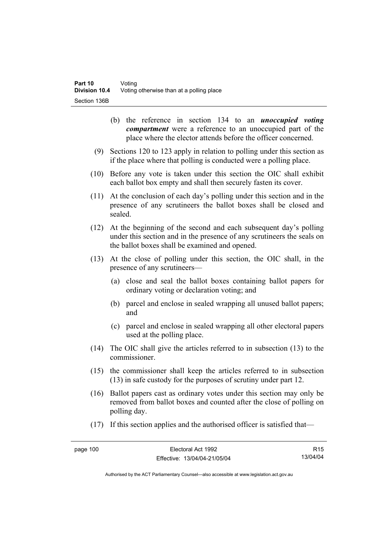- (b) the reference in section 134 to an *unoccupied voting compartment* were a reference to an unoccupied part of the place where the elector attends before the officer concerned.
- (9) Sections 120 to 123 apply in relation to polling under this section as if the place where that polling is conducted were a polling place.
- (10) Before any vote is taken under this section the OIC shall exhibit each ballot box empty and shall then securely fasten its cover.
- (11) At the conclusion of each day's polling under this section and in the presence of any scrutineers the ballot boxes shall be closed and sealed.
- (12) At the beginning of the second and each subsequent day's polling under this section and in the presence of any scrutineers the seals on the ballot boxes shall be examined and opened.
- (13) At the close of polling under this section, the OIC shall, in the presence of any scrutineers—
	- (a) close and seal the ballot boxes containing ballot papers for ordinary voting or declaration voting; and
	- (b) parcel and enclose in sealed wrapping all unused ballot papers; and
	- (c) parcel and enclose in sealed wrapping all other electoral papers used at the polling place.
- (14) The OIC shall give the articles referred to in subsection (13) to the commissioner.
- (15) the commissioner shall keep the articles referred to in subsection (13) in safe custody for the purposes of scrutiny under part 12.
- (16) Ballot papers cast as ordinary votes under this section may only be removed from ballot boxes and counted after the close of polling on polling day.
- (17) If this section applies and the authorised officer is satisfied that—

R15 13/04/04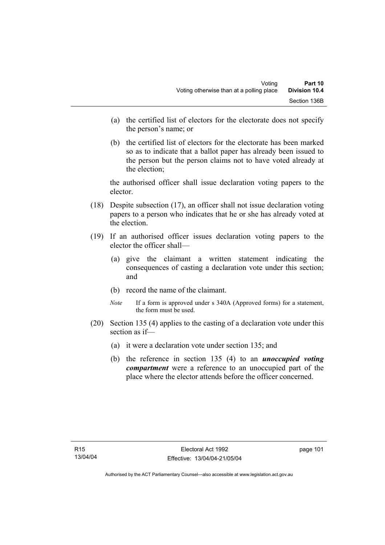- (a) the certified list of electors for the electorate does not specify the person's name; or
- (b) the certified list of electors for the electorate has been marked so as to indicate that a ballot paper has already been issued to the person but the person claims not to have voted already at the election;

the authorised officer shall issue declaration voting papers to the elector.

- (18) Despite subsection (17), an officer shall not issue declaration voting papers to a person who indicates that he or she has already voted at the election.
- (19) If an authorised officer issues declaration voting papers to the elector the officer shall—
	- (a) give the claimant a written statement indicating the consequences of casting a declaration vote under this section; and
	- (b) record the name of the claimant.
	- *Note* If a form is approved under s 340A (Approved forms) for a statement, the form must be used.
- (20) Section 135 (4) applies to the casting of a declaration vote under this section as if—
	- (a) it were a declaration vote under section 135; and
	- (b) the reference in section 135 (4) to an *unoccupied voting compartment* were a reference to an unoccupied part of the place where the elector attends before the officer concerned.

page 101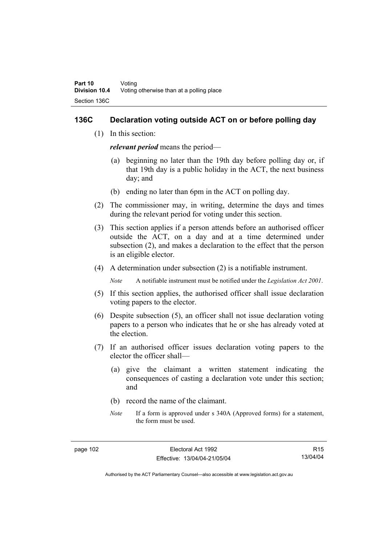#### **136C Declaration voting outside ACT on or before polling day**

(1) In this section:

*relevant period* means the period—

- (a) beginning no later than the 19th day before polling day or, if that 19th day is a public holiday in the ACT, the next business day; and
- (b) ending no later than 6pm in the ACT on polling day.
- (2) The commissioner may, in writing, determine the days and times during the relevant period for voting under this section.
- (3) This section applies if a person attends before an authorised officer outside the ACT, on a day and at a time determined under subsection (2), and makes a declaration to the effect that the person is an eligible elector.
- (4) A determination under subsection (2) is a notifiable instrument.

*Note* A notifiable instrument must be notified under the *Legislation Act 2001*.

- (5) If this section applies, the authorised officer shall issue declaration voting papers to the elector.
- (6) Despite subsection (5), an officer shall not issue declaration voting papers to a person who indicates that he or she has already voted at the election.
- (7) If an authorised officer issues declaration voting papers to the elector the officer shall—
	- (a) give the claimant a written statement indicating the consequences of casting a declaration vote under this section; and
	- (b) record the name of the claimant.
	- *Note* If a form is approved under s 340A (Approved forms) for a statement, the form must be used.

R15 13/04/04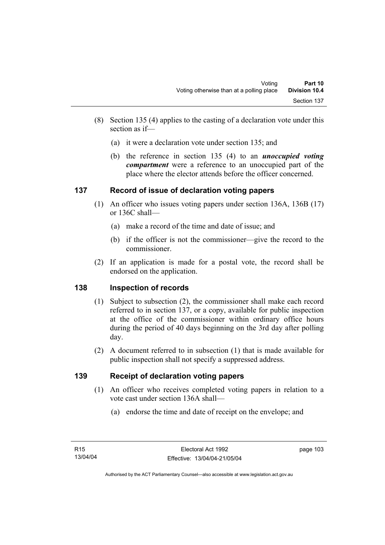- (8) Section 135 (4) applies to the casting of a declaration vote under this section as if—
	- (a) it were a declaration vote under section 135; and
	- (b) the reference in section 135 (4) to an *unoccupied voting compartment* were a reference to an unoccupied part of the place where the elector attends before the officer concerned.

#### **137 Record of issue of declaration voting papers**

- (1) An officer who issues voting papers under section 136A, 136B (17) or 136C shall—
	- (a) make a record of the time and date of issue; and
	- (b) if the officer is not the commissioner—give the record to the commissioner.
- (2) If an application is made for a postal vote, the record shall be endorsed on the application.

#### **138 Inspection of records**

- (1) Subject to subsection (2), the commissioner shall make each record referred to in section 137, or a copy, available for public inspection at the office of the commissioner within ordinary office hours during the period of 40 days beginning on the 3rd day after polling day.
- (2) A document referred to in subsection (1) that is made available for public inspection shall not specify a suppressed address.

#### **139 Receipt of declaration voting papers**

- (1) An officer who receives completed voting papers in relation to a vote cast under section 136A shall—
	- (a) endorse the time and date of receipt on the envelope; and

page 103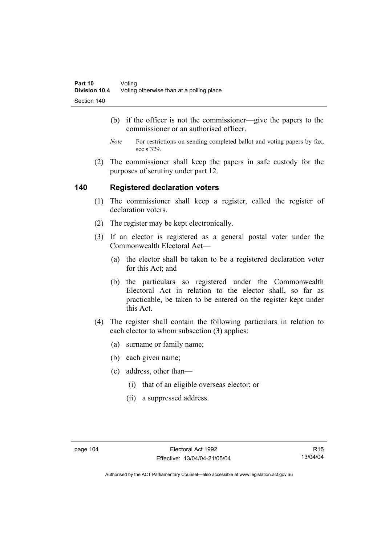- (b) if the officer is not the commissioner—give the papers to the commissioner or an authorised officer.
- *Note* For restrictions on sending completed ballot and voting papers by fax, see s 329.
- (2) The commissioner shall keep the papers in safe custody for the purposes of scrutiny under part 12.

#### **140 Registered declaration voters**

- (1) The commissioner shall keep a register, called the register of declaration voters.
- (2) The register may be kept electronically.
- (3) If an elector is registered as a general postal voter under the Commonwealth Electoral Act—
	- (a) the elector shall be taken to be a registered declaration voter for this Act; and
	- (b) the particulars so registered under the Commonwealth Electoral Act in relation to the elector shall, so far as practicable, be taken to be entered on the register kept under this Act.
- (4) The register shall contain the following particulars in relation to each elector to whom subsection (3) applies:
	- (a) surname or family name;
	- (b) each given name;
	- (c) address, other than—
		- (i) that of an eligible overseas elector; or
		- (ii) a suppressed address.

R15 13/04/04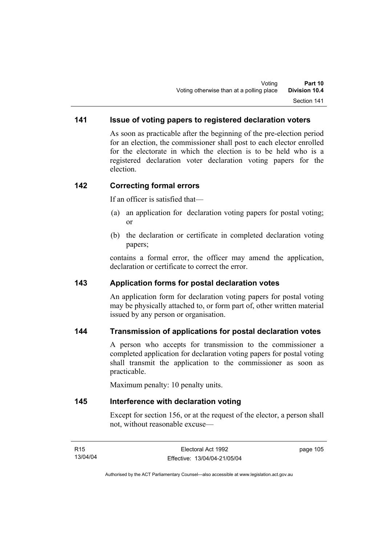### **141 Issue of voting papers to registered declaration voters**

As soon as practicable after the beginning of the pre-election period for an election, the commissioner shall post to each elector enrolled for the electorate in which the election is to be held who is a registered declaration voter declaration voting papers for the election.

#### **142 Correcting formal errors**

If an officer is satisfied that—

- (a) an application for declaration voting papers for postal voting; or
- (b) the declaration or certificate in completed declaration voting papers;

contains a formal error, the officer may amend the application, declaration or certificate to correct the error.

#### **143 Application forms for postal declaration votes**

An application form for declaration voting papers for postal voting may be physically attached to, or form part of, other written material issued by any person or organisation.

#### **144 Transmission of applications for postal declaration votes**

A person who accepts for transmission to the commissioner a completed application for declaration voting papers for postal voting shall transmit the application to the commissioner as soon as practicable.

Maximum penalty: 10 penalty units.

#### **145 Interference with declaration voting**

Except for section 156, or at the request of the elector, a person shall not, without reasonable excuse—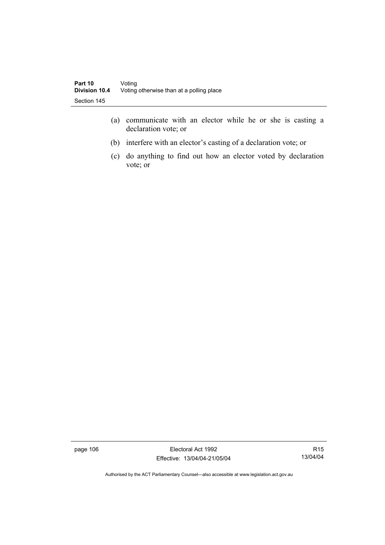- (a) communicate with an elector while he or she is casting a declaration vote; or
- (b) interfere with an elector's casting of a declaration vote; or
- (c) do anything to find out how an elector voted by declaration vote; or

page 106 Electoral Act 1992 Effective: 13/04/04-21/05/04

R15 13/04/04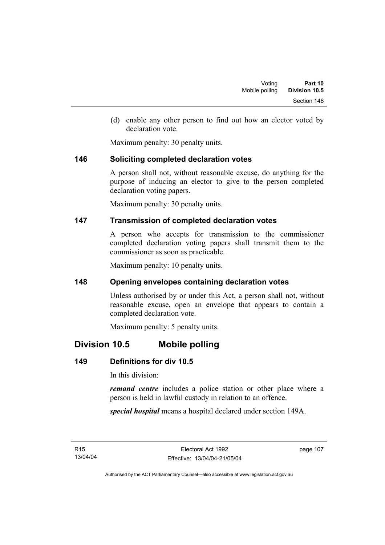(d) enable any other person to find out how an elector voted by declaration vote.

Maximum penalty: 30 penalty units.

#### **146 Soliciting completed declaration votes**

A person shall not, without reasonable excuse, do anything for the purpose of inducing an elector to give to the person completed declaration voting papers.

Maximum penalty: 30 penalty units.

#### **147 Transmission of completed declaration votes**

A person who accepts for transmission to the commissioner completed declaration voting papers shall transmit them to the commissioner as soon as practicable.

Maximum penalty: 10 penalty units.

#### **148 Opening envelopes containing declaration votes**

Unless authorised by or under this Act, a person shall not, without reasonable excuse, open an envelope that appears to contain a completed declaration vote.

Maximum penalty: 5 penalty units.

# **Division 10.5 Mobile polling**

## **149 Definitions for div 10.5**

In this division:

*remand centre* includes a police station or other place where a person is held in lawful custody in relation to an offence.

*special hospital* means a hospital declared under section 149A.

R15 13/04/04 page 107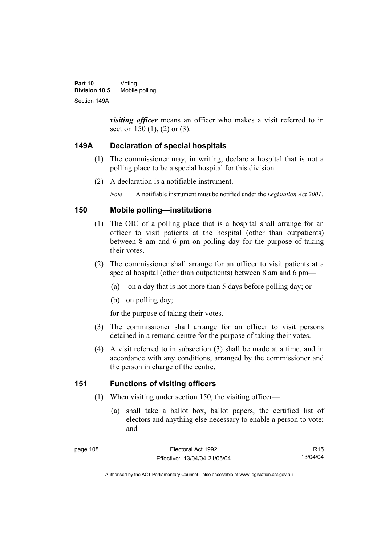*visiting officer* means an officer who makes a visit referred to in section 150 (1), (2) or (3).

### **149A Declaration of special hospitals**

- (1) The commissioner may, in writing, declare a hospital that is not a polling place to be a special hospital for this division.
- (2) A declaration is a notifiable instrument.

*Note* A notifiable instrument must be notified under the *Legislation Act 2001*.

### **150 Mobile polling—institutions**

- (1) The OIC of a polling place that is a hospital shall arrange for an officer to visit patients at the hospital (other than outpatients) between 8 am and 6 pm on polling day for the purpose of taking their votes.
- (2) The commissioner shall arrange for an officer to visit patients at a special hospital (other than outpatients) between 8 am and 6 pm—
	- (a) on a day that is not more than 5 days before polling day; or
	- (b) on polling day;

for the purpose of taking their votes.

- (3) The commissioner shall arrange for an officer to visit persons detained in a remand centre for the purpose of taking their votes.
- (4) A visit referred to in subsection (3) shall be made at a time, and in accordance with any conditions, arranged by the commissioner and the person in charge of the centre.

## **151 Functions of visiting officers**

- (1) When visiting under section 150, the visiting officer—
	- (a) shall take a ballot box, ballot papers, the certified list of electors and anything else necessary to enable a person to vote; and

R15 13/04/04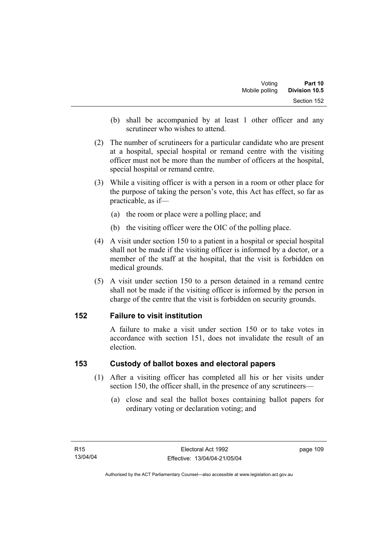- (b) shall be accompanied by at least 1 other officer and any scrutineer who wishes to attend.
- (2) The number of scrutineers for a particular candidate who are present at a hospital, special hospital or remand centre with the visiting officer must not be more than the number of officers at the hospital, special hospital or remand centre.
- (3) While a visiting officer is with a person in a room or other place for the purpose of taking the person's vote, this Act has effect, so far as practicable, as if—
	- (a) the room or place were a polling place; and
	- (b) the visiting officer were the OIC of the polling place.
- (4) A visit under section 150 to a patient in a hospital or special hospital shall not be made if the visiting officer is informed by a doctor, or a member of the staff at the hospital, that the visit is forbidden on medical grounds.
- (5) A visit under section 150 to a person detained in a remand centre shall not be made if the visiting officer is informed by the person in charge of the centre that the visit is forbidden on security grounds.

#### **152 Failure to visit institution**

A failure to make a visit under section 150 or to take votes in accordance with section 151, does not invalidate the result of an election.

#### **153 Custody of ballot boxes and electoral papers**

- (1) After a visiting officer has completed all his or her visits under section 150, the officer shall, in the presence of any scrutineers—
	- (a) close and seal the ballot boxes containing ballot papers for ordinary voting or declaration voting; and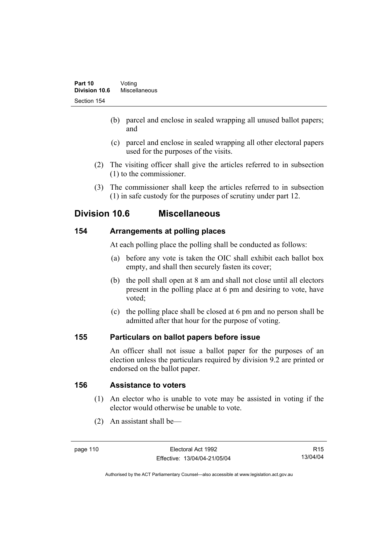- (b) parcel and enclose in sealed wrapping all unused ballot papers; and
- (c) parcel and enclose in sealed wrapping all other electoral papers used for the purposes of the visits.
- (2) The visiting officer shall give the articles referred to in subsection (1) to the commissioner.
- (3) The commissioner shall keep the articles referred to in subsection (1) in safe custody for the purposes of scrutiny under part 12.

## **Division 10.6 Miscellaneous**

## **154 Arrangements at polling places**

At each polling place the polling shall be conducted as follows:

- (a) before any vote is taken the OIC shall exhibit each ballot box empty, and shall then securely fasten its cover;
- (b) the poll shall open at 8 am and shall not close until all electors present in the polling place at 6 pm and desiring to vote, have voted;
- (c) the polling place shall be closed at 6 pm and no person shall be admitted after that hour for the purpose of voting.

#### **155 Particulars on ballot papers before issue**

An officer shall not issue a ballot paper for the purposes of an election unless the particulars required by division 9.2 are printed or endorsed on the ballot paper.

#### **156 Assistance to voters**

- (1) An elector who is unable to vote may be assisted in voting if the elector would otherwise be unable to vote.
- (2) An assistant shall be—

R15 13/04/04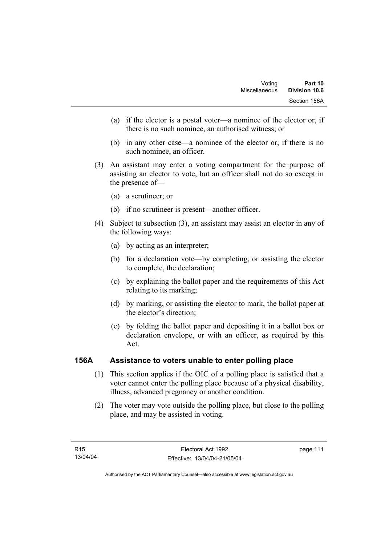- (a) if the elector is a postal voter—a nominee of the elector or, if there is no such nominee, an authorised witness; or
- (b) in any other case—a nominee of the elector or, if there is no such nominee, an officer.
- (3) An assistant may enter a voting compartment for the purpose of assisting an elector to vote, but an officer shall not do so except in the presence of—
	- (a) a scrutineer; or
	- (b) if no scrutineer is present—another officer.
- (4) Subject to subsection (3), an assistant may assist an elector in any of the following ways:
	- (a) by acting as an interpreter;
	- (b) for a declaration vote—by completing, or assisting the elector to complete, the declaration;
	- (c) by explaining the ballot paper and the requirements of this Act relating to its marking;
	- (d) by marking, or assisting the elector to mark, the ballot paper at the elector's direction;
	- (e) by folding the ballot paper and depositing it in a ballot box or declaration envelope, or with an officer, as required by this Act.

#### **156A Assistance to voters unable to enter polling place**

- (1) This section applies if the OIC of a polling place is satisfied that a voter cannot enter the polling place because of a physical disability, illness, advanced pregnancy or another condition.
- (2) The voter may vote outside the polling place, but close to the polling place, and may be assisted in voting.

page 111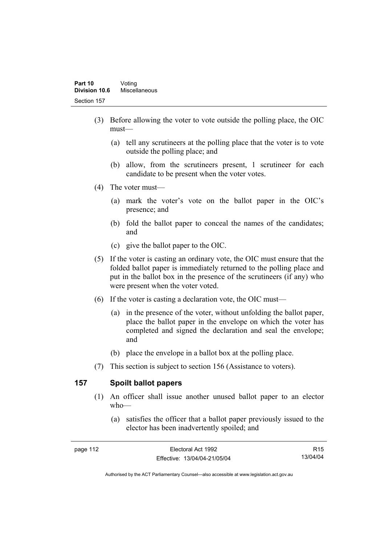- (3) Before allowing the voter to vote outside the polling place, the OIC must—
	- (a) tell any scrutineers at the polling place that the voter is to vote outside the polling place; and
	- (b) allow, from the scrutineers present, 1 scrutineer for each candidate to be present when the voter votes.
- (4) The voter must—
	- (a) mark the voter's vote on the ballot paper in the OIC's presence; and
	- (b) fold the ballot paper to conceal the names of the candidates; and
	- (c) give the ballot paper to the OIC.
- (5) If the voter is casting an ordinary vote, the OIC must ensure that the folded ballot paper is immediately returned to the polling place and put in the ballot box in the presence of the scrutineers (if any) who were present when the voter voted.
- (6) If the voter is casting a declaration vote, the OIC must—
	- (a) in the presence of the voter, without unfolding the ballot paper, place the ballot paper in the envelope on which the voter has completed and signed the declaration and seal the envelope; and
	- (b) place the envelope in a ballot box at the polling place.
- (7) This section is subject to section 156 (Assistance to voters).

#### **157 Spoilt ballot papers**

- (1) An officer shall issue another unused ballot paper to an elector who—
	- (a) satisfies the officer that a ballot paper previously issued to the elector has been inadvertently spoiled; and

R15 13/04/04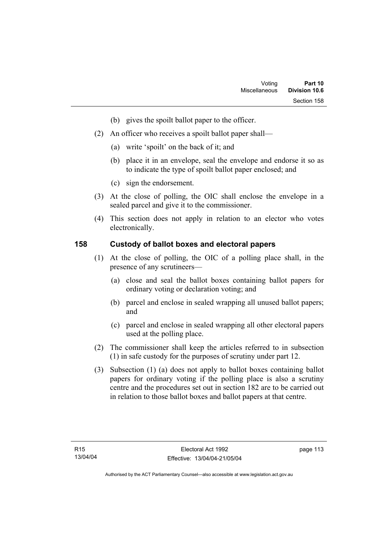- (b) gives the spoilt ballot paper to the officer.
- (2) An officer who receives a spoilt ballot paper shall—
	- (a) write 'spoilt' on the back of it; and
	- (b) place it in an envelope, seal the envelope and endorse it so as to indicate the type of spoilt ballot paper enclosed; and
	- (c) sign the endorsement.
- (3) At the close of polling, the OIC shall enclose the envelope in a sealed parcel and give it to the commissioner.
- (4) This section does not apply in relation to an elector who votes electronically.

#### **158 Custody of ballot boxes and electoral papers**

- (1) At the close of polling, the OIC of a polling place shall, in the presence of any scrutineers—
	- (a) close and seal the ballot boxes containing ballot papers for ordinary voting or declaration voting; and
	- (b) parcel and enclose in sealed wrapping all unused ballot papers; and
	- (c) parcel and enclose in sealed wrapping all other electoral papers used at the polling place.
- (2) The commissioner shall keep the articles referred to in subsection (1) in safe custody for the purposes of scrutiny under part 12.
- (3) Subsection (1) (a) does not apply to ballot boxes containing ballot papers for ordinary voting if the polling place is also a scrutiny centre and the procedures set out in section 182 are to be carried out in relation to those ballot boxes and ballot papers at that centre.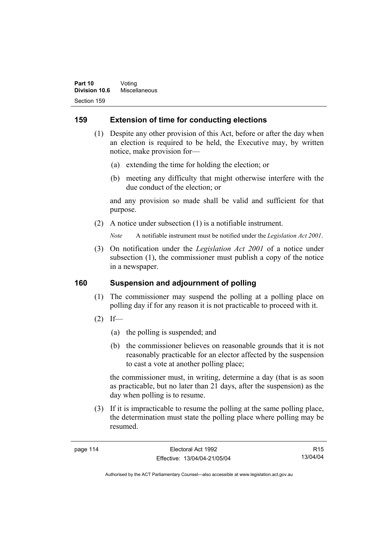#### **159 Extension of time for conducting elections**

- (1) Despite any other provision of this Act, before or after the day when an election is required to be held, the Executive may, by written notice, make provision for—
	- (a) extending the time for holding the election; or
	- (b) meeting any difficulty that might otherwise interfere with the due conduct of the election; or

and any provision so made shall be valid and sufficient for that purpose.

(2) A notice under subsection (1) is a notifiable instrument.

*Note* A notifiable instrument must be notified under the *Legislation Act 2001*.

 (3) On notification under the *Legislation Act 2001* of a notice under subsection (1), the commissioner must publish a copy of the notice in a newspaper.

#### **160 Suspension and adjournment of polling**

- (1) The commissioner may suspend the polling at a polling place on polling day if for any reason it is not practicable to proceed with it.
- $(2)$  If—
	- (a) the polling is suspended; and
	- (b) the commissioner believes on reasonable grounds that it is not reasonably practicable for an elector affected by the suspension to cast a vote at another polling place;

the commissioner must, in writing, determine a day (that is as soon as practicable, but no later than 21 days, after the suspension) as the day when polling is to resume.

 (3) If it is impracticable to resume the polling at the same polling place, the determination must state the polling place where polling may be resumed.

R15 13/04/04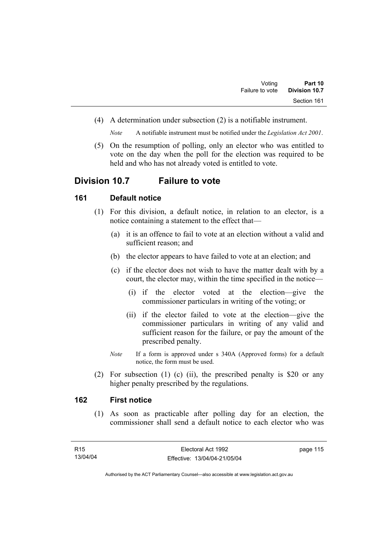(4) A determination under subsection (2) is a notifiable instrument.

*Note* A notifiable instrument must be notified under the *Legislation Act 2001*.

 (5) On the resumption of polling, only an elector who was entitled to vote on the day when the poll for the election was required to be held and who has not already voted is entitled to vote.

### **Division 10.7 Failure to vote**

#### **161 Default notice**

- (1) For this division, a default notice, in relation to an elector, is a notice containing a statement to the effect that—
	- (a) it is an offence to fail to vote at an election without a valid and sufficient reason; and
	- (b) the elector appears to have failed to vote at an election; and
	- (c) if the elector does not wish to have the matter dealt with by a court, the elector may, within the time specified in the notice—
		- (i) if the elector voted at the election—give the commissioner particulars in writing of the voting; or
		- (ii) if the elector failed to vote at the election—give the commissioner particulars in writing of any valid and sufficient reason for the failure, or pay the amount of the prescribed penalty.
	- *Note* If a form is approved under s 340A (Approved forms) for a default notice, the form must be used.
- (2) For subsection (1) (c) (ii), the prescribed penalty is \$20 or any higher penalty prescribed by the regulations.

#### **162 First notice**

 (1) As soon as practicable after polling day for an election, the commissioner shall send a default notice to each elector who was

page 115

Authorised by the ACT Parliamentary Counsel—also accessible at www.legislation.act.gov.au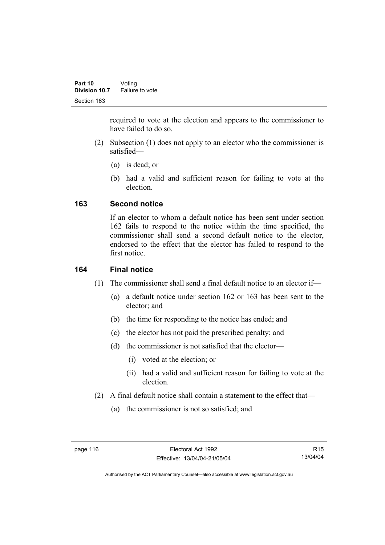required to vote at the election and appears to the commissioner to have failed to do so.

- (2) Subsection (1) does not apply to an elector who the commissioner is satisfied—
	- (a) is dead; or
	- (b) had a valid and sufficient reason for failing to vote at the election.

#### **163 Second notice**

If an elector to whom a default notice has been sent under section 162 fails to respond to the notice within the time specified, the commissioner shall send a second default notice to the elector, endorsed to the effect that the elector has failed to respond to the first notice.

## **164 Final notice**

- (1) The commissioner shall send a final default notice to an elector if—
	- (a) a default notice under section 162 or 163 has been sent to the elector; and
	- (b) the time for responding to the notice has ended; and
	- (c) the elector has not paid the prescribed penalty; and
	- (d) the commissioner is not satisfied that the elector—
		- (i) voted at the election; or
		- (ii) had a valid and sufficient reason for failing to vote at the election.
- (2) A final default notice shall contain a statement to the effect that—
	- (a) the commissioner is not so satisfied; and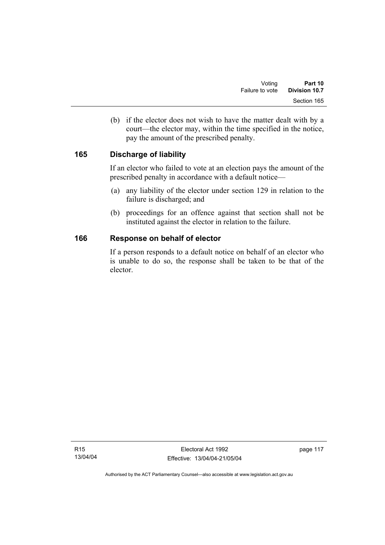(b) if the elector does not wish to have the matter dealt with by a court—the elector may, within the time specified in the notice, pay the amount of the prescribed penalty.

#### **165 Discharge of liability**

If an elector who failed to vote at an election pays the amount of the prescribed penalty in accordance with a default notice—

- (a) any liability of the elector under section 129 in relation to the failure is discharged; and
- (b) proceedings for an offence against that section shall not be instituted against the elector in relation to the failure.

#### **166 Response on behalf of elector**

If a person responds to a default notice on behalf of an elector who is unable to do so, the response shall be taken to be that of the elector.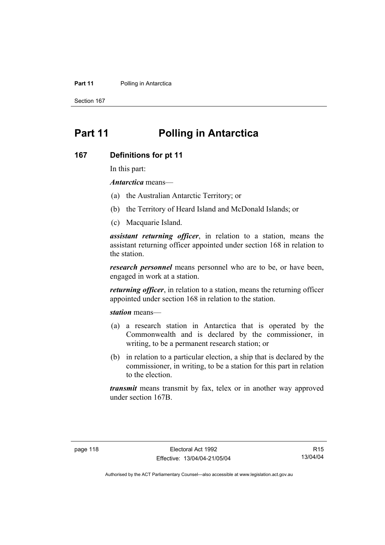#### **Part 11** Polling in Antarctica

Section 167

# **Part 11 Polling in Antarctica**

#### **167 Definitions for pt 11**

In this part:

*Antarctica* means—

- (a) the Australian Antarctic Territory; or
- (b) the Territory of Heard Island and McDonald Islands; or
- (c) Macquarie Island.

*assistant returning officer*, in relation to a station, means the assistant returning officer appointed under section 168 in relation to the station.

*research personnel* means personnel who are to be, or have been, engaged in work at a station.

*returning officer*, in relation to a station, means the returning officer appointed under section 168 in relation to the station.

*station* means—

- (a) a research station in Antarctica that is operated by the Commonwealth and is declared by the commissioner, in writing, to be a permanent research station; or
- (b) in relation to a particular election, a ship that is declared by the commissioner, in writing, to be a station for this part in relation to the election.

*transmit* means transmit by fax, telex or in another way approved under section 167B.

R15 13/04/04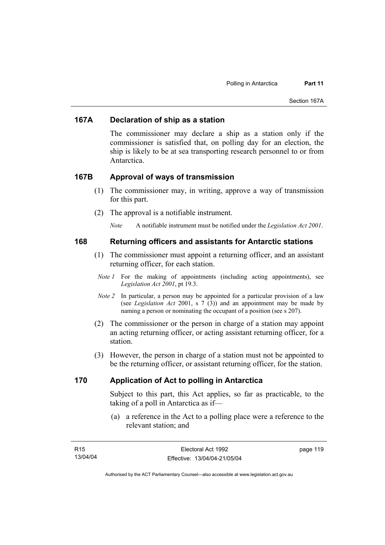#### **167A Declaration of ship as a station**

The commissioner may declare a ship as a station only if the commissioner is satisfied that, on polling day for an election, the ship is likely to be at sea transporting research personnel to or from Antarctica.

#### **167B Approval of ways of transmission**

- (1) The commissioner may, in writing, approve a way of transmission for this part.
- (2) The approval is a notifiable instrument.

*Note* A notifiable instrument must be notified under the *Legislation Act 2001*.

#### **168 Returning officers and assistants for Antarctic stations**

- (1) The commissioner must appoint a returning officer, and an assistant returning officer, for each station.
- *Note 1* For the making of appointments (including acting appointments), see *Legislation Act 2001*, pt 19.3.
- *Note 2* In particular, a person may be appointed for a particular provision of a law (see *Legislation Act* 2001, s 7 (3)) and an appointment may be made by naming a person or nominating the occupant of a position (see s 207).
- (2) The commissioner or the person in charge of a station may appoint an acting returning officer, or acting assistant returning officer, for a station.
- (3) However, the person in charge of a station must not be appointed to be the returning officer, or assistant returning officer, for the station.

#### **170 Application of Act to polling in Antarctica**

Subject to this part, this Act applies, so far as practicable, to the taking of a poll in Antarctica as if—

 (a) a reference in the Act to a polling place were a reference to the relevant station; and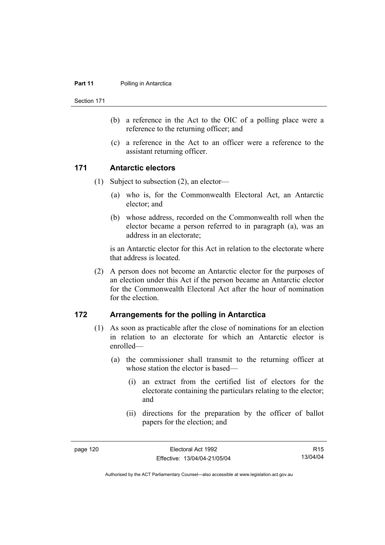#### **Part 11** Polling in Antarctica

Section 171

- (b) a reference in the Act to the OIC of a polling place were a reference to the returning officer; and
- (c) a reference in the Act to an officer were a reference to the assistant returning officer.

#### **171 Antarctic electors**

- (1) Subject to subsection (2), an elector—
	- (a) who is, for the Commonwealth Electoral Act, an Antarctic elector; and
	- (b) whose address, recorded on the Commonwealth roll when the elector became a person referred to in paragraph (a), was an address in an electorate;

is an Antarctic elector for this Act in relation to the electorate where that address is located.

 (2) A person does not become an Antarctic elector for the purposes of an election under this Act if the person became an Antarctic elector for the Commonwealth Electoral Act after the hour of nomination for the election.

#### **172 Arrangements for the polling in Antarctica**

- (1) As soon as practicable after the close of nominations for an election in relation to an electorate for which an Antarctic elector is enrolled—
	- (a) the commissioner shall transmit to the returning officer at whose station the elector is based—
		- (i) an extract from the certified list of electors for the electorate containing the particulars relating to the elector; and
		- (ii) directions for the preparation by the officer of ballot papers for the election; and

R15 13/04/04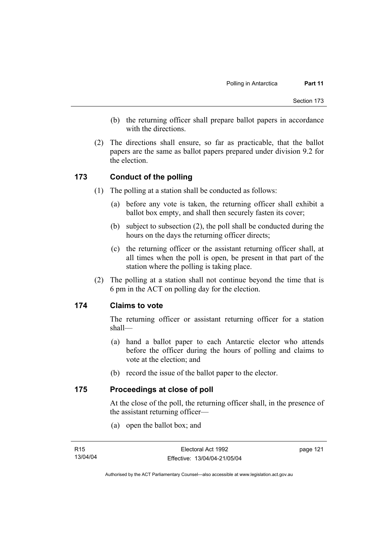- (b) the returning officer shall prepare ballot papers in accordance with the directions.
- (2) The directions shall ensure, so far as practicable, that the ballot papers are the same as ballot papers prepared under division 9.2 for the election.

#### **173 Conduct of the polling**

- (1) The polling at a station shall be conducted as follows:
	- (a) before any vote is taken, the returning officer shall exhibit a ballot box empty, and shall then securely fasten its cover;
	- (b) subject to subsection (2), the poll shall be conducted during the hours on the days the returning officer directs;
	- (c) the returning officer or the assistant returning officer shall, at all times when the poll is open, be present in that part of the station where the polling is taking place.
- (2) The polling at a station shall not continue beyond the time that is 6 pm in the ACT on polling day for the election.

#### **174 Claims to vote**

The returning officer or assistant returning officer for a station shall—

- (a) hand a ballot paper to each Antarctic elector who attends before the officer during the hours of polling and claims to vote at the election; and
- (b) record the issue of the ballot paper to the elector.

#### **175 Proceedings at close of poll**

At the close of the poll, the returning officer shall, in the presence of the assistant returning officer—

(a) open the ballot box; and

page 121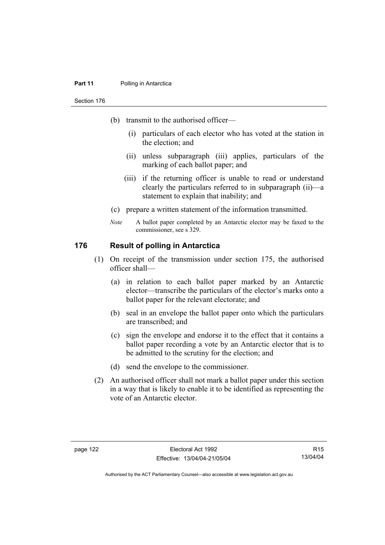#### **Part 11** Polling in Antarctica

#### Section 176

- (b) transmit to the authorised officer—
	- (i) particulars of each elector who has voted at the station in the election; and
	- (ii) unless subparagraph (iii) applies, particulars of the marking of each ballot paper; and
	- (iii) if the returning officer is unable to read or understand clearly the particulars referred to in subparagraph (ii)—a statement to explain that inability; and
- (c) prepare a written statement of the information transmitted.
- *Note* A ballot paper completed by an Antarctic elector may be faxed to the commissioner, see s 329.

#### **176 Result of polling in Antarctica**

- (1) On receipt of the transmission under section 175, the authorised officer shall—
	- (a) in relation to each ballot paper marked by an Antarctic elector—transcribe the particulars of the elector's marks onto a ballot paper for the relevant electorate; and
	- (b) seal in an envelope the ballot paper onto which the particulars are transcribed; and
	- (c) sign the envelope and endorse it to the effect that it contains a ballot paper recording a vote by an Antarctic elector that is to be admitted to the scrutiny for the election; and
	- (d) send the envelope to the commissioner.
- (2) An authorised officer shall not mark a ballot paper under this section in a way that is likely to enable it to be identified as representing the vote of an Antarctic elector.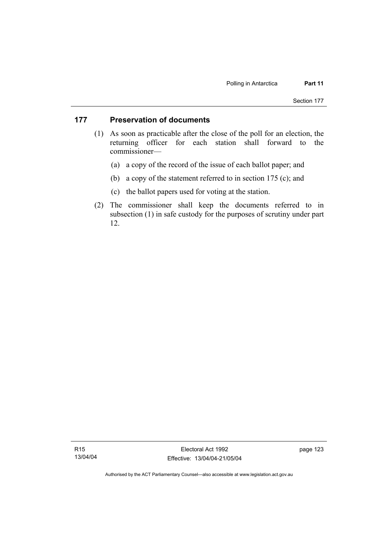#### **177 Preservation of documents**

- (1) As soon as practicable after the close of the poll for an election, the returning officer for each station shall forward to the commissioner—
	- (a) a copy of the record of the issue of each ballot paper; and
	- (b) a copy of the statement referred to in section 175 (c); and
	- (c) the ballot papers used for voting at the station.
- (2) The commissioner shall keep the documents referred to in subsection (1) in safe custody for the purposes of scrutiny under part 12.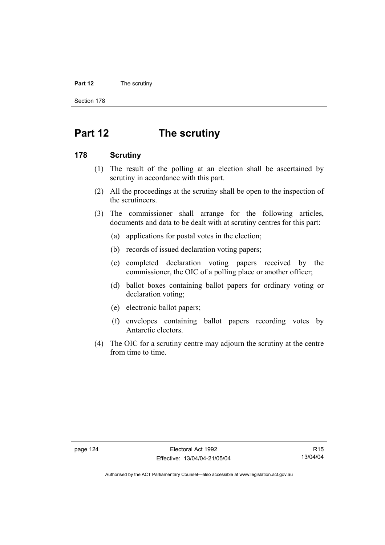#### **Part 12** The scrutiny

Section 178

# **Part 12 The scrutiny**

#### **178 Scrutiny**

- (1) The result of the polling at an election shall be ascertained by scrutiny in accordance with this part.
- (2) All the proceedings at the scrutiny shall be open to the inspection of the scrutineers.
- (3) The commissioner shall arrange for the following articles, documents and data to be dealt with at scrutiny centres for this part:
	- (a) applications for postal votes in the election;
	- (b) records of issued declaration voting papers;
	- (c) completed declaration voting papers received by the commissioner, the OIC of a polling place or another officer;
	- (d) ballot boxes containing ballot papers for ordinary voting or declaration voting;
	- (e) electronic ballot papers;
	- (f) envelopes containing ballot papers recording votes by Antarctic electors.
- (4) The OIC for a scrutiny centre may adjourn the scrutiny at the centre from time to time.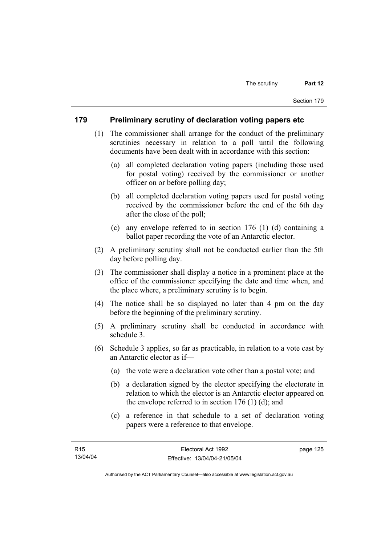#### **179 Preliminary scrutiny of declaration voting papers etc**

- (1) The commissioner shall arrange for the conduct of the preliminary scrutinies necessary in relation to a poll until the following documents have been dealt with in accordance with this section:
	- (a) all completed declaration voting papers (including those used for postal voting) received by the commissioner or another officer on or before polling day;
	- (b) all completed declaration voting papers used for postal voting received by the commissioner before the end of the 6th day after the close of the poll;
	- (c) any envelope referred to in section 176 (1) (d) containing a ballot paper recording the vote of an Antarctic elector.
- (2) A preliminary scrutiny shall not be conducted earlier than the 5th day before polling day.
- (3) The commissioner shall display a notice in a prominent place at the office of the commissioner specifying the date and time when, and the place where, a preliminary scrutiny is to begin.
- (4) The notice shall be so displayed no later than 4 pm on the day before the beginning of the preliminary scrutiny.
- (5) A preliminary scrutiny shall be conducted in accordance with schedule 3.
- (6) Schedule 3 applies, so far as practicable, in relation to a vote cast by an Antarctic elector as if—
	- (a) the vote were a declaration vote other than a postal vote; and
	- (b) a declaration signed by the elector specifying the electorate in relation to which the elector is an Antarctic elector appeared on the envelope referred to in section  $176$  (1) (d); and
	- (c) a reference in that schedule to a set of declaration voting papers were a reference to that envelope.

page 125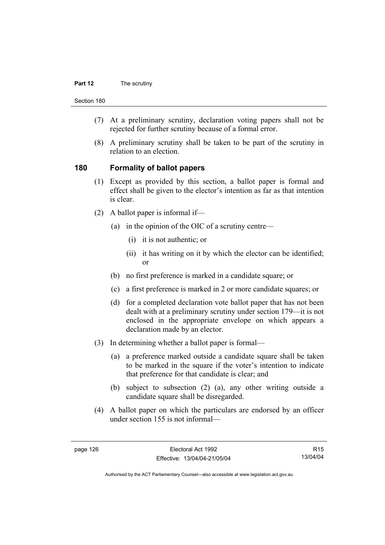#### **Part 12** The scrutiny

Section 180

- (7) At a preliminary scrutiny, declaration voting papers shall not be rejected for further scrutiny because of a formal error.
- (8) A preliminary scrutiny shall be taken to be part of the scrutiny in relation to an election.

#### **180 Formality of ballot papers**

- (1) Except as provided by this section, a ballot paper is formal and effect shall be given to the elector's intention as far as that intention is clear.
- (2) A ballot paper is informal if—
	- (a) in the opinion of the OIC of a scrutiny centre—
		- (i) it is not authentic; or
		- (ii) it has writing on it by which the elector can be identified; or
	- (b) no first preference is marked in a candidate square; or
	- (c) a first preference is marked in 2 or more candidate squares; or
	- (d) for a completed declaration vote ballot paper that has not been dealt with at a preliminary scrutiny under section 179—it is not enclosed in the appropriate envelope on which appears a declaration made by an elector.
- (3) In determining whether a ballot paper is formal—
	- (a) a preference marked outside a candidate square shall be taken to be marked in the square if the voter's intention to indicate that preference for that candidate is clear; and
	- (b) subject to subsection (2) (a), any other writing outside a candidate square shall be disregarded.
- (4) A ballot paper on which the particulars are endorsed by an officer under section 155 is not informal—

R15 13/04/04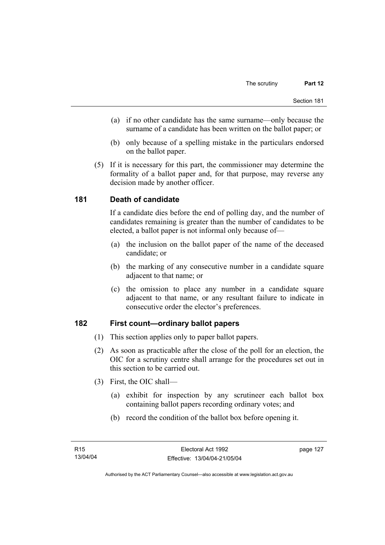- (a) if no other candidate has the same surname—only because the surname of a candidate has been written on the ballot paper; or
- (b) only because of a spelling mistake in the particulars endorsed on the ballot paper.
- (5) If it is necessary for this part, the commissioner may determine the formality of a ballot paper and, for that purpose, may reverse any decision made by another officer.

# **181 Death of candidate**

If a candidate dies before the end of polling day, and the number of candidates remaining is greater than the number of candidates to be elected, a ballot paper is not informal only because of—

- (a) the inclusion on the ballot paper of the name of the deceased candidate; or
- (b) the marking of any consecutive number in a candidate square adjacent to that name; or
- (c) the omission to place any number in a candidate square adjacent to that name, or any resultant failure to indicate in consecutive order the elector's preferences.

# **182 First count—ordinary ballot papers**

- (1) This section applies only to paper ballot papers.
- (2) As soon as practicable after the close of the poll for an election, the OIC for a scrutiny centre shall arrange for the procedures set out in this section to be carried out.
- (3) First, the OIC shall—
	- (a) exhibit for inspection by any scrutineer each ballot box containing ballot papers recording ordinary votes; and
	- (b) record the condition of the ballot box before opening it.

page 127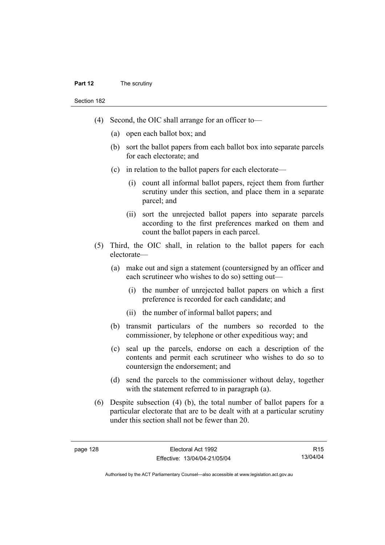#### **Part 12** The scrutiny

Section 182

- (4) Second, the OIC shall arrange for an officer to—
	- (a) open each ballot box; and
	- (b) sort the ballot papers from each ballot box into separate parcels for each electorate; and
	- (c) in relation to the ballot papers for each electorate—
		- (i) count all informal ballot papers, reject them from further scrutiny under this section, and place them in a separate parcel; and
		- (ii) sort the unrejected ballot papers into separate parcels according to the first preferences marked on them and count the ballot papers in each parcel.
- (5) Third, the OIC shall, in relation to the ballot papers for each electorate—
	- (a) make out and sign a statement (countersigned by an officer and each scrutineer who wishes to do so) setting out—
		- (i) the number of unrejected ballot papers on which a first preference is recorded for each candidate; and
		- (ii) the number of informal ballot papers; and
	- (b) transmit particulars of the numbers so recorded to the commissioner, by telephone or other expeditious way; and
	- (c) seal up the parcels, endorse on each a description of the contents and permit each scrutineer who wishes to do so to countersign the endorsement; and
	- (d) send the parcels to the commissioner without delay, together with the statement referred to in paragraph (a).
- (6) Despite subsection (4) (b), the total number of ballot papers for a particular electorate that are to be dealt with at a particular scrutiny under this section shall not be fewer than 20.

R15 13/04/04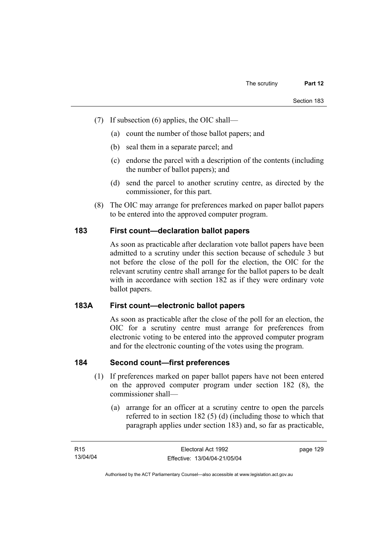- (7) If subsection (6) applies, the OIC shall—
	- (a) count the number of those ballot papers; and
	- (b) seal them in a separate parcel; and
	- (c) endorse the parcel with a description of the contents (including the number of ballot papers); and
	- (d) send the parcel to another scrutiny centre, as directed by the commissioner, for this part.
- (8) The OIC may arrange for preferences marked on paper ballot papers to be entered into the approved computer program.

# **183 First count—declaration ballot papers**

As soon as practicable after declaration vote ballot papers have been admitted to a scrutiny under this section because of schedule 3 but not before the close of the poll for the election, the OIC for the relevant scrutiny centre shall arrange for the ballot papers to be dealt with in accordance with section 182 as if they were ordinary vote ballot papers.

#### **183A First count—electronic ballot papers**

As soon as practicable after the close of the poll for an election, the OIC for a scrutiny centre must arrange for preferences from electronic voting to be entered into the approved computer program and for the electronic counting of the votes using the program.

# **184 Second count—first preferences**

- (1) If preferences marked on paper ballot papers have not been entered on the approved computer program under section 182 (8), the commissioner shall—
	- (a) arrange for an officer at a scrutiny centre to open the parcels referred to in section 182 (5) (d) (including those to which that paragraph applies under section 183) and, so far as practicable,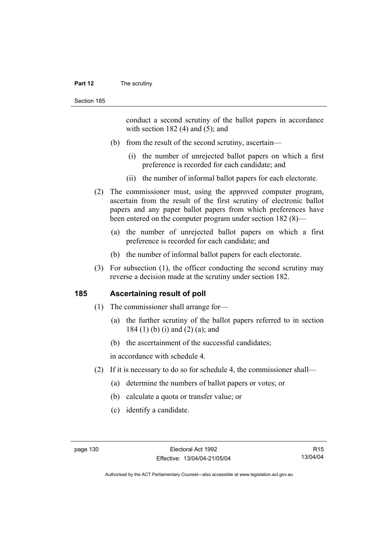#### **Part 12** The scrutiny

conduct a second scrutiny of the ballot papers in accordance with section  $182$  (4) and (5); and

- (b) from the result of the second scrutiny, ascertain—
	- (i) the number of unrejected ballot papers on which a first preference is recorded for each candidate; and
	- (ii) the number of informal ballot papers for each electorate.
- (2) The commissioner must, using the approved computer program, ascertain from the result of the first scrutiny of electronic ballot papers and any paper ballot papers from which preferences have been entered on the computer program under section 182 (8)—
	- (a) the number of unrejected ballot papers on which a first preference is recorded for each candidate; and
	- (b) the number of informal ballot papers for each electorate.
- (3) For subsection (1), the officer conducting the second scrutiny may reverse a decision made at the scrutiny under section 182.

#### **185 Ascertaining result of poll**

- (1) The commissioner shall arrange for—
	- (a) the further scrutiny of the ballot papers referred to in section 184 (1) (b) (i) and (2) (a); and
	- (b) the ascertainment of the successful candidates;

in accordance with schedule 4.

- (2) If it is necessary to do so for schedule 4, the commissioner shall—
	- (a) determine the numbers of ballot papers or votes; or
	- (b) calculate a quota or transfer value; or
	- (c) identify a candidate.

R15 13/04/04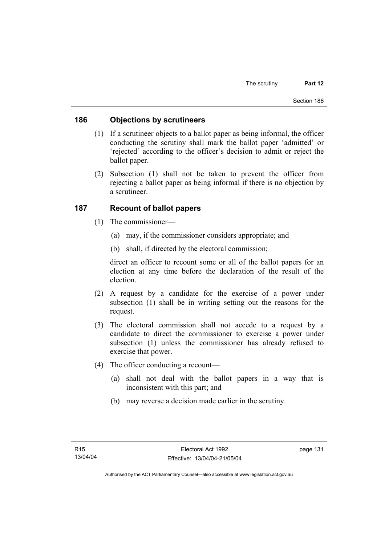#### **186 Objections by scrutineers**

- (1) If a scrutineer objects to a ballot paper as being informal, the officer conducting the scrutiny shall mark the ballot paper 'admitted' or 'rejected' according to the officer's decision to admit or reject the ballot paper.
- (2) Subsection (1) shall not be taken to prevent the officer from rejecting a ballot paper as being informal if there is no objection by a scrutineer.

## **187 Recount of ballot papers**

- (1) The commissioner—
	- (a) may, if the commissioner considers appropriate; and
	- (b) shall, if directed by the electoral commission;

direct an officer to recount some or all of the ballot papers for an election at any time before the declaration of the result of the election.

- (2) A request by a candidate for the exercise of a power under subsection (1) shall be in writing setting out the reasons for the request.
- (3) The electoral commission shall not accede to a request by a candidate to direct the commissioner to exercise a power under subsection (1) unless the commissioner has already refused to exercise that power.
- (4) The officer conducting a recount—
	- (a) shall not deal with the ballot papers in a way that is inconsistent with this part; and
	- (b) may reverse a decision made earlier in the scrutiny.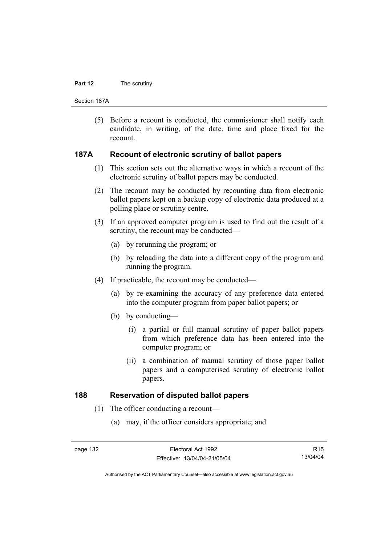#### **Part 12** The scrutiny

Section 187A

 (5) Before a recount is conducted, the commissioner shall notify each candidate, in writing, of the date, time and place fixed for the recount.

#### **187A Recount of electronic scrutiny of ballot papers**

- (1) This section sets out the alternative ways in which a recount of the electronic scrutiny of ballot papers may be conducted.
- (2) The recount may be conducted by recounting data from electronic ballot papers kept on a backup copy of electronic data produced at a polling place or scrutiny centre.
- (3) If an approved computer program is used to find out the result of a scrutiny, the recount may be conducted—
	- (a) by rerunning the program; or
	- (b) by reloading the data into a different copy of the program and running the program.
- (4) If practicable, the recount may be conducted—
	- (a) by re-examining the accuracy of any preference data entered into the computer program from paper ballot papers; or
	- (b) by conducting—
		- (i) a partial or full manual scrutiny of paper ballot papers from which preference data has been entered into the computer program; or
		- (ii) a combination of manual scrutiny of those paper ballot papers and a computerised scrutiny of electronic ballot papers.

# **188 Reservation of disputed ballot papers**

- (1) The officer conducting a recount—
	- (a) may, if the officer considers appropriate; and

R15 13/04/04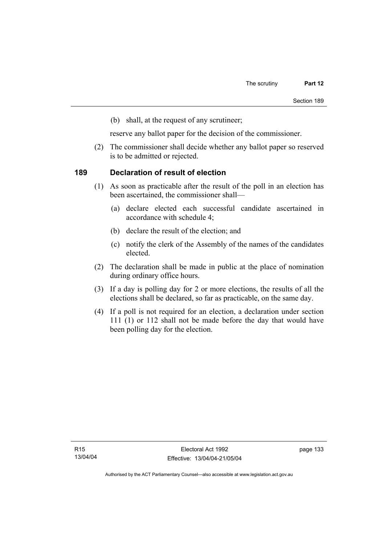(b) shall, at the request of any scrutineer;

reserve any ballot paper for the decision of the commissioner.

 (2) The commissioner shall decide whether any ballot paper so reserved is to be admitted or rejected.

## **189 Declaration of result of election**

- (1) As soon as practicable after the result of the poll in an election has been ascertained, the commissioner shall—
	- (a) declare elected each successful candidate ascertained in accordance with schedule 4;
	- (b) declare the result of the election; and
	- (c) notify the clerk of the Assembly of the names of the candidates elected.
- (2) The declaration shall be made in public at the place of nomination during ordinary office hours.
- (3) If a day is polling day for 2 or more elections, the results of all the elections shall be declared, so far as practicable, on the same day.
- (4) If a poll is not required for an election, a declaration under section 111 (1) or 112 shall not be made before the day that would have been polling day for the election.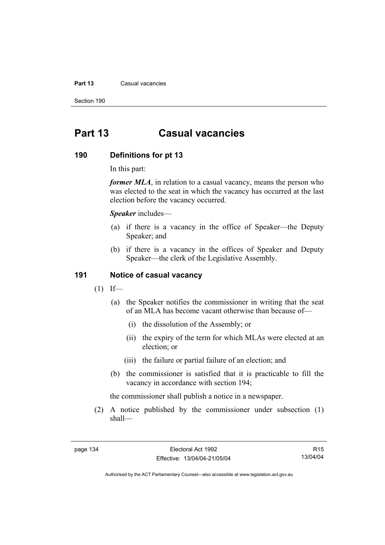#### **Part 13** Casual vacancies

Section 190

# **Part 13 Casual vacancies**

#### **190 Definitions for pt 13**

In this part:

*former MLA*, in relation to a casual vacancy, means the person who was elected to the seat in which the vacancy has occurred at the last election before the vacancy occurred.

*Speaker* includes—

- (a) if there is a vacancy in the office of Speaker—the Deputy Speaker; and
- (b) if there is a vacancy in the offices of Speaker and Deputy Speaker—the clerk of the Legislative Assembly.

#### **191 Notice of casual vacancy**

- $(1)$  If—
	- (a) the Speaker notifies the commissioner in writing that the seat of an MLA has become vacant otherwise than because of—
		- (i) the dissolution of the Assembly; or
		- (ii) the expiry of the term for which MLAs were elected at an election; or
		- (iii) the failure or partial failure of an election; and
	- (b) the commissioner is satisfied that it is practicable to fill the vacancy in accordance with section 194;

the commissioner shall publish a notice in a newspaper.

 (2) A notice published by the commissioner under subsection (1) shall—

R15 13/04/04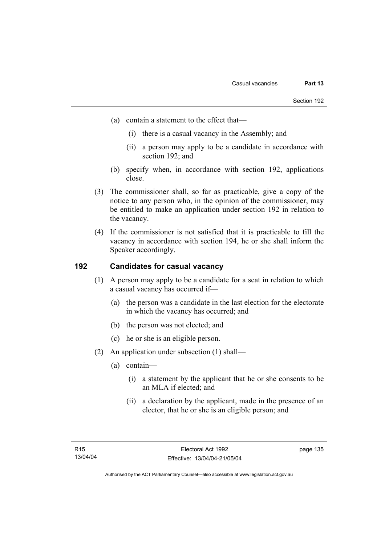- (a) contain a statement to the effect that—
	- (i) there is a casual vacancy in the Assembly; and
	- (ii) a person may apply to be a candidate in accordance with section 192; and
- (b) specify when, in accordance with section 192, applications close.
- (3) The commissioner shall, so far as practicable, give a copy of the notice to any person who, in the opinion of the commissioner, may be entitled to make an application under section 192 in relation to the vacancy.
- (4) If the commissioner is not satisfied that it is practicable to fill the vacancy in accordance with section 194, he or she shall inform the Speaker accordingly.

# **192 Candidates for casual vacancy**

- (1) A person may apply to be a candidate for a seat in relation to which a casual vacancy has occurred if—
	- (a) the person was a candidate in the last election for the electorate in which the vacancy has occurred; and
	- (b) the person was not elected; and
	- (c) he or she is an eligible person.
- (2) An application under subsection (1) shall—
	- (a) contain—
		- (i) a statement by the applicant that he or she consents to be an MLA if elected; and
		- (ii) a declaration by the applicant, made in the presence of an elector, that he or she is an eligible person; and

page 135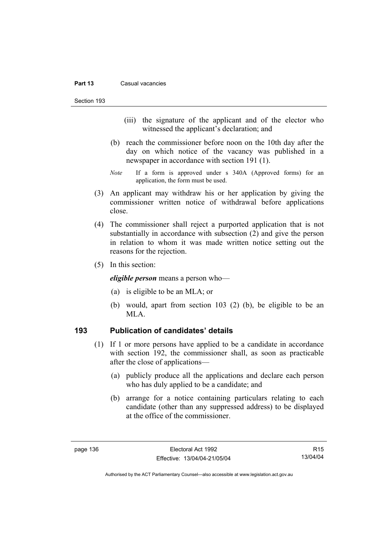#### **Part 13** Casual vacancies

Section 193

- (iii) the signature of the applicant and of the elector who witnessed the applicant's declaration; and
- (b) reach the commissioner before noon on the 10th day after the day on which notice of the vacancy was published in a newspaper in accordance with section 191 (1).
- *Note* If a form is approved under s 340A (Approved forms) for an application, the form must be used.
- (3) An applicant may withdraw his or her application by giving the commissioner written notice of withdrawal before applications close.
- (4) The commissioner shall reject a purported application that is not substantially in accordance with subsection (2) and give the person in relation to whom it was made written notice setting out the reasons for the rejection.
- (5) In this section:

*eligible person* means a person who—

- (a) is eligible to be an MLA; or
- (b) would, apart from section 103 (2) (b), be eligible to be an MLA.

# **193 Publication of candidates' details**

- (1) If 1 or more persons have applied to be a candidate in accordance with section 192, the commissioner shall, as soon as practicable after the close of applications—
	- (a) publicly produce all the applications and declare each person who has duly applied to be a candidate; and
	- (b) arrange for a notice containing particulars relating to each candidate (other than any suppressed address) to be displayed at the office of the commissioner.

R15 13/04/04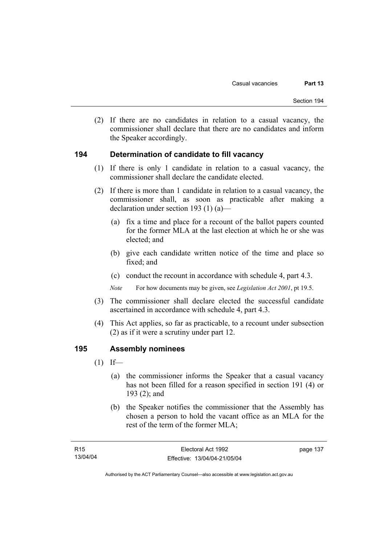(2) If there are no candidates in relation to a casual vacancy, the commissioner shall declare that there are no candidates and inform the Speaker accordingly.

## **194 Determination of candidate to fill vacancy**

- (1) If there is only 1 candidate in relation to a casual vacancy, the commissioner shall declare the candidate elected.
- (2) If there is more than 1 candidate in relation to a casual vacancy, the commissioner shall, as soon as practicable after making a declaration under section 193 (1) (a)—
	- (a) fix a time and place for a recount of the ballot papers counted for the former MLA at the last election at which he or she was elected; and
	- (b) give each candidate written notice of the time and place so fixed; and
	- (c) conduct the recount in accordance with schedule 4, part 4.3.

*Note* For how documents may be given, see *Legislation Act 2001*, pt 19.5.

- (3) The commissioner shall declare elected the successful candidate ascertained in accordance with schedule 4, part 4.3.
- (4) This Act applies, so far as practicable, to a recount under subsection (2) as if it were a scrutiny under part 12.

#### **195 Assembly nominees**

- $(1)$  If—
	- (a) the commissioner informs the Speaker that a casual vacancy has not been filled for a reason specified in section 191 (4) or 193 (2); and
	- (b) the Speaker notifies the commissioner that the Assembly has chosen a person to hold the vacant office as an MLA for the rest of the term of the former MLA;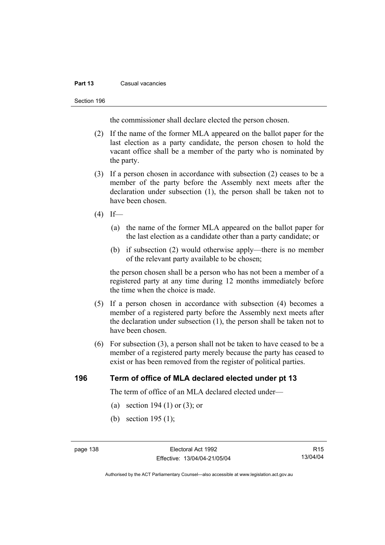#### **Part 13** Casual vacancies

#### Section 196

the commissioner shall declare elected the person chosen.

- (2) If the name of the former MLA appeared on the ballot paper for the last election as a party candidate, the person chosen to hold the vacant office shall be a member of the party who is nominated by the party.
- (3) If a person chosen in accordance with subsection (2) ceases to be a member of the party before the Assembly next meets after the declaration under subsection (1), the person shall be taken not to have been chosen.
- $(4)$  If—
	- (a) the name of the former MLA appeared on the ballot paper for the last election as a candidate other than a party candidate; or
	- (b) if subsection (2) would otherwise apply—there is no member of the relevant party available to be chosen;

the person chosen shall be a person who has not been a member of a registered party at any time during 12 months immediately before the time when the choice is made.

- (5) If a person chosen in accordance with subsection (4) becomes a member of a registered party before the Assembly next meets after the declaration under subsection (1), the person shall be taken not to have been chosen.
- (6) For subsection (3), a person shall not be taken to have ceased to be a member of a registered party merely because the party has ceased to exist or has been removed from the register of political parties.

#### **196 Term of office of MLA declared elected under pt 13**

The term of office of an MLA declared elected under—

- (a) section 194 (1) or (3); or
- (b) section 195 (1);

R15 13/04/04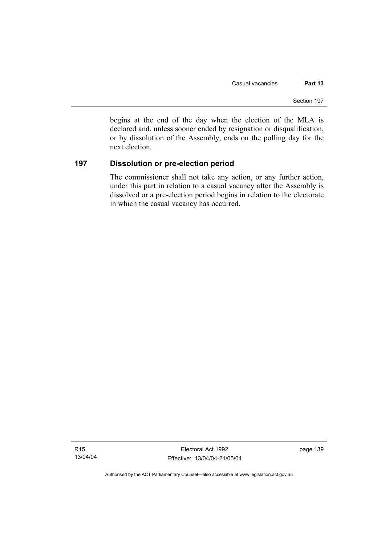begins at the end of the day when the election of the MLA is declared and, unless sooner ended by resignation or disqualification, or by dissolution of the Assembly, ends on the polling day for the next election.

# **197 Dissolution or pre-election period**

The commissioner shall not take any action, or any further action, under this part in relation to a casual vacancy after the Assembly is dissolved or a pre-election period begins in relation to the electorate in which the casual vacancy has occurred.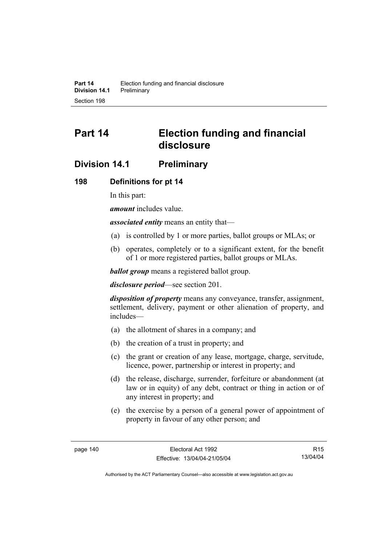# **Part 14 Election funding and financial disclosure**

# **Division 14.1 Preliminary**

#### **198 Definitions for pt 14**

In this part:

*amount* includes value.

*associated entity* means an entity that—

- (a) is controlled by 1 or more parties, ballot groups or MLAs; or
- (b) operates, completely or to a significant extent, for the benefit of 1 or more registered parties, ballot groups or MLAs.

*ballot group* means a registered ballot group.

*disclosure period*—see section 201.

*disposition of property* means any conveyance, transfer, assignment, settlement, delivery, payment or other alienation of property, and includes—

- (a) the allotment of shares in a company; and
- (b) the creation of a trust in property; and
- (c) the grant or creation of any lease, mortgage, charge, servitude, licence, power, partnership or interest in property; and
- (d) the release, discharge, surrender, forfeiture or abandonment (at law or in equity) of any debt, contract or thing in action or of any interest in property; and
- (e) the exercise by a person of a general power of appointment of property in favour of any other person; and

R15 13/04/04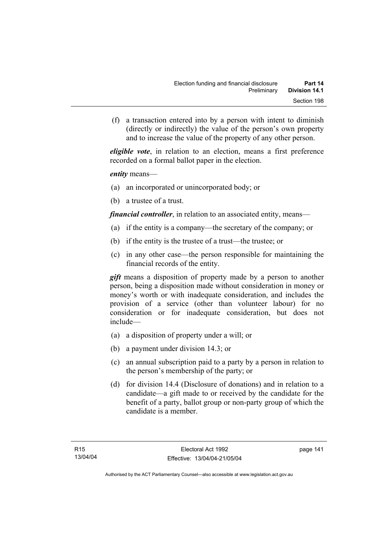(f) a transaction entered into by a person with intent to diminish (directly or indirectly) the value of the person's own property and to increase the value of the property of any other person.

*eligible vote*, in relation to an election, means a first preference recorded on a formal ballot paper in the election.

*entity* means—

- (a) an incorporated or unincorporated body; or
- (b) a trustee of a trust.

*financial controller*, in relation to an associated entity, means—

- (a) if the entity is a company—the secretary of the company; or
- (b) if the entity is the trustee of a trust—the trustee; or
- (c) in any other case—the person responsible for maintaining the financial records of the entity.

*gift* means a disposition of property made by a person to another person, being a disposition made without consideration in money or money's worth or with inadequate consideration, and includes the provision of a service (other than volunteer labour) for no consideration or for inadequate consideration, but does not include—

- (a) a disposition of property under a will; or
- (b) a payment under division 14.3; or
- (c) an annual subscription paid to a party by a person in relation to the person's membership of the party; or
- (d) for division 14.4 (Disclosure of donations) and in relation to a candidate—a gift made to or received by the candidate for the benefit of a party, ballot group or non-party group of which the candidate is a member.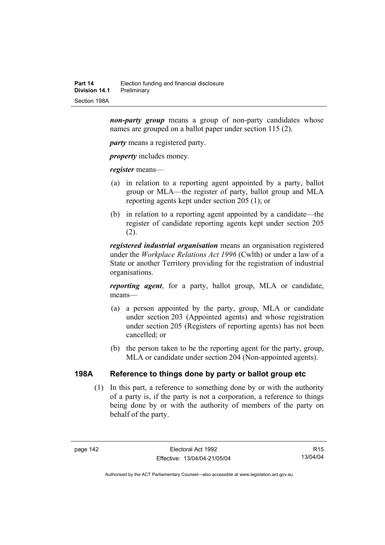*non-party group* means a group of non-party candidates whose names are grouped on a ballot paper under section 115 (2).

*party* means a registered party.

*property* includes money.

*register* means—

- (a) in relation to a reporting agent appointed by a party, ballot group or MLA—the register of party, ballot group and MLA reporting agents kept under section 205 (1); or
- (b) in relation to a reporting agent appointed by a candidate—the register of candidate reporting agents kept under section 205  $(2)$ .

*registered industrial organisation* means an organisation registered under the *Workplace Relations Act 1996* (Cwlth) or under a law of a State or another Territory providing for the registration of industrial organisations.

*reporting agent*, for a party, ballot group, MLA or candidate, means—

- (a) a person appointed by the party, group, MLA or candidate under section 203 (Appointed agents) and whose registration under section 205 (Registers of reporting agents) has not been cancelled; or
- (b) the person taken to be the reporting agent for the party, group, MLA or candidate under section 204 (Non-appointed agents).

# **198A Reference to things done by party or ballot group etc**

 (1) In this part, a reference to something done by or with the authority of a party is, if the party is not a corporation, a reference to things being done by or with the authority of members of the party on behalf of the party.

R15 13/04/04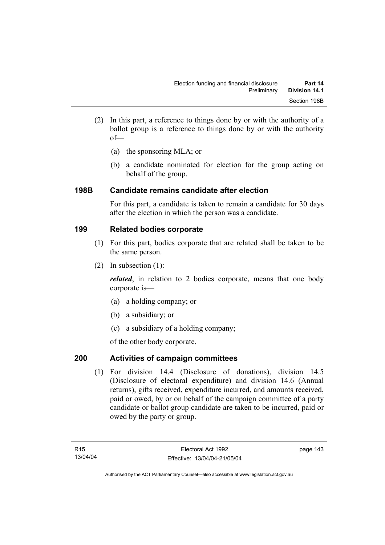- (2) In this part, a reference to things done by or with the authority of a ballot group is a reference to things done by or with the authority of—
	- (a) the sponsoring MLA; or
	- (b) a candidate nominated for election for the group acting on behalf of the group.

# **198B Candidate remains candidate after election**

For this part, a candidate is taken to remain a candidate for 30 days after the election in which the person was a candidate.

# **199 Related bodies corporate**

- (1) For this part, bodies corporate that are related shall be taken to be the same person.
- (2) In subsection (1):

*related*, in relation to 2 bodies corporate, means that one body corporate is—

- (a) a holding company; or
- (b) a subsidiary; or
- (c) a subsidiary of a holding company;

of the other body corporate.

# **200 Activities of campaign committees**

 (1) For division 14.4 (Disclosure of donations), division 14.5 (Disclosure of electoral expenditure) and division 14.6 (Annual returns), gifts received, expenditure incurred, and amounts received, paid or owed, by or on behalf of the campaign committee of a party candidate or ballot group candidate are taken to be incurred, paid or owed by the party or group.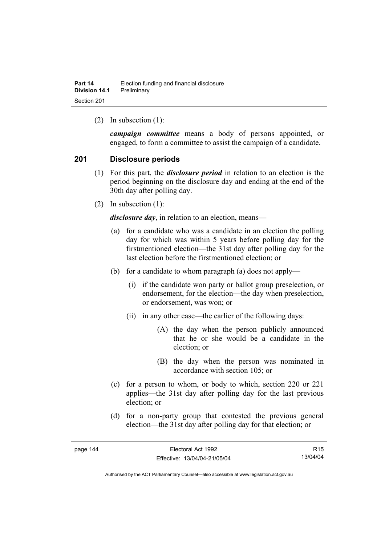(2) In subsection (1):

*campaign committee* means a body of persons appointed, or engaged, to form a committee to assist the campaign of a candidate.

## **201 Disclosure periods**

- (1) For this part, the *disclosure period* in relation to an election is the period beginning on the disclosure day and ending at the end of the 30th day after polling day.
- (2) In subsection (1):

*disclosure day*, in relation to an election, means—

- (a) for a candidate who was a candidate in an election the polling day for which was within 5 years before polling day for the firstmentioned election—the 31st day after polling day for the last election before the firstmentioned election; or
- (b) for a candidate to whom paragraph (a) does not apply—
	- (i) if the candidate won party or ballot group preselection, or endorsement, for the election—the day when preselection, or endorsement, was won; or
	- (ii) in any other case—the earlier of the following days:
		- (A) the day when the person publicly announced that he or she would be a candidate in the election; or
		- (B) the day when the person was nominated in accordance with section 105; or
- (c) for a person to whom, or body to which, section 220 or 221 applies—the 31st day after polling day for the last previous election; or
- (d) for a non-party group that contested the previous general election—the 31st day after polling day for that election; or

| eadc |  |
|------|--|
|------|--|

R15 13/04/04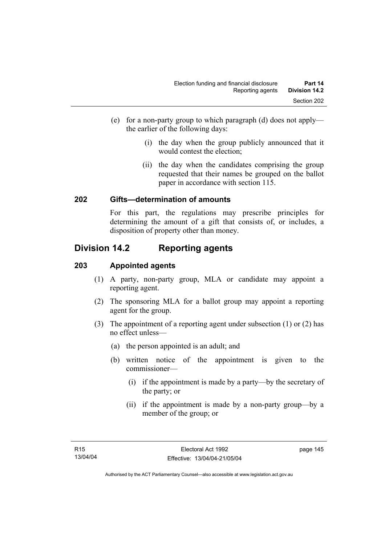- (e) for a non-party group to which paragraph (d) does not apply the earlier of the following days:
	- (i) the day when the group publicly announced that it would contest the election;
	- (ii) the day when the candidates comprising the group requested that their names be grouped on the ballot paper in accordance with section 115.

# **202 Gifts—determination of amounts**

For this part, the regulations may prescribe principles for determining the amount of a gift that consists of, or includes, a disposition of property other than money.

# **Division 14.2 Reporting agents**

## **203 Appointed agents**

- (1) A party, non-party group, MLA or candidate may appoint a reporting agent.
- (2) The sponsoring MLA for a ballot group may appoint a reporting agent for the group.
- (3) The appointment of a reporting agent under subsection (1) or (2) has no effect unless—
	- (a) the person appointed is an adult; and
	- (b) written notice of the appointment is given to the commissioner—
		- (i) if the appointment is made by a party—by the secretary of the party; or
		- (ii) if the appointment is made by a non-party group—by a member of the group; or

page 145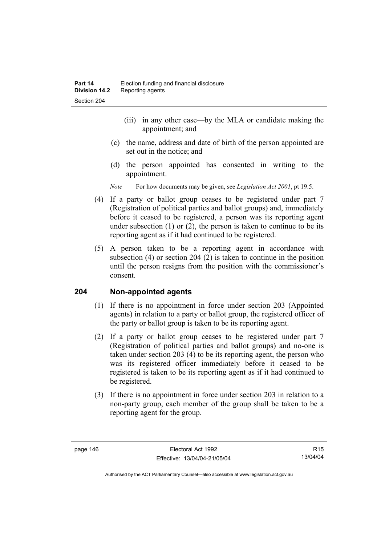- (iii) in any other case—by the MLA or candidate making the appointment; and
- (c) the name, address and date of birth of the person appointed are set out in the notice; and
- (d) the person appointed has consented in writing to the appointment.
- *Note* For how documents may be given, see *Legislation Act 2001*, pt 19.5.
- (4) If a party or ballot group ceases to be registered under part 7 (Registration of political parties and ballot groups) and, immediately before it ceased to be registered, a person was its reporting agent under subsection  $(1)$  or  $(2)$ , the person is taken to continue to be its reporting agent as if it had continued to be registered.
- (5) A person taken to be a reporting agent in accordance with subsection (4) or section 204 (2) is taken to continue in the position until the person resigns from the position with the commissioner's consent.

#### **204 Non-appointed agents**

- (1) If there is no appointment in force under section 203 (Appointed agents) in relation to a party or ballot group, the registered officer of the party or ballot group is taken to be its reporting agent.
- (2) If a party or ballot group ceases to be registered under part 7 (Registration of political parties and ballot groups) and no-one is taken under section 203 (4) to be its reporting agent, the person who was its registered officer immediately before it ceased to be registered is taken to be its reporting agent as if it had continued to be registered.
- (3) If there is no appointment in force under section 203 in relation to a non-party group, each member of the group shall be taken to be a reporting agent for the group.

R15 13/04/04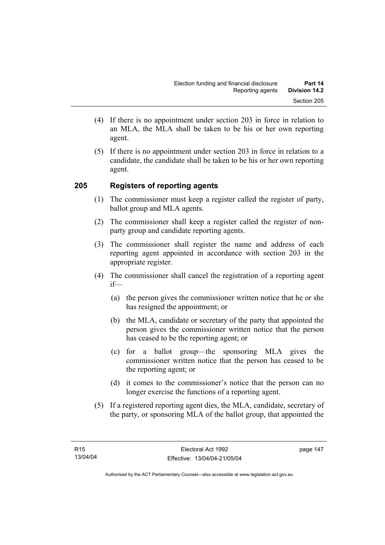- (4) If there is no appointment under section 203 in force in relation to an MLA, the MLA shall be taken to be his or her own reporting agent.
- (5) If there is no appointment under section 203 in force in relation to a candidate, the candidate shall be taken to be his or her own reporting agent.

# **205 Registers of reporting agents**

- (1) The commissioner must keep a register called the register of party, ballot group and MLA agents.
- (2) The commissioner shall keep a register called the register of nonparty group and candidate reporting agents.
- (3) The commissioner shall register the name and address of each reporting agent appointed in accordance with section 203 in the appropriate register.
- (4) The commissioner shall cancel the registration of a reporting agent if—
	- (a) the person gives the commissioner written notice that he or she has resigned the appointment; or
	- (b) the MLA, candidate or secretary of the party that appointed the person gives the commissioner written notice that the person has ceased to be the reporting agent; or
	- (c) for a ballot group—the sponsoring MLA gives the commissioner written notice that the person has ceased to be the reporting agent; or
	- (d) it comes to the commissioner's notice that the person can no longer exercise the functions of a reporting agent.
- (5) If a registered reporting agent dies, the MLA, candidate, secretary of the party, or sponsoring MLA of the ballot group, that appointed the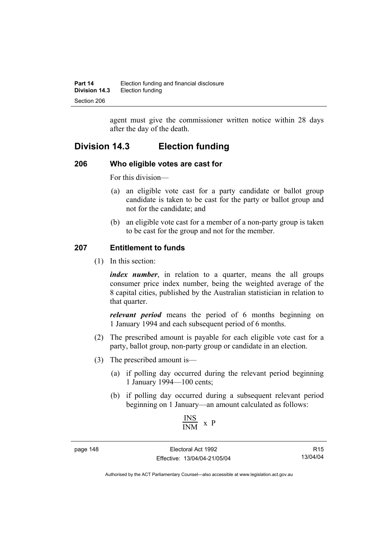agent must give the commissioner written notice within 28 days after the day of the death.

# **Division 14.3 Election funding**

#### **206 Who eligible votes are cast for**

For this division—

- (a) an eligible vote cast for a party candidate or ballot group candidate is taken to be cast for the party or ballot group and not for the candidate; and
- (b) an eligible vote cast for a member of a non-party group is taken to be cast for the group and not for the member.

# **207 Entitlement to funds**

(1) In this section:

*index number*, in relation to a quarter, means the all groups consumer price index number, being the weighted average of the 8 capital cities, published by the Australian statistician in relation to that quarter.

*relevant period* means the period of 6 months beginning on 1 January 1994 and each subsequent period of 6 months.

- (2) The prescribed amount is payable for each eligible vote cast for a party, ballot group, non-party group or candidate in an election.
- (3) The prescribed amount is—
	- (a) if polling day occurred during the relevant period beginning 1 January 1994—100 cents;
	- (b) if polling day occurred during a subsequent relevant period beginning on 1 January—an amount calculated as follows:

$$
\frac{\text{INS}}{\text{INM}} \times P
$$

page 148 Electoral Act 1992 Effective: 13/04/04-21/05/04

R15 13/04/04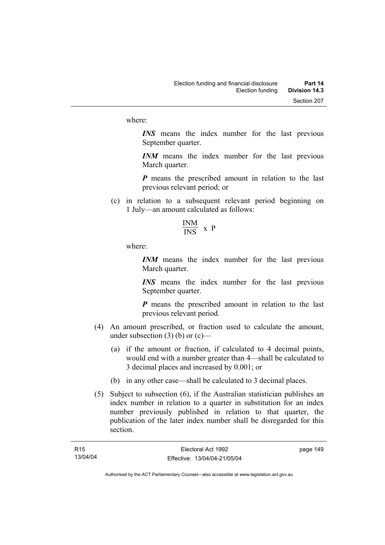where:

*INS* means the index number for the last previous September quarter.

*INM* means the index number for the last previous March quarter.

*P* means the prescribed amount in relation to the last previous relevant period; or

- (c) in relation to a subsequent relevant period beginning on 1 July—an amount calculated as follows:
	- INM  $\frac{1}{1}$  x P

where:

*INM* means the index number for the last previous March quarter.

*INS* means the index number for the last previous September quarter.

*P* means the prescribed amount in relation to the last previous relevant period.

- (4) An amount prescribed, or fraction used to calculate the amount, under subsection  $(3)$  (b) or  $(c)$ —
	- (a) if the amount or fraction, if calculated to 4 decimal points, would end with a number greater than 4—shall be calculated to 3 decimal places and increased by 0.001; or
	- (b) in any other case—shall be calculated to 3 decimal places.
- (5) Subject to subsection (6), if the Australian statistician publishes an index number in relation to a quarter in substitution for an index number previously published in relation to that quarter, the publication of the later index number shall be disregarded for this section.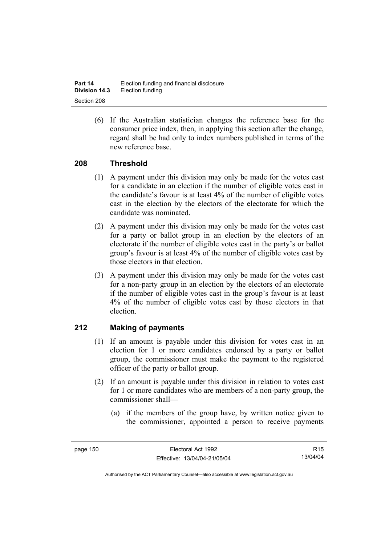| Part 14              | Election funding and financial disclosure |
|----------------------|-------------------------------------------|
| <b>Division 14.3</b> | Election funding                          |
| Section 208          |                                           |

 (6) If the Australian statistician changes the reference base for the consumer price index, then, in applying this section after the change, regard shall be had only to index numbers published in terms of the new reference base.

## **208 Threshold**

- (1) A payment under this division may only be made for the votes cast for a candidate in an election if the number of eligible votes cast in the candidate's favour is at least 4% of the number of eligible votes cast in the election by the electors of the electorate for which the candidate was nominated.
- (2) A payment under this division may only be made for the votes cast for a party or ballot group in an election by the electors of an electorate if the number of eligible votes cast in the party's or ballot group's favour is at least 4% of the number of eligible votes cast by those electors in that election.
- (3) A payment under this division may only be made for the votes cast for a non-party group in an election by the electors of an electorate if the number of eligible votes cast in the group's favour is at least 4% of the number of eligible votes cast by those electors in that election.

# **212 Making of payments**

- (1) If an amount is payable under this division for votes cast in an election for 1 or more candidates endorsed by a party or ballot group, the commissioner must make the payment to the registered officer of the party or ballot group.
- (2) If an amount is payable under this division in relation to votes cast for 1 or more candidates who are members of a non-party group, the commissioner shall—
	- (a) if the members of the group have, by written notice given to the commissioner, appointed a person to receive payments

R15 13/04/04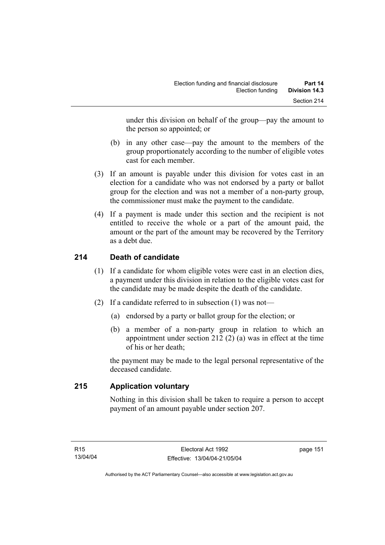under this division on behalf of the group—pay the amount to the person so appointed; or

- (b) in any other case—pay the amount to the members of the group proportionately according to the number of eligible votes cast for each member.
- (3) If an amount is payable under this division for votes cast in an election for a candidate who was not endorsed by a party or ballot group for the election and was not a member of a non-party group, the commissioner must make the payment to the candidate.
- (4) If a payment is made under this section and the recipient is not entitled to receive the whole or a part of the amount paid, the amount or the part of the amount may be recovered by the Territory as a debt due.

# **214 Death of candidate**

- (1) If a candidate for whom eligible votes were cast in an election dies, a payment under this division in relation to the eligible votes cast for the candidate may be made despite the death of the candidate.
- (2) If a candidate referred to in subsection (1) was not—
	- (a) endorsed by a party or ballot group for the election; or
	- (b) a member of a non-party group in relation to which an appointment under section 212 (2) (a) was in effect at the time of his or her death;

the payment may be made to the legal personal representative of the deceased candidate.

# **215 Application voluntary**

Nothing in this division shall be taken to require a person to accept payment of an amount payable under section 207.

page 151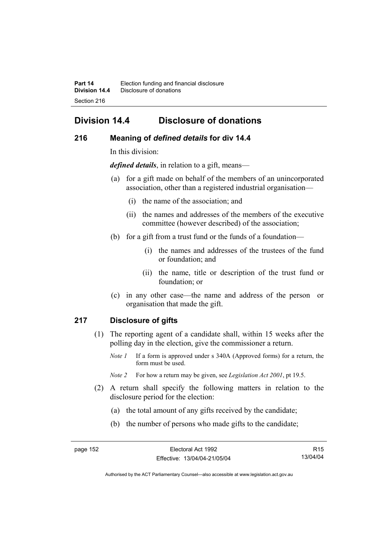# **Division 14.4 Disclosure of donations**

## **216 Meaning of** *defined details* **for div 14.4**

In this division:

*defined details*, in relation to a gift, means—

- (a) for a gift made on behalf of the members of an unincorporated association, other than a registered industrial organisation—
	- (i) the name of the association; and
	- (ii) the names and addresses of the members of the executive committee (however described) of the association;
- (b) for a gift from a trust fund or the funds of a foundation—
	- (i) the names and addresses of the trustees of the fund or foundation; and
	- (ii) the name, title or description of the trust fund or foundation; or
- (c) in any other case—the name and address of the person or organisation that made the gift.

#### **217 Disclosure of gifts**

- (1) The reporting agent of a candidate shall, within 15 weeks after the polling day in the election, give the commissioner a return.
	- *Note 1* If a form is approved under s 340A (Approved forms) for a return, the form must be used.
	- *Note 2* For how a return may be given, see *Legislation Act 2001*, pt 19.5.
- (2) A return shall specify the following matters in relation to the disclosure period for the election:
	- (a) the total amount of any gifts received by the candidate;
	- (b) the number of persons who made gifts to the candidate;

R15 13/04/04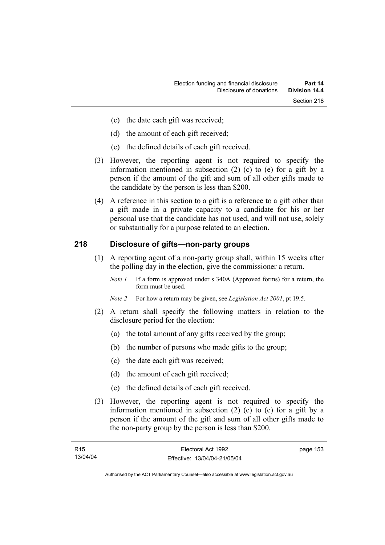- (c) the date each gift was received;
- (d) the amount of each gift received;
- (e) the defined details of each gift received.
- (3) However, the reporting agent is not required to specify the information mentioned in subsection (2) (c) to (e) for a gift by a person if the amount of the gift and sum of all other gifts made to the candidate by the person is less than \$200.
- (4) A reference in this section to a gift is a reference to a gift other than a gift made in a private capacity to a candidate for his or her personal use that the candidate has not used, and will not use, solely or substantially for a purpose related to an election.

## **218 Disclosure of gifts—non-party groups**

- (1) A reporting agent of a non-party group shall, within 15 weeks after the polling day in the election, give the commissioner a return.
	- *Note 1* If a form is approved under s 340A (Approved forms) for a return, the form must be used.
	- *Note 2* For how a return may be given, see *Legislation Act 2001*, pt 19.5.
- (2) A return shall specify the following matters in relation to the disclosure period for the election:
	- (a) the total amount of any gifts received by the group;
	- (b) the number of persons who made gifts to the group;
	- (c) the date each gift was received;
	- (d) the amount of each gift received;
	- (e) the defined details of each gift received.
- (3) However, the reporting agent is not required to specify the information mentioned in subsection (2) (c) to (e) for a gift by a person if the amount of the gift and sum of all other gifts made to the non-party group by the person is less than \$200.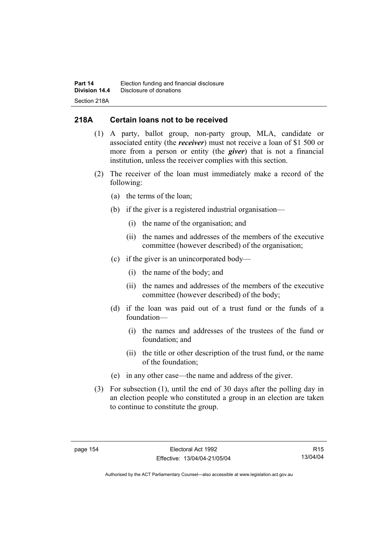# **218A Certain loans not to be received**

- (1) A party, ballot group, non-party group, MLA, candidate or associated entity (the *receiver*) must not receive a loan of \$1 500 or more from a person or entity (the *giver*) that is not a financial institution, unless the receiver complies with this section.
- (2) The receiver of the loan must immediately make a record of the following:
	- (a) the terms of the loan;
	- (b) if the giver is a registered industrial organisation—
		- (i) the name of the organisation; and
		- (ii) the names and addresses of the members of the executive committee (however described) of the organisation;
	- (c) if the giver is an unincorporated body—
		- (i) the name of the body; and
		- (ii) the names and addresses of the members of the executive committee (however described) of the body;
	- (d) if the loan was paid out of a trust fund or the funds of a foundation—
		- (i) the names and addresses of the trustees of the fund or foundation; and
		- (ii) the title or other description of the trust fund, or the name of the foundation;
	- (e) in any other case—the name and address of the giver.
- (3) For subsection (1), until the end of 30 days after the polling day in an election people who constituted a group in an election are taken to continue to constitute the group.

R15 13/04/04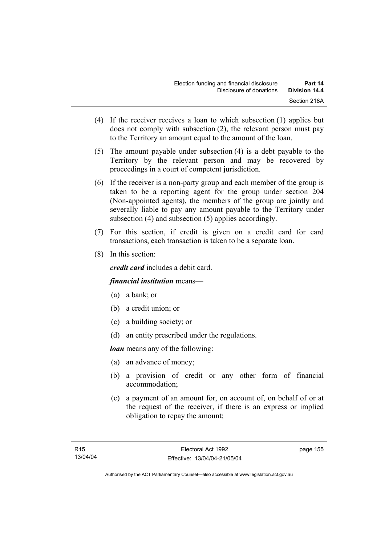- (4) If the receiver receives a loan to which subsection (1) applies but does not comply with subsection (2), the relevant person must pay to the Territory an amount equal to the amount of the loan.
- (5) The amount payable under subsection (4) is a debt payable to the Territory by the relevant person and may be recovered by proceedings in a court of competent jurisdiction.
- (6) If the receiver is a non-party group and each member of the group is taken to be a reporting agent for the group under section 204 (Non-appointed agents), the members of the group are jointly and severally liable to pay any amount payable to the Territory under subsection (4) and subsection (5) applies accordingly.
- (7) For this section, if credit is given on a credit card for card transactions, each transaction is taken to be a separate loan.
- (8) In this section:

*credit card* includes a debit card.

# *financial institution* means—

- (a) a bank; or
- (b) a credit union; or
- (c) a building society; or
- (d) an entity prescribed under the regulations.

*loan* means any of the following:

- (a) an advance of money;
- (b) a provision of credit or any other form of financial accommodation;
- (c) a payment of an amount for, on account of, on behalf of or at the request of the receiver, if there is an express or implied obligation to repay the amount;

page 155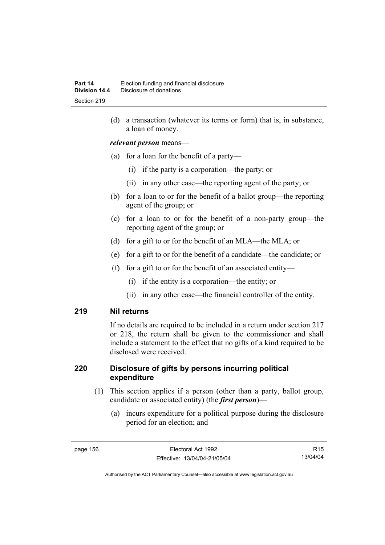(d) a transaction (whatever its terms or form) that is, in substance, a loan of money.

#### *relevant person* means—

- (a) for a loan for the benefit of a party—
	- (i) if the party is a corporation—the party; or
	- (ii) in any other case—the reporting agent of the party; or
- (b) for a loan to or for the benefit of a ballot group—the reporting agent of the group; or
- (c) for a loan to or for the benefit of a non-party group—the reporting agent of the group; or
- (d) for a gift to or for the benefit of an MLA—the MLA; or
- (e) for a gift to or for the benefit of a candidate—the candidate; or
- (f) for a gift to or for the benefit of an associated entity—
	- (i) if the entity is a corporation—the entity; or
	- (ii) in any other case—the financial controller of the entity.

#### **219 Nil returns**

If no details are required to be included in a return under section 217 or 218, the return shall be given to the commissioner and shall include a statement to the effect that no gifts of a kind required to be disclosed were received.

#### **220 Disclosure of gifts by persons incurring political expenditure**

- (1) This section applies if a person (other than a party, ballot group, candidate or associated entity) (the *first person*)—
	- (a) incurs expenditure for a political purpose during the disclosure period for an election; and

R15 13/04/04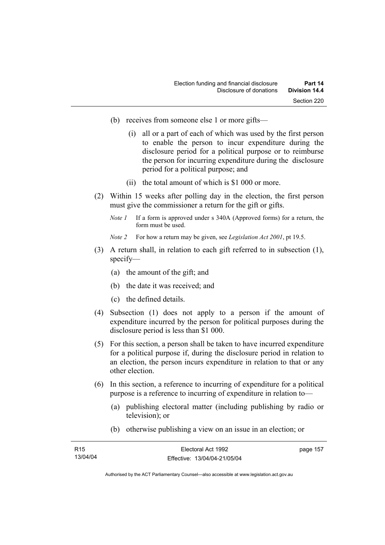- (b) receives from someone else 1 or more gifts—
	- (i) all or a part of each of which was used by the first person to enable the person to incur expenditure during the disclosure period for a political purpose or to reimburse the person for incurring expenditure during the disclosure period for a political purpose; and
	- (ii) the total amount of which is \$1 000 or more.
- (2) Within 15 weeks after polling day in the election, the first person must give the commissioner a return for the gift or gifts.
	- *Note 1* If a form is approved under s 340A (Approved forms) for a return, the form must be used.
	- *Note 2* For how a return may be given, see *Legislation Act 2001*, pt 19.5.
- (3) A return shall, in relation to each gift referred to in subsection (1), specify—
	- (a) the amount of the gift; and
	- (b) the date it was received; and
	- (c) the defined details.
- (4) Subsection (1) does not apply to a person if the amount of expenditure incurred by the person for political purposes during the disclosure period is less than \$1 000.
- (5) For this section, a person shall be taken to have incurred expenditure for a political purpose if, during the disclosure period in relation to an election, the person incurs expenditure in relation to that or any other election.
- (6) In this section, a reference to incurring of expenditure for a political purpose is a reference to incurring of expenditure in relation to—
	- (a) publishing electoral matter (including publishing by radio or television); or
	- (b) otherwise publishing a view on an issue in an election; or

| R <sub>15</sub> | Electoral Act 1992           | page 157 |
|-----------------|------------------------------|----------|
| 13/04/04        | Effective: 13/04/04-21/05/04 |          |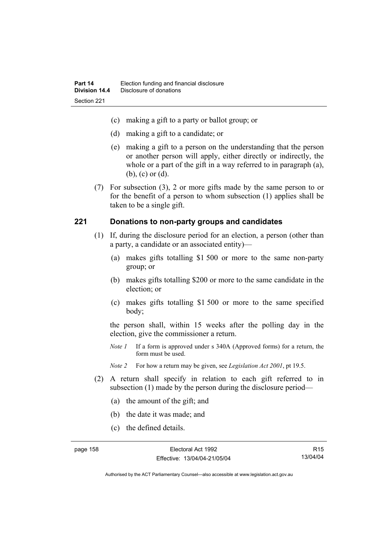- (c) making a gift to a party or ballot group; or
- (d) making a gift to a candidate; or
- (e) making a gift to a person on the understanding that the person or another person will apply, either directly or indirectly, the whole or a part of the gift in a way referred to in paragraph (a), (b), (c) or (d).
- (7) For subsection (3), 2 or more gifts made by the same person to or for the benefit of a person to whom subsection (1) applies shall be taken to be a single gift.

#### **221 Donations to non-party groups and candidates**

- (1) If, during the disclosure period for an election, a person (other than a party, a candidate or an associated entity)—
	- (a) makes gifts totalling \$1 500 or more to the same non-party group; or
	- (b) makes gifts totalling \$200 or more to the same candidate in the election; or
	- (c) makes gifts totalling \$1 500 or more to the same specified body;

the person shall, within 15 weeks after the polling day in the election, give the commissioner a return.

*Note 1* If a form is approved under s 340A (Approved forms) for a return, the form must be used.

*Note 2* For how a return may be given, see *Legislation Act 2001*, pt 19.5.

- (2) A return shall specify in relation to each gift referred to in subsection (1) made by the person during the disclosure period—
	- (a) the amount of the gift; and
	- (b) the date it was made; and
	- (c) the defined details.

R15 13/04/04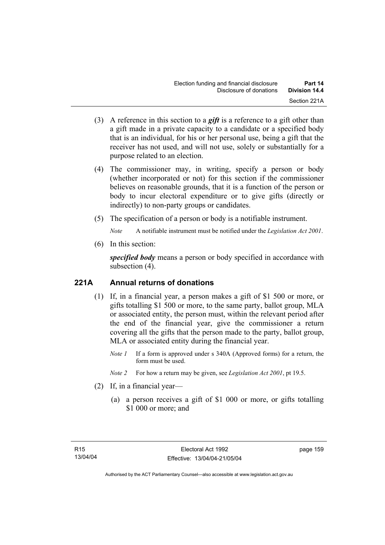- (3) A reference in this section to a *gift* is a reference to a gift other than a gift made in a private capacity to a candidate or a specified body that is an individual, for his or her personal use, being a gift that the receiver has not used, and will not use, solely or substantially for a purpose related to an election.
- (4) The commissioner may, in writing, specify a person or body (whether incorporated or not) for this section if the commissioner believes on reasonable grounds, that it is a function of the person or body to incur electoral expenditure or to give gifts (directly or indirectly) to non-party groups or candidates.
- (5) The specification of a person or body is a notifiable instrument.

*Note* A notifiable instrument must be notified under the *Legislation Act 2001*.

(6) In this section:

*specified body* means a person or body specified in accordance with subsection (4).

# **221A Annual returns of donations**

- (1) If, in a financial year, a person makes a gift of \$1 500 or more, or gifts totalling \$1 500 or more, to the same party, ballot group, MLA or associated entity, the person must, within the relevant period after the end of the financial year, give the commissioner a return covering all the gifts that the person made to the party, ballot group, MLA or associated entity during the financial year.
	- *Note 1* If a form is approved under s 340A (Approved forms) for a return, the form must be used.
	- *Note 2* For how a return may be given, see *Legislation Act 2001*, pt 19.5.
- (2) If, in a financial year—
	- (a) a person receives a gift of \$1 000 or more, or gifts totalling \$1 000 or more; and

page 159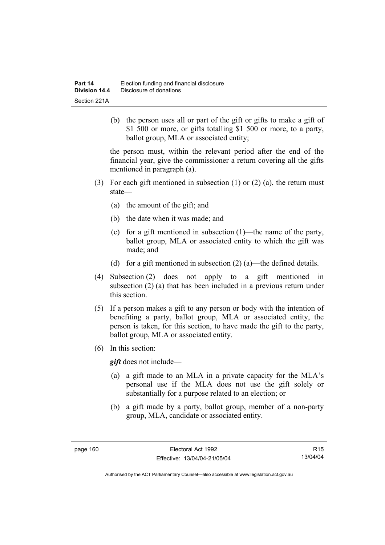(b) the person uses all or part of the gift or gifts to make a gift of \$1 500 or more, or gifts totalling \$1 500 or more, to a party, ballot group, MLA or associated entity;

the person must, within the relevant period after the end of the financial year, give the commissioner a return covering all the gifts mentioned in paragraph (a).

- (3) For each gift mentioned in subsection (1) or (2) (a), the return must state—
	- (a) the amount of the gift; and
	- (b) the date when it was made; and
	- (c) for a gift mentioned in subsection (1)—the name of the party, ballot group, MLA or associated entity to which the gift was made; and
	- (d) for a gift mentioned in subsection  $(2)$  (a)—the defined details.
- (4) Subsection (2) does not apply to a gift mentioned in subsection (2) (a) that has been included in a previous return under this section.
- (5) If a person makes a gift to any person or body with the intention of benefiting a party, ballot group, MLA or associated entity, the person is taken, for this section, to have made the gift to the party, ballot group, MLA or associated entity.
- (6) In this section:

*gift* does not include—

- (a) a gift made to an MLA in a private capacity for the MLA's personal use if the MLA does not use the gift solely or substantially for a purpose related to an election; or
- (b) a gift made by a party, ballot group, member of a non-party group, MLA, candidate or associated entity.

R15 13/04/04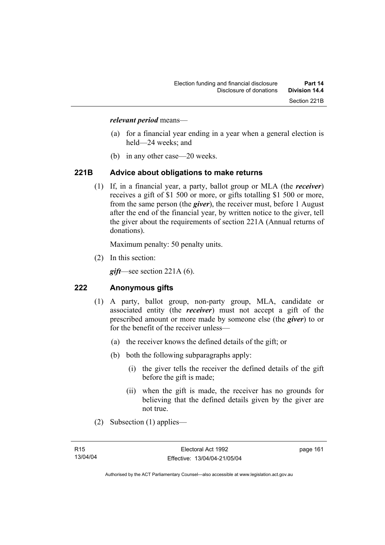#### *relevant period* means—

- (a) for a financial year ending in a year when a general election is held—24 weeks; and
- (b) in any other case—20 weeks.

## **221B Advice about obligations to make returns**

 (1) If, in a financial year, a party, ballot group or MLA (the *receiver*) receives a gift of \$1 500 or more, or gifts totalling \$1 500 or more, from the same person (the *giver*), the receiver must, before 1 August after the end of the financial year, by written notice to the giver, tell the giver about the requirements of section 221A (Annual returns of donations).

Maximum penalty: 50 penalty units.

(2) In this section:

*gift*—see section 221A (6).

# **222 Anonymous gifts**

- (1) A party, ballot group, non-party group, MLA, candidate or associated entity (the *receiver*) must not accept a gift of the prescribed amount or more made by someone else (the *giver*) to or for the benefit of the receiver unless—
	- (a) the receiver knows the defined details of the gift; or
	- (b) both the following subparagraphs apply:
		- (i) the giver tells the receiver the defined details of the gift before the gift is made;
		- (ii) when the gift is made, the receiver has no grounds for believing that the defined details given by the giver are not true.
- (2) Subsection (1) applies—

page 161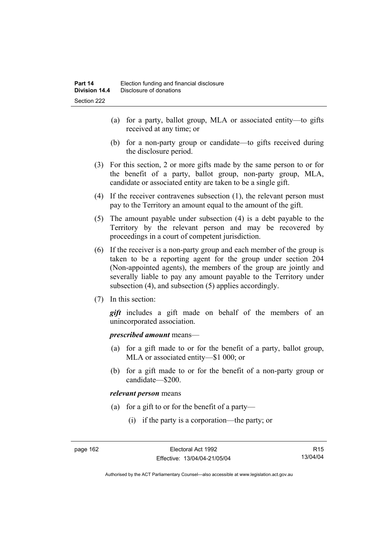- (a) for a party, ballot group, MLA or associated entity—to gifts received at any time; or
- (b) for a non-party group or candidate—to gifts received during the disclosure period.
- (3) For this section, 2 or more gifts made by the same person to or for the benefit of a party, ballot group, non-party group, MLA, candidate or associated entity are taken to be a single gift.
- (4) If the receiver contravenes subsection (1), the relevant person must pay to the Territory an amount equal to the amount of the gift.
- (5) The amount payable under subsection (4) is a debt payable to the Territory by the relevant person and may be recovered by proceedings in a court of competent jurisdiction.
- (6) If the receiver is a non-party group and each member of the group is taken to be a reporting agent for the group under section 204 (Non-appointed agents), the members of the group are jointly and severally liable to pay any amount payable to the Territory under subsection (4), and subsection (5) applies accordingly.
- (7) In this section:

*gift* includes a gift made on behalf of the members of an unincorporated association.

#### *prescribed amount* means—

- (a) for a gift made to or for the benefit of a party, ballot group, MLA or associated entity—\$1 000; or
- (b) for a gift made to or for the benefit of a non-party group or candidate—\$200.

#### *relevant person* means

- (a) for a gift to or for the benefit of a party—
	- (i) if the party is a corporation—the party; or

R15 13/04/04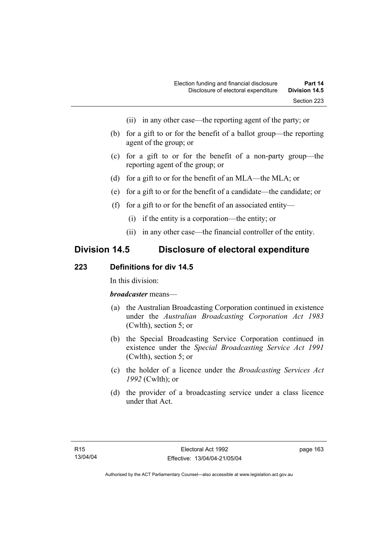- (ii) in any other case—the reporting agent of the party; or
- (b) for a gift to or for the benefit of a ballot group—the reporting agent of the group; or
- (c) for a gift to or for the benefit of a non-party group—the reporting agent of the group; or
- (d) for a gift to or for the benefit of an MLA—the MLA; or
- (e) for a gift to or for the benefit of a candidate—the candidate; or
- (f) for a gift to or for the benefit of an associated entity—
	- (i) if the entity is a corporation—the entity; or
	- (ii) in any other case—the financial controller of the entity.

# **Division 14.5 Disclosure of electoral expenditure**

#### **223 Definitions for div 14.5**

In this division:

#### *broadcaster* means—

- (a) the Australian Broadcasting Corporation continued in existence under the *Australian Broadcasting Corporation Act 1983* (Cwlth), section 5; or
- (b) the Special Broadcasting Service Corporation continued in existence under the *Special Broadcasting Service Act 1991*  (Cwlth), section 5; or
- (c) the holder of a licence under the *Broadcasting Services Act 1992* (Cwlth); or
- (d) the provider of a broadcasting service under a class licence under that Act.

page 163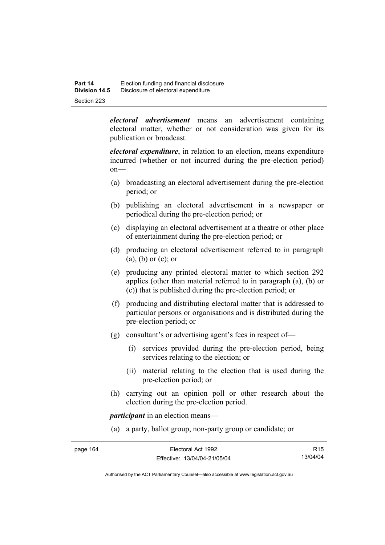*electoral advertisement* means an advertisement containing electoral matter, whether or not consideration was given for its publication or broadcast.

*electoral expenditure*, in relation to an election, means expenditure incurred (whether or not incurred during the pre-election period) on—

- (a) broadcasting an electoral advertisement during the pre-election period; or
- (b) publishing an electoral advertisement in a newspaper or periodical during the pre-election period; or
- (c) displaying an electoral advertisement at a theatre or other place of entertainment during the pre-election period; or
- (d) producing an electoral advertisement referred to in paragraph (a), (b) or (c); or
- (e) producing any printed electoral matter to which section 292 applies (other than material referred to in paragraph (a), (b) or (c)) that is published during the pre-election period; or
- (f) producing and distributing electoral matter that is addressed to particular persons or organisations and is distributed during the pre-election period; or
- (g) consultant's or advertising agent's fees in respect of—
	- (i) services provided during the pre-election period, being services relating to the election; or
	- (ii) material relating to the election that is used during the pre-election period; or
- (h) carrying out an opinion poll or other research about the election during the pre-election period.

*participant* in an election means—

(a) a party, ballot group, non-party group or candidate; or

| Electoral Act 1992           | R <sub>15</sub> |
|------------------------------|-----------------|
| Effective: 13/04/04-21/05/04 | 13/04/04        |
|                              |                 |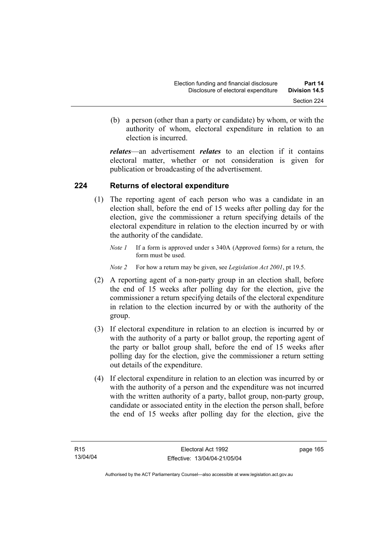(b) a person (other than a party or candidate) by whom, or with the authority of whom, electoral expenditure in relation to an election is incurred.

*relates*—an advertisement *relates* to an election if it contains electoral matter, whether or not consideration is given for publication or broadcasting of the advertisement.

### **224 Returns of electoral expenditure**

- (1) The reporting agent of each person who was a candidate in an election shall, before the end of 15 weeks after polling day for the election, give the commissioner a return specifying details of the electoral expenditure in relation to the election incurred by or with the authority of the candidate.
	- *Note 1* If a form is approved under s 340A (Approved forms) for a return, the form must be used.
	- *Note 2* For how a return may be given, see *Legislation Act 2001*, pt 19.5.
- (2) A reporting agent of a non-party group in an election shall, before the end of 15 weeks after polling day for the election, give the commissioner a return specifying details of the electoral expenditure in relation to the election incurred by or with the authority of the group.
- (3) If electoral expenditure in relation to an election is incurred by or with the authority of a party or ballot group, the reporting agent of the party or ballot group shall, before the end of 15 weeks after polling day for the election, give the commissioner a return setting out details of the expenditure.
- (4) If electoral expenditure in relation to an election was incurred by or with the authority of a person and the expenditure was not incurred with the written authority of a party, ballot group, non-party group, candidate or associated entity in the election the person shall, before the end of 15 weeks after polling day for the election, give the

page 165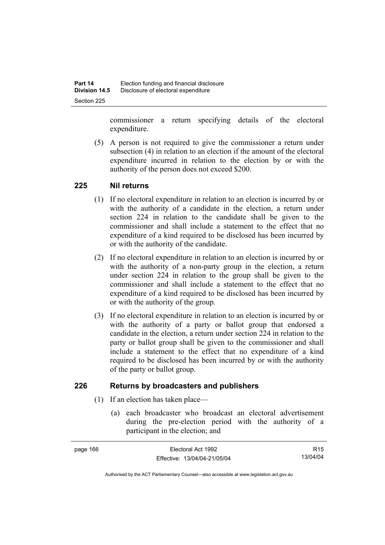commissioner a return specifying details of the electoral expenditure.

 (5) A person is not required to give the commissioner a return under subsection (4) in relation to an election if the amount of the electoral expenditure incurred in relation to the election by or with the authority of the person does not exceed \$200.

#### **225 Nil returns**

- (1) If no electoral expenditure in relation to an election is incurred by or with the authority of a candidate in the election, a return under section 224 in relation to the candidate shall be given to the commissioner and shall include a statement to the effect that no expenditure of a kind required to be disclosed has been incurred by or with the authority of the candidate.
- (2) If no electoral expenditure in relation to an election is incurred by or with the authority of a non-party group in the election, a return under section 224 in relation to the group shall be given to the commissioner and shall include a statement to the effect that no expenditure of a kind required to be disclosed has been incurred by or with the authority of the group.
- (3) If no electoral expenditure in relation to an election is incurred by or with the authority of a party or ballot group that endorsed a candidate in the election, a return under section 224 in relation to the party or ballot group shall be given to the commissioner and shall include a statement to the effect that no expenditure of a kind required to be disclosed has been incurred by or with the authority of the party or ballot group.

## **226 Returns by broadcasters and publishers**

- (1) If an election has taken place—
	- (a) each broadcaster who broadcast an electoral advertisement during the pre-election period with the authority of a participant in the election; and

| page 166 | Electoral Act 1992           | R <sub>15</sub> |
|----------|------------------------------|-----------------|
|          | Effective: 13/04/04-21/05/04 | 13/04/04        |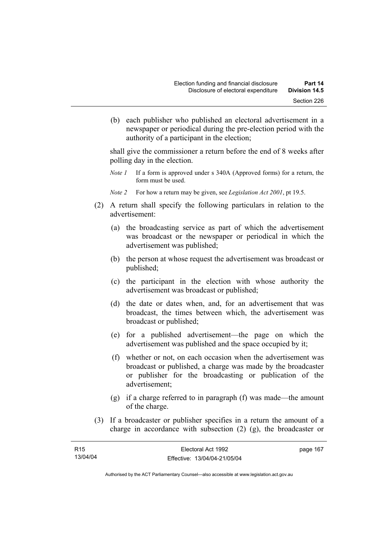(b) each publisher who published an electoral advertisement in a newspaper or periodical during the pre-election period with the authority of a participant in the election;

shall give the commissioner a return before the end of 8 weeks after polling day in the election.

- *Note 1* If a form is approved under s 340A (Approved forms) for a return, the form must be used.
- *Note 2* For how a return may be given, see *Legislation Act 2001*, pt 19.5.
- (2) A return shall specify the following particulars in relation to the advertisement:
	- (a) the broadcasting service as part of which the advertisement was broadcast or the newspaper or periodical in which the advertisement was published;
	- (b) the person at whose request the advertisement was broadcast or published;
	- (c) the participant in the election with whose authority the advertisement was broadcast or published;
	- (d) the date or dates when, and, for an advertisement that was broadcast, the times between which, the advertisement was broadcast or published;
	- (e) for a published advertisement—the page on which the advertisement was published and the space occupied by it;
	- (f) whether or not, on each occasion when the advertisement was broadcast or published, a charge was made by the broadcaster or publisher for the broadcasting or publication of the advertisement;
	- (g) if a charge referred to in paragraph (f) was made—the amount of the charge.
- (3) If a broadcaster or publisher specifies in a return the amount of a charge in accordance with subsection (2) (g), the broadcaster or

| R15      | Electoral Act 1992           | page 167 |
|----------|------------------------------|----------|
| 13/04/04 | Effective: 13/04/04-21/05/04 |          |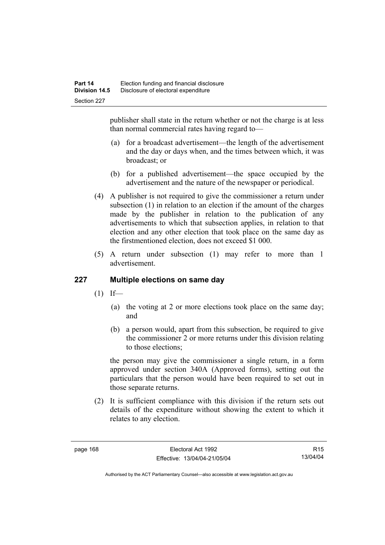publisher shall state in the return whether or not the charge is at less than normal commercial rates having regard to—

- (a) for a broadcast advertisement—the length of the advertisement and the day or days when, and the times between which, it was broadcast; or
- (b) for a published advertisement—the space occupied by the advertisement and the nature of the newspaper or periodical.
- (4) A publisher is not required to give the commissioner a return under subsection (1) in relation to an election if the amount of the charges made by the publisher in relation to the publication of any advertisements to which that subsection applies, in relation to that election and any other election that took place on the same day as the firstmentioned election, does not exceed \$1 000.
- (5) A return under subsection (1) may refer to more than 1 advertisement.

### **227 Multiple elections on same day**

- $(1)$  If—
	- (a) the voting at 2 or more elections took place on the same day; and
	- (b) a person would, apart from this subsection, be required to give the commissioner 2 or more returns under this division relating to those elections;

the person may give the commissioner a single return, in a form approved under section 340A (Approved forms), setting out the particulars that the person would have been required to set out in those separate returns.

 (2) It is sufficient compliance with this division if the return sets out details of the expenditure without showing the extent to which it relates to any election.

R15 13/04/04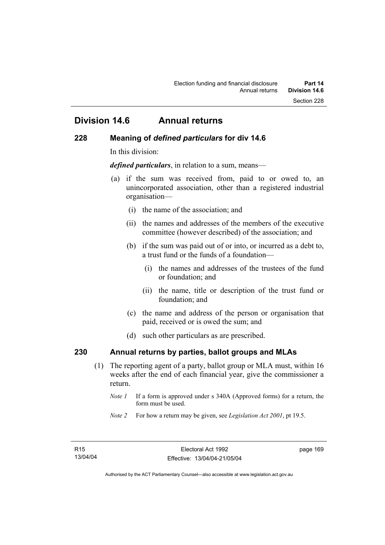# **Division 14.6 Annual returns**

#### **228 Meaning of** *defined particulars* **for div 14.6**

In this division:

*defined particulars*, in relation to a sum, means—

- (a) if the sum was received from, paid to or owed to, an unincorporated association, other than a registered industrial organisation—
	- (i) the name of the association; and
	- (ii) the names and addresses of the members of the executive committee (however described) of the association; and
	- (b) if the sum was paid out of or into, or incurred as a debt to, a trust fund or the funds of a foundation—
		- (i) the names and addresses of the trustees of the fund or foundation; and
		- (ii) the name, title or description of the trust fund or foundation; and
	- (c) the name and address of the person or organisation that paid, received or is owed the sum; and
	- (d) such other particulars as are prescribed.

## **230 Annual returns by parties, ballot groups and MLAs**

- (1) The reporting agent of a party, ballot group or MLA must, within 16 weeks after the end of each financial year, give the commissioner a return.
	- *Note 1* If a form is approved under s 340A (Approved forms) for a return, the form must be used.
	- *Note 2* For how a return may be given, see *Legislation Act 2001*, pt 19.5.

page 169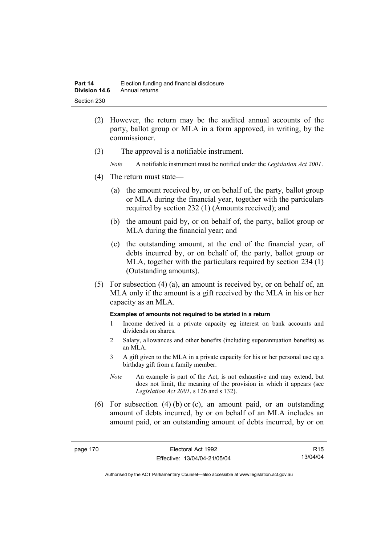- (2) However, the return may be the audited annual accounts of the party, ballot group or MLA in a form approved, in writing, by the commissioner.
- (3) The approval is a notifiable instrument.
	- *Note* A notifiable instrument must be notified under the *Legislation Act 2001*.
- (4) The return must state—
	- (a) the amount received by, or on behalf of, the party, ballot group or MLA during the financial year, together with the particulars required by section 232 (1) (Amounts received); and
	- (b) the amount paid by, or on behalf of, the party, ballot group or MLA during the financial year; and
	- (c) the outstanding amount, at the end of the financial year, of debts incurred by, or on behalf of, the party, ballot group or MLA, together with the particulars required by section 234 (1) (Outstanding amounts).
- (5) For subsection (4) (a), an amount is received by, or on behalf of, an MLA only if the amount is a gift received by the MLA in his or her capacity as an MLA.

#### **Examples of amounts not required to be stated in a return**

- 1 Income derived in a private capacity eg interest on bank accounts and dividends on shares.
- 2 Salary, allowances and other benefits (including superannuation benefits) as an MLA.
- 3 A gift given to the MLA in a private capacity for his or her personal use eg a birthday gift from a family member.
- *Note* An example is part of the Act, is not exhaustive and may extend, but does not limit, the meaning of the provision in which it appears (see *Legislation Act 2001*, s 126 and s 132).
- (6) For subsection (4) (b) or (c), an amount paid, or an outstanding amount of debts incurred, by or on behalf of an MLA includes an amount paid, or an outstanding amount of debts incurred, by or on

R15 13/04/04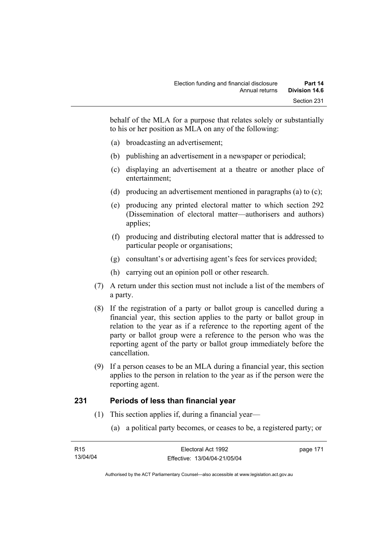behalf of the MLA for a purpose that relates solely or substantially to his or her position as MLA on any of the following:

- (a) broadcasting an advertisement;
- (b) publishing an advertisement in a newspaper or periodical;
- (c) displaying an advertisement at a theatre or another place of entertainment;
- (d) producing an advertisement mentioned in paragraphs (a) to (c);
- (e) producing any printed electoral matter to which section 292 (Dissemination of electoral matter—authorisers and authors) applies;
- (f) producing and distributing electoral matter that is addressed to particular people or organisations;
- (g) consultant's or advertising agent's fees for services provided;
- (h) carrying out an opinion poll or other research.
- (7) A return under this section must not include a list of the members of a party.
- (8) If the registration of a party or ballot group is cancelled during a financial year, this section applies to the party or ballot group in relation to the year as if a reference to the reporting agent of the party or ballot group were a reference to the person who was the reporting agent of the party or ballot group immediately before the cancellation.
- (9) If a person ceases to be an MLA during a financial year, this section applies to the person in relation to the year as if the person were the reporting agent.

### **231 Periods of less than financial year**

- (1) This section applies if, during a financial year—
	- (a) a political party becomes, or ceases to be, a registered party; or

| R15      | Electoral Act 1992           | page 171 |
|----------|------------------------------|----------|
| 13/04/04 | Effective: 13/04/04-21/05/04 |          |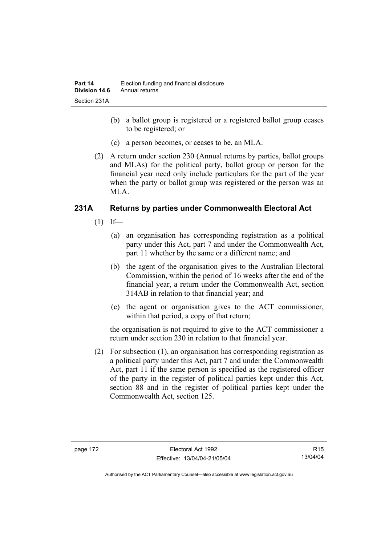- (b) a ballot group is registered or a registered ballot group ceases to be registered; or
- (c) a person becomes, or ceases to be, an MLA.
- (2) A return under section 230 (Annual returns by parties, ballot groups and MLAs) for the political party, ballot group or person for the financial year need only include particulars for the part of the year when the party or ballot group was registered or the person was an MLA.

## **231A Returns by parties under Commonwealth Electoral Act**

- $(1)$  If—
	- (a) an organisation has corresponding registration as a political party under this Act, part 7 and under the Commonwealth Act, part 11 whether by the same or a different name; and
	- (b) the agent of the organisation gives to the Australian Electoral Commission, within the period of 16 weeks after the end of the financial year, a return under the Commonwealth Act, section 314AB in relation to that financial year; and
	- (c) the agent or organisation gives to the ACT commissioner, within that period, a copy of that return;

the organisation is not required to give to the ACT commissioner a return under section 230 in relation to that financial year.

 (2) For subsection (1), an organisation has corresponding registration as a political party under this Act, part 7 and under the Commonwealth Act, part 11 if the same person is specified as the registered officer of the party in the register of political parties kept under this Act, section 88 and in the register of political parties kept under the Commonwealth Act, section 125.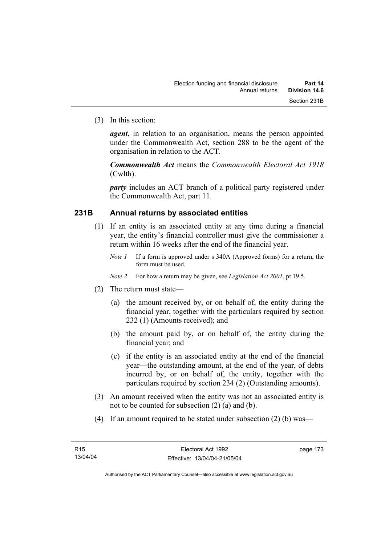(3) In this section:

*agent*, in relation to an organisation, means the person appointed under the Commonwealth Act, section 288 to be the agent of the organisation in relation to the ACT.

*Commonwealth Act* means the *Commonwealth Electoral Act 1918* (Cwlth).

*party* includes an ACT branch of a political party registered under the Commonwealth Act, part 11.

#### **231B Annual returns by associated entities**

- (1) If an entity is an associated entity at any time during a financial year, the entity's financial controller must give the commissioner a return within 16 weeks after the end of the financial year.
	- *Note 1* If a form is approved under s 340A (Approved forms) for a return, the form must be used.

*Note 2* For how a return may be given, see *Legislation Act 2001*, pt 19.5.

- (2) The return must state—
	- (a) the amount received by, or on behalf of, the entity during the financial year, together with the particulars required by section 232 (1) (Amounts received); and
	- (b) the amount paid by, or on behalf of, the entity during the financial year; and
	- (c) if the entity is an associated entity at the end of the financial year—the outstanding amount, at the end of the year, of debts incurred by, or on behalf of, the entity, together with the particulars required by section 234 (2) (Outstanding amounts).
- (3) An amount received when the entity was not an associated entity is not to be counted for subsection (2) (a) and (b).
- (4) If an amount required to be stated under subsection (2) (b) was—

page 173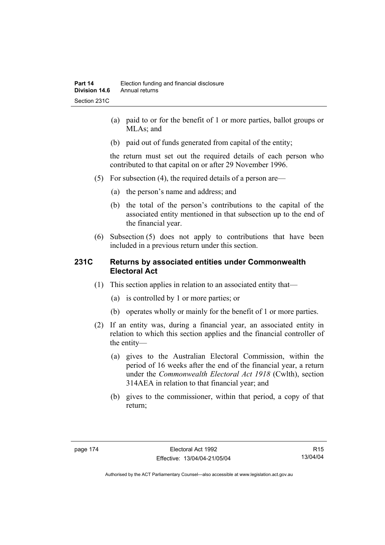- (a) paid to or for the benefit of 1 or more parties, ballot groups or MLAs; and
- (b) paid out of funds generated from capital of the entity;

the return must set out the required details of each person who contributed to that capital on or after 29 November 1996.

- (5) For subsection (4), the required details of a person are—
	- (a) the person's name and address; and
	- (b) the total of the person's contributions to the capital of the associated entity mentioned in that subsection up to the end of the financial year.
- (6) Subsection (5) does not apply to contributions that have been included in a previous return under this section.

#### **231C Returns by associated entities under Commonwealth Electoral Act**

- (1) This section applies in relation to an associated entity that—
	- (a) is controlled by 1 or more parties; or
	- (b) operates wholly or mainly for the benefit of 1 or more parties.
- (2) If an entity was, during a financial year, an associated entity in relation to which this section applies and the financial controller of the entity—
	- (a) gives to the Australian Electoral Commission, within the period of 16 weeks after the end of the financial year, a return under the *Commonwealth Electoral Act 1918* (Cwlth), section 314AEA in relation to that financial year; and
	- (b) gives to the commissioner, within that period, a copy of that return;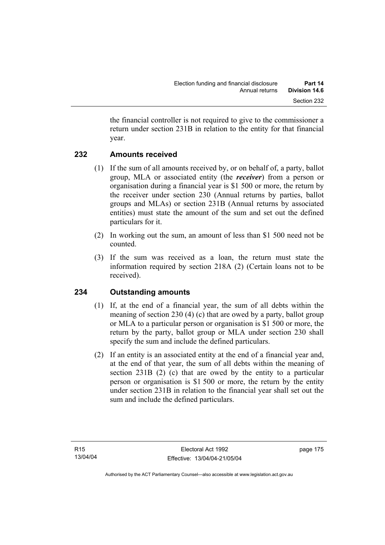the financial controller is not required to give to the commissioner a return under section 231B in relation to the entity for that financial year.

### **232 Amounts received**

- (1) If the sum of all amounts received by, or on behalf of, a party, ballot group, MLA or associated entity (the *receiver*) from a person or organisation during a financial year is \$1 500 or more, the return by the receiver under section 230 (Annual returns by parties, ballot groups and MLAs) or section 231B (Annual returns by associated entities) must state the amount of the sum and set out the defined particulars for it.
- (2) In working out the sum, an amount of less than \$1 500 need not be counted.
- (3) If the sum was received as a loan, the return must state the information required by section 218A (2) (Certain loans not to be received).

# **234 Outstanding amounts**

- (1) If, at the end of a financial year, the sum of all debts within the meaning of section 230 (4) (c) that are owed by a party, ballot group or MLA to a particular person or organisation is \$1 500 or more, the return by the party, ballot group or MLA under section 230 shall specify the sum and include the defined particulars.
- (2) If an entity is an associated entity at the end of a financial year and, at the end of that year, the sum of all debts within the meaning of section 231B (2) (c) that are owed by the entity to a particular person or organisation is \$1 500 or more, the return by the entity under section 231B in relation to the financial year shall set out the sum and include the defined particulars.

page 175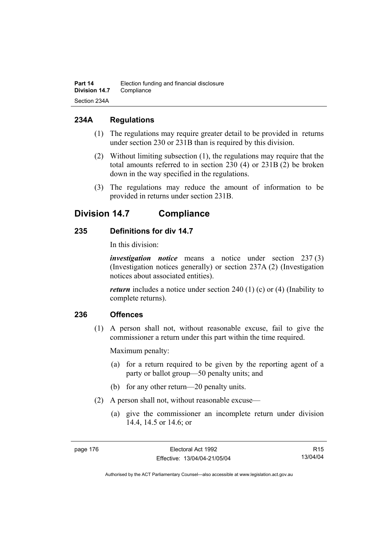## **234A Regulations**

- (1) The regulations may require greater detail to be provided in returns under section 230 or 231B than is required by this division.
- (2) Without limiting subsection (1), the regulations may require that the total amounts referred to in section 230 (4) or 231B (2) be broken down in the way specified in the regulations.
- (3) The regulations may reduce the amount of information to be provided in returns under section 231B.

# **Division 14.7 Compliance**

## **235 Definitions for div 14.7**

In this division:

*investigation notice* means a notice under section 237 (3) (Investigation notices generally) or section 237A (2) (Investigation notices about associated entities).

*return* includes a notice under section 240 (1) (c) or (4) (Inability to complete returns).

### **236 Offences**

 (1) A person shall not, without reasonable excuse, fail to give the commissioner a return under this part within the time required.

Maximum penalty:

- (a) for a return required to be given by the reporting agent of a party or ballot group—50 penalty units; and
- (b) for any other return—20 penalty units.
- (2) A person shall not, without reasonable excuse—
	- (a) give the commissioner an incomplete return under division 14.4, 14.5 or 14.6; or

R15 13/04/04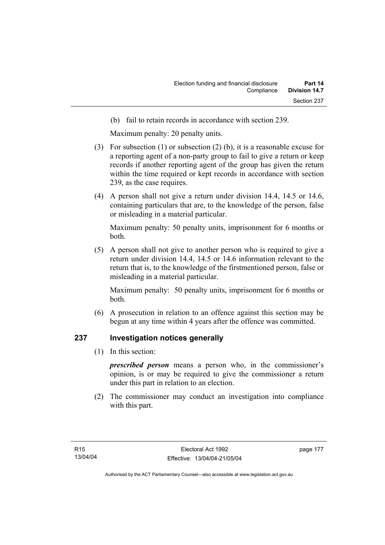(b) fail to retain records in accordance with section 239.

Maximum penalty: 20 penalty units.

- (3) For subsection (1) or subsection (2) (b), it is a reasonable excuse for a reporting agent of a non-party group to fail to give a return or keep records if another reporting agent of the group has given the return within the time required or kept records in accordance with section 239, as the case requires.
- (4) A person shall not give a return under division 14.4, 14.5 or 14.6, containing particulars that are, to the knowledge of the person, false or misleading in a material particular.

Maximum penalty: 50 penalty units, imprisonment for 6 months or both.

 (5) A person shall not give to another person who is required to give a return under division 14.4, 14.5 or 14.6 information relevant to the return that is, to the knowledge of the firstmentioned person, false or misleading in a material particular.

Maximum penalty: 50 penalty units, imprisonment for 6 months or both.

 (6) A prosecution in relation to an offence against this section may be begun at any time within 4 years after the offence was committed.

### **237 Investigation notices generally**

(1) In this section:

*prescribed person* means a person who, in the commissioner's opinion, is or may be required to give the commissioner a return under this part in relation to an election.

 (2) The commissioner may conduct an investigation into compliance with this part.

page 177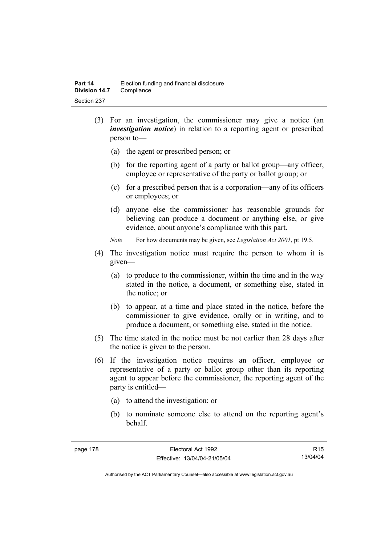- (3) For an investigation, the commissioner may give a notice (an *investigation notice*) in relation to a reporting agent or prescribed person to—
	- (a) the agent or prescribed person; or
	- (b) for the reporting agent of a party or ballot group—any officer, employee or representative of the party or ballot group; or
	- (c) for a prescribed person that is a corporation—any of its officers or employees; or
	- (d) anyone else the commissioner has reasonable grounds for believing can produce a document or anything else, or give evidence, about anyone's compliance with this part.
	- *Note* For how documents may be given, see *Legislation Act 2001*, pt 19.5.
- (4) The investigation notice must require the person to whom it is given—
	- (a) to produce to the commissioner, within the time and in the way stated in the notice, a document, or something else, stated in the notice; or
	- (b) to appear, at a time and place stated in the notice, before the commissioner to give evidence, orally or in writing, and to produce a document, or something else, stated in the notice.
- (5) The time stated in the notice must be not earlier than 28 days after the notice is given to the person.
- (6) If the investigation notice requires an officer, employee or representative of a party or ballot group other than its reporting agent to appear before the commissioner, the reporting agent of the party is entitled—
	- (a) to attend the investigation; or
	- (b) to nominate someone else to attend on the reporting agent's behalf.

R15 13/04/04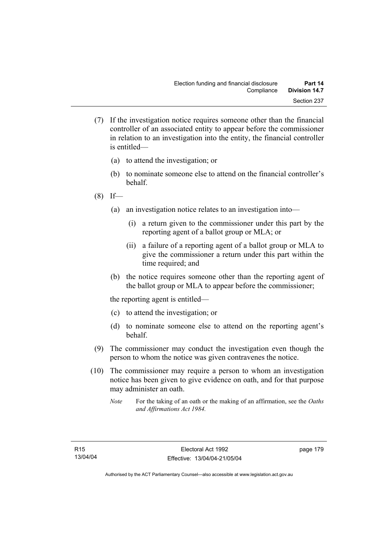- (7) If the investigation notice requires someone other than the financial controller of an associated entity to appear before the commissioner in relation to an investigation into the entity, the financial controller is entitled—
	- (a) to attend the investigation; or
	- (b) to nominate someone else to attend on the financial controller's behalf.
- $(8)$  If—
	- (a) an investigation notice relates to an investigation into—
		- (i) a return given to the commissioner under this part by the reporting agent of a ballot group or MLA; or
		- (ii) a failure of a reporting agent of a ballot group or MLA to give the commissioner a return under this part within the time required; and
	- (b) the notice requires someone other than the reporting agent of the ballot group or MLA to appear before the commissioner;

the reporting agent is entitled—

- (c) to attend the investigation; or
- (d) to nominate someone else to attend on the reporting agent's behalf.
- (9) The commissioner may conduct the investigation even though the person to whom the notice was given contravenes the notice.
- (10) The commissioner may require a person to whom an investigation notice has been given to give evidence on oath, and for that purpose may administer an oath.
	- *Note* For the taking of an oath or the making of an affirmation, see the *Oaths and Affirmations Act 1984.*

page 179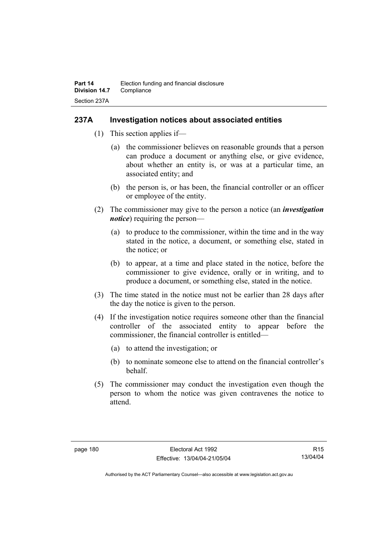#### **237A Investigation notices about associated entities**

- (1) This section applies if—
	- (a) the commissioner believes on reasonable grounds that a person can produce a document or anything else, or give evidence, about whether an entity is, or was at a particular time, an associated entity; and
	- (b) the person is, or has been, the financial controller or an officer or employee of the entity.
- (2) The commissioner may give to the person a notice (an *investigation notice*) requiring the person—
	- (a) to produce to the commissioner, within the time and in the way stated in the notice, a document, or something else, stated in the notice; or
	- (b) to appear, at a time and place stated in the notice, before the commissioner to give evidence, orally or in writing, and to produce a document, or something else, stated in the notice.
- (3) The time stated in the notice must not be earlier than 28 days after the day the notice is given to the person.
- (4) If the investigation notice requires someone other than the financial controller of the associated entity to appear before the commissioner, the financial controller is entitled—
	- (a) to attend the investigation; or
	- (b) to nominate someone else to attend on the financial controller's behalf.
- (5) The commissioner may conduct the investigation even though the person to whom the notice was given contravenes the notice to attend.

R15 13/04/04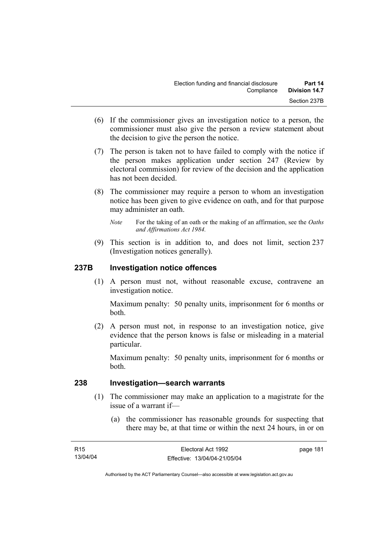- (6) If the commissioner gives an investigation notice to a person, the commissioner must also give the person a review statement about the decision to give the person the notice.
- (7) The person is taken not to have failed to comply with the notice if the person makes application under section 247 (Review by electoral commission) for review of the decision and the application has not been decided.
- (8) The commissioner may require a person to whom an investigation notice has been given to give evidence on oath, and for that purpose may administer an oath.
	- *Note* For the taking of an oath or the making of an affirmation, see the *Oaths and Affirmations Act 1984.*
- (9) This section is in addition to, and does not limit, section 237 (Investigation notices generally).

### **237B Investigation notice offences**

 (1) A person must not, without reasonable excuse, contravene an investigation notice.

Maximum penalty: 50 penalty units, imprisonment for 6 months or both.

 (2) A person must not, in response to an investigation notice, give evidence that the person knows is false or misleading in a material particular.

Maximum penalty: 50 penalty units, imprisonment for 6 months or both.

#### **238 Investigation—search warrants**

- (1) The commissioner may make an application to a magistrate for the issue of a warrant if—
	- (a) the commissioner has reasonable grounds for suspecting that there may be, at that time or within the next 24 hours, in or on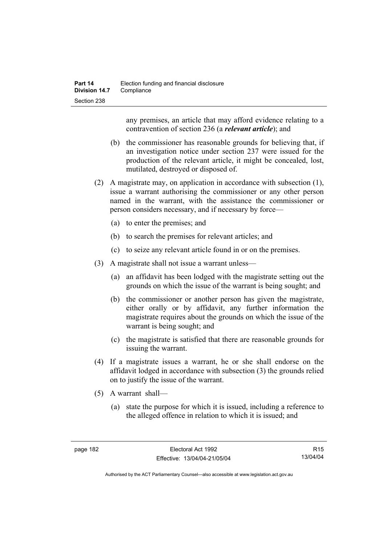any premises, an article that may afford evidence relating to a contravention of section 236 (a *relevant article*); and

- (b) the commissioner has reasonable grounds for believing that, if an investigation notice under section 237 were issued for the production of the relevant article, it might be concealed, lost, mutilated, destroyed or disposed of.
- (2) A magistrate may, on application in accordance with subsection (1), issue a warrant authorising the commissioner or any other person named in the warrant, with the assistance the commissioner or person considers necessary, and if necessary by force—
	- (a) to enter the premises; and
	- (b) to search the premises for relevant articles; and
	- (c) to seize any relevant article found in or on the premises.
- (3) A magistrate shall not issue a warrant unless—
	- (a) an affidavit has been lodged with the magistrate setting out the grounds on which the issue of the warrant is being sought; and
	- (b) the commissioner or another person has given the magistrate, either orally or by affidavit, any further information the magistrate requires about the grounds on which the issue of the warrant is being sought; and
	- (c) the magistrate is satisfied that there are reasonable grounds for issuing the warrant.
- (4) If a magistrate issues a warrant, he or she shall endorse on the affidavit lodged in accordance with subsection (3) the grounds relied on to justify the issue of the warrant.
- (5) A warrant shall—
	- (a) state the purpose for which it is issued, including a reference to the alleged offence in relation to which it is issued; and

R15 13/04/04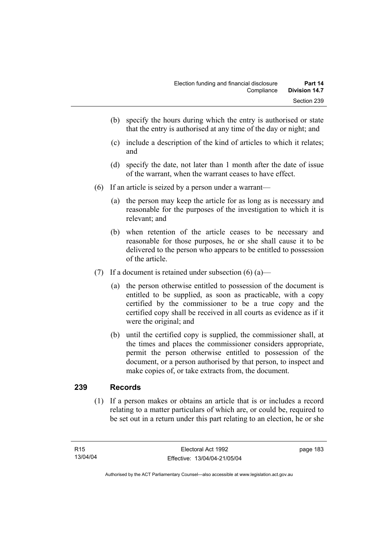- (b) specify the hours during which the entry is authorised or state that the entry is authorised at any time of the day or night; and
- (c) include a description of the kind of articles to which it relates; and
- (d) specify the date, not later than 1 month after the date of issue of the warrant, when the warrant ceases to have effect.
- (6) If an article is seized by a person under a warrant—
	- (a) the person may keep the article for as long as is necessary and reasonable for the purposes of the investigation to which it is relevant; and
	- (b) when retention of the article ceases to be necessary and reasonable for those purposes, he or she shall cause it to be delivered to the person who appears to be entitled to possession of the article.
- (7) If a document is retained under subsection  $(6)$  (a)—
	- (a) the person otherwise entitled to possession of the document is entitled to be supplied, as soon as practicable, with a copy certified by the commissioner to be a true copy and the certified copy shall be received in all courts as evidence as if it were the original; and
	- (b) until the certified copy is supplied, the commissioner shall, at the times and places the commissioner considers appropriate, permit the person otherwise entitled to possession of the document, or a person authorised by that person, to inspect and make copies of, or take extracts from, the document.

### **239 Records**

 (1) If a person makes or obtains an article that is or includes a record relating to a matter particulars of which are, or could be, required to be set out in a return under this part relating to an election, he or she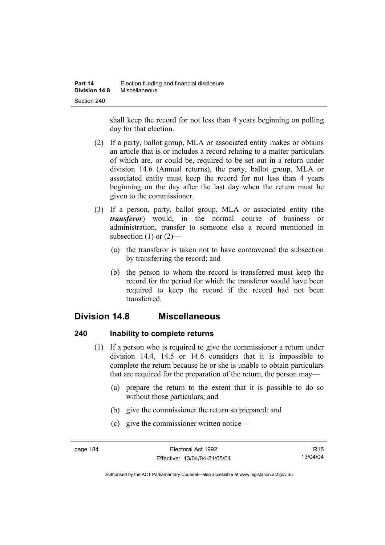shall keep the record for not less than 4 years beginning on polling day for that election.

- (2) If a party, ballot group, MLA or associated entity makes or obtains an article that is or includes a record relating to a matter particulars of which are, or could be, required to be set out in a return under division 14.6 (Annual returns), the party, ballot group, MLA or associated entity must keep the record for not less than 4 years beginning on the day after the last day when the return must be given to the commissioner.
- (3) If a person, party, ballot group, MLA or associated entity (the *transferor*) would, in the normal course of business or administration, transfer to someone else a record mentioned in subsection  $(1)$  or  $(2)$ —
	- (a) the transferor is taken not to have contravened the subsection by transferring the record; and
	- (b) the person to whom the record is transferred must keep the record for the period for which the transferor would have been required to keep the record if the record had not been transferred.

# **Division 14.8 Miscellaneous**

### **240 Inability to complete returns**

- (1) If a person who is required to give the commissioner a return under division 14.4, 14.5 or 14.6 considers that it is impossible to complete the return because he or she is unable to obtain particulars that are required for the preparation of the return, the person may—
	- (a) prepare the return to the extent that it is possible to do so without those particulars; and
	- (b) give the commissioner the return so prepared; and
	- (c) give the commissioner written notice—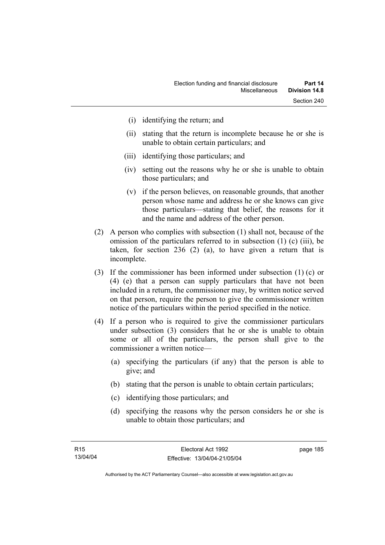- (i) identifying the return; and
- (ii) stating that the return is incomplete because he or she is unable to obtain certain particulars; and
- (iii) identifying those particulars; and
- (iv) setting out the reasons why he or she is unable to obtain those particulars; and
- (v) if the person believes, on reasonable grounds, that another person whose name and address he or she knows can give those particulars—stating that belief, the reasons for it and the name and address of the other person.
- (2) A person who complies with subsection (1) shall not, because of the omission of the particulars referred to in subsection (1) (c) (iii), be taken, for section 236 (2) (a), to have given a return that is incomplete.
- (3) If the commissioner has been informed under subsection (1) (c) or (4) (e) that a person can supply particulars that have not been included in a return, the commissioner may, by written notice served on that person, require the person to give the commissioner written notice of the particulars within the period specified in the notice.
- (4) If a person who is required to give the commissioner particulars under subsection (3) considers that he or she is unable to obtain some or all of the particulars, the person shall give to the commissioner a written notice—
	- (a) specifying the particulars (if any) that the person is able to give; and
	- (b) stating that the person is unable to obtain certain particulars;
	- (c) identifying those particulars; and
	- (d) specifying the reasons why the person considers he or she is unable to obtain those particulars; and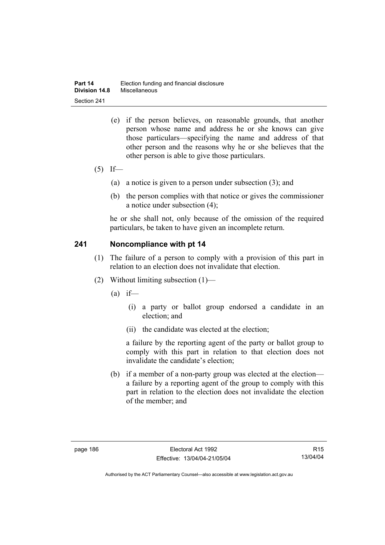- (e) if the person believes, on reasonable grounds, that another person whose name and address he or she knows can give those particulars—specifying the name and address of that other person and the reasons why he or she believes that the other person is able to give those particulars.
- $(5)$  If—
	- (a) a notice is given to a person under subsection (3); and
	- (b) the person complies with that notice or gives the commissioner a notice under subsection (4);

he or she shall not, only because of the omission of the required particulars, be taken to have given an incomplete return.

#### **241 Noncompliance with pt 14**

- (1) The failure of a person to comply with a provision of this part in relation to an election does not invalidate that election.
- (2) Without limiting subsection (1)—
	- $(a)$  if—
		- (i) a party or ballot group endorsed a candidate in an election; and
		- (ii) the candidate was elected at the election;

a failure by the reporting agent of the party or ballot group to comply with this part in relation to that election does not invalidate the candidate's election;

 (b) if a member of a non-party group was elected at the election a failure by a reporting agent of the group to comply with this part in relation to the election does not invalidate the election of the member; and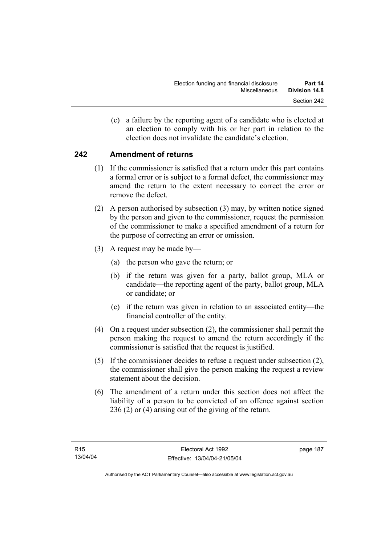(c) a failure by the reporting agent of a candidate who is elected at an election to comply with his or her part in relation to the election does not invalidate the candidate's election.

## **242 Amendment of returns**

- (1) If the commissioner is satisfied that a return under this part contains a formal error or is subject to a formal defect, the commissioner may amend the return to the extent necessary to correct the error or remove the defect.
- (2) A person authorised by subsection (3) may, by written notice signed by the person and given to the commissioner, request the permission of the commissioner to make a specified amendment of a return for the purpose of correcting an error or omission.
- (3) A request may be made by—
	- (a) the person who gave the return; or
	- (b) if the return was given for a party, ballot group, MLA or candidate—the reporting agent of the party, ballot group, MLA or candidate; or
	- (c) if the return was given in relation to an associated entity—the financial controller of the entity.
- (4) On a request under subsection (2), the commissioner shall permit the person making the request to amend the return accordingly if the commissioner is satisfied that the request is justified.
- (5) If the commissioner decides to refuse a request under subsection (2), the commissioner shall give the person making the request a review statement about the decision.
- (6) The amendment of a return under this section does not affect the liability of a person to be convicted of an offence against section 236 (2) or (4) arising out of the giving of the return.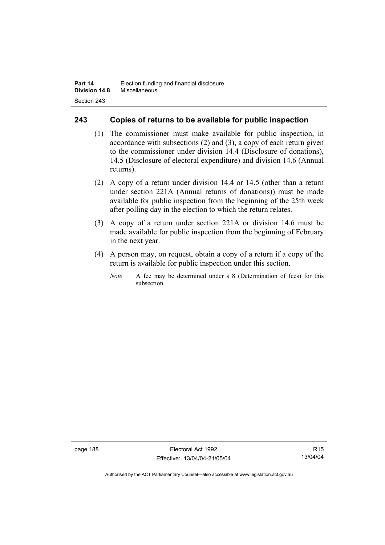### **243 Copies of returns to be available for public inspection**

- (1) The commissioner must make available for public inspection, in accordance with subsections (2) and (3), a copy of each return given to the commissioner under division 14.4 (Disclosure of donations), 14.5 (Disclosure of electoral expenditure) and division 14.6 (Annual returns).
- (2) A copy of a return under division 14.4 or 14.5 (other than a return under section 221A (Annual returns of donations)) must be made available for public inspection from the beginning of the 25th week after polling day in the election to which the return relates.
- (3) A copy of a return under section 221A or division 14.6 must be made available for public inspection from the beginning of February in the next year.
- (4) A person may, on request, obtain a copy of a return if a copy of the return is available for public inspection under this section.
	- *Note* A fee may be determined under s 8 (Determination of fees) for this subsection.

page 188 Electoral Act 1992 Effective: 13/04/04-21/05/04

R15 13/04/04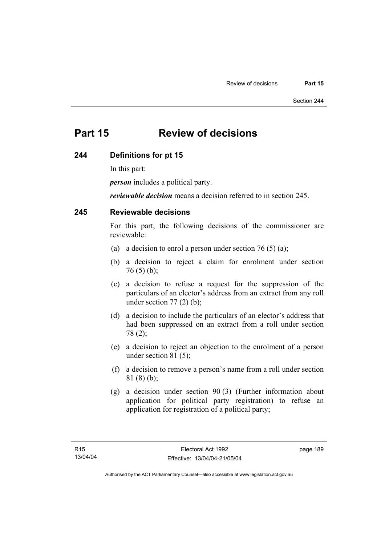# **Part 15 Review of decisions**

#### **244 Definitions for pt 15**

In this part:

*person* includes a political party.

*reviewable decision* means a decision referred to in section 245.

#### **245 Reviewable decisions**

For this part, the following decisions of the commissioner are reviewable:

- (a) a decision to enrol a person under section 76 (5) (a);
- (b) a decision to reject a claim for enrolment under section  $76(5)(b)$ ;
- (c) a decision to refuse a request for the suppression of the particulars of an elector's address from an extract from any roll under section  $77(2)$  (b);
- (d) a decision to include the particulars of an elector's address that had been suppressed on an extract from a roll under section 78 (2);
- (e) a decision to reject an objection to the enrolment of a person under section 81 (5);
- (f) a decision to remove a person's name from a roll under section 81 (8) (b);
- (g) a decision under section 90 (3) (Further information about application for political party registration) to refuse an application for registration of a political party;

page 189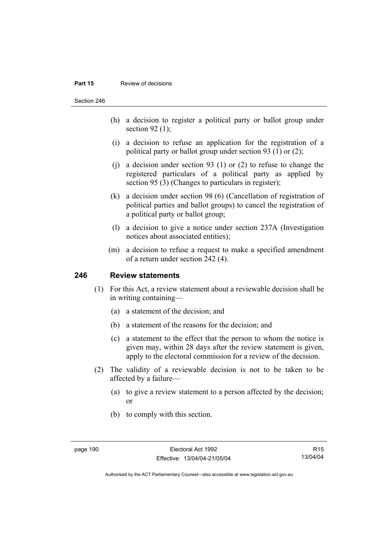#### **Part 15** Review of decisions

Section 246

- (h) a decision to register a political party or ballot group under section 92 $(1)$ ;
- (i) a decision to refuse an application for the registration of a political party or ballot group under section 93 (1) or (2);
- (i) a decision under section 93 (1) or (2) to refuse to change the registered particulars of a political party as applied by section 95 (3) (Changes to particulars in register);
- (k) a decision under section 98 (6) (Cancellation of registration of political parties and ballot groups) to cancel the registration of a political party or ballot group;
- (l) a decision to give a notice under section 237A (Investigation notices about associated entities);
- (m) a decision to refuse a request to make a specified amendment of a return under section 242 (4).

#### **246 Review statements**

- (1) For this Act, a review statement about a reviewable decision shall be in writing containing—
	- (a) a statement of the decision; and
	- (b) a statement of the reasons for the decision; and
	- (c) a statement to the effect that the person to whom the notice is given may, within 28 days after the review statement is given, apply to the electoral commission for a review of the decision.
- (2) The validity of a reviewable decision is not to be taken to be affected by a failure—
	- (a) to give a review statement to a person affected by the decision; or
	- (b) to comply with this section.

R15 13/04/04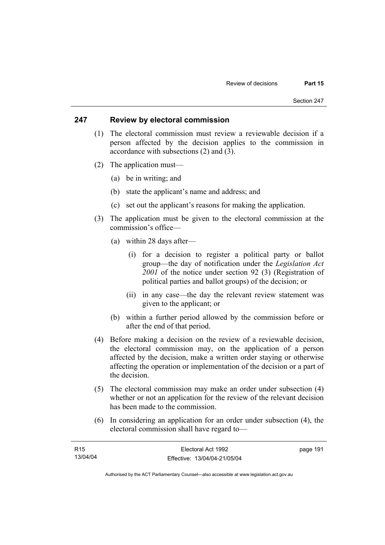#### **247 Review by electoral commission**

- (1) The electoral commission must review a reviewable decision if a person affected by the decision applies to the commission in accordance with subsections (2) and (3).
- (2) The application must—
	- (a) be in writing; and
	- (b) state the applicant's name and address; and
	- (c) set out the applicant's reasons for making the application.
- (3) The application must be given to the electoral commission at the commission's office—
	- (a) within 28 days after—
		- (i) for a decision to register a political party or ballot group—the day of notification under the *Legislation Act 2001* of the notice under section 92 (3) (Registration of political parties and ballot groups) of the decision; or
		- (ii) in any case—the day the relevant review statement was given to the applicant; or
	- (b) within a further period allowed by the commission before or after the end of that period.
- (4) Before making a decision on the review of a reviewable decision, the electoral commission may, on the application of a person affected by the decision, make a written order staying or otherwise affecting the operation or implementation of the decision or a part of the decision.
- (5) The electoral commission may make an order under subsection (4) whether or not an application for the review of the relevant decision has been made to the commission.
- (6) In considering an application for an order under subsection (4), the electoral commission shall have regard to—

| R15      | Electoral Act 1992           | page 191 |
|----------|------------------------------|----------|
| 13/04/04 | Effective: 13/04/04-21/05/04 |          |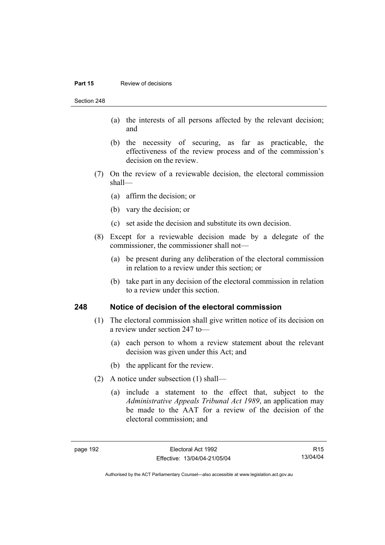#### **Part 15 Review of decisions**

Section 248

- (a) the interests of all persons affected by the relevant decision; and
- (b) the necessity of securing, as far as practicable, the effectiveness of the review process and of the commission's decision on the review.
- (7) On the review of a reviewable decision, the electoral commission shall—
	- (a) affirm the decision; or
	- (b) vary the decision; or
	- (c) set aside the decision and substitute its own decision.
- (8) Except for a reviewable decision made by a delegate of the commissioner, the commissioner shall not—
	- (a) be present during any deliberation of the electoral commission in relation to a review under this section; or
	- (b) take part in any decision of the electoral commission in relation to a review under this section.

#### **248 Notice of decision of the electoral commission**

- (1) The electoral commission shall give written notice of its decision on a review under section 247 to—
	- (a) each person to whom a review statement about the relevant decision was given under this Act; and
	- (b) the applicant for the review.
- (2) A notice under subsection (1) shall—
	- (a) include a statement to the effect that, subject to the *Administrative Appeals Tribunal Act 1989*, an application may be made to the AAT for a review of the decision of the electoral commission; and

R15 13/04/04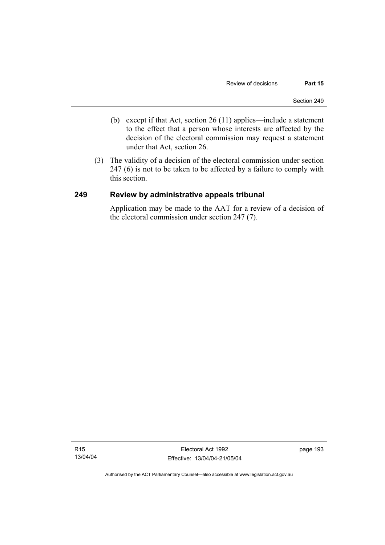- (b) except if that Act, section 26 (11) applies—include a statement to the effect that a person whose interests are affected by the decision of the electoral commission may request a statement under that Act, section 26.
- (3) The validity of a decision of the electoral commission under section 247 (6) is not to be taken to be affected by a failure to comply with this section.

#### **249 Review by administrative appeals tribunal**

Application may be made to the AAT for a review of a decision of the electoral commission under section 247 (7).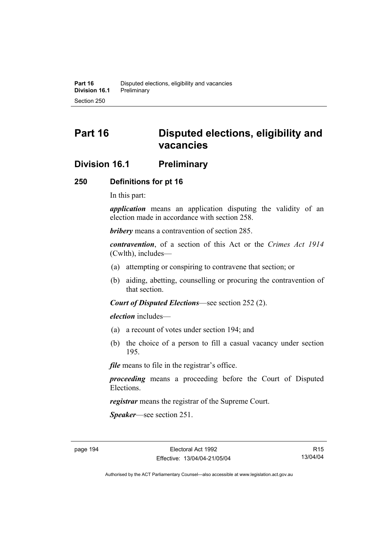# **Part 16 Disputed elections, eligibility and vacancies**

# **Division 16.1 Preliminary**

#### **250 Definitions for pt 16**

In this part:

*application* means an application disputing the validity of an election made in accordance with section 258.

*bribery* means a contravention of section 285.

*contravention*, of a section of this Act or the *Crimes Act 1914* (Cwlth), includes—

- (a) attempting or conspiring to contravene that section; or
- (b) aiding, abetting, counselling or procuring the contravention of that section.

*Court of Disputed Elections*—see section 252 (2).

*election* includes—

- (a) a recount of votes under section 194; and
- (b) the choice of a person to fill a casual vacancy under section 195.

*file* means to file in the registrar's office.

*proceeding* means a proceeding before the Court of Disputed Elections.

*registrar* means the registrar of the Supreme Court.

*Speaker*—see section 251.

R15 13/04/04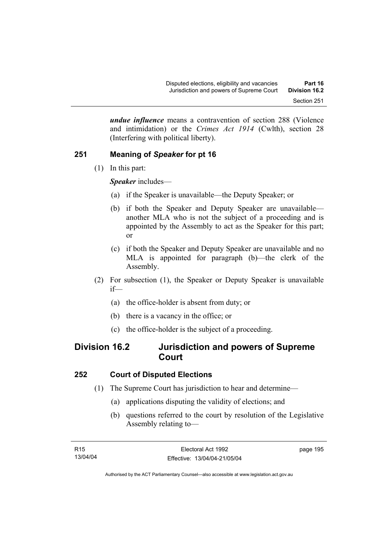*undue influence* means a contravention of section 288 (Violence and intimidation) or the *Crimes Act 1914* (Cwlth), section 28 (Interfering with political liberty).

# **251 Meaning of** *Speaker* **for pt 16**

(1) In this part:

*Speaker* includes—

- (a) if the Speaker is unavailable—the Deputy Speaker; or
- (b) if both the Speaker and Deputy Speaker are unavailable another MLA who is not the subject of a proceeding and is appointed by the Assembly to act as the Speaker for this part; or
- (c) if both the Speaker and Deputy Speaker are unavailable and no MLA is appointed for paragraph (b)—the clerk of the Assembly.
- (2) For subsection (1), the Speaker or Deputy Speaker is unavailable if—
	- (a) the office-holder is absent from duty; or
	- (b) there is a vacancy in the office; or
	- (c) the office-holder is the subject of a proceeding.

# **Division 16.2 Jurisdiction and powers of Supreme Court**

### **252 Court of Disputed Elections**

- (1) The Supreme Court has jurisdiction to hear and determine—
	- (a) applications disputing the validity of elections; and
	- (b) questions referred to the court by resolution of the Legislative Assembly relating to—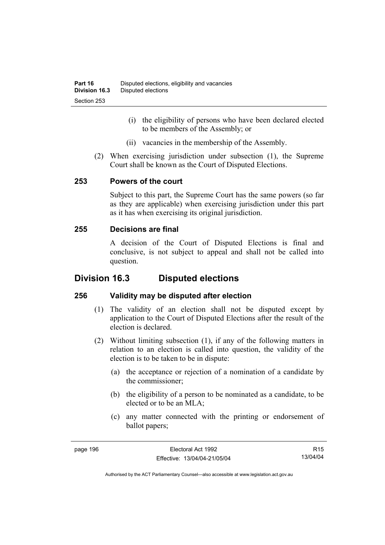- (i) the eligibility of persons who have been declared elected to be members of the Assembly; or
- (ii) vacancies in the membership of the Assembly.
- (2) When exercising jurisdiction under subsection (1), the Supreme Court shall be known as the Court of Disputed Elections.

#### **253 Powers of the court**

Subject to this part, the Supreme Court has the same powers (so far as they are applicable) when exercising jurisdiction under this part as it has when exercising its original jurisdiction.

#### **255 Decisions are final**

A decision of the Court of Disputed Elections is final and conclusive, is not subject to appeal and shall not be called into question.

# **Division 16.3 Disputed elections**

### **256 Validity may be disputed after election**

- (1) The validity of an election shall not be disputed except by application to the Court of Disputed Elections after the result of the election is declared.
- (2) Without limiting subsection (1), if any of the following matters in relation to an election is called into question, the validity of the election is to be taken to be in dispute:
	- (a) the acceptance or rejection of a nomination of a candidate by the commissioner;
	- (b) the eligibility of a person to be nominated as a candidate, to be elected or to be an MLA;
	- (c) any matter connected with the printing or endorsement of ballot papers;

R15 13/04/04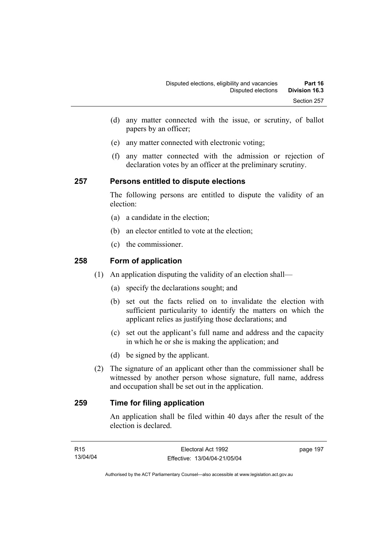- (d) any matter connected with the issue, or scrutiny, of ballot papers by an officer;
- (e) any matter connected with electronic voting;
- (f) any matter connected with the admission or rejection of declaration votes by an officer at the preliminary scrutiny.

#### **257 Persons entitled to dispute elections**

The following persons are entitled to dispute the validity of an election:

- (a) a candidate in the election;
- (b) an elector entitled to vote at the election;
- (c) the commissioner.

### **258 Form of application**

- (1) An application disputing the validity of an election shall—
	- (a) specify the declarations sought; and
	- (b) set out the facts relied on to invalidate the election with sufficient particularity to identify the matters on which the applicant relies as justifying those declarations; and
	- (c) set out the applicant's full name and address and the capacity in which he or she is making the application; and
	- (d) be signed by the applicant.
- (2) The signature of an applicant other than the commissioner shall be witnessed by another person whose signature, full name, address and occupation shall be set out in the application.

## **259 Time for filing application**

An application shall be filed within 40 days after the result of the election is declared.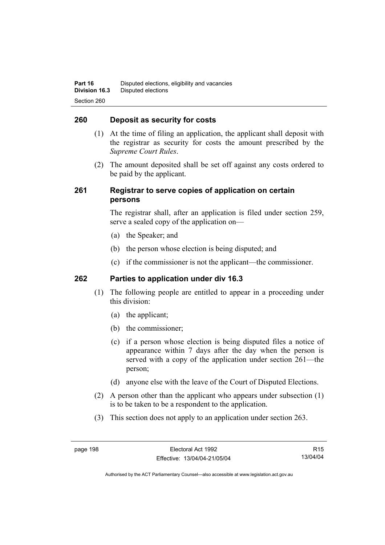#### **260 Deposit as security for costs**

- (1) At the time of filing an application, the applicant shall deposit with the registrar as security for costs the amount prescribed by the *Supreme Court Rules*.
- (2) The amount deposited shall be set off against any costs ordered to be paid by the applicant.

#### **261 Registrar to serve copies of application on certain persons**

The registrar shall, after an application is filed under section 259, serve a sealed copy of the application on—

- (a) the Speaker; and
- (b) the person whose election is being disputed; and
- (c) if the commissioner is not the applicant—the commissioner.

#### **262 Parties to application under div 16.3**

- (1) The following people are entitled to appear in a proceeding under this division:
	- (a) the applicant;
	- (b) the commissioner;
	- (c) if a person whose election is being disputed files a notice of appearance within 7 days after the day when the person is served with a copy of the application under section 261—the person;
	- (d) anyone else with the leave of the Court of Disputed Elections.
- (2) A person other than the applicant who appears under subsection (1) is to be taken to be a respondent to the application.
- (3) This section does not apply to an application under section 263.

R15 13/04/04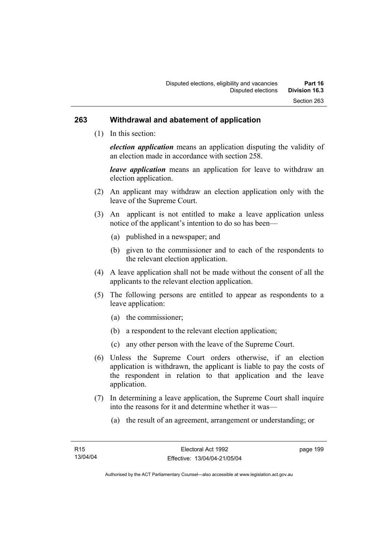#### **263 Withdrawal and abatement of application**

(1) In this section:

*election application* means an application disputing the validity of an election made in accordance with section 258.

*leave application* means an application for leave to withdraw an election application.

- (2) An applicant may withdraw an election application only with the leave of the Supreme Court.
- (3) An applicant is not entitled to make a leave application unless notice of the applicant's intention to do so has been—
	- (a) published in a newspaper; and
	- (b) given to the commissioner and to each of the respondents to the relevant election application.
- (4) A leave application shall not be made without the consent of all the applicants to the relevant election application.
- (5) The following persons are entitled to appear as respondents to a leave application:
	- (a) the commissioner;
	- (b) a respondent to the relevant election application;
	- (c) any other person with the leave of the Supreme Court.
- (6) Unless the Supreme Court orders otherwise, if an election application is withdrawn, the applicant is liable to pay the costs of the respondent in relation to that application and the leave application.
- (7) In determining a leave application, the Supreme Court shall inquire into the reasons for it and determine whether it was—
	- (a) the result of an agreement, arrangement or understanding; or

page 199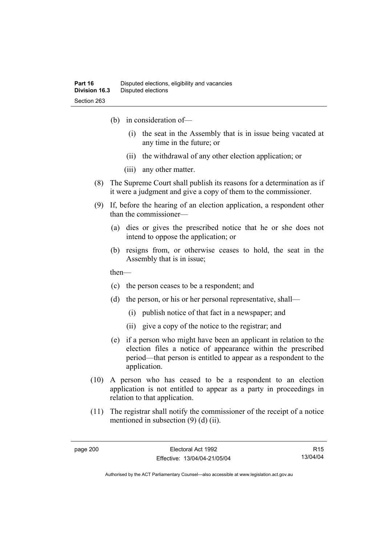- (b) in consideration of—
	- (i) the seat in the Assembly that is in issue being vacated at any time in the future; or
	- (ii) the withdrawal of any other election application; or
	- (iii) any other matter.
- (8) The Supreme Court shall publish its reasons for a determination as if it were a judgment and give a copy of them to the commissioner.
- (9) If, before the hearing of an election application, a respondent other than the commissioner—
	- (a) dies or gives the prescribed notice that he or she does not intend to oppose the application; or
	- (b) resigns from, or otherwise ceases to hold, the seat in the Assembly that is in issue;

then—

- (c) the person ceases to be a respondent; and
- (d) the person, or his or her personal representative, shall—
	- (i) publish notice of that fact in a newspaper; and
	- (ii) give a copy of the notice to the registrar; and
- (e) if a person who might have been an applicant in relation to the election files a notice of appearance within the prescribed period—that person is entitled to appear as a respondent to the application.
- (10) A person who has ceased to be a respondent to an election application is not entitled to appear as a party in proceedings in relation to that application.
- (11) The registrar shall notify the commissioner of the receipt of a notice mentioned in subsection (9) (d) (ii).

R15 13/04/04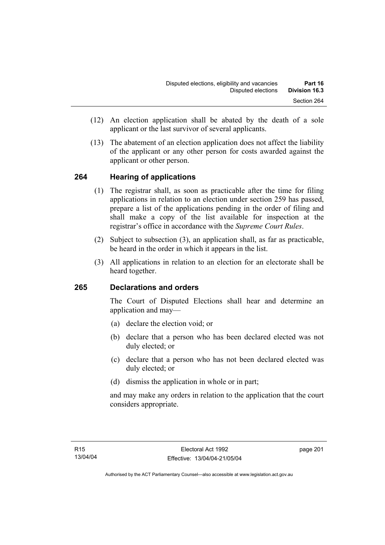- (12) An election application shall be abated by the death of a sole applicant or the last survivor of several applicants.
- (13) The abatement of an election application does not affect the liability of the applicant or any other person for costs awarded against the applicant or other person.

### **264 Hearing of applications**

- (1) The registrar shall, as soon as practicable after the time for filing applications in relation to an election under section 259 has passed, prepare a list of the applications pending in the order of filing and shall make a copy of the list available for inspection at the registrar's office in accordance with the *Supreme Court Rules*.
- (2) Subject to subsection (3), an application shall, as far as practicable, be heard in the order in which it appears in the list.
- (3) All applications in relation to an election for an electorate shall be heard together.

### **265 Declarations and orders**

The Court of Disputed Elections shall hear and determine an application and may—

- (a) declare the election void; or
- (b) declare that a person who has been declared elected was not duly elected; or
- (c) declare that a person who has not been declared elected was duly elected; or
- (d) dismiss the application in whole or in part;

and may make any orders in relation to the application that the court considers appropriate.

page 201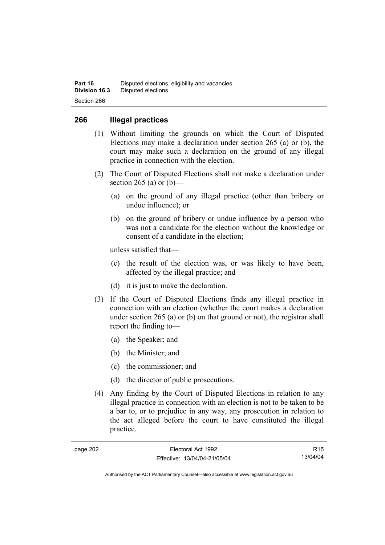#### **266 Illegal practices**

- (1) Without limiting the grounds on which the Court of Disputed Elections may make a declaration under section 265 (a) or (b), the court may make such a declaration on the ground of any illegal practice in connection with the election.
- (2) The Court of Disputed Elections shall not make a declaration under section 265 (a) or  $(b)$ —
	- (a) on the ground of any illegal practice (other than bribery or undue influence); or
	- (b) on the ground of bribery or undue influence by a person who was not a candidate for the election without the knowledge or consent of a candidate in the election;

unless satisfied that—

- (c) the result of the election was, or was likely to have been, affected by the illegal practice; and
- (d) it is just to make the declaration.
- (3) If the Court of Disputed Elections finds any illegal practice in connection with an election (whether the court makes a declaration under section 265 (a) or (b) on that ground or not), the registrar shall report the finding to—
	- (a) the Speaker; and
	- (b) the Minister; and
	- (c) the commissioner; and
	- (d) the director of public prosecutions.
- (4) Any finding by the Court of Disputed Elections in relation to any illegal practice in connection with an election is not to be taken to be a bar to, or to prejudice in any way, any prosecution in relation to the act alleged before the court to have constituted the illegal practice.

R15 13/04/04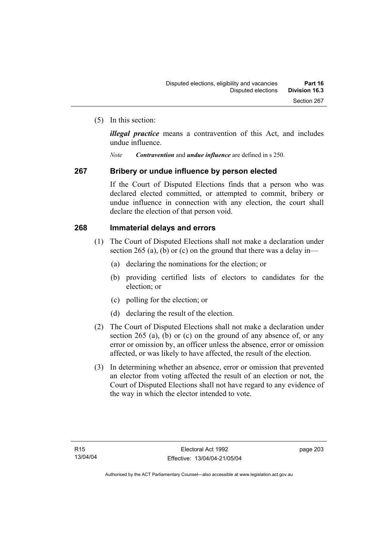(5) In this section:

*illegal practice* means a contravention of this Act, and includes undue influence.

*Note Contravention* and *undue influence* are defined in s 250.

#### **267 Bribery or undue influence by person elected**

If the Court of Disputed Elections finds that a person who was declared elected committed, or attempted to commit, bribery or undue influence in connection with any election, the court shall declare the election of that person void.

#### **268 Immaterial delays and errors**

- (1) The Court of Disputed Elections shall not make a declaration under section 265 (a), (b) or (c) on the ground that there was a delay in—
	- (a) declaring the nominations for the election; or
	- (b) providing certified lists of electors to candidates for the election; or
	- (c) polling for the election; or
	- (d) declaring the result of the election.
- (2) The Court of Disputed Elections shall not make a declaration under section 265 (a), (b) or (c) on the ground of any absence of, or any error or omission by, an officer unless the absence, error or omission affected, or was likely to have affected, the result of the election.
- (3) In determining whether an absence, error or omission that prevented an elector from voting affected the result of an election or not, the Court of Disputed Elections shall not have regard to any evidence of the way in which the elector intended to vote.

page 203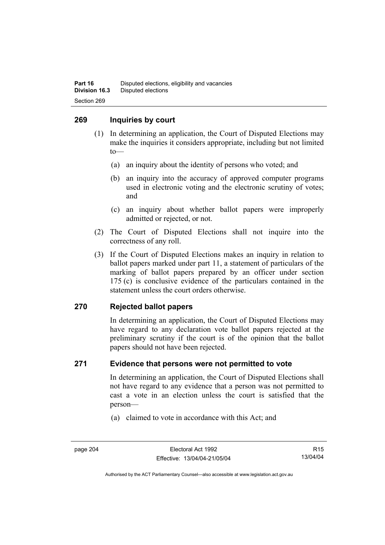#### **269 Inquiries by court**

- (1) In determining an application, the Court of Disputed Elections may make the inquiries it considers appropriate, including but not limited to—
	- (a) an inquiry about the identity of persons who voted; and
	- (b) an inquiry into the accuracy of approved computer programs used in electronic voting and the electronic scrutiny of votes; and
	- (c) an inquiry about whether ballot papers were improperly admitted or rejected, or not.
- (2) The Court of Disputed Elections shall not inquire into the correctness of any roll.
- (3) If the Court of Disputed Elections makes an inquiry in relation to ballot papers marked under part 11, a statement of particulars of the marking of ballot papers prepared by an officer under section 175 (c) is conclusive evidence of the particulars contained in the statement unless the court orders otherwise.

### **270 Rejected ballot papers**

In determining an application, the Court of Disputed Elections may have regard to any declaration vote ballot papers rejected at the preliminary scrutiny if the court is of the opinion that the ballot papers should not have been rejected.

#### **271 Evidence that persons were not permitted to vote**

In determining an application, the Court of Disputed Elections shall not have regard to any evidence that a person was not permitted to cast a vote in an election unless the court is satisfied that the person—

(a) claimed to vote in accordance with this Act; and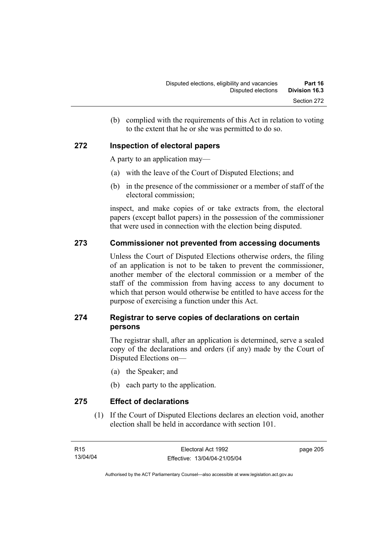(b) complied with the requirements of this Act in relation to voting to the extent that he or she was permitted to do so.

## **272 Inspection of electoral papers**

A party to an application may—

- (a) with the leave of the Court of Disputed Elections; and
- (b) in the presence of the commissioner or a member of staff of the electoral commission;

inspect, and make copies of or take extracts from, the electoral papers (except ballot papers) in the possession of the commissioner that were used in connection with the election being disputed.

### **273 Commissioner not prevented from accessing documents**

Unless the Court of Disputed Elections otherwise orders, the filing of an application is not to be taken to prevent the commissioner, another member of the electoral commission or a member of the staff of the commission from having access to any document to which that person would otherwise be entitled to have access for the purpose of exercising a function under this Act.

## **274 Registrar to serve copies of declarations on certain persons**

The registrar shall, after an application is determined, serve a sealed copy of the declarations and orders (if any) made by the Court of Disputed Elections on—

- (a) the Speaker; and
- (b) each party to the application.

**275 Effect of declarations** 

 (1) If the Court of Disputed Elections declares an election void, another election shall be held in accordance with section 101.

page 205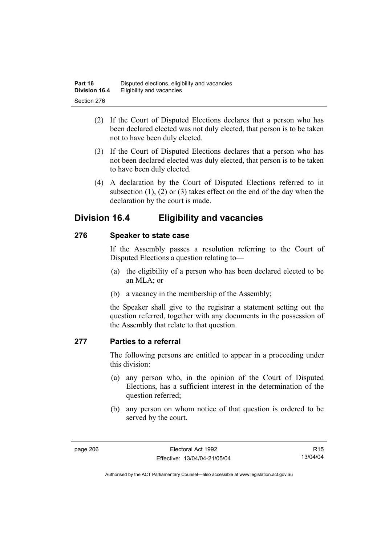- (2) If the Court of Disputed Elections declares that a person who has been declared elected was not duly elected, that person is to be taken not to have been duly elected.
- (3) If the Court of Disputed Elections declares that a person who has not been declared elected was duly elected, that person is to be taken to have been duly elected.
- (4) A declaration by the Court of Disputed Elections referred to in subsection (1), (2) or (3) takes effect on the end of the day when the declaration by the court is made.

## **Division 16.4 Eligibility and vacancies**

## **276 Speaker to state case**

If the Assembly passes a resolution referring to the Court of Disputed Elections a question relating to—

- (a) the eligibility of a person who has been declared elected to be an MLA; or
- (b) a vacancy in the membership of the Assembly;

the Speaker shall give to the registrar a statement setting out the question referred, together with any documents in the possession of the Assembly that relate to that question.

### **277 Parties to a referral**

The following persons are entitled to appear in a proceeding under this division:

- (a) any person who, in the opinion of the Court of Disputed Elections, has a sufficient interest in the determination of the question referred;
- (b) any person on whom notice of that question is ordered to be served by the court.

R15 13/04/04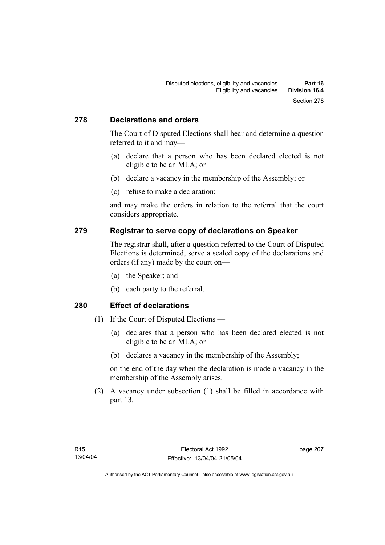#### **278 Declarations and orders**

The Court of Disputed Elections shall hear and determine a question referred to it and may—

- (a) declare that a person who has been declared elected is not eligible to be an MLA; or
- (b) declare a vacancy in the membership of the Assembly; or
- (c) refuse to make a declaration;

and may make the orders in relation to the referral that the court considers appropriate.

#### **279 Registrar to serve copy of declarations on Speaker**

The registrar shall, after a question referred to the Court of Disputed Elections is determined, serve a sealed copy of the declarations and orders (if any) made by the court on—

- (a) the Speaker; and
- (b) each party to the referral.

### **280 Effect of declarations**

- (1) If the Court of Disputed Elections
	- (a) declares that a person who has been declared elected is not eligible to be an MLA; or
	- (b) declares a vacancy in the membership of the Assembly;

on the end of the day when the declaration is made a vacancy in the membership of the Assembly arises.

 (2) A vacancy under subsection (1) shall be filled in accordance with part 13.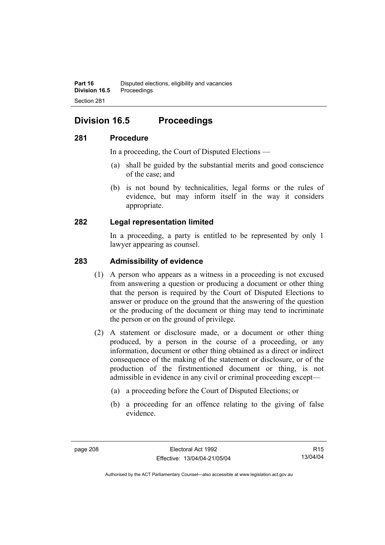## **Division 16.5 Proceedings**

#### **281 Procedure**

In a proceeding, the Court of Disputed Elections —

- (a) shall be guided by the substantial merits and good conscience of the case; and
- (b) is not bound by technicalities, legal forms or the rules of evidence, but may inform itself in the way it considers appropriate.

### **282 Legal representation limited**

In a proceeding, a party is entitled to be represented by only 1 lawyer appearing as counsel.

#### **283 Admissibility of evidence**

- (1) A person who appears as a witness in a proceeding is not excused from answering a question or producing a document or other thing that the person is required by the Court of Disputed Elections to answer or produce on the ground that the answering of the question or the producing of the document or thing may tend to incriminate the person or on the ground of privilege.
- (2) A statement or disclosure made, or a document or other thing produced, by a person in the course of a proceeding, or any information, document or other thing obtained as a direct or indirect consequence of the making of the statement or disclosure, or of the production of the firstmentioned document or thing, is not admissible in evidence in any civil or criminal proceeding except—
	- (a) a proceeding before the Court of Disputed Elections; or
	- (b) a proceeding for an offence relating to the giving of false evidence.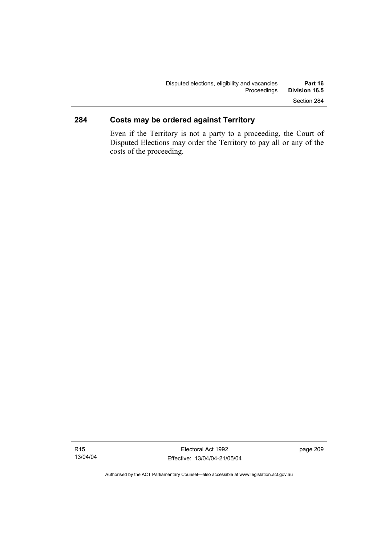## **284 Costs may be ordered against Territory**

Even if the Territory is not a party to a proceeding, the Court of Disputed Elections may order the Territory to pay all or any of the costs of the proceeding.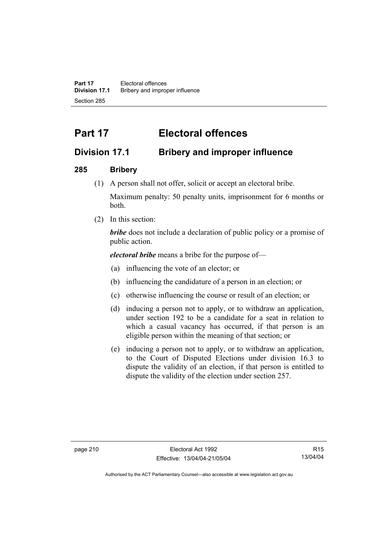**Part 17** Electoral offences **Division 17.1** Bribery and improper influence Section 285

# **Part 17 Electoral offences**

## **Division 17.1 Bribery and improper influence**

### **285 Bribery**

(1) A person shall not offer, solicit or accept an electoral bribe.

Maximum penalty: 50 penalty units, imprisonment for 6 months or both.

(2) In this section:

*bribe* does not include a declaration of public policy or a promise of public action.

*electoral bribe* means a bribe for the purpose of—

- (a) influencing the vote of an elector; or
- (b) influencing the candidature of a person in an election; or
- (c) otherwise influencing the course or result of an election; or
- (d) inducing a person not to apply, or to withdraw an application, under section 192 to be a candidate for a seat in relation to which a casual vacancy has occurred, if that person is an eligible person within the meaning of that section; or
- (e) inducing a person not to apply, or to withdraw an application, to the Court of Disputed Elections under division 16.3 to dispute the validity of an election, if that person is entitled to dispute the validity of the election under section 257.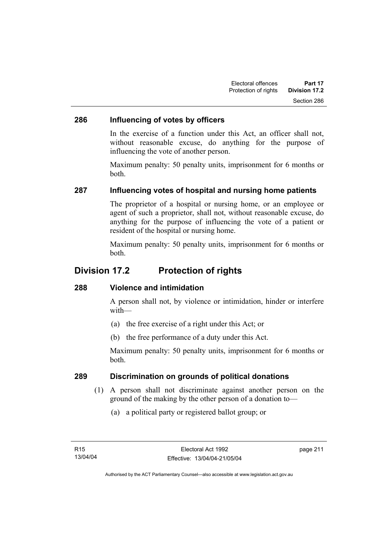#### **286 Influencing of votes by officers**

In the exercise of a function under this Act, an officer shall not, without reasonable excuse, do anything for the purpose of influencing the vote of another person.

Maximum penalty: 50 penalty units, imprisonment for 6 months or both.

### **287 Influencing votes of hospital and nursing home patients**

The proprietor of a hospital or nursing home, or an employee or agent of such a proprietor, shall not, without reasonable excuse, do anything for the purpose of influencing the vote of a patient or resident of the hospital or nursing home.

Maximum penalty: 50 penalty units, imprisonment for 6 months or both.

## **Division 17.2 Protection of rights**

#### **288 Violence and intimidation**

A person shall not, by violence or intimidation, hinder or interfere with—

- (a) the free exercise of a right under this Act; or
- (b) the free performance of a duty under this Act.

Maximum penalty: 50 penalty units, imprisonment for 6 months or both.

#### **289 Discrimination on grounds of political donations**

- (1) A person shall not discriminate against another person on the ground of the making by the other person of a donation to—
	- (a) a political party or registered ballot group; or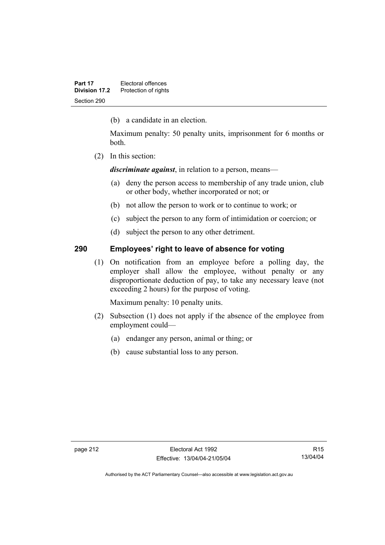(b) a candidate in an election.

Maximum penalty: 50 penalty units, imprisonment for 6 months or both.

(2) In this section:

*discriminate against*, in relation to a person, means—

- (a) deny the person access to membership of any trade union, club or other body, whether incorporated or not; or
- (b) not allow the person to work or to continue to work; or
- (c) subject the person to any form of intimidation or coercion; or
- (d) subject the person to any other detriment.

#### **290 Employees' right to leave of absence for voting**

 (1) On notification from an employee before a polling day, the employer shall allow the employee, without penalty or any disproportionate deduction of pay, to take any necessary leave (not exceeding 2 hours) for the purpose of voting.

Maximum penalty: 10 penalty units.

- (2) Subsection (1) does not apply if the absence of the employee from employment could—
	- (a) endanger any person, animal or thing; or
	- (b) cause substantial loss to any person.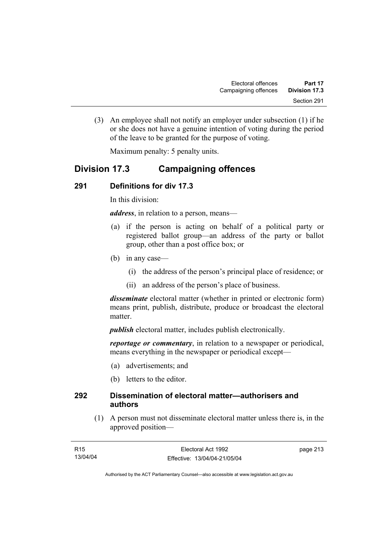(3) An employee shall not notify an employer under subsection (1) if he or she does not have a genuine intention of voting during the period of the leave to be granted for the purpose of voting.

Maximum penalty: 5 penalty units.

## **Division 17.3 Campaigning offences**

## **291 Definitions for div 17.3**

In this division:

*address*, in relation to a person, means—

- (a) if the person is acting on behalf of a political party or registered ballot group—an address of the party or ballot group, other than a post office box; or
- (b) in any case—
	- (i) the address of the person's principal place of residence; or
	- (ii) an address of the person's place of business.

*disseminate* electoral matter (whether in printed or electronic form) means print, publish, distribute, produce or broadcast the electoral matter.

*publish* electoral matter, includes publish electronically.

*reportage or commentary*, in relation to a newspaper or periodical, means everything in the newspaper or periodical except—

- (a) advertisements; and
- (b) letters to the editor.

#### **292 Dissemination of electoral matter—authorisers and authors**

 (1) A person must not disseminate electoral matter unless there is, in the approved position—

| R15      | Electoral Act 1992           | page 213 |
|----------|------------------------------|----------|
| 13/04/04 | Effective: 13/04/04-21/05/04 |          |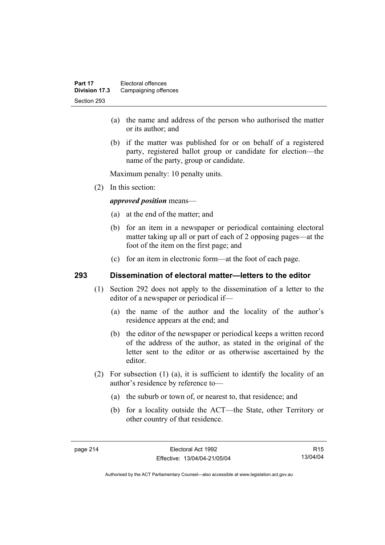- (a) the name and address of the person who authorised the matter or its author; and
- (b) if the matter was published for or on behalf of a registered party, registered ballot group or candidate for election—the name of the party, group or candidate.

Maximum penalty: 10 penalty units.

(2) In this section:

*approved position* means—

- (a) at the end of the matter; and
- (b) for an item in a newspaper or periodical containing electoral matter taking up all or part of each of 2 opposing pages—at the foot of the item on the first page; and
- (c) for an item in electronic form—at the foot of each page.

#### **293 Dissemination of electoral matter—letters to the editor**

- (1) Section 292 does not apply to the dissemination of a letter to the editor of a newspaper or periodical if—
	- (a) the name of the author and the locality of the author's residence appears at the end; and
	- (b) the editor of the newspaper or periodical keeps a written record of the address of the author, as stated in the original of the letter sent to the editor or as otherwise ascertained by the editor.
- (2) For subsection (1) (a), it is sufficient to identify the locality of an author's residence by reference to—
	- (a) the suburb or town of, or nearest to, that residence; and
	- (b) for a locality outside the ACT—the State, other Territory or other country of that residence.

R15 13/04/04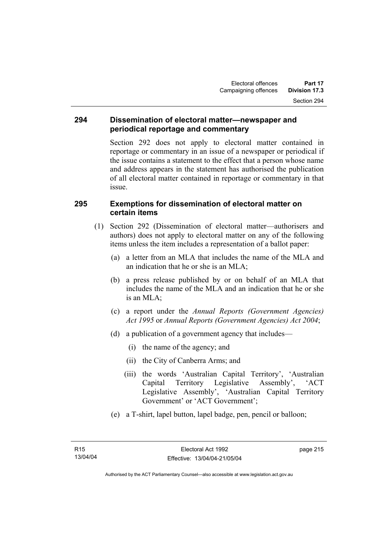#### **294 Dissemination of electoral matter—newspaper and periodical reportage and commentary**

Section 292 does not apply to electoral matter contained in reportage or commentary in an issue of a newspaper or periodical if the issue contains a statement to the effect that a person whose name and address appears in the statement has authorised the publication of all electoral matter contained in reportage or commentary in that issue.

#### **295 Exemptions for dissemination of electoral matter on certain items**

- (1) Section 292 (Dissemination of electoral matter—authorisers and authors) does not apply to electoral matter on any of the following items unless the item includes a representation of a ballot paper:
	- (a) a letter from an MLA that includes the name of the MLA and an indication that he or she is an MLA;
	- (b) a press release published by or on behalf of an MLA that includes the name of the MLA and an indication that he or she is an MLA;
	- (c) a report under the *Annual Reports (Government Agencies) Act 1995* or *Annual Reports (Government Agencies) Act 2004*;
	- (d) a publication of a government agency that includes—
		- (i) the name of the agency; and
		- (ii) the City of Canberra Arms; and
		- (iii) the words 'Australian Capital Territory', 'Australian Capital Territory Legislative Assembly', 'ACT Legislative Assembly', 'Australian Capital Territory Government' or 'ACT Government';
	- (e) a T-shirt, lapel button, lapel badge, pen, pencil or balloon;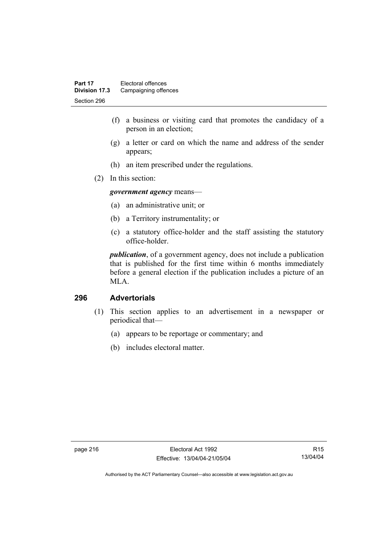- (f) a business or visiting card that promotes the candidacy of a person in an election;
- (g) a letter or card on which the name and address of the sender appears;
- (h) an item prescribed under the regulations.
- (2) In this section:

*government agency* means—

- (a) an administrative unit; or
- (b) a Territory instrumentality; or
- (c) a statutory office-holder and the staff assisting the statutory office-holder.

*publication*, of a government agency, does not include a publication that is published for the first time within 6 months immediately before a general election if the publication includes a picture of an MLA.

#### **296 Advertorials**

- (1) This section applies to an advertisement in a newspaper or periodical that—
	- (a) appears to be reportage or commentary; and
	- (b) includes electoral matter.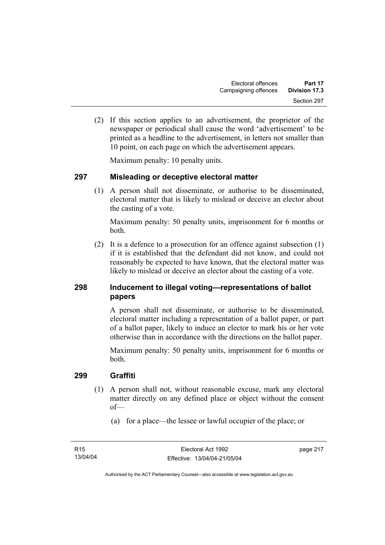(2) If this section applies to an advertisement, the proprietor of the newspaper or periodical shall cause the word 'advertisement' to be printed as a headline to the advertisement, in letters not smaller than 10 point, on each page on which the advertisement appears.

Maximum penalty: 10 penalty units.

#### **297 Misleading or deceptive electoral matter**

 (1) A person shall not disseminate, or authorise to be disseminated, electoral matter that is likely to mislead or deceive an elector about the casting of a vote.

Maximum penalty: 50 penalty units, imprisonment for 6 months or both.

 (2) It is a defence to a prosecution for an offence against subsection (1) if it is established that the defendant did not know, and could not reasonably be expected to have known, that the electoral matter was likely to mislead or deceive an elector about the casting of a vote.

## **298 Inducement to illegal voting—representations of ballot papers**

A person shall not disseminate, or authorise to be disseminated, electoral matter including a representation of a ballot paper, or part of a ballot paper, likely to induce an elector to mark his or her vote otherwise than in accordance with the directions on the ballot paper.

Maximum penalty: 50 penalty units, imprisonment for 6 months or both.

#### **299 Graffiti**

- (1) A person shall not, without reasonable excuse, mark any electoral matter directly on any defined place or object without the consent of—
	- (a) for a place—the lessee or lawful occupier of the place; or

page 217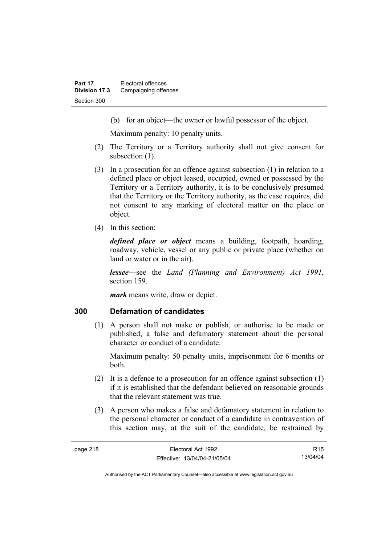(b) for an object—the owner or lawful possessor of the object.

Maximum penalty: 10 penalty units.

- (2) The Territory or a Territory authority shall not give consent for subsection  $(1)$ .
- (3) In a prosecution for an offence against subsection (1) in relation to a defined place or object leased, occupied, owned or possessed by the Territory or a Territory authority, it is to be conclusively presumed that the Territory or the Territory authority, as the case requires, did not consent to any marking of electoral matter on the place or object.
- (4) In this section:

*defined place or object* means a building, footpath, hoarding, roadway, vehicle, vessel or any public or private place (whether on land or water or in the air).

*lessee*—see the *Land (Planning and Environment) Act 1991*, section 159.

*mark* means write, draw or depict.

#### **300 Defamation of candidates**

 (1) A person shall not make or publish, or authorise to be made or published, a false and defamatory statement about the personal character or conduct of a candidate.

Maximum penalty: 50 penalty units, imprisonment for 6 months or both.

- (2) It is a defence to a prosecution for an offence against subsection (1) if it is established that the defendant believed on reasonable grounds that the relevant statement was true.
- (3) A person who makes a false and defamatory statement in relation to the personal character or conduct of a candidate in contravention of this section may, at the suit of the candidate, be restrained by

R15 13/04/04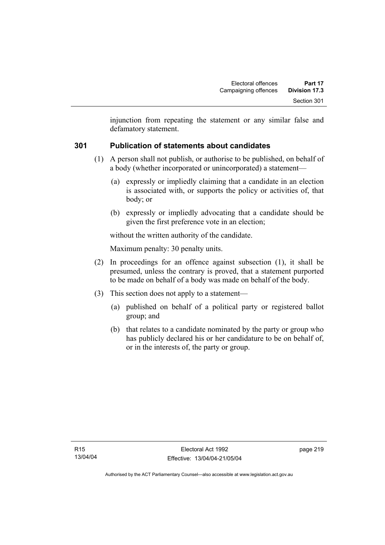injunction from repeating the statement or any similar false and defamatory statement.

### **301 Publication of statements about candidates**

- (1) A person shall not publish, or authorise to be published, on behalf of a body (whether incorporated or unincorporated) a statement—
	- (a) expressly or impliedly claiming that a candidate in an election is associated with, or supports the policy or activities of, that body; or
	- (b) expressly or impliedly advocating that a candidate should be given the first preference vote in an election;

without the written authority of the candidate.

Maximum penalty: 30 penalty units.

- (2) In proceedings for an offence against subsection (1), it shall be presumed, unless the contrary is proved, that a statement purported to be made on behalf of a body was made on behalf of the body.
- (3) This section does not apply to a statement—
	- (a) published on behalf of a political party or registered ballot group; and
	- (b) that relates to a candidate nominated by the party or group who has publicly declared his or her candidature to be on behalf of, or in the interests of, the party or group.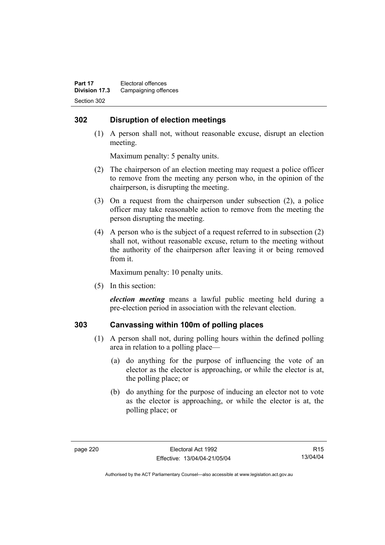### **302 Disruption of election meetings**

 (1) A person shall not, without reasonable excuse, disrupt an election meeting.

Maximum penalty: 5 penalty units.

- (2) The chairperson of an election meeting may request a police officer to remove from the meeting any person who, in the opinion of the chairperson, is disrupting the meeting.
- (3) On a request from the chairperson under subsection (2), a police officer may take reasonable action to remove from the meeting the person disrupting the meeting.
- (4) A person who is the subject of a request referred to in subsection (2) shall not, without reasonable excuse, return to the meeting without the authority of the chairperson after leaving it or being removed from it.

Maximum penalty: 10 penalty units.

(5) In this section:

*election meeting* means a lawful public meeting held during a pre-election period in association with the relevant election.

### **303 Canvassing within 100m of polling places**

- (1) A person shall not, during polling hours within the defined polling area in relation to a polling place—
	- (a) do anything for the purpose of influencing the vote of an elector as the elector is approaching, or while the elector is at, the polling place; or
	- (b) do anything for the purpose of inducing an elector not to vote as the elector is approaching, or while the elector is at, the polling place; or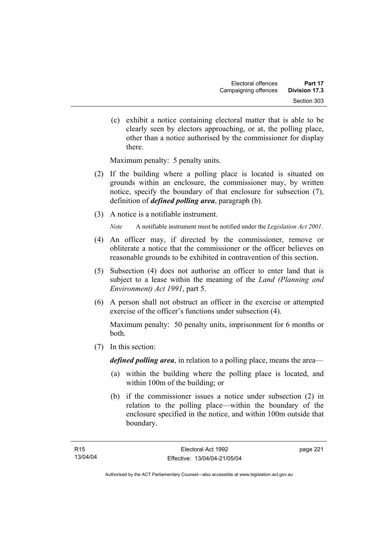(c) exhibit a notice containing electoral matter that is able to be clearly seen by electors approaching, or at, the polling place, other than a notice authorised by the commissioner for display there.

Maximum penalty: 5 penalty units.

- (2) If the building where a polling place is located is situated on grounds within an enclosure, the commissioner may, by written notice, specify the boundary of that enclosure for subsection (7), definition of *defined polling area*, paragraph (b).
- (3) A notice is a notifiable instrument.

*Note* A notifiable instrument must be notified under the *Legislation Act 2001*.

- (4) An officer may, if directed by the commissioner, remove or obliterate a notice that the commissioner or the officer believes on reasonable grounds to be exhibited in contravention of this section.
- (5) Subsection (4) does not authorise an officer to enter land that is subject to a lease within the meaning of the *Land (Planning and Environment) Act 1991*, part 5.
- (6) A person shall not obstruct an officer in the exercise or attempted exercise of the officer's functions under subsection (4).

Maximum penalty: 50 penalty units, imprisonment for 6 months or both.

(7) In this section:

*defined polling area*, in relation to a polling place, means the area—

- (a) within the building where the polling place is located, and within 100m of the building; or
- (b) if the commissioner issues a notice under subsection (2) in relation to the polling place—within the boundary of the enclosure specified in the notice, and within 100m outside that boundary.

page 221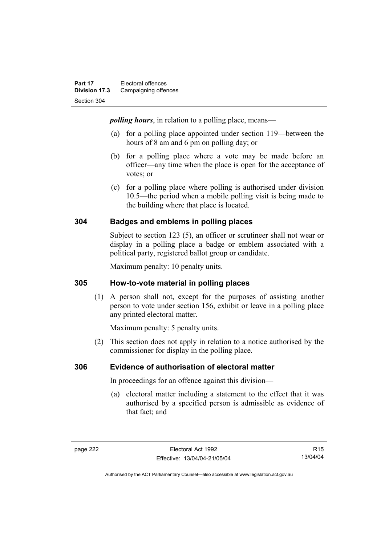*polling hours*, in relation to a polling place, means—

- (a) for a polling place appointed under section 119—between the hours of 8 am and 6 pm on polling day; or
- (b) for a polling place where a vote may be made before an officer—any time when the place is open for the acceptance of votes; or
- (c) for a polling place where polling is authorised under division 10.5—the period when a mobile polling visit is being made to the building where that place is located.

### **304 Badges and emblems in polling places**

Subject to section 123 (5), an officer or scrutineer shall not wear or display in a polling place a badge or emblem associated with a political party, registered ballot group or candidate.

Maximum penalty: 10 penalty units.

### **305 How-to-vote material in polling places**

 (1) A person shall not, except for the purposes of assisting another person to vote under section 156, exhibit or leave in a polling place any printed electoral matter.

Maximum penalty: 5 penalty units.

 (2) This section does not apply in relation to a notice authorised by the commissioner for display in the polling place.

### **306 Evidence of authorisation of electoral matter**

In proceedings for an offence against this division—

 (a) electoral matter including a statement to the effect that it was authorised by a specified person is admissible as evidence of that fact; and

R15 13/04/04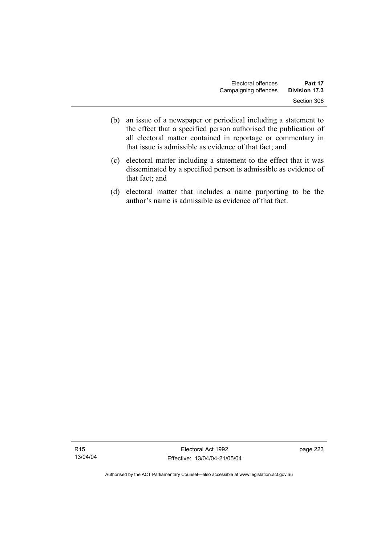- (b) an issue of a newspaper or periodical including a statement to the effect that a specified person authorised the publication of all electoral matter contained in reportage or commentary in that issue is admissible as evidence of that fact; and
- (c) electoral matter including a statement to the effect that it was disseminated by a specified person is admissible as evidence of that fact; and
- (d) electoral matter that includes a name purporting to be the author's name is admissible as evidence of that fact.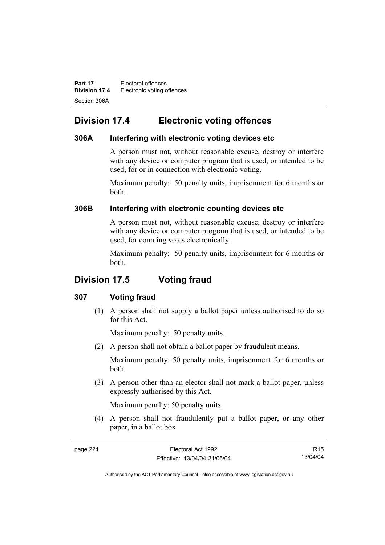**Part 17 Electoral offences Division 17.4** Electronic voting offences Section 306A

## **Division 17.4 Electronic voting offences**

#### **306A Interfering with electronic voting devices etc**

A person must not, without reasonable excuse, destroy or interfere with any device or computer program that is used, or intended to be used, for or in connection with electronic voting.

Maximum penalty: 50 penalty units, imprisonment for 6 months or both.

### **306B Interfering with electronic counting devices etc**

A person must not, without reasonable excuse, destroy or interfere with any device or computer program that is used, or intended to be used, for counting votes electronically.

Maximum penalty: 50 penalty units, imprisonment for 6 months or both.

## **Division 17.5 Voting fraud**

### **307 Voting fraud**

 (1) A person shall not supply a ballot paper unless authorised to do so for this Act.

Maximum penalty: 50 penalty units.

(2) A person shall not obtain a ballot paper by fraudulent means.

Maximum penalty: 50 penalty units, imprisonment for 6 months or both.

 (3) A person other than an elector shall not mark a ballot paper, unless expressly authorised by this Act.

Maximum penalty: 50 penalty units.

 (4) A person shall not fraudulently put a ballot paper, or any other paper, in a ballot box.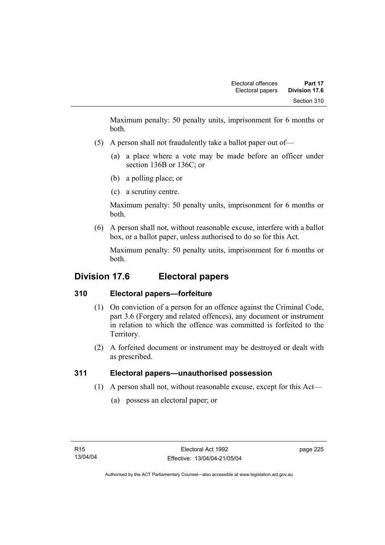Maximum penalty: 50 penalty units, imprisonment for 6 months or both.

- (5) A person shall not fraudulently take a ballot paper out of—
	- (a) a place where a vote may be made before an officer under section 136B or 136C; or
	- (b) a polling place; or
	- (c) a scrutiny centre.

Maximum penalty: 50 penalty units, imprisonment for 6 months or both.

 (6) A person shall not, without reasonable excuse, interfere with a ballot box, or a ballot paper, unless authorised to do so for this Act.

Maximum penalty: 50 penalty units, imprisonment for 6 months or both.

## **Division 17.6 Electoral papers**

## **310 Electoral papers—forfeiture**

- (1) On conviction of a person for an offence against the Criminal Code, part 3.6 (Forgery and related offences), any document or instrument in relation to which the offence was committed is forfeited to the Territory.
- (2) A forfeited document or instrument may be destroyed or dealt with as prescribed.

## **311 Electoral papers—unauthorised possession**

- (1) A person shall not, without reasonable excuse, except for this Act—
	- (a) possess an electoral paper; or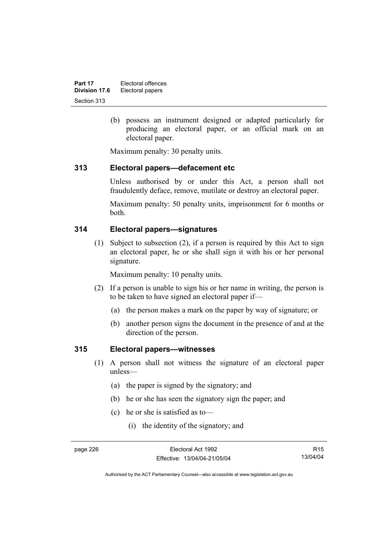(b) possess an instrument designed or adapted particularly for producing an electoral paper, or an official mark on an electoral paper.

Maximum penalty: 30 penalty units.

#### **313 Electoral papers—defacement etc**

Unless authorised by or under this Act, a person shall not fraudulently deface, remove, mutilate or destroy an electoral paper.

Maximum penalty: 50 penalty units, imprisonment for 6 months or both.

#### **314 Electoral papers—signatures**

 (1) Subject to subsection (2), if a person is required by this Act to sign an electoral paper, he or she shall sign it with his or her personal signature.

Maximum penalty: 10 penalty units.

- (2) If a person is unable to sign his or her name in writing, the person is to be taken to have signed an electoral paper if—
	- (a) the person makes a mark on the paper by way of signature; or
	- (b) another person signs the document in the presence of and at the direction of the person.

#### **315 Electoral papers—witnesses**

- (1) A person shall not witness the signature of an electoral paper unless—
	- (a) the paper is signed by the signatory; and
	- (b) he or she has seen the signatory sign the paper; and
	- (c) he or she is satisfied as to—
		- (i) the identity of the signatory; and

R15 13/04/04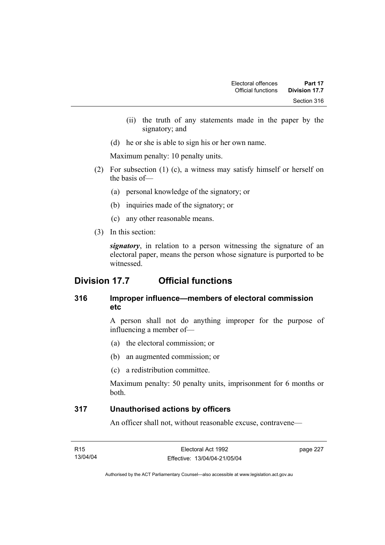- (ii) the truth of any statements made in the paper by the signatory; and
- (d) he or she is able to sign his or her own name.

Maximum penalty: 10 penalty units.

- (2) For subsection (1) (c), a witness may satisfy himself or herself on the basis of—
	- (a) personal knowledge of the signatory; or
	- (b) inquiries made of the signatory; or
	- (c) any other reasonable means.
- (3) In this section:

*signatory*, in relation to a person witnessing the signature of an electoral paper, means the person whose signature is purported to be witnessed.

## **Division 17.7 Official functions**

## **316 Improper influence—members of electoral commission etc**

A person shall not do anything improper for the purpose of influencing a member of—

- (a) the electoral commission; or
- (b) an augmented commission; or
- (c) a redistribution committee.

Maximum penalty: 50 penalty units, imprisonment for 6 months or both.

### **317 Unauthorised actions by officers**

An officer shall not, without reasonable excuse, contravene—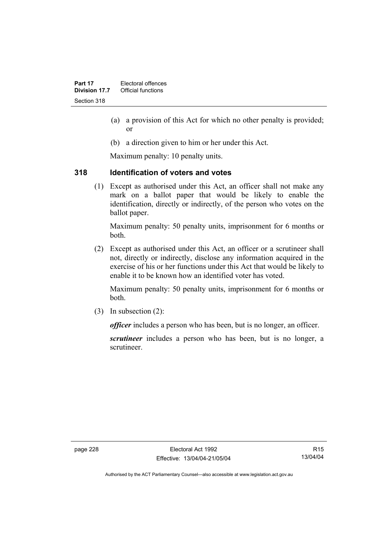- (a) a provision of this Act for which no other penalty is provided; or
- (b) a direction given to him or her under this Act.

Maximum penalty: 10 penalty units.

### **318 Identification of voters and votes**

 (1) Except as authorised under this Act, an officer shall not make any mark on a ballot paper that would be likely to enable the identification, directly or indirectly, of the person who votes on the ballot paper.

Maximum penalty: 50 penalty units, imprisonment for 6 months or both.

 (2) Except as authorised under this Act, an officer or a scrutineer shall not, directly or indirectly, disclose any information acquired in the exercise of his or her functions under this Act that would be likely to enable it to be known how an identified voter has voted.

Maximum penalty: 50 penalty units, imprisonment for 6 months or both.

(3) In subsection (2):

*officer* includes a person who has been, but is no longer, an officer.

*scrutineer* includes a person who has been, but is no longer, a scrutineer.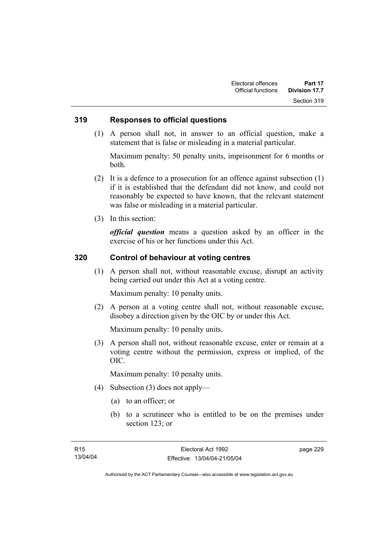#### **319 Responses to official questions**

 (1) A person shall not, in answer to an official question, make a statement that is false or misleading in a material particular.

Maximum penalty: 50 penalty units, imprisonment for 6 months or both.

- (2) It is a defence to a prosecution for an offence against subsection (1) if it is established that the defendant did not know, and could not reasonably be expected to have known, that the relevant statement was false or misleading in a material particular.
- (3) In this section:

*official question* means a question asked by an officer in the exercise of his or her functions under this Act.

#### **320 Control of behaviour at voting centres**

 (1) A person shall not, without reasonable excuse, disrupt an activity being carried out under this Act at a voting centre.

Maximum penalty: 10 penalty units.

 (2) A person at a voting centre shall not, without reasonable excuse, disobey a direction given by the OIC by or under this Act.

Maximum penalty: 10 penalty units.

 (3) A person shall not, without reasonable excuse, enter or remain at a voting centre without the permission, express or implied, of the OIC.

Maximum penalty: 10 penalty units.

- (4) Subsection (3) does not apply—
	- (a) to an officer; or
	- (b) to a scrutineer who is entitled to be on the premises under section 123; or

page 229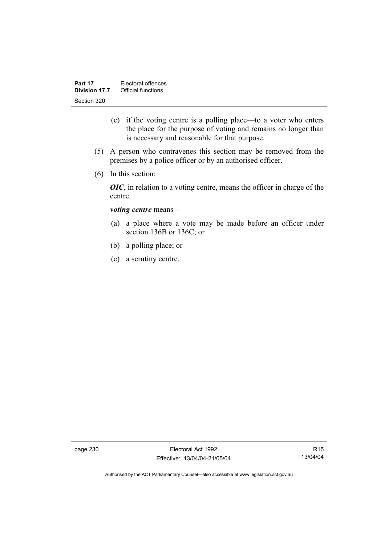- (c) if the voting centre is a polling place—to a voter who enters the place for the purpose of voting and remains no longer than is necessary and reasonable for that purpose.
- (5) A person who contravenes this section may be removed from the premises by a police officer or by an authorised officer.
- (6) In this section:

*OIC*, in relation to a voting centre, means the officer in charge of the centre.

#### *voting centre* means—

- (a) a place where a vote may be made before an officer under section 136B or 136C; or
- (b) a polling place; or
- (c) a scrutiny centre.

page 230 Electoral Act 1992 Effective: 13/04/04-21/05/04

R15 13/04/04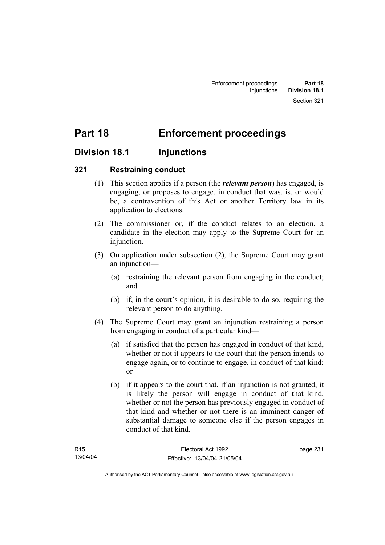# **Part 18 Enforcement proceedings**

## **Division 18.1 Injunctions**

### **321 Restraining conduct**

- (1) This section applies if a person (the *relevant person*) has engaged, is engaging, or proposes to engage, in conduct that was, is, or would be, a contravention of this Act or another Territory law in its application to elections.
- (2) The commissioner or, if the conduct relates to an election, a candidate in the election may apply to the Supreme Court for an injunction.
- (3) On application under subsection (2), the Supreme Court may grant an injunction—
	- (a) restraining the relevant person from engaging in the conduct; and
	- (b) if, in the court's opinion, it is desirable to do so, requiring the relevant person to do anything.
- (4) The Supreme Court may grant an injunction restraining a person from engaging in conduct of a particular kind—
	- (a) if satisfied that the person has engaged in conduct of that kind, whether or not it appears to the court that the person intends to engage again, or to continue to engage, in conduct of that kind; or
	- (b) if it appears to the court that, if an injunction is not granted, it is likely the person will engage in conduct of that kind, whether or not the person has previously engaged in conduct of that kind and whether or not there is an imminent danger of substantial damage to someone else if the person engages in conduct of that kind.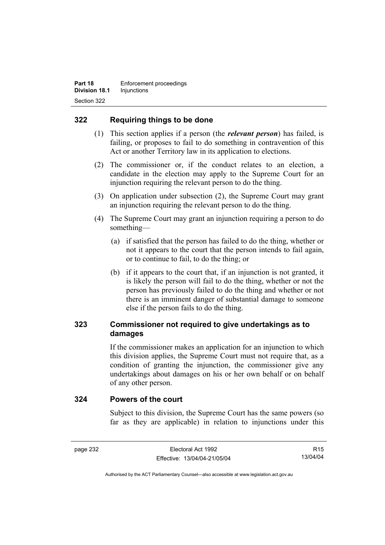## **322 Requiring things to be done**

- (1) This section applies if a person (the *relevant person*) has failed, is failing, or proposes to fail to do something in contravention of this Act or another Territory law in its application to elections.
- (2) The commissioner or, if the conduct relates to an election, a candidate in the election may apply to the Supreme Court for an injunction requiring the relevant person to do the thing.
- (3) On application under subsection (2), the Supreme Court may grant an injunction requiring the relevant person to do the thing.
- (4) The Supreme Court may grant an injunction requiring a person to do something—
	- (a) if satisfied that the person has failed to do the thing, whether or not it appears to the court that the person intends to fail again, or to continue to fail, to do the thing; or
	- (b) if it appears to the court that, if an injunction is not granted, it is likely the person will fail to do the thing, whether or not the person has previously failed to do the thing and whether or not there is an imminent danger of substantial damage to someone else if the person fails to do the thing.

## **323 Commissioner not required to give undertakings as to damages**

If the commissioner makes an application for an injunction to which this division applies, the Supreme Court must not require that, as a condition of granting the injunction, the commissioner give any undertakings about damages on his or her own behalf or on behalf of any other person.

#### **324 Powers of the court**

Subject to this division, the Supreme Court has the same powers (so far as they are applicable) in relation to injunctions under this

R15 13/04/04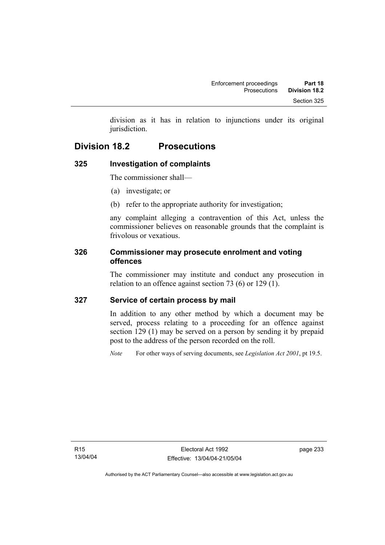division as it has in relation to injunctions under its original jurisdiction.

# **Division 18.2 Prosecutions**

## **325 Investigation of complaints**

The commissioner shall—

- (a) investigate; or
- (b) refer to the appropriate authority for investigation;

any complaint alleging a contravention of this Act, unless the commissioner believes on reasonable grounds that the complaint is frivolous or vexatious.

## **326 Commissioner may prosecute enrolment and voting offences**

The commissioner may institute and conduct any prosecution in relation to an offence against section 73 (6) or 129 (1).

## **327 Service of certain process by mail**

In addition to any other method by which a document may be served, process relating to a proceeding for an offence against section 129 (1) may be served on a person by sending it by prepaid post to the address of the person recorded on the roll.

*Note* For other ways of serving documents, see *Legislation Act 2001*, pt 19.5.

page 233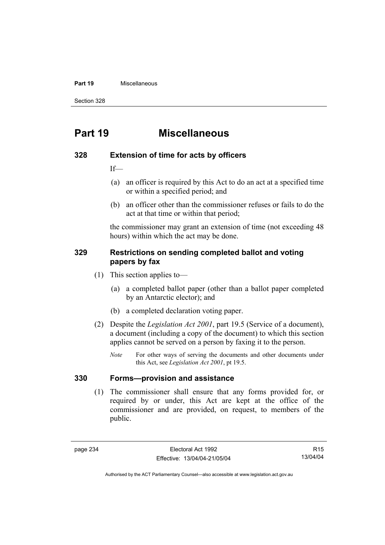#### **Part 19** Miscellaneous

Section 328

# **Part 19 Miscellaneous**

#### **328 Extension of time for acts by officers**

If—

- (a) an officer is required by this Act to do an act at a specified time or within a specified period; and
- (b) an officer other than the commissioner refuses or fails to do the act at that time or within that period;

the commissioner may grant an extension of time (not exceeding 48 hours) within which the act may be done.

#### **329 Restrictions on sending completed ballot and voting papers by fax**

- (1) This section applies to—
	- (a) a completed ballot paper (other than a ballot paper completed by an Antarctic elector); and
	- (b) a completed declaration voting paper.
- (2) Despite the *Legislation Act 2001*, part 19.5 (Service of a document), a document (including a copy of the document) to which this section applies cannot be served on a person by faxing it to the person.
	- *Note* For other ways of serving the documents and other documents under this Act, see *Legislation Act 2001*, pt 19.5.

#### **330 Forms—provision and assistance**

 (1) The commissioner shall ensure that any forms provided for, or required by or under, this Act are kept at the office of the commissioner and are provided, on request, to members of the public.

R15 13/04/04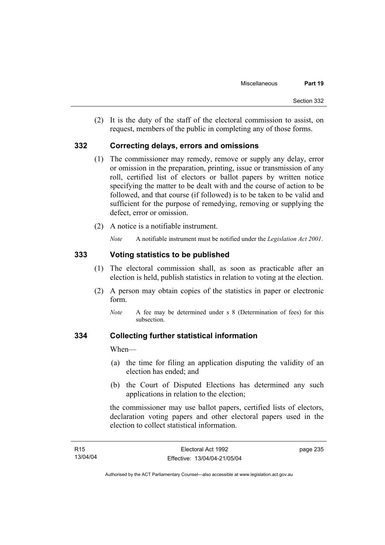(2) It is the duty of the staff of the electoral commission to assist, on request, members of the public in completing any of those forms.

### **332 Correcting delays, errors and omissions**

- (1) The commissioner may remedy, remove or supply any delay, error or omission in the preparation, printing, issue or transmission of any roll, certified list of electors or ballot papers by written notice specifying the matter to be dealt with and the course of action to be followed, and that course (if followed) is to be taken to be valid and sufficient for the purpose of remedying, removing or supplying the defect, error or omission.
- (2) A notice is a notifiable instrument.

*Note* A notifiable instrument must be notified under the *Legislation Act 2001*.

### **333 Voting statistics to be published**

- (1) The electoral commission shall, as soon as practicable after an election is held, publish statistics in relation to voting at the election.
- (2) A person may obtain copies of the statistics in paper or electronic form.
	- *Note* A fee may be determined under s 8 (Determination of fees) for this subsection.

### **334 Collecting further statistical information**

When—

- (a) the time for filing an application disputing the validity of an election has ended; and
- (b) the Court of Disputed Elections has determined any such applications in relation to the election;

the commissioner may use ballot papers, certified lists of electors, declaration voting papers and other electoral papers used in the election to collect statistical information.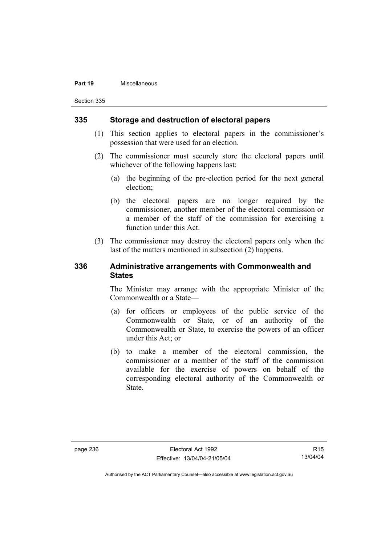#### **Part 19** Miscellaneous

Section 335

### **335 Storage and destruction of electoral papers**

- (1) This section applies to electoral papers in the commissioner's possession that were used for an election.
- (2) The commissioner must securely store the electoral papers until whichever of the following happens last:
	- (a) the beginning of the pre-election period for the next general election;
	- (b) the electoral papers are no longer required by the commissioner, another member of the electoral commission or a member of the staff of the commission for exercising a function under this Act.
- (3) The commissioner may destroy the electoral papers only when the last of the matters mentioned in subsection (2) happens.

### **336 Administrative arrangements with Commonwealth and States**

The Minister may arrange with the appropriate Minister of the Commonwealth or a State—

- (a) for officers or employees of the public service of the Commonwealth or State, or of an authority of the Commonwealth or State, to exercise the powers of an officer under this Act; or
- (b) to make a member of the electoral commission, the commissioner or a member of the staff of the commission available for the exercise of powers on behalf of the corresponding electoral authority of the Commonwealth or State.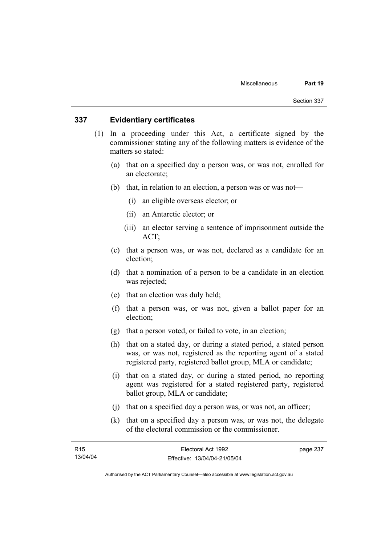### **337 Evidentiary certificates**

- (1) In a proceeding under this Act, a certificate signed by the commissioner stating any of the following matters is evidence of the matters so stated:
	- (a) that on a specified day a person was, or was not, enrolled for an electorate;
	- (b) that, in relation to an election, a person was or was not—
		- (i) an eligible overseas elector; or
		- (ii) an Antarctic elector; or
		- (iii) an elector serving a sentence of imprisonment outside the ACT;
	- (c) that a person was, or was not, declared as a candidate for an election;
	- (d) that a nomination of a person to be a candidate in an election was rejected;
	- (e) that an election was duly held;
	- (f) that a person was, or was not, given a ballot paper for an election;
	- (g) that a person voted, or failed to vote, in an election;
	- (h) that on a stated day, or during a stated period, a stated person was, or was not, registered as the reporting agent of a stated registered party, registered ballot group, MLA or candidate;
	- (i) that on a stated day, or during a stated period, no reporting agent was registered for a stated registered party, registered ballot group, MLA or candidate;
	- (j) that on a specified day a person was, or was not, an officer;
	- (k) that on a specified day a person was, or was not, the delegate of the electoral commission or the commissioner.

| R15      | Electoral Act 1992           | page 237 |
|----------|------------------------------|----------|
| 13/04/04 | Effective: 13/04/04-21/05/04 |          |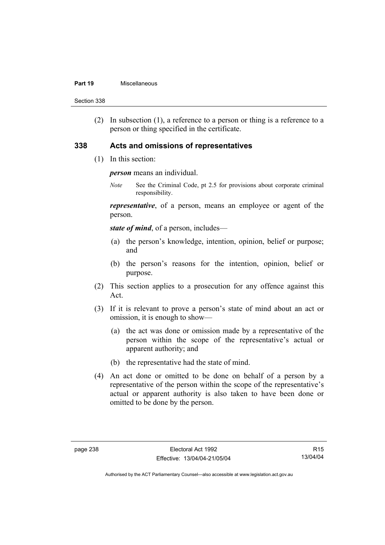#### **Part 19** Miscellaneous

Section 338

 (2) In subsection (1), a reference to a person or thing is a reference to a person or thing specified in the certificate.

### **338 Acts and omissions of representatives**

(1) In this section:

*person* means an individual.

*Note* See the Criminal Code, pt 2.5 for provisions about corporate criminal responsibility.

*representative*, of a person, means an employee or agent of the person.

*state of mind*, of a person, includes—

- (a) the person's knowledge, intention, opinion, belief or purpose; and
- (b) the person's reasons for the intention, opinion, belief or purpose.
- (2) This section applies to a prosecution for any offence against this Act.
- (3) If it is relevant to prove a person's state of mind about an act or omission, it is enough to show—
	- (a) the act was done or omission made by a representative of the person within the scope of the representative's actual or apparent authority; and
	- (b) the representative had the state of mind.
- (4) An act done or omitted to be done on behalf of a person by a representative of the person within the scope of the representative's actual or apparent authority is also taken to have been done or omitted to be done by the person.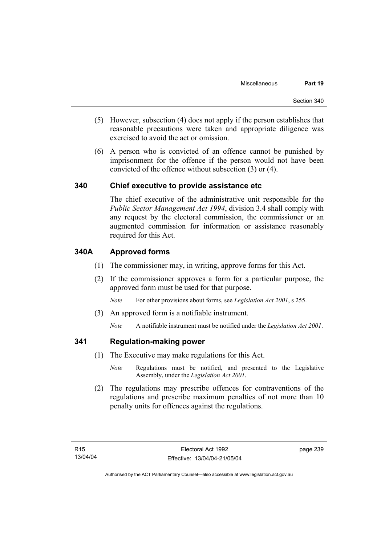- (5) However, subsection (4) does not apply if the person establishes that reasonable precautions were taken and appropriate diligence was exercised to avoid the act or omission.
- (6) A person who is convicted of an offence cannot be punished by imprisonment for the offence if the person would not have been convicted of the offence without subsection (3) or (4).

# **340 Chief executive to provide assistance etc**

The chief executive of the administrative unit responsible for the *Public Sector Management Act 1994*, division 3.4 shall comply with any request by the electoral commission, the commissioner or an augmented commission for information or assistance reasonably required for this Act.

# **340A Approved forms**

- (1) The commissioner may, in writing, approve forms for this Act.
- (2) If the commissioner approves a form for a particular purpose, the approved form must be used for that purpose.

*Note* For other provisions about forms, see *Legislation Act 2001*, s 255.

- (3) An approved form is a notifiable instrument.
	- *Note* A notifiable instrument must be notified under the *Legislation Act 2001*.

### **341 Regulation-making power**

- (1) The Executive may make regulations for this Act.
	- *Note* Regulations must be notified, and presented to the Legislative Assembly, under the *Legislation Act 2001*.
- (2) The regulations may prescribe offences for contraventions of the regulations and prescribe maximum penalties of not more than 10 penalty units for offences against the regulations.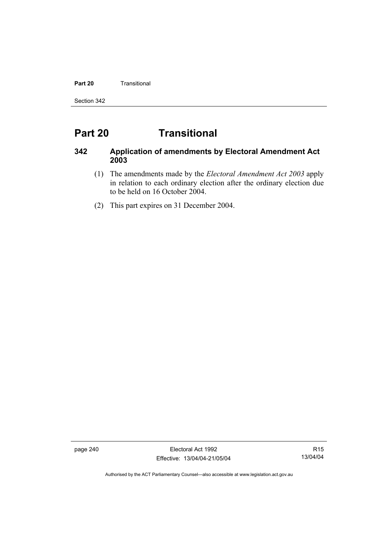#### **Part 20 Transitional**

Section 342

# **Part 20 Transitional**

# **342 Application of amendments by Electoral Amendment Act 2003**

- (1) The amendments made by the *Electoral Amendment Act 2003* apply in relation to each ordinary election after the ordinary election due to be held on 16 October 2004.
- (2) This part expires on 31 December 2004.

page 240 Electoral Act 1992 Effective: 13/04/04-21/05/04

R15 13/04/04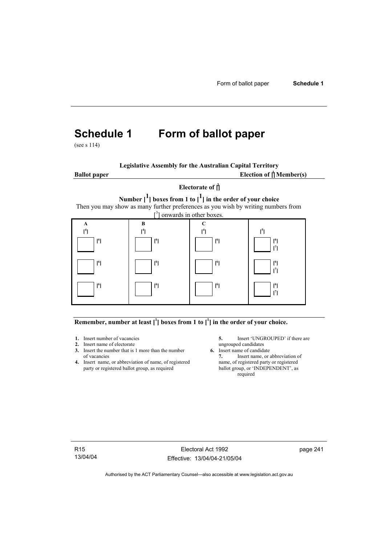# **Schedule 1 Form of ballot paper**

(see s 114)

| <b>Legislative Assembly for the Australian Capital Territory</b> |
|------------------------------------------------------------------|
|------------------------------------------------------------------|

**Ballot paper** 

Election of  $\mathbf{\hat{a}}$  Member(s)

# **Electorate of [ 2 ] Number [1] boxes from 1 to [1] in the order of your choice**  Then you may show as many further preferences as you wish by writing numbers from



#### Remember, number at least  $\begin{bmatrix} 1 \end{bmatrix}$  boxes from 1 to  $\begin{bmatrix} 1 \end{bmatrix}$  in the order of your choice.

- 
- **2.** Insert name of electorate ungrouped candidates<br> **3.** Insert the number that is 1 more than the number **6.** Insert name of candidate **3.** Insert the number that is 1 more than the number
- **4.** Insert name, or abbreviation of name, of registered name, of registered party or registered ballot group, as required ballot group, or 'INDEPENDENT', as party or registered ballot group, as required

**1.** Insert number of vacancies **5.** Insert 'UNGROUPED' if there are **2.** Insert name of electorate **1.** UNGROUPED' if there are ungrouped candidates

of vacancies **7.** Insert name, or abbreviation of name, of registered **7.** Insert name, or abbreviation of name, of registered **7.** Insert name, or registered required

R15 13/04/04

Electoral Act 1992 Effective: 13/04/04-21/05/04 page 241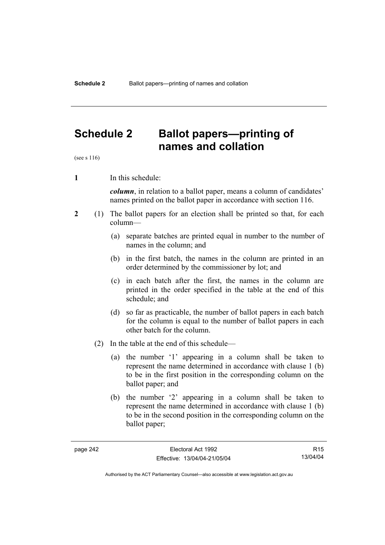# **Schedule 2 Ballot papers—printing of names and collation**

(see s 116)

**1** In this schedule:

*column*, in relation to a ballot paper, means a column of candidates' names printed on the ballot paper in accordance with section 116.

- **2** (1) The ballot papers for an election shall be printed so that, for each column—
	- (a) separate batches are printed equal in number to the number of names in the column; and
	- (b) in the first batch, the names in the column are printed in an order determined by the commissioner by lot; and
	- (c) in each batch after the first, the names in the column are printed in the order specified in the table at the end of this schedule; and
	- (d) so far as practicable, the number of ballot papers in each batch for the column is equal to the number of ballot papers in each other batch for the column.
	- (2) In the table at the end of this schedule—
		- (a) the number '1' appearing in a column shall be taken to represent the name determined in accordance with clause 1 (b) to be in the first position in the corresponding column on the ballot paper; and
		- (b) the number '2' appearing in a column shall be taken to represent the name determined in accordance with clause 1 (b) to be in the second position in the corresponding column on the ballot paper;

R15 13/04/04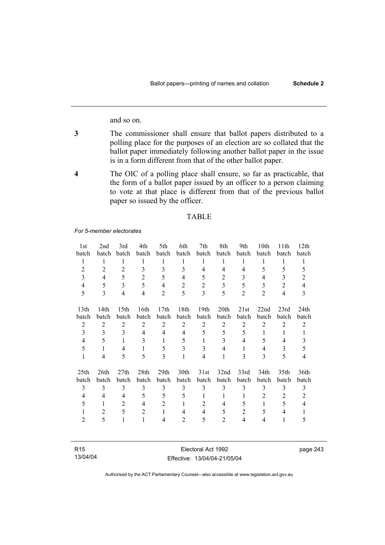and so on.

- **3** The commissioner shall ensure that ballot papers distributed to a polling place for the purposes of an election are so collated that the ballot paper immediately following another ballot paper in the issue is in a form different from that of the other ballot paper.
- **4** The OIC of a polling place shall ensure, so far as practicable, that the form of a ballot paper issued by an officer to a person claiming to vote at that place is different from that of the previous ballot paper so issued by the officer.

#### TABLE

*For 5-member electorates*

| 1st              | 2nd            | 3rd            | 4th            | 5th              | 6th            | 7th            | 8th            | 9th            | 10th           | 11 <sup>th</sup> | 12th             |
|------------------|----------------|----------------|----------------|------------------|----------------|----------------|----------------|----------------|----------------|------------------|------------------|
| batch            | batch          | batch          | batch          | batch            | batch          | batch          | batch          | batch          | batch          | batch            | batch            |
| 1                | 1              | 1              | 1              | 1                | 1              | 1              | 1              | 1              | 1              | 1                | 1                |
| $\overline{2}$   | $\overline{2}$ | $\overline{2}$ | 3              | 3                | 3              | 4              | $\overline{4}$ | $\overline{4}$ | 5              | 5                | 5                |
| $\overline{3}$   | $\overline{4}$ | 5              | $\overline{2}$ | 5                | 4              | 5              | $\overline{2}$ | 3              | 4              | 3                | $\overline{2}$   |
| 4                | 5              | $\overline{3}$ | 5              | $\overline{4}$   | $\overline{2}$ | $\overline{2}$ | 3              | 5              | 3              | $\overline{2}$   | $\overline{4}$   |
| 5                | 3              | $\overline{4}$ | 4              | $\overline{2}$   | 5              | 3              | 5              | $\overline{2}$ | $\overline{2}$ | $\overline{4}$   | 3                |
| 13 <sup>th</sup> | 14th           | 15th           | 16th           | 17 <sub>th</sub> | 18th           | 19th           | 20th           | 21st           | 22nd           | 23rd             | 24 <sub>th</sub> |
| batch            | batch          | batch          | batch          | batch            | batch          | batch          | batch          | batch          | batch          | batch            | batch            |
| $\overline{2}$   | $\overline{2}$ | $\overline{2}$ | $\overline{2}$ | $\overline{2}$   | $\overline{2}$ | $\overline{2}$ | $\overline{2}$ | $\overline{2}$ | 2              | $\overline{2}$   | $\overline{2}$   |
| $\overline{3}$   | 3              | 3              | 4              | $\overline{4}$   | 4              | 5              | 5              | 5              | 1              | 1                | 1                |
| 4                | 5              | 1              | 3              | 1                | 5              | 1              | 3              | 4              | 5              | 4                | 3                |
| 5                | $\mathbf{1}$   | 4              | 1              | 5                | 3              | 3              | 4              | 1              | 4              | 3                | 5                |
| $\mathbf{1}$     | 4              | 5              | 5              | 3                | 1              | $\overline{4}$ | 1              | 3              | 3              | 5                | 4                |
| 25 <sub>th</sub> | 26th           | 27th           | 28th           | 29 <sub>th</sub> | 30th           | 31st           | 32nd           | 33rd           | 34th           | 35th             | 36th             |
| batch            | batch          | batch          | batch          | batch            | batch          | batch          | batch          | batch          | batch          | batch            | batch            |
| 3                | 3              | 3              | 3              | 3                | 3              | 3              | 3              | 3              | 3              | 3                | 3                |
| $\overline{4}$   | 4              | $\overline{4}$ | 5              | 5                | 5              | 1              | 1              | 1              | $\overline{2}$ | $\overline{2}$   | $\overline{2}$   |
| 5                | 1              | 2              | 4              | $\overline{2}$   | 1              | $\overline{2}$ | 4              | 5              | $\mathbf{1}$   | 5                | $\overline{4}$   |
| 1                | $\overline{2}$ | 5              | 2              | $\mathbf{1}$     | 4              | 4              | 5              | $\overline{2}$ | 5              | 4                | 1                |
| 2                | 5              | 1              | 1              | 4                | $\overline{2}$ | 5              | $\overline{2}$ | 4              | $\overline{4}$ | $\mathbf{1}$     | 5                |
|                  |                |                |                |                  |                |                |                |                |                |                  |                  |

| R <sub>15</sub> | Electoral Act 1992           |
|-----------------|------------------------------|
| 13/04/04        | Effective: 13/04/04-21/05/04 |

Authorised by the ACT Parliamentary Counsel—also accessible at www.legislation.act.gov.au

page 243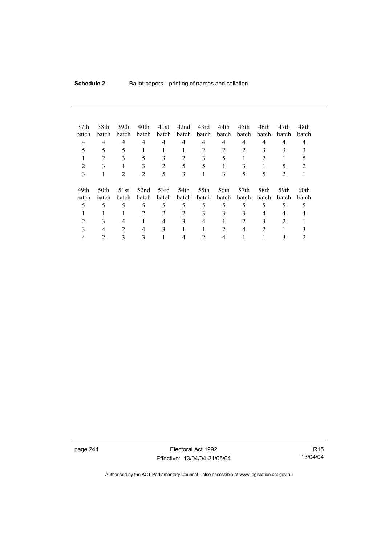| 37 <sub>th</sub><br>batch<br>4 | 38th<br><b>batch</b><br>4 | 39th<br>batch<br>4<br>5 | 40th<br>batch<br>4 | 41st<br>batch<br>4 | 42nd<br>batch<br>4 | 43rd<br>batch<br>4<br>$\overline{2}$ | 44th<br>batch<br>4<br>$\overline{c}$ | 45th<br>batch<br>4<br>2   | 46th<br>batch<br>4 | 47th<br><b>batch</b><br>4 | 48th<br>batch |
|--------------------------------|---------------------------|-------------------------|--------------------|--------------------|--------------------|--------------------------------------|--------------------------------------|---------------------------|--------------------|---------------------------|---------------|
| 2<br>3                         |                           |                         |                    | $\overline{c}$     | 5<br>3             | 5                                    |                                      | 5                         | ć                  |                           |               |
| 49th<br>batch                  | 50th<br>batch             | 51st<br>batch           | 52nd<br>batch      | 53rd<br>batch      | 54th<br>batch      | 55th<br>batch                        | 56th<br>batch                        | 57 <sub>th</sub><br>batch | 58th<br>batch      | 59th<br><b>batch</b>      | 60th<br>batch |
|                                |                           | 5                       | 5                  | 5                  | 5                  | 5                                    | 5                                    | 5                         | 5                  | 5                         |               |
|                                |                           |                         | 2                  | 2                  | 2                  |                                      | 3                                    |                           | 4                  |                           |               |
|                                |                           |                         |                    | 4                  |                    |                                      |                                      |                           |                    |                           |               |
|                                |                           | 2                       | 4                  | 3                  |                    |                                      |                                      | 4                         | 2                  |                           |               |
|                                |                           |                         |                    |                    |                    |                                      |                                      |                           |                    |                           |               |

page 244 Electoral Act 1992 Effective: 13/04/04-21/05/04

R15 13/04/04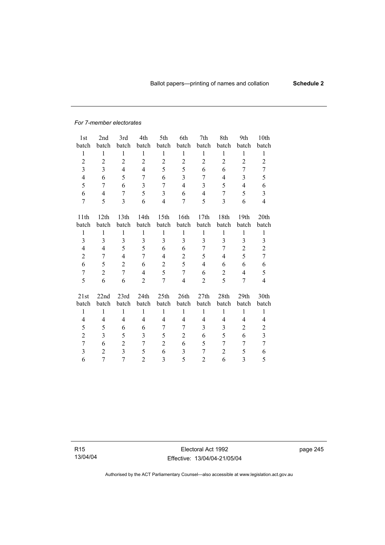#### *For 7-member electorates*

| 1st            | 2nd              | 3rd            | 4th            | 5th              | 6th                     | 7th            | 8th            | 9th            | 10th                    |
|----------------|------------------|----------------|----------------|------------------|-------------------------|----------------|----------------|----------------|-------------------------|
| batch          | batch            | batch          | batch          | batch            | batch                   | batch          | batch          | batch          | batch                   |
| $\mathbf{1}$   | $\mathbf{1}$     | 1              | $\mathbf{1}$   | $\mathbf{1}$     | 1                       | $\mathbf{1}$   | 1              | $\mathbf{1}$   | 1                       |
| $\overline{c}$ | $\boldsymbol{2}$ | $\overline{c}$ | $\overline{2}$ | $\overline{2}$   | $\overline{c}$          | $\overline{c}$ | $\overline{c}$ | $\overline{c}$ | $\overline{2}$          |
| 3              | 3                | $\overline{4}$ | $\overline{4}$ | 5                | 5                       | 6              | 6              | 7              | 7                       |
| $\overline{4}$ | 6                | 5              | 7              | 6                | $\overline{\mathbf{3}}$ | 7              | 4              | 3              | 5                       |
| 5              | 7                | 6              | 3              | $\overline{7}$   | $\overline{\mathbf{4}}$ | 3              | 5              | $\overline{4}$ | 6                       |
| 6              | 4                | 7              | 5              | $\overline{3}$   | 6                       | $\overline{4}$ | 7              | 5              | $\overline{\mathbf{3}}$ |
| $\tau$         | 5                | $\overline{3}$ | 6              | $\overline{4}$   | 7                       | 5              | 3              | 6              | $\overline{\mathbf{4}}$ |
|                |                  |                |                |                  |                         |                |                |                |                         |
| 11th           | 12 <sup>th</sup> | 13th           | 14th           | 15 <sup>th</sup> | 16th                    | 17th           | 18th           | 19th           | 20th                    |
| batch          | batch            | batch          | batch          | batch            | batch                   | batch          | batch          | batch          | batch                   |
| 1              | 1                | $\mathbf{1}$   | $\mathbf{1}$   | $\mathbf{1}$     | 1                       | $\mathbf{1}$   | 1              | $\mathbf{1}$   | 1                       |
| 3              | 3                | 3              | 3              | 3                | 3                       | 3              | 3              | 3              | 3                       |
| 4              | 4                | 5              | 5              | 6                | 6                       | 7              | 7              | $\overline{2}$ | $\overline{c}$          |
| $\overline{c}$ | 7                | 4              | 7              | 4                | $\mathbf{2}$            | 5              | 4              | 5              | $\overline{7}$          |
| 6              | 5                | $\overline{c}$ | 6              | $\overline{2}$   | 5                       | 4              | 6              | 6              | 6                       |
| $\overline{7}$ | $\sqrt{2}$       | $\overline{7}$ | $\overline{4}$ | 5                | $\tau$                  | 6              | $\overline{c}$ | $\overline{4}$ | 5                       |
| 5              | 6                | 6              | $\overline{2}$ | 7                | $\overline{\mathbf{4}}$ | $\overline{2}$ | 5              | 7              | 4                       |
| 21st           | 22nd             | 23rd           | 24th           | 25th             | 26th                    | 27th           | 28th           | 29th           | 30th                    |
| batch          | batch            | batch          | batch          | batch            | batch                   | batch          | batch          | batch          | batch                   |
| $\mathbf{1}$   | $\mathbf{1}$     | $\mathbf{1}$   | $\mathbf{1}$   | $\mathbf{1}$     | $\mathbf{1}$            | $\mathbf{1}$   | $\mathbf{1}$   | $\mathbf{1}$   | $\mathbf{1}$            |
| 4              | $\overline{4}$   | $\overline{4}$ | 4              | 4                | $\overline{4}$          | $\overline{4}$ | 4              | $\overline{4}$ | 4                       |
| 5              | 5                | 6              | 6              | $\overline{7}$   | $\overline{7}$          | 3              | 3              | $\overline{c}$ | $\overline{2}$          |
|                |                  |                |                |                  |                         |                |                |                |                         |
| $\overline{c}$ | 3                | 5              | 3              | 5                | $\overline{c}$          | 6              | 5              | 6              | $\overline{\mathbf{3}}$ |
| $\overline{7}$ | 6                | $\overline{2}$ | 7              | $\overline{2}$   | 6                       | 5              | 7              | 7              | $\overline{7}$          |
| 3              | $\overline{2}$   | $\overline{3}$ | 5              | 6                | $\overline{\mathbf{3}}$ | $\overline{7}$ | $\overline{2}$ | 5              | 6                       |
| 6              | 7                | $\overline{7}$ | $\overline{c}$ | 3                | 5                       | 2              | 6              | 3              | 5                       |

R15 13/04/04

Electoral Act 1992 Effective: 13/04/04-21/05/04 page 245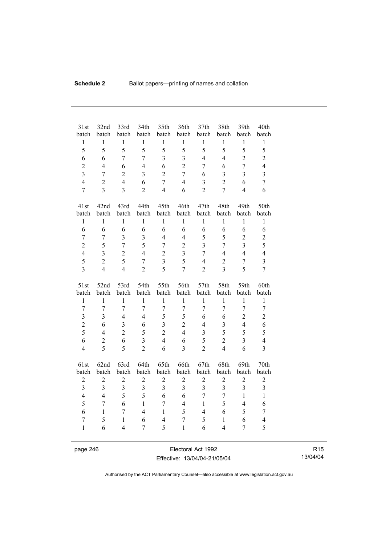| 31st                    | 32nd                             | 33rd                    | 34th                    | 35th                             | 36th                    | 37 <sub>th</sub>        | 38th                             | 39th                    | 40th                    |
|-------------------------|----------------------------------|-------------------------|-------------------------|----------------------------------|-------------------------|-------------------------|----------------------------------|-------------------------|-------------------------|
| batch<br>$\mathbf{1}$   | batch<br>$\mathbf{1}$            | batch<br>$\mathbf{1}$   | batch<br>$\mathbf{1}$   | batch<br>$\mathbf{1}$            | batch<br>$\mathbf{1}$   | batch<br>$\mathbf{1}$   | batch<br>$\mathbf{1}$            | batch<br>$\mathbf{1}$   | batch<br>$\mathbf{1}$   |
| 5                       | 5                                | 5                       | 5                       | 5                                | 5                       | 5                       | 5                                | 5                       | 5                       |
| 6                       | 6                                | $\overline{7}$          | $\overline{7}$          | $\overline{3}$                   | $\overline{\mathbf{3}}$ | $\overline{4}$          | $\overline{4}$                   | $\overline{2}$          | $\overline{2}$          |
| $\overline{2}$          | $\overline{4}$                   | 6                       | $\overline{4}$          | 6                                | $\overline{2}$          | 7                       | 6                                | $\overline{7}$          | $\overline{4}$          |
| $\overline{3}$          |                                  |                         |                         | $\overline{2}$                   | $\overline{7}$          |                         |                                  | $\overline{\mathbf{3}}$ | $\overline{\mathbf{3}}$ |
| $\overline{4}$          | $\tau$                           | $\overline{2}$          | $\overline{\mathbf{3}}$ |                                  |                         | 6                       | 3                                |                         |                         |
| $\overline{7}$          | $\overline{c}$<br>$\overline{3}$ | $\overline{4}$          | 6                       | $\overline{7}$<br>$\overline{4}$ | $\overline{4}$          | 3                       | $\overline{2}$<br>$\overline{7}$ | 6<br>$\overline{4}$     | $\tau$                  |
|                         |                                  | $\overline{3}$          | $\overline{2}$          |                                  | 6                       | $\overline{2}$          |                                  |                         | 6                       |
| 41st                    | 42nd                             | 43rd                    | 44th                    | 45th                             | 46th                    | 47th                    | 48th                             | 49th                    | 50th                    |
| batch                   | batch                            | batch                   | batch                   | batch                            | batch                   | batch                   | batch                            | batch                   | batch                   |
| $\mathbf{1}$            | $\mathbf{1}$                     | $\mathbf{1}$            | $\mathbf{1}$            | $\mathbf{1}$                     | $\mathbf{1}$            | $\mathbf{1}$            | $\mathbf{1}$                     | $\mathbf{1}$            | $\mathbf{1}$            |
| 6                       | 6                                | 6                       | 6                       | 6                                | 6                       | 6                       | 6                                | 6                       | 6                       |
| $\boldsymbol{7}$        | $\tau$                           | $\overline{\mathbf{3}}$ | $\overline{\mathbf{3}}$ | $\overline{4}$                   | $\overline{4}$          | 5                       | 5                                | $\overline{2}$          | $\overline{c}$          |
| $\overline{c}$          | 5                                | $\overline{7}$          | 5                       | $\overline{7}$                   | $\overline{c}$          | $\overline{3}$          | $\overline{7}$                   | $\overline{\mathbf{3}}$ | 5                       |
| $\overline{4}$          | $\overline{3}$                   | $\overline{2}$          | $\overline{4}$          | $\overline{2}$                   | $\overline{3}$          | $\overline{7}$          | $\overline{4}$                   | $\overline{4}$          | $\overline{4}$          |
| 5                       | $\overline{c}$                   | 5                       | $\boldsymbol{7}$        | $\overline{3}$                   | 5                       | $\overline{4}$          | $\overline{2}$                   | $\boldsymbol{7}$        | $\overline{\mathbf{3}}$ |
| $\overline{3}$          | $\overline{4}$                   | $\overline{4}$          | $\overline{2}$          | 5                                | $\overline{7}$          | $\overline{2}$          | $\overline{3}$                   | 5                       | $\overline{7}$          |
|                         |                                  |                         |                         |                                  |                         |                         |                                  |                         |                         |
|                         |                                  |                         |                         |                                  |                         |                         |                                  |                         |                         |
| 51st                    | 52nd                             | 53rd                    | 54th                    | 55th                             | 56th                    | 57th                    | 58th                             | 59th                    | 60th                    |
| batch                   | batch                            | batch                   | batch                   | batch                            | batch                   | batch                   | batch                            | batch                   | batch                   |
| $\,1$                   | $\mathbf{1}$                     | $\mathbf{1}$            | $\mathbf{1}$            | $\mathbf{1}$                     | $\mathbf{1}$            | $\mathbf{1}$            | $\mathbf{1}$                     | $\mathbf{1}$            | $\mathbf{1}$            |
| $\overline{7}$          | 7                                | $\overline{7}$          | $\overline{7}$          | $\overline{7}$                   | $\overline{7}$          | 7                       | $\overline{7}$                   | $\overline{7}$          | $\tau$                  |
| $\overline{3}$          | $\overline{3}$                   | $\overline{4}$          | $\overline{4}$          | 5                                | 5                       | 6                       | 6                                | $\overline{2}$          | $\overline{2}$          |
| $\overline{c}$          | 6                                | $\overline{\mathbf{3}}$ | 6                       | $\overline{3}$                   | $\overline{2}$          | $\overline{4}$          | $\overline{3}$                   | $\overline{\mathbf{4}}$ | 6                       |
| 5                       | $\overline{4}$                   | $\overline{2}$          | 5                       | $\overline{2}$                   | $\overline{4}$          | $\overline{3}$          | $\overline{5}$                   | 5                       | 5                       |
| 6                       | $\overline{c}$                   | 6                       | $\overline{3}$          | $\overline{4}$                   | 6                       | 5                       | $\overline{2}$                   | $\overline{3}$          | $\overline{4}$          |
| $\overline{4}$          | 5                                | 5                       | $\overline{2}$          | 6                                | $\overline{\mathbf{3}}$ | $\overline{2}$          | $\overline{4}$                   | 6                       | $\overline{3}$          |
| 61st                    | 62nd                             | 63rd                    | 64th                    | 65th                             | 66th                    | 67th                    | 68th                             | 69th                    | 70th                    |
| batch                   | batch                            | batch                   | batch                   | batch                            | batch                   | batch                   | batch                            | batch                   | batch                   |
| $\overline{c}$          | $\boldsymbol{2}$                 | $\overline{c}$          | $\overline{c}$          | $\overline{c}$                   | $\sqrt{2}$              | $\overline{c}$          | $\overline{c}$                   | $\overline{c}$          | $\overline{c}$          |
| $\overline{\mathbf{3}}$ | $\overline{3}$                   | $\overline{\mathbf{3}}$ | $\overline{\mathbf{3}}$ | $\overline{3}$                   | $\overline{3}$          | $\overline{\mathbf{3}}$ | 3                                | $\overline{\mathbf{3}}$ | 3                       |
| $\overline{4}$          | $\overline{4}$                   | 5                       | 5                       | 6                                | 6                       | $\overline{7}$          | $\overline{7}$                   | $\mathbf{1}$            | $\mathbf{1}$            |
| 5                       | $\overline{7}$                   | 6                       | $\mathbf{1}$            | $\overline{7}$                   | $\overline{4}$          | $\mathbf{1}$            | 5                                | $\overline{4}$          | 6                       |
| 6                       | $\mathbf{1}$                     | $\overline{7}$          | $\overline{4}$          | $\mathbf{1}$                     | 5                       | $\overline{4}$          | 6                                | 5                       | $\boldsymbol{7}$        |
| $\tau$                  | 5                                | $\mathbf{1}$            | 6                       | $\overline{4}$                   | 7                       | 5                       | $\mathbf{1}$                     | 6                       | $\overline{\mathbf{4}}$ |
| $\mathbf{1}$            | 6                                | 4                       | 7                       | 5                                | $\mathbf{1}$            | 6                       | $\overline{4}$                   | $\overline{7}$          | 5                       |

page 246 Electoral Act 1992 Effective: 13/04/04-21/05/04

R15 13/04/04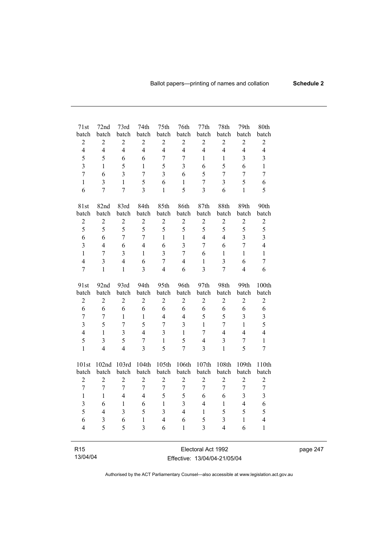| 71st                    | 72nd                    | 73rd           | 74th             | 75th                    | 76th                    | 77th                    | 78th                    | 79th             | 80th                    |
|-------------------------|-------------------------|----------------|------------------|-------------------------|-------------------------|-------------------------|-------------------------|------------------|-------------------------|
| batch                   | batch                   | batch          | batch            | batch                   | batch                   | batch                   | batch                   | batch            | batch                   |
| $\overline{c}$          | $\boldsymbol{2}$        | $\sqrt{2}$     | $\overline{c}$   | $\boldsymbol{2}$        | $\overline{2}$          | $\overline{c}$          | $\overline{c}$          | $\overline{2}$   | $\overline{c}$          |
| $\overline{4}$          | $\overline{4}$          | $\overline{4}$ | $\overline{4}$   | $\overline{4}$          | $\overline{4}$          | $\overline{4}$          | $\overline{4}$          | $\overline{4}$   | $\overline{4}$          |
| 5                       | 5                       | 6              | 6                | $\sqrt{ }$              | $\boldsymbol{7}$        | 1                       | $\mathbf{1}$            | 3                | $\overline{\mathbf{3}}$ |
| $\overline{\mathbf{3}}$ | $\mathbf{1}$            | 5              | $\mathbf{1}$     | 5                       | $\overline{3}$          | 6                       | 5                       | 6                | $\mathbf{1}$            |
| $\overline{7}$          | 6                       | $\overline{3}$ | $\overline{7}$   | $\overline{3}$          | 6                       | 5                       | $\overline{7}$          | $\overline{7}$   | $\overline{7}$          |
| $\mathbf{1}$            | $\overline{\mathbf{3}}$ | $\mathbf{1}$   | 5                | 6                       | $\mathbf{1}$            | $\overline{7}$          | $\overline{3}$          | 5                | 6                       |
| 6                       | $\overline{7}$          | $\overline{7}$ | $\overline{3}$   | $\mathbf{1}$            | 5                       | $\overline{\mathbf{3}}$ | 6                       | $\mathbf{1}$     | 5                       |
| 81st                    | 82nd                    | 83rd           | 84th             | 85th                    | 86th                    | 87th                    | 88th                    | 89th             | 90th                    |
| batch                   | batch                   | batch          | batch            | batch                   | batch                   | batch                   | batch                   | batch            | batch                   |
| $\overline{c}$          | $\boldsymbol{2}$        | $\sqrt{2}$     | $\overline{c}$   | $\boldsymbol{2}$        | $\overline{c}$          | $\overline{c}$          | $\overline{c}$          | $\overline{c}$   | $\sqrt{2}$              |
| 5                       | 5                       | 5              | 5                | 5                       | 5                       | 5                       | 5                       | 5                | 5                       |
| 6                       | 6                       | $\overline{7}$ | $\overline{7}$   | $\mathbf{1}$            | $\mathbf{1}$            | $\overline{4}$          | $\overline{4}$          | 3                | $\overline{\mathbf{3}}$ |
| $\overline{\mathbf{3}}$ | $\overline{4}$          | 6              | $\overline{4}$   | 6                       | $\overline{\mathbf{3}}$ | $\overline{7}$          | 6                       | $\overline{7}$   | $\overline{4}$          |
| $\mathbf{1}$            | $\overline{7}$          | 3              | $\mathbf{1}$     | $\overline{\mathbf{3}}$ | $\overline{7}$          | 6                       | $\mathbf{1}$            | $\mathbf{1}$     | $\mathbf{1}$            |
| $\overline{4}$          | $\overline{3}$          | $\overline{4}$ | 6                | $\overline{7}$          | $\overline{4}$          | $\mathbf{1}$            | $\overline{\mathbf{3}}$ | 6                | $\overline{7}$          |
| $\overline{7}$          | $\mathbf{1}$            | $\mathbf{1}$   | $\overline{3}$   | $\overline{4}$          | 6                       | $\overline{\mathbf{3}}$ | $\overline{7}$          | $\overline{4}$   | 6                       |
| 91st                    | 92nd                    | 93rd           | 94th             | 95th                    | 96th                    | 97th                    | 98th                    | 99th             | 100th                   |
| batch                   | batch                   | batch          | batch            | batch                   | batch                   | batch                   | batch                   | batch            | batch                   |
| $\overline{c}$          | $\mathbf{2}$            | $\sqrt{2}$     | $\overline{c}$   | $\overline{c}$          | $\overline{2}$          | $\sqrt{2}$              | $\overline{c}$          | $\overline{2}$   | $\sqrt{2}$              |
| 6                       | 6                       | 6              | 6                | 6                       | 6                       | 6                       | 6                       | 6                | 6                       |
| $\overline{7}$          | $\sqrt{ }$              | $\mathbf{1}$   | $\,1$            | $\overline{4}$          | $\overline{4}$          | 5                       | 5                       | 3                | $\overline{\mathbf{3}}$ |
| $\overline{\mathbf{3}}$ | 5                       | $\overline{7}$ | 5                | $\overline{7}$          | $\overline{3}$          | $\mathbf{1}$            | $\overline{7}$          | $\mathbf{1}$     | 5                       |
| $\overline{4}$          | $\mathbf{1}$            | $\overline{3}$ | $\overline{4}$   | $\overline{\mathbf{3}}$ | $\mathbf{1}$            | $\overline{7}$          | $\overline{4}$          | $\overline{4}$   | $\overline{4}$          |
| 5                       | $\overline{3}$          | 5              | $\overline{7}$   | $\mathbf{1}$            | 5                       | $\overline{4}$          | $\overline{\mathbf{3}}$ | $\overline{7}$   | $\mathbf{1}$            |
| $\mathbf{1}$            | $\overline{4}$          | $\overline{4}$ | $\overline{3}$   | 5                       | $\overline{7}$          | 3                       | $\mathbf{1}$            | 5                | $\overline{7}$          |
| 101st                   | 102nd                   | 103rd          | 104th            | 105th                   | 106th                   | 107th                   | 108th                   | 109th            | 110th                   |
| batch                   | batch                   | batch          | batch            | batch                   | batch                   | batch                   | batch                   | batch            | batch                   |
| $\overline{2}$          | $\overline{2}$          | $\overline{2}$ | $\overline{2}$   | $\overline{2}$          | $\overline{2}$          | $\overline{2}$          | $\overline{2}$          | $\overline{2}$   | $\boldsymbol{2}$        |
| $\overline{7}$          | 7                       | 7              | $\boldsymbol{7}$ | $\boldsymbol{7}$        | 7                       | $\boldsymbol{7}$        | $\tau$                  | $\boldsymbol{7}$ | $\boldsymbol{7}$        |
| $\mathbf{1}$            | $\mathbf{1}$            | $\overline{4}$ | $\overline{4}$   | 5                       | 5                       | 6                       | 6                       | 3                | $\overline{\mathbf{3}}$ |
| $\overline{\mathbf{3}}$ | 6                       | $\mathbf{1}$   | 6                | $\mathbf{1}$            | $\overline{3}$          | $\overline{4}$          | $\mathbf{1}$            | $\overline{4}$   | 6                       |
| 5                       | $\overline{4}$          | $\overline{3}$ | 5                | $\overline{3}$          | $\overline{4}$          | $\mathbf{1}$            | 5                       | 5                | 5                       |
| 6                       | 3                       | 6              | $\mathbf{1}$     | $\overline{4}$          | 6                       | 5                       | $\overline{3}$          | $\mathbf{1}$     | $\overline{4}$          |
| $\overline{4}$          | 5                       | 5              | $\overline{3}$   | 6                       | $\mathbf{1}$            | $\overline{3}$          | $\overline{4}$          | 6                | $\mathbf{1}$            |
|                         |                         |                |                  |                         |                         |                         |                         |                  |                         |
| R <sub>15</sub>         |                         |                |                  |                         |                         | Electoral Act 1992      |                         |                  |                         |

| Effective: 13/04/04-21/05/04 |
|------------------------------|
|                              |
|                              |

13/04/04

ц,

page 247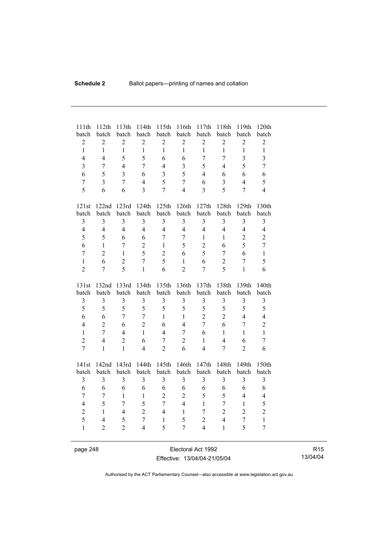| 111th<br>batch          | 112th<br>batch | 113th<br>batch          | 114th<br>batch | 115th<br>batch   | 116th<br>batch          | 117th<br>batch   | 118th<br>batch   | 119th<br>batch          | 120th<br>batch          |
|-------------------------|----------------|-------------------------|----------------|------------------|-------------------------|------------------|------------------|-------------------------|-------------------------|
| $\boldsymbol{2}$        | $\overline{2}$ | $\overline{2}$          | $\overline{2}$ | $\boldsymbol{2}$ | $\overline{c}$          | $\boldsymbol{2}$ | $\overline{2}$   | $\overline{2}$          | $\overline{c}$          |
| $\mathbf{1}$            | $\mathbf{1}$   | $\mathbf{1}$            | $\mathbf{1}$   | $\mathbf{1}$     | $\mathbf{1}$            | $\mathbf{1}$     | $\mathbf{1}$     | $\mathbf{1}$            | $\mathbf{1}$            |
| $\overline{4}$          | $\overline{4}$ | 5                       | 5              | 6                | 6                       | $\overline{7}$   | $\overline{7}$   | $\overline{\mathbf{3}}$ | $\overline{\mathbf{3}}$ |
| $\overline{3}$          | $\overline{7}$ | $\overline{4}$          | 7              | $\overline{4}$   | 3                       | 5                | $\overline{4}$   | 5                       | $\overline{7}$          |
| 6                       | 5              | $\overline{3}$          | 6              | $\overline{3}$   | 5                       | $\overline{4}$   | 6                | 6                       | 6                       |
| $\overline{7}$          | $\overline{3}$ | $\overline{7}$          | $\overline{4}$ | 5                | $\overline{7}$          | 6                | $\overline{3}$   | $\overline{4}$          | 5                       |
| 5                       | 6              | 6                       | $\overline{3}$ | $\overline{7}$   | $\overline{4}$          | $\overline{3}$   | 5                | $\overline{7}$          | $\overline{4}$          |
| 121st                   |                | 122nd 123rd             | 124th          | 125th            | 126th                   | 127th            | 128th            | 129th                   | 130th                   |
| batch                   | batch          | batch                   | batch          | batch            | batch                   | batch            | batch            | batch                   | batch                   |
| $\overline{3}$          | 3              | $\overline{\mathbf{3}}$ | 3              | 3                | $\overline{3}$          | $\overline{3}$   | $\overline{3}$   | $\overline{3}$          | $\overline{3}$          |
| $\overline{4}$          | $\overline{4}$ | $\overline{4}$          | $\overline{4}$ | $\overline{4}$   | $\overline{4}$          | $\overline{4}$   | $\overline{4}$   | $\overline{4}$          | $\overline{4}$          |
| 5                       | 5              | 6                       | 6              | $\overline{7}$   | $\overline{7}$          | $\mathbf{1}$     | $\mathbf{1}$     | $\overline{2}$          | $\overline{2}$          |
| 6                       | $\mathbf{1}$   | $\overline{7}$          | $\overline{c}$ | $\mathbf{1}$     | 5                       | $\overline{2}$   | 6                | 5                       | $\overline{7}$          |
| $\overline{7}$          | $\overline{2}$ | $\mathbf{1}$            | 5              | $\overline{2}$   | 6                       | 5                | $\boldsymbol{7}$ | 6                       | $\mathbf{1}$            |
| $\mathbf{1}$            | 6              | $\overline{2}$          | $\overline{7}$ | 5                | $\mathbf{1}$            | 6                | $\overline{2}$   | $\overline{7}$          | 5                       |
| $\overline{2}$          | $\overline{7}$ | 5                       | $\mathbf{1}$   | 6                | $\overline{2}$          | $\overline{7}$   | 5                | $\mathbf{1}$            | 6                       |
|                         |                |                         |                |                  |                         |                  |                  |                         |                         |
| 131st                   | 132nd          | 133rd                   | 134th          | 135th            | 136th                   | 137th            | 138th            | 139th                   | 140th                   |
| batch                   | batch          | batch                   | batch          | batch            | batch                   | batch            | batch            | batch                   | batch                   |
| 3                       | $\overline{3}$ | 3                       | $\overline{3}$ | $\overline{3}$   | $\overline{\mathbf{3}}$ | $\overline{3}$   | 3                | 3                       | $\mathfrak{Z}$          |
| 5                       | 5              | 5                       | 5              | 5                | 5                       | 5                | 5                | 5                       | 5                       |
| 6                       | 6              | $\overline{7}$          | $\overline{7}$ | $\mathbf{1}$     | $\mathbf{1}$            | $\overline{c}$   | $\overline{2}$   | $\overline{4}$          | $\overline{4}$          |
| $\overline{4}$          | $\overline{2}$ | 6                       | $\overline{2}$ | 6                | $\overline{4}$          | $\overline{7}$   | 6                | $\overline{7}$          | $\overline{c}$          |
| $\mathbf{1}$            | $\overline{7}$ | $\overline{4}$          | $\mathbf{1}$   | $\overline{4}$   | $\overline{7}$          | 6                | $\mathbf{1}$     | $\mathbf{1}$            | $\mathbf{1}$            |
| $\overline{2}$          | $\overline{4}$ | $\overline{2}$          | 6              | $\overline{7}$   | $\overline{2}$          | $\mathbf{1}$     | $\overline{4}$   | 6                       | $\overline{7}$          |
| $\overline{7}$          | $\mathbf{1}$   | $\mathbf{1}$            | $\overline{4}$ | $\overline{2}$   | 6                       | $\overline{4}$   | $\overline{7}$   | $\overline{2}$          | 6                       |
| 141st                   | 142nd          | 143rd                   | 144th          | 145th            | 146th                   | 147th            | 148th            | 149th                   | 150th                   |
| batch                   | batch          | batch                   | batch          | batch            | batch                   | batch            | batch            | batch                   | batch                   |
| $\overline{\mathbf{3}}$ | $\overline{3}$ | $\overline{\mathbf{3}}$ | $\overline{3}$ | $\overline{3}$   | 3                       | $\overline{3}$   | $\overline{3}$   | $\overline{3}$          | $\overline{3}$          |
| 6                       | 6              | 6                       | 6              | 6                | 6                       | 6                | 6                | 6                       | 6                       |
| $\overline{7}$          | $\overline{7}$ | $\mathbf{1}$            | $\mathbf{1}$   | $\overline{2}$   | $\overline{2}$          | 5                | 5                | $\overline{4}$          | $\overline{4}$          |
| $\overline{4}$          | 5              | $\overline{7}$          | 5              | $\overline{7}$   | $\overline{4}$          | $\mathbf{1}$     | $\overline{7}$   | $\mathbf{1}$            | 5                       |
| $\overline{2}$          | $\mathbf{1}$   | $\overline{4}$          | $\overline{2}$ | $\overline{4}$   | $\mathbf{1}$            | $\overline{7}$   | $\overline{2}$   | $\overline{2}$          | $\overline{c}$          |
| 5                       | $\overline{4}$ | 5                       | $\overline{7}$ | $\mathbf{1}$     | 5                       | $\overline{2}$   | $\overline{4}$   | 7                       | $\mathbf{1}$            |
| $\mathbf{1}$            | $\overline{2}$ | $\overline{2}$          | $\overline{4}$ | 5                | 7                       | $\overline{4}$   | $\mathbf{1}$     | 5                       | $\overline{7}$          |

page 248 Electoral Act 1992 Effective: 13/04/04-21/05/04

R15 13/04/04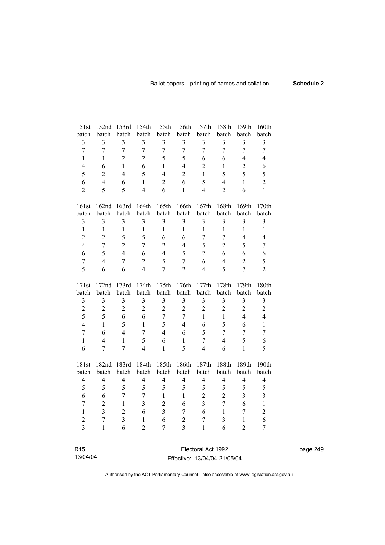| 151st<br>batch  | 152nd<br>batch          | 153rd<br>batch          | 154th<br>batch          | 155th<br>batch          | 156th<br>batch | 157th<br>batch          | 158th<br>batch          | 159th<br>batch          | 160th<br>batch          |  |
|-----------------|-------------------------|-------------------------|-------------------------|-------------------------|----------------|-------------------------|-------------------------|-------------------------|-------------------------|--|
| 3               | 3                       | $\overline{\mathbf{3}}$ | $\overline{\mathbf{3}}$ | 3                       | $\mathfrak{Z}$ | 3                       | $\overline{\mathbf{3}}$ | 3                       | 3                       |  |
| $\overline{7}$  | $\overline{7}$          | $\overline{7}$          | $\overline{7}$          | $\overline{7}$          | $\overline{7}$ | $\overline{7}$          | $\overline{7}$          | $\overline{7}$          | $\boldsymbol{7}$        |  |
| $\mathbf{1}$    | $\mathbf{1}$            | $\overline{2}$          | $\overline{2}$          | 5                       | 5              | 6                       | 6                       | $\overline{4}$          | $\overline{4}$          |  |
| $\overline{4}$  | 6                       | $\mathbf{1}$            | 6                       | $\mathbf{1}$            | $\overline{4}$ | $\overline{2}$          | $\mathbf{1}$            | $\overline{2}$          | 6                       |  |
| 5               | $\overline{2}$          | $\overline{4}$          | 5                       | $\overline{4}$          | $\overline{2}$ | $\mathbf{1}$            | 5                       | 5                       | 5                       |  |
| 6               | $\overline{4}$          | 6                       | $\mathbf{1}$            | $\overline{2}$          | 6              | 5                       | $\overline{4}$          | $\mathbf{1}$            | $\overline{c}$          |  |
| $\overline{2}$  | 5                       | 5                       | $\overline{4}$          | 6                       | $\mathbf{1}$   | $\overline{4}$          | $\overline{2}$          | 6                       | $\mathbf{1}$            |  |
| 161st           | 162nd                   | 163rd                   | 164th                   | 165th                   | 166th          | 167th                   | 168th                   | 169th                   | 170th                   |  |
| batch           | batch                   | batch                   | batch                   | batch                   | batch          | batch                   | batch                   | batch                   | batch                   |  |
| $\mathfrak{Z}$  | $\mathfrak{Z}$          | $\overline{\mathbf{3}}$ | $\overline{\mathbf{3}}$ | 3                       | $\mathfrak{Z}$ | 3                       | $\mathfrak{Z}$          | 3                       | 3                       |  |
| $\mathbf 1$     | $\mathbf{1}$            | $\mathbf{1}$            | $\mathbf{1}$            | $\mathbf{1}$            | $\mathbf{1}$   | $\mathbf{1}$            | $\mathbf{1}$            | $\mathbf{1}$            | $\mathbf{1}$            |  |
| $\overline{2}$  | $\overline{2}$          | 5                       | 5                       | 6                       | 6              | $\overline{7}$          | $\overline{7}$          | $\overline{4}$          | $\overline{4}$          |  |
| $\overline{4}$  | $\overline{7}$          | $\overline{2}$          | $\overline{7}$          | $\overline{2}$          | $\overline{4}$ | 5                       | $\overline{2}$          | 5                       | $\boldsymbol{7}$        |  |
| 6               | 5                       | $\overline{4}$          | 6                       | $\overline{4}$          | 5              | $\overline{2}$          | 6                       | 6                       | 6                       |  |
| $\overline{7}$  | $\overline{4}$          | $\overline{7}$          | $\overline{2}$          | 5                       | $\overline{7}$ | 6                       | $\overline{4}$          | $\overline{2}$          | 5                       |  |
| 5               | 6                       | 6                       | $\overline{4}$          | $\overline{7}$          | $\overline{2}$ | $\overline{4}$          | 5                       | $\overline{7}$          | $\overline{2}$          |  |
| 171st           | 172nd                   | 173rd                   | 174th                   | 175th                   | 176th          | 177th                   | 178th                   | 179th                   | 180th                   |  |
| batch           | batch                   | batch                   | batch                   | batch                   | batch          | batch                   | batch                   | batch                   | batch                   |  |
| $\mathfrak{Z}$  | 3                       | $\overline{\mathbf{3}}$ | $\overline{3}$          | $\overline{3}$          | 3              | $\overline{\mathbf{3}}$ | 3                       | 3                       | $\overline{\mathbf{3}}$ |  |
| $\overline{c}$  | $\boldsymbol{2}$        | $\overline{c}$          | $\overline{2}$          | $\overline{2}$          | $\overline{2}$ | $\overline{c}$          | $\overline{2}$          | $\overline{c}$          | $\overline{c}$          |  |
| 5               | 5                       | 6                       | 6                       | $\overline{7}$          | $\overline{7}$ | $\mathbf{1}$            | $\mathbf{1}$            | $\overline{4}$          | $\overline{4}$          |  |
| $\overline{4}$  | $\mathbf{1}$            | 5                       | 1                       | 5                       | $\overline{4}$ | 6                       | 5                       | 6                       | $\mathbf{1}$            |  |
| $\overline{7}$  | 6                       | $\overline{4}$          | $\overline{7}$          | $\overline{4}$          | 6              | 5                       | $\overline{7}$          | $\overline{7}$          | $\overline{7}$          |  |
| $\mathbf{1}$    | 4                       | $\mathbf{1}$            | 5                       | 6                       | $\mathbf{1}$   | $\boldsymbol{7}$        | $\overline{4}$          | 5                       | 6                       |  |
| 6               | 7                       | $\overline{7}$          | $\overline{4}$          | $\mathbf{1}$            | 5              | $\overline{4}$          | 6                       | $\mathbf{1}$            | 5                       |  |
| 181st           | 182nd                   | 183rd                   | 184th                   | 185th                   | 186th          | 187th                   | 188th                   | 189th                   | 190th                   |  |
| batch           | batch                   | batch                   | batch                   | batch                   | batch          | batch                   | batch                   | batch                   | batch                   |  |
| $\overline{4}$  | $\overline{4}$          | $\overline{4}$          | $\overline{4}$          | $\overline{4}$          | $\overline{4}$ | $\overline{4}$          | $\overline{4}$          | $\overline{4}$          | $\overline{4}$          |  |
| 5               | 5                       | 5                       | 5                       | 5                       | 5              | 5                       | 5                       | 5                       | 5                       |  |
| 6               | 6                       | $\overline{7}$          | $\overline{7}$          | $\mathbf{1}$            | $\mathbf{1}$   | $\overline{c}$          | $\overline{c}$          | $\overline{\mathbf{3}}$ | $\overline{\mathbf{3}}$ |  |
| $\overline{7}$  | $\overline{c}$          | $\mathbf{1}$            | $\overline{\mathbf{3}}$ | $\overline{2}$          | 6              | $\overline{\mathbf{3}}$ | $\overline{7}$          | 6                       | $\mathbf{1}$            |  |
| $\mathbf{1}$    | $\overline{\mathbf{3}}$ | $\overline{2}$          | 6                       | $\overline{\mathbf{3}}$ | $\overline{7}$ | 6                       | $\mathbf{1}$            | $\overline{7}$          | $\overline{c}$          |  |
| $\overline{2}$  | $\overline{7}$          | $\overline{\mathbf{3}}$ | 1                       | 6                       | $\overline{2}$ | $\overline{7}$          | 3                       | $\mathbf{1}$            | 6                       |  |
| $\overline{3}$  | 1                       | 6                       | $\overline{2}$          | $\overline{7}$          | $\overline{3}$ | $\mathbf{1}$            | 6                       | $\overline{2}$          | $\tau$                  |  |
| R <sub>15</sub> |                         |                         |                         |                         |                | Electoral Act 1992      |                         |                         |                         |  |

Effective: 13/04/04-21/05/04

13/04/04

i.

page 249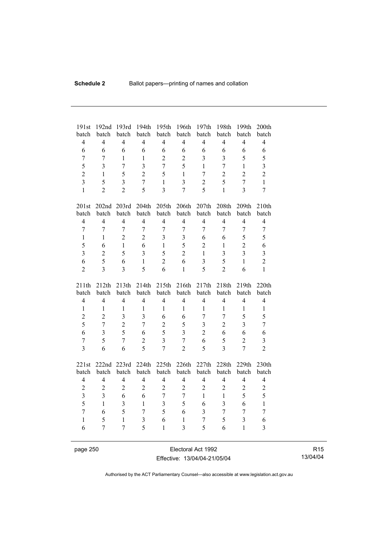| 191st                   | 192nd          | 193rd                   | 194th                   | 195th          | 196th                   | 197th                   | 198th          | 199th            | 200th                   |
|-------------------------|----------------|-------------------------|-------------------------|----------------|-------------------------|-------------------------|----------------|------------------|-------------------------|
| batch                   | batch          | batch                   | batch                   | batch          | batch                   | batch                   | batch          | batch            | batch                   |
| $\overline{4}$          | $\overline{4}$ | $\overline{4}$          | $\overline{4}$          | $\overline{4}$ | $\overline{4}$          | $\overline{4}$          | $\overline{4}$ | $\overline{4}$   | $\overline{4}$          |
| 6                       | 6              | 6                       | 6                       | 6              | 6                       | 6                       | 6              | 6                | 6                       |
| $\tau$                  | 7              | $\mathbf{1}$            | $\mathbf{1}$            | $\overline{c}$ | $\overline{2}$          | $\overline{3}$          | $\overline{3}$ | 5                | 5                       |
| 5                       | $\overline{3}$ | $\overline{7}$          | $\overline{3}$          | $\overline{7}$ | 5                       | $\mathbf{1}$            | $\overline{7}$ | $\mathbf{1}$     | $\overline{\mathbf{3}}$ |
| $\overline{2}$          | $\mathbf{1}$   | 5                       | $\overline{2}$          | 5              | $\mathbf{1}$            | $\tau$                  | $\overline{2}$ | $\overline{2}$   | $\overline{c}$          |
| $\overline{3}$          | 5              | $\overline{\mathbf{3}}$ | $\overline{7}$          | $\mathbf{1}$   | $\overline{\mathbf{3}}$ | $\overline{c}$          | 5              | $\overline{7}$   | $\mathbf{1}$            |
| $\mathbf{1}$            | $\overline{2}$ | $\overline{2}$          | 5                       | $\overline{3}$ | $\overline{7}$          | 5                       | $\mathbf{1}$   | $\overline{3}$   | $\boldsymbol{7}$        |
| 201st                   |                | 202nd 203rd             | 204th                   | 205th          | 206th                   | 207th                   | 208th          | 209th            | 210th                   |
| batch                   | batch          | batch                   | batch                   | batch          | batch                   | batch                   | batch          | batch            | batch                   |
| $\overline{4}$          | $\overline{4}$ | $\overline{4}$          | $\overline{4}$          | $\overline{4}$ | $\overline{4}$          | $\overline{4}$          | $\overline{4}$ | $\overline{4}$   | $\overline{\mathbf{4}}$ |
| $\tau$                  | $\overline{7}$ | $\overline{7}$          | $\overline{7}$          | $\overline{7}$ | $\overline{7}$          | 7                       | $\overline{7}$ | $\overline{7}$   | $\tau$                  |
| $\mathbf{1}$            | $\mathbf{1}$   | $\overline{2}$          | $\overline{2}$          | $\overline{3}$ | 3                       | 6                       | 6              | 5                | 5                       |
| 5                       | 6              | $\mathbf{1}$            | 6                       | $\mathbf{1}$   | 5                       | $\overline{2}$          | $\mathbf{1}$   | $\overline{2}$   | 6                       |
| $\overline{3}$          | $\overline{2}$ | 5                       | $\overline{3}$          | 5              | $\overline{2}$          | $\mathbf{1}$            | 3              | $\overline{3}$   | $\overline{\mathbf{3}}$ |
| 6                       | 5              | 6                       | $\mathbf{1}$            | $\overline{2}$ | 6                       | $\overline{\mathbf{3}}$ | 5              | $\mathbf{1}$     | $\overline{c}$          |
| $\overline{2}$          | $\overline{3}$ | $\overline{3}$          | 5                       | 6              | $\mathbf{1}$            | 5                       | $\overline{2}$ | 6                | $\mathbf{1}$            |
|                         |                |                         |                         |                |                         |                         |                |                  |                         |
| 211th                   | 212th          | 213th                   | 214th                   | 215th          | 216th                   | 217th                   | 218th          | 219th            | 220th                   |
| batch                   | batch          | batch                   | batch                   | batch          | batch                   | batch                   | batch          | batch            | batch                   |
| $\overline{4}$          | $\overline{4}$ | $\overline{4}$          | $\overline{4}$          | $\overline{4}$ | $\overline{4}$          | $\overline{4}$          | $\overline{4}$ | $\overline{4}$   | $\overline{4}$          |
| $\mathbf{1}$            | $\mathbf{1}$   | $\mathbf{1}$            | $\mathbf{1}$            | $\mathbf{1}$   | $\mathbf{1}$            | $\mathbf{1}$            | $\mathbf{1}$   | $\mathbf{1}$     | $\mathbf{1}$            |
| $\overline{c}$          | $\overline{2}$ | $\overline{3}$          | $\overline{3}$          | 6              | 6                       | $\overline{7}$          | $\overline{7}$ | 5                | 5                       |
| 5                       | $\overline{7}$ | $\overline{c}$          | $\overline{7}$          | $\overline{c}$ | 5                       | $\overline{3}$          | $\overline{2}$ | $\overline{3}$   | $\overline{7}$          |
| 6                       | $\overline{3}$ | 5                       | 6                       | 5              | $\overline{3}$          | $\overline{c}$          | 6              | 6                | 6                       |
| $\boldsymbol{7}$        | 5              | $\overline{7}$          | $\overline{2}$          | $\overline{3}$ | $\overline{7}$          | 6                       | 5              | $\overline{2}$   | 3                       |
| $\overline{3}$          | 6              | 6                       | 5                       | $\overline{7}$ | $\overline{2}$          | 5                       | $\overline{3}$ | $\overline{7}$   | $\overline{2}$          |
|                         | 222nd          |                         |                         |                |                         |                         | 228th          | 229th            | 230th                   |
| 221st<br>batch          | batch          | 223rd<br>batch          | 224th<br>batch          | 225th<br>batch | 226th<br>batch          | 227th<br>batch          | batch          | batch            | batch                   |
| $\overline{4}$          | $\overline{4}$ | $\overline{4}$          | $\overline{4}$          | $\overline{4}$ | $\overline{4}$          | $\overline{4}$          | $\overline{4}$ | $\overline{4}$   | $\overline{4}$          |
| $\overline{c}$          | $\overline{2}$ | $\overline{2}$          | $\overline{2}$          | $\overline{2}$ | $\overline{2}$          | $\overline{c}$          | $\overline{2}$ | $\overline{2}$   | $\overline{c}$          |
| $\overline{\mathbf{3}}$ | $\overline{3}$ | 6                       | 6                       | $\overline{7}$ | $\overline{7}$          | $\mathbf{1}$            | $\mathbf{1}$   | 5                | 5                       |
| 5                       | $\mathbf{1}$   | $\overline{3}$          | $\mathbf{1}$            | $\overline{3}$ | 5                       | 6                       | 3              | 6                | $\mathbf{1}$            |
| $\overline{7}$          | 6              | 5                       | $\overline{7}$          | 5              | 6                       | $\mathfrak{Z}$          | $\overline{7}$ | $\boldsymbol{7}$ | $\boldsymbol{7}$        |
| $\mathbf{1}$            | 5              | $\mathbf{1}$            | $\overline{\mathbf{3}}$ | 6              | $\mathbf{1}$            | $\overline{7}$          | 5              | 3                | 6                       |
| 6                       | $\overline{7}$ | $\overline{7}$          | 5                       | $\mathbf{1}$   | $\overline{3}$          | 5                       | 6              | $\mathbf{1}$     | $\overline{\mathbf{3}}$ |

page 250 **Electoral Act 1992** Effective: 13/04/04-21/05/04

R15 13/04/04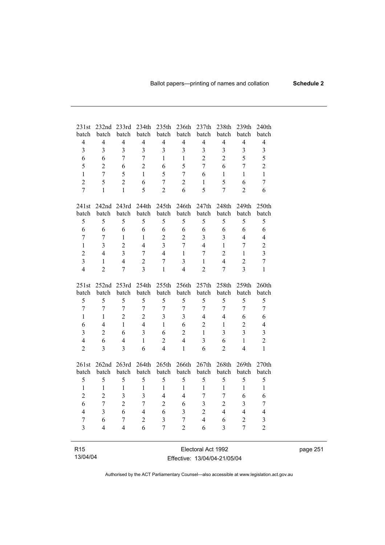| 231st                   | 232nd                   | 233rd                   | 234th                   | 235th                   | 236th<br>batch | 237th                   | 238th                   | 239th                   | 240th                   |
|-------------------------|-------------------------|-------------------------|-------------------------|-------------------------|----------------|-------------------------|-------------------------|-------------------------|-------------------------|
| batch<br>$\overline{4}$ | batch<br>$\overline{4}$ | batch<br>$\overline{4}$ | batch<br>$\overline{4}$ | batch<br>$\overline{4}$ | $\overline{4}$ | batch<br>$\overline{4}$ | batch<br>$\overline{4}$ | batch<br>$\overline{4}$ | batch<br>$\overline{4}$ |
| $\overline{\mathbf{3}}$ | 3                       | $\overline{3}$          | $\overline{\mathbf{3}}$ | $\overline{3}$          | 3              | $\overline{3}$          | $\overline{3}$          | $\overline{\mathbf{3}}$ |                         |
|                         |                         |                         |                         |                         |                |                         |                         |                         | $\overline{\mathbf{3}}$ |
| 6                       | 6                       | 7                       | $\overline{7}$          | 1                       | $\mathbf{1}$   | $\overline{2}$          | $\overline{2}$          | 5                       | 5                       |
| 5                       | $\overline{2}$          | 6                       | $\overline{2}$          | 6                       | 5              | $\overline{7}$          | 6                       | $\overline{7}$          | $\overline{c}$          |
| $\mathbf{1}$            | $\overline{7}$          | 5                       | $\mathbf{1}$            | 5                       | $\overline{7}$ | 6                       | $\mathbf{1}$            | $\mathbf{1}$            | $\mathbf{1}$            |
| $\overline{2}$          | 5                       | $\overline{2}$          | 6                       | $\overline{7}$          | $\overline{2}$ | $\mathbf{1}$            | 5                       | 6                       | $\overline{7}$          |
| $\overline{7}$          | $\mathbf{1}$            | $\mathbf{1}$            | 5                       | $\overline{2}$          | 6              | 5                       | $\overline{7}$          | $\overline{2}$          | 6                       |
| 241st                   | 242nd                   | 243rd                   | 244th                   | 245th                   | 246th          | 247th                   | 248th                   | 249th                   | 250th                   |
| batch                   | batch                   | batch                   | batch                   | batch                   | batch          | batch                   | batch                   | batch                   | batch                   |
| 5                       | 5                       | 5                       | 5                       | 5                       | 5              | 5                       | 5                       | 5                       | 5                       |
| 6                       | 6                       | 6                       | 6                       | 6                       | 6              | 6                       | 6                       | 6                       | 6                       |
| $\overline{7}$          | $\overline{7}$          | $\mathbf{1}$            | 1                       | $\overline{2}$          | $\overline{2}$ | $\overline{3}$          | $\overline{3}$          | $\overline{4}$          | $\overline{4}$          |
| $\mathbf{1}$            | $\overline{3}$          | $\overline{2}$          | $\overline{4}$          | $\overline{3}$          | $\overline{7}$ | $\overline{4}$          | $\mathbf{1}$            | $\overline{7}$          | $\overline{2}$          |
| $\overline{2}$          | $\overline{4}$          | $\overline{3}$          | $\overline{7}$          | $\overline{4}$          | $\mathbf{1}$   | $\overline{7}$          | $\overline{2}$          | $\mathbf{1}$            | $\overline{\mathbf{3}}$ |
| $\overline{\mathbf{3}}$ | $\mathbf{1}$            | $\overline{4}$          | $\overline{2}$          | $\overline{7}$          | $\overline{3}$ | $\mathbf{1}$            | $\overline{4}$          | $\overline{2}$          | $\overline{7}$          |
| $\overline{4}$          | $\overline{2}$          | 7                       | $\overline{3}$          | $\mathbf{1}$            | $\overline{4}$ | $\overline{2}$          | $\overline{7}$          | $\overline{3}$          | $\mathbf{1}$            |
| 251st                   | 252nd                   | 253rd                   | 254th                   | 255th                   | 256th          | 257th                   | 258th                   | 259th                   | 260th                   |
| batch                   | batch                   | batch                   | batch                   | batch                   | batch          | batch                   | batch                   | batch                   | batch                   |
| 5                       | 5                       | 5                       | 5                       | 5                       | 5              | 5                       | 5                       | 5                       | 5                       |
| $\overline{7}$          | $\overline{7}$          | $\boldsymbol{7}$        | $\overline{7}$          | $\overline{7}$          | $\overline{7}$ | $\overline{7}$          | $\overline{7}$          | $\overline{7}$          | $\overline{7}$          |
| $\mathbf{1}$            | 1                       | $\overline{2}$          | $\overline{c}$          | 3                       | $\overline{3}$ | $\overline{4}$          | $\overline{4}$          | 6                       | 6                       |
| 6                       | $\overline{4}$          | $\mathbf{1}$            | $\overline{4}$          | $\mathbf{1}$            | 6              | $\overline{2}$          | $\mathbf{1}$            | $\overline{2}$          | $\overline{4}$          |
| $\overline{\mathbf{3}}$ | $\overline{2}$          | 6                       | $\overline{\mathbf{3}}$ | 6                       | $\overline{2}$ | $\mathbf{1}$            | $\overline{3}$          | 3                       | $\overline{\mathbf{3}}$ |
| $\overline{4}$          | 6                       | $\overline{4}$          | $\mathbf{1}$            | $\overline{2}$          | $\overline{4}$ | $\overline{\mathbf{3}}$ | 6                       | $\mathbf{1}$            | $\overline{c}$          |
| $\overline{2}$          | $\overline{3}$          | $\overline{3}$          | 6                       | $\overline{4}$          | $\mathbf{1}$   | 6                       | $\overline{2}$          | $\overline{4}$          | $\mathbf{1}$            |
| 261st                   | 262nd                   | 263rd                   | 264th                   | 265th                   | 266th          | 267th                   | 268th                   | 269th                   | 270th                   |
| batch                   | batch                   | batch                   | batch                   | batch                   | batch          | batch                   | batch                   | batch                   | batch                   |
| 5                       | 5                       | 5                       | 5                       | 5                       | 5              | 5                       | 5                       | 5                       | 5                       |
| $\mathbf{1}$            | 1                       | $\mathbf{1}$            | $\mathbf{1}$            | $\mathbf{1}$            | $\mathbf{1}$   | $\mathbf{1}$            | $\mathbf{1}$            | $\mathbf{1}$            | $\mathbf{1}$            |
| $\overline{2}$          | $\overline{2}$          | $\overline{\mathbf{3}}$ | $\overline{\mathbf{3}}$ | $\overline{4}$          | $\overline{4}$ | $\overline{7}$          | $\overline{7}$          | 6                       | 6                       |
| 6                       | $\overline{7}$          | $\overline{2}$          | $\overline{7}$          | $\overline{2}$          | 6              | $\overline{\mathbf{3}}$ | $\overline{2}$          | $\overline{3}$          | $\overline{7}$          |
| $\overline{4}$          | 3                       | 6                       | $\overline{4}$          | 6                       | 3              | $\overline{2}$          | $\overline{4}$          | $\overline{4}$          | $\overline{4}$          |
| $\overline{7}$          | 6                       | $\boldsymbol{7}$        | $\overline{c}$          | $\overline{3}$          | $\overline{7}$ | $\overline{4}$          | 6                       | $\overline{2}$          | 3                       |
| $\overline{3}$          | 4                       | 4                       | 6                       | $\overline{7}$          | $\overline{2}$ | 6                       | $\overline{3}$          | $\overline{7}$          | $\overline{2}$          |
|                         |                         |                         |                         |                         |                |                         |                         |                         |                         |
| R <sub>15</sub>         |                         |                         |                         |                         |                | Electoral Act 1992      |                         |                         |                         |

|  |  | 13/04/04 |  |
|--|--|----------|--|
|--|--|----------|--|

Electoral Act 1992 Effective: 13/04/04-21/05/04 page 251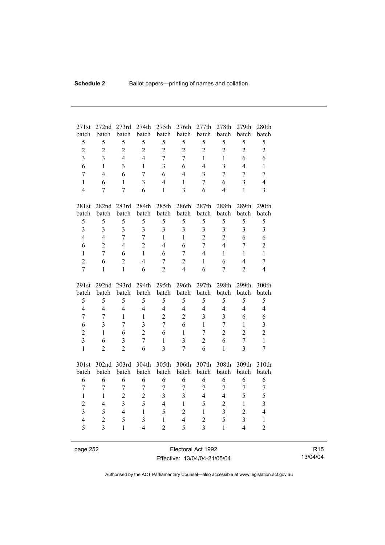| 271st                   | 272nd                            | 273rd             | 274th               | 275th                          | 276th                   | 277th                            | 278th                   | 279th                                     | 280th                   |
|-------------------------|----------------------------------|-------------------|---------------------|--------------------------------|-------------------------|----------------------------------|-------------------------|-------------------------------------------|-------------------------|
| batch                   | batch                            | batch             | batch               | batch                          | batch                   | batch                            | batch                   | batch                                     | batch                   |
| 5                       | 5                                | 5                 | 5                   | 5                              | 5                       | 5                                | 5                       | 5                                         | 5                       |
| $\overline{2}$          | $\mathbf{2}$                     | $\overline{c}$    | $\overline{2}$      | $\overline{2}$                 | $\overline{2}$          | $\overline{2}$                   | $\overline{2}$          | $\overline{2}$                            | $\overline{2}$          |
| $\overline{3}$          | $\overline{3}$                   | $\overline{4}$    | $\overline{4}$      | $\overline{7}$                 | $\overline{7}$          | $\mathbf{1}$                     | $\mathbf{1}$            | 6                                         | 6                       |
| 6                       | 1                                | $\overline{3}$    | $\mathbf{1}$        | $\overline{3}$                 | 6                       | $\overline{4}$                   | $\overline{3}$          | $\overline{4}$                            | $\mathbf{1}$            |
| $\overline{7}$          | $\overline{4}$                   | 6                 | $\overline{7}$      | 6                              | $\overline{4}$          | 3                                | $\overline{7}$          | $\overline{7}$                            | $\tau$                  |
| $\mathbf{1}$            | 6                                | $\mathbf{1}$      | $\overline{3}$      | $\overline{4}$                 | 1                       | $\overline{7}$                   | 6                       | $\overline{3}$                            | $\overline{4}$          |
| $\overline{4}$          | 7                                | $\overline{7}$    | 6                   | $\mathbf{1}$                   | 3                       | 6                                | $\overline{4}$          | $\mathbf{1}$                              | 3                       |
|                         |                                  |                   |                     |                                |                         |                                  |                         |                                           |                         |
| 281st                   |                                  | 282nd 283rd       | 284th<br>batch      | 285th                          | 286th                   | 287th<br>batch                   | 288th<br>batch          | 289th                                     | 290th                   |
| batch                   | batch<br>5                       | batch             | 5                   | batch                          | batch<br>5              | 5                                | 5                       | batch<br>5                                | batch                   |
| 5                       |                                  | 5                 |                     | 5                              |                         |                                  |                         |                                           | 5                       |
| $\overline{\mathbf{3}}$ | $\overline{3}$                   | 3                 | 3                   | $\overline{3}$                 | 3                       | 3                                | $\mathfrak{Z}$          | $\overline{3}$                            | $\mathfrak{Z}$          |
| $\overline{4}$          | $\overline{4}$                   | $\overline{7}$    | $\overline{7}$      | $\mathbf{1}$                   | $\mathbf{1}$            | $\overline{2}$                   | $\overline{2}$          | 6                                         | 6                       |
| 6                       | $\overline{2}$                   | $\overline{4}$    | $\overline{2}$      | $\overline{4}$                 | 6                       | $\overline{7}$                   | $\overline{4}$          | $\overline{7}$                            | $\overline{c}$          |
| $\mathbf{1}$            | 7                                | 6                 | $\mathbf{1}$        | 6                              | $\overline{7}$          | $\overline{4}$                   | $\mathbf{1}$            | $\mathbf{1}$                              | $\mathbf{1}$            |
| $\overline{2}$          | 6                                | $\overline{2}$    | $\overline{4}$      | $\overline{7}$                 | $\overline{c}$          | $\mathbf{1}$                     | 6                       | $\overline{4}$                            | $\overline{7}$          |
| $\overline{7}$          | $\mathbf{1}$                     | $\mathbf{1}$      | 6                   | $\overline{2}$                 | $\overline{4}$          | 6                                | $\overline{7}$          | $\overline{2}$                            | 4                       |
|                         |                                  |                   |                     |                                |                         |                                  |                         |                                           |                         |
| 291st                   | 292 <sub>nd</sub>                | 293rd             | 294th               | 295 <sup>th</sup>              | 296th                   | 297th                            | 298th                   | 299th                                     | 300th                   |
| batch                   | batch                            | batch             | batch               | batch                          | batch                   | batch                            | batch                   | batch                                     | batch                   |
| 5                       | 5                                | 5                 | 5                   | 5                              | 5                       | 5                                | 5                       | 5                                         | 5                       |
| $\overline{4}$          | $\overline{4}$                   | $\overline{4}$    | $\overline{4}$      | $\overline{4}$                 | $\overline{4}$          | $\overline{4}$                   | $\overline{4}$          | $\overline{4}$                            | $\overline{4}$          |
| $\overline{7}$          | 7                                | $\mathbf{1}$      | $\mathbf{1}$        | $\overline{2}$                 | $\overline{2}$          | $\overline{\mathbf{3}}$          | 3                       | 6                                         | 6                       |
| 6                       | $\overline{3}$                   | $\overline{7}$    | $\overline{3}$      | $\overline{7}$                 | 6                       | $\mathbf{1}$                     | $\overline{7}$          | $\mathbf{1}$                              | $\overline{\mathbf{3}}$ |
| $\overline{2}$          | $\mathbf{1}$                     | 6                 | $\overline{2}$      | 6                              | $\mathbf{1}$            | $\overline{7}$                   | $\overline{2}$          | $\overline{2}$                            | $\overline{2}$          |
| $\overline{\mathbf{3}}$ | 6                                | 3                 | $\overline{7}$      | $\mathbf{1}$                   | $\overline{\mathbf{3}}$ | $\overline{2}$                   | 6                       | $\overline{7}$                            | $\mathbf{1}$            |
| $\mathbf{1}$            | $\overline{2}$                   | $\overline{2}$    | 6                   | $\overline{3}$                 | $\overline{7}$          | 6                                | $\mathbf{1}$            | $\overline{3}$                            | $\overline{7}$          |
|                         |                                  |                   |                     |                                |                         |                                  |                         |                                           |                         |
| 301st                   | 302nd 303rd                      |                   | 304th               | 305th                          | 306th                   | 307th                            | 308th                   | 309th                                     | 310th                   |
| batch                   | batch                            | batch             | batch               | batch                          | batch                   | batch                            | batch                   | batch                                     | batch                   |
| 6                       | 6                                | 6                 | 6                   | 6                              | 6                       | 6                                | 6                       | 6                                         | 6                       |
| $\tau$                  | $\tau$                           | $\tau$            | $\tau$              | $\tau$                         | $\overline{7}$          | $\boldsymbol{7}$                 | $\overline{7}$          | $\boldsymbol{7}$                          | $\boldsymbol{7}$        |
| $\mathbf{1}$            | $\mathbf{1}$                     | $\overline{2}$    | $\overline{2}$      | $\overline{3}$                 | $\overline{\mathbf{3}}$ | $\overline{4}$                   | $\overline{4}$          | 5                                         | 5                       |
| $\overline{2}$          | $\overline{4}$                   | $\overline{3}$    | 5                   | $\overline{4}$                 | $\mathbf{1}$            | 5                                | $\overline{2}$          | $\mathbf{1}$                              | $\overline{\mathbf{3}}$ |
| $\overline{\mathbf{3}}$ | 5                                | $\overline{4}$    | $\mathbf{1}$        | 5                              | $\overline{2}$          | $\mathbf{1}$                     | $\overline{\mathbf{3}}$ | $\overline{2}$                            | $\overline{4}$          |
| $\overline{4}$<br>5     | $\overline{c}$<br>$\overline{3}$ | 5<br>$\mathbf{1}$ | 3<br>$\overline{4}$ | $\mathbf{1}$<br>$\overline{2}$ | $\overline{4}$<br>5     | $\overline{c}$<br>$\overline{3}$ | 5<br>$\mathbf{1}$       | $\overline{\mathbf{3}}$<br>$\overline{4}$ | $\,1$<br>$\overline{2}$ |

page 252 Electoral Act 1992 Effective: 13/04/04-21/05/04

R15 13/04/04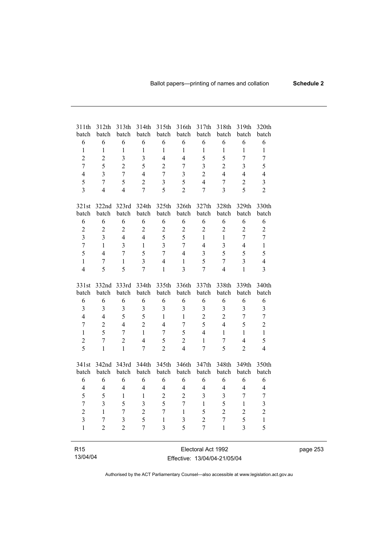| 311th<br>batch          | 312th<br>batch | 313th<br>batch | 314th<br>batch          | 315th<br>batch          | 316th<br>batch          | 317th<br>batch          | 318th<br>batch          | 319th<br>batch | 320th<br>batch          |
|-------------------------|----------------|----------------|-------------------------|-------------------------|-------------------------|-------------------------|-------------------------|----------------|-------------------------|
| 6                       | 6              | 6              | 6                       | 6                       | 6                       | 6                       | 6                       | 6              | 6                       |
| $\mathbf{1}$            | $\mathbf{1}$   | $\mathbf{1}$   | $\mathbf{1}$            | $\mathbf{1}$            | $\mathbf{1}$            | $\mathbf{1}$            | $\mathbf{1}$            | $\mathbf{1}$   | $\mathbf{1}$            |
| $\overline{2}$          | $\overline{2}$ | $\overline{3}$ | $\overline{3}$          | $\overline{4}$          | $\overline{4}$          | 5                       | 5                       | $\overline{7}$ | $\overline{7}$          |
| $\overline{7}$          | 5              | $\overline{2}$ | 5                       | $\overline{2}$          | $\overline{7}$          | $\overline{3}$          | $\overline{2}$          | $\overline{3}$ | 5                       |
| $\overline{4}$          | $\overline{3}$ | $\overline{7}$ | $\overline{4}$          | $\overline{7}$          | 3                       | $\overline{2}$          | $\overline{4}$          | $\overline{4}$ | $\overline{4}$          |
| 5                       | $\overline{7}$ | 5              | $\overline{2}$          | $\overline{\mathbf{3}}$ | 5                       | $\overline{4}$          | $\overline{7}$          | $\overline{c}$ | $\overline{\mathbf{3}}$ |
| $\overline{\mathbf{3}}$ | $\overline{4}$ | $\overline{4}$ | $\overline{7}$          | 5                       | $\overline{2}$          | $\overline{7}$          | $\overline{3}$          | 5              | $\overline{2}$          |
|                         |                |                |                         |                         |                         |                         |                         |                |                         |
| 321st                   | 322nd          | 323rd          | 324th                   | 325th                   | 326th                   | 327th                   | 328th                   | 329th          | 330th                   |
| batch                   | batch          | batch          | batch                   | batch                   | batch                   | batch                   | batch                   | batch          | batch                   |
| 6                       | 6              | 6              | 6                       | 6                       | 6                       | 6                       | 6                       | 6              | 6                       |
| $\overline{c}$          | $\overline{2}$ | $\overline{c}$ | $\overline{2}$          | $\overline{c}$          | $\overline{2}$          | $\overline{2}$          | $\overline{2}$          | $\overline{2}$ | $\overline{2}$          |
| 3                       | $\overline{3}$ | $\overline{4}$ | $\overline{4}$          | 5                       | 5                       | $\mathbf{1}$            | $\mathbf{1}$            | $\overline{7}$ | $\overline{7}$          |
| $\overline{7}$          | $\mathbf{1}$   | 3              | $\mathbf{1}$            | $\overline{3}$          | $\overline{7}$          | $\overline{4}$          | $\overline{\mathbf{3}}$ | $\overline{4}$ | $\mathbf{1}$            |
| 5                       | $\overline{4}$ | $\overline{7}$ | 5                       | $\overline{7}$          | $\overline{4}$          | $\overline{\mathbf{3}}$ | 5                       | 5              | 5                       |
| $\mathbf{1}$            | $\overline{7}$ | $\mathbf{1}$   | $\overline{3}$          | $\overline{4}$          | $\mathbf{1}$            | 5                       | $\overline{7}$          | $\overline{3}$ | $\overline{4}$          |
| $\overline{4}$          | 5              | 5              | $\overline{7}$          | $\mathbf{1}$            | $\overline{3}$          | $\overline{7}$          | $\overline{4}$          | $\mathbf{1}$   | $\overline{3}$          |
|                         |                |                |                         |                         |                         |                         |                         |                |                         |
| 331st                   | 332nd          | 333rd          | 334th                   | 335th                   | 336th                   | 337th                   | 338th                   | 339th          | 340th                   |
| batch                   | batch          | batch          | batch                   | batch                   | batch                   | batch                   | batch                   | batch          | batch                   |
| 6                       | 6              | 6              | 6                       | 6                       | 6                       | 6                       | 6                       | 6              | 6                       |
| $\overline{\mathbf{3}}$ | $\overline{3}$ | $\overline{3}$ | $\overline{\mathbf{3}}$ | $\overline{\mathbf{3}}$ | $\overline{3}$          | 3                       | 3                       | $\overline{3}$ | 3                       |
| $\overline{4}$          | $\overline{4}$ | 5              | 5                       | $\mathbf{1}$            | $\mathbf{1}$            | $\overline{2}$          | $\overline{2}$          | $\overline{7}$ | $\overline{7}$          |
| $\overline{7}$          | $\overline{2}$ | $\overline{4}$ | $\overline{2}$          | $\overline{4}$          | $\overline{7}$          | 5                       | $\overline{4}$          | 5              | $\overline{2}$          |
| $\mathbf{1}$            | 5              | $\overline{7}$ | $\mathbf{1}$            | $\overline{7}$          | 5                       | $\overline{4}$          | $\mathbf{1}$            | $\mathbf{1}$   | $\mathbf{1}$            |
| $\overline{c}$          | 7              | $\overline{2}$ | $\overline{4}$          | 5                       | $\overline{2}$          | $\mathbf{1}$            | 7                       | $\overline{4}$ | 5                       |
| 5                       | $\mathbf{1}$   | $\mathbf{1}$   | $\overline{7}$          | $\overline{2}$          | $\overline{4}$          | $\overline{7}$          | $\overline{5}$          | $\overline{2}$ | $\overline{4}$          |
| 341st                   | 342nd          | 343rd          | 344th                   | 345th                   | 346th                   | 347th                   | 348th                   | 349th          | 350th                   |
| batch                   | batch          | batch          | batch                   | batch                   | batch                   | batch                   | batch                   | batch          | batch                   |
| 6                       | 6              | 6              | 6                       | 6                       | 6                       | 6                       | 6                       | 6              | 6                       |
| $\overline{4}$          | 4              | $\overline{4}$ | $\overline{4}$          | $\overline{4}$          | $\overline{4}$          | $\overline{4}$          | $\overline{4}$          | $\overline{4}$ | $\overline{4}$          |
| 5                       | 5              | $\mathbf{1}$   | $\mathbf 1$             | $\overline{2}$          | $\overline{2}$          | $\overline{3}$          | $\mathfrak{Z}$          | $\overline{7}$ | $\sqrt{ }$              |
| $\overline{7}$          | $\overline{3}$ | 5              | $\overline{\mathbf{3}}$ | 5                       | $\overline{7}$          | $\mathbf{1}$            | 5                       | $\mathbf{1}$   | $\overline{\mathbf{3}}$ |
| $\overline{c}$          | $\mathbf{1}$   | 7              | $\overline{2}$          | $\overline{7}$          | $\mathbf{1}$            | 5                       | $\overline{c}$          | $\overline{2}$ | $\overline{c}$          |
| $\overline{\mathbf{3}}$ | $\overline{7}$ | $\overline{3}$ | 5                       | $\mathbf{1}$            | $\overline{\mathbf{3}}$ | $\overline{2}$          | $\overline{7}$          | 5              | $\,1$                   |
| $\mathbf{1}$            | $\overline{2}$ | $\overline{2}$ | $\overline{7}$          | $\overline{3}$          | 5                       | $\overline{7}$          | $\mathbf{1}$            | $\overline{3}$ | 5                       |
|                         |                |                |                         |                         |                         |                         |                         |                |                         |
| R <sub>15</sub>         |                |                |                         |                         |                         | Electoral Act 1992      |                         |                |                         |

page 253

Authorised by the ACT Parliamentary Counsel—also accessible at www.legislation.act.gov.au

Effective: 13/04/04-21/05/04

13/04/04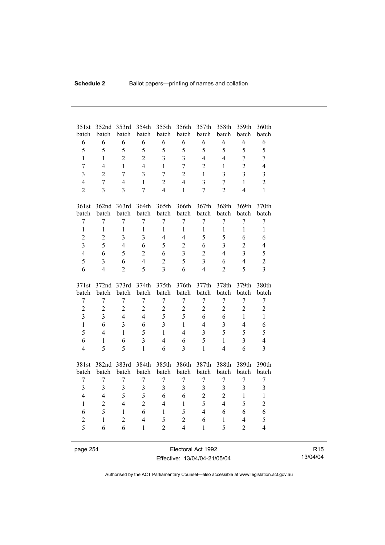| 351st<br>batch   | 352nd<br>batch | 353rd<br>batch          | 354th<br>batch | 355th<br>batch   | 356th<br>batch   | 357th<br>batch          | 358th<br>batch | 359th<br>batch | 360th<br>batch          |
|------------------|----------------|-------------------------|----------------|------------------|------------------|-------------------------|----------------|----------------|-------------------------|
| 6                | 6              | 6                       | 6              | 6                | 6                | 6                       | 6              | 6              | 6                       |
| 5                | 5              | 5                       | 5              | 5                | 5                | 5                       | 5              | 5              | 5                       |
| $\mathbf{1}$     | $\mathbf{1}$   | $\overline{2}$          | $\overline{2}$ | $\overline{3}$   | $\overline{3}$   | $\overline{4}$          | $\overline{4}$ | $\overline{7}$ | $\overline{7}$          |
| $\overline{7}$   | $\overline{4}$ | $\mathbf{1}$            | $\overline{4}$ | $\mathbf{1}$     | $\overline{7}$   | $\overline{2}$          | $\mathbf{1}$   | $\overline{2}$ | $\overline{4}$          |
| $\overline{3}$   | $\overline{2}$ | 7                       | 3              | $\overline{7}$   | $\overline{2}$   | $\mathbf{1}$            | 3              | $\overline{3}$ | 3                       |
| $\overline{4}$   | $\overline{7}$ | $\overline{4}$          | $\mathbf{1}$   | $\overline{2}$   | $\overline{4}$   | $\overline{3}$          | $\overline{7}$ | $\mathbf{1}$   | $\overline{2}$          |
| $\overline{2}$   | $\overline{3}$ | $\overline{3}$          | $\overline{7}$ | $\overline{4}$   | $\mathbf{1}$     | $\overline{7}$          | $\overline{2}$ | $\overline{4}$ | $\mathbf{1}$            |
|                  |                |                         |                |                  |                  |                         |                |                |                         |
| 361st            |                | 362nd 363rd             | 364th          | 365th            | 366th            | 367th                   | 368th          | 369th          | 370th                   |
| batch            | batch          | batch                   | batch          | batch            | batch            | batch                   | batch          | batch          | batch                   |
| $\overline{7}$   | $\overline{7}$ | $\overline{7}$          | $\overline{7}$ | $\overline{7}$   | $\overline{7}$   | $\overline{7}$          | $\overline{7}$ | $\overline{7}$ | $\overline{7}$          |
| $\mathbf{1}$     | $\mathbf{1}$   | $\mathbf{1}$            | $\mathbf{1}$   | $\mathbf{1}$     | $\mathbf{1}$     | $\mathbf{1}$            | $\mathbf{1}$   | $\mathbf{1}$   | $\mathbf{1}$            |
| $\overline{2}$   | $\overline{2}$ | $\overline{3}$          | 3              | $\overline{4}$   | $\overline{4}$   | 5                       | 5              | 6              | 6                       |
| $\overline{3}$   | 5              | $\overline{4}$          | 6              | 5                | $\overline{2}$   | 6                       | $\overline{3}$ | $\overline{2}$ | 4                       |
| $\overline{4}$   | 6              | 5                       | $\overline{2}$ | 6                | 3                | $\overline{2}$          | $\overline{4}$ | $\overline{3}$ | 5                       |
| 5                | $\overline{3}$ | 6                       | $\overline{4}$ | $\overline{2}$   | 5                | $\overline{3}$          | 6              | $\overline{4}$ | $\overline{c}$          |
| 6                | $\overline{4}$ | $\overline{2}$          | 5              | 3                | 6                | $\overline{4}$          | $\overline{2}$ | 5              | $\overline{3}$          |
|                  |                |                         |                |                  |                  |                         |                |                |                         |
|                  |                |                         |                |                  |                  |                         |                |                |                         |
| 371st            | 372nd          | 373rd                   | 374th          | 375th            | 376th            | 377th                   | 378th          | 379th          | 380th                   |
| batch            | batch          | batch                   | batch          | batch            | batch            | batch                   | batch          | batch          | batch                   |
| $\boldsymbol{7}$ | $\overline{7}$ | $\overline{7}$          | 7              | $\boldsymbol{7}$ | $\boldsymbol{7}$ | $\boldsymbol{7}$        | $\overline{7}$ | $\overline{7}$ | $\overline{7}$          |
| $\boldsymbol{2}$ | $\overline{2}$ | $\overline{c}$          | $\overline{2}$ | $\boldsymbol{2}$ | $\overline{2}$   | $\overline{2}$          | $\overline{2}$ | $\overline{2}$ | $\overline{c}$          |
| $\overline{3}$   | $\overline{3}$ | $\overline{4}$          | $\overline{4}$ | 5                | 5                | 6                       | 6              | $\mathbf{1}$   | $\mathbf{1}$            |
| $\mathbf{1}$     | 6              | $\overline{\mathbf{3}}$ | 6              | $\overline{3}$   | $\mathbf{1}$     | $\overline{4}$          | $\overline{3}$ | $\overline{4}$ | 6                       |
| 5                | $\overline{4}$ | $\mathbf{1}$            | 5              | $\mathbf{1}$     | $\overline{4}$   | $\overline{\mathbf{3}}$ | 5              | 5              | 5                       |
| 6                | $\mathbf{1}$   | 6                       | $\overline{3}$ | $\overline{4}$   | 6                | 5                       | $\mathbf{1}$   | $\overline{3}$ | $\overline{4}$          |
| $\overline{4}$   | 5              | 5                       | $\mathbf{1}$   | 6                | $\overline{3}$   | $\mathbf{1}$            | $\overline{4}$ | 6              | $\overline{\mathbf{3}}$ |
|                  |                |                         |                |                  |                  |                         |                |                |                         |
| 381st            | 382nd          | 383rd                   | 384th          | 385th            | 386th            | 387th                   | 388th          | 389th          | 390th                   |
| batch            | batch          | batch                   | batch          | batch            | batch            | batch                   | batch          | batch          | batch                   |
| 7                | 7              | 7                       | $\overline{7}$ | 7                | 7                | $\boldsymbol{7}$        | $\sqrt{ }$     | 7              | 7                       |
| $\overline{3}$   | $\overline{3}$ | $\overline{\mathbf{3}}$ | $\overline{3}$ | $\overline{3}$   | $\overline{3}$   | $\overline{\mathbf{3}}$ | $\overline{3}$ | $\overline{3}$ | $\overline{\mathbf{3}}$ |
| $\overline{4}$   | $\overline{4}$ | 5                       | 5              | 6                | 6                | $\overline{2}$          | $\overline{2}$ | $\mathbf{1}$   | $\mathbf{1}$            |
| $\mathbf{1}$     | $\overline{2}$ | $\overline{4}$          | $\overline{2}$ | $\overline{4}$   | $\mathbf{1}$     | 5                       | $\overline{4}$ | 5              | $\overline{c}$          |
| 6                | 5              | $\mathbf{1}$            | 6              | $\mathbf{1}$     | 5                | $\overline{4}$          | 6              | 6              | 6                       |
| $\overline{c}$   | $\mathbf{1}$   | $\overline{2}$          | $\overline{4}$ | 5                | $\overline{2}$   | 6                       | $\mathbf{1}$   | $\overline{4}$ | 5                       |
| 5                | 6              | 6                       | $\mathbf{1}$   | $\overline{2}$   | $\overline{4}$   | $\mathbf{1}$            | 5              | $\overline{2}$ | $\overline{4}$          |

page 254 Electoral Act 1992 Effective: 13/04/04-21/05/04

R15 13/04/04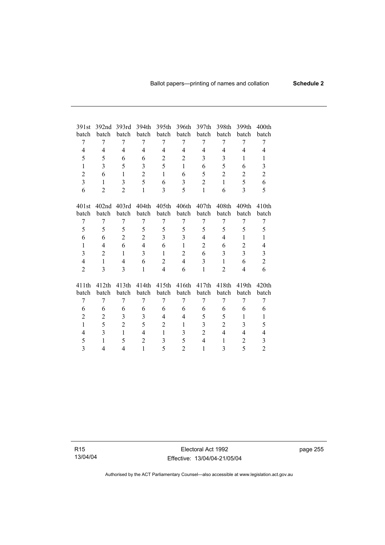| 391st          | 392nd             | 393rd          | 394th          | 395th          | 396th                   | 397th          | 398th             | 399th             | 400th                      |
|----------------|-------------------|----------------|----------------|----------------|-------------------------|----------------|-------------------|-------------------|----------------------------|
| batch          | batch             | batch          | batch          | batch          | batch                   | batch          | batch             | batch             | batch                      |
| 7              | 7                 | 7              | 7              | 7              | 7                       | 7              | 7                 | 7                 | 7                          |
| 4              | 4                 | $\overline{4}$ | $\overline{4}$ | 4              | $\overline{4}$          | $\overline{4}$ | $\overline{4}$    | $\overline{4}$    | 4                          |
| 5              | 5                 | 6              | 6              | $\overline{2}$ | $\overline{2}$          | 3              | 3                 | $\mathbf{1}$      | $\mathbf{1}$               |
| $\mathbf{1}$   | 3                 | 5              | 3              | 5              | $\mathbf{1}$            | 6              | 5                 | 6                 | 3                          |
| $\overline{2}$ | 6                 | $\mathbf{1}$   | $\overline{2}$ | $\mathbf{1}$   | 6                       | 5              | $\overline{2}$    | $\overline{2}$    | $\overline{2}$             |
| 3              | $\mathbf{1}$      | 3              | 5              | 6              | 3                       | 2              | 1                 | 5                 | 6                          |
| 6              | $\overline{2}$    | $\overline{2}$ | $\mathbf{1}$   | 3              | 5                       | $\mathbf{1}$   | 6                 | 3                 | 5                          |
|                |                   |                |                |                |                         |                |                   |                   |                            |
| 401st          | 402 <sub>nd</sub> | 403rd          | 404th          | 405th          | 406th                   | 407th          | 408 <sub>th</sub> | 409 <sub>th</sub> | 410 <sub>th</sub>          |
| batch          | batch             | batch          | batch          | batch          | batch                   | batch          | batch             | batch             | batch                      |
| 7              | 7                 | 7              | 7              | 7              | 7                       | 7              | 7                 | 7                 | 7                          |
| 5              | 5                 | 5              | 5              | 5              | 5                       | 5              | 5                 | 5                 | 5                          |
| 6              | 6                 | $\overline{c}$ | $\overline{2}$ | 3              | $\overline{\mathbf{3}}$ | $\overline{4}$ | 4                 | 1                 | 1                          |
| $\mathbf{1}$   | 4                 | 6              | $\overline{4}$ | 6              | $\mathbf{1}$            | $\overline{2}$ | 6                 | $\overline{2}$    | $\overline{4}$             |
| 3              | $\overline{2}$    | $\mathbf{1}$   | $\overline{3}$ | $\mathbf{1}$   | $\overline{2}$          | 6              | 3                 | $\overline{3}$    | $\mathfrak{Z}$             |
| $\overline{4}$ | $\mathbf{1}$      | 4              | 6              | $\overline{2}$ | $\overline{4}$          | 3              | $\mathbf{1}$      | 6                 | $\overline{2}$             |
| $\overline{2}$ | 3                 | 3              | $\mathbf{1}$   | $\overline{4}$ | 6                       | 1              | $\overline{2}$    | $\overline{4}$    | 6                          |
|                |                   |                |                |                |                         |                |                   |                   |                            |
| 411th<br>batch | 412th<br>batch    | 413th<br>batch | 414th<br>batch | 415th<br>batch | 416th<br>batch          | 417th<br>batch | 418th<br>batch    | 419th<br>batch    | 420 <sub>th</sub><br>batch |
|                |                   | 7              | 7              | 7              | 7                       | 7              | 7                 | 7                 | 7                          |
| 7              | 7                 |                |                |                |                         |                |                   |                   |                            |
| 6              | 6                 | 6              | 6              | 6              | 6                       | 6              | 6                 | 6                 | 6                          |
| $\overline{2}$ | $\overline{c}$    | 3              | 3              | $\overline{4}$ | $\overline{4}$          | 5              | 5                 | 1                 | 1                          |
| $\mathbf{1}$   | 5                 | $\overline{2}$ | 5              | 2              | $\mathbf{1}$            | 3              | $\overline{2}$    | 3                 | 5                          |
| 4              | 3                 | $\mathbf{1}$   | 4              | $\mathbf{1}$   | 3                       | $\overline{2}$ | 4                 | 4                 | 4                          |
| 5              | $\mathbf{1}$      | 5              | $\overline{2}$ | 3              | 5                       | $\overline{4}$ | $\mathbf{1}$      | $\overline{2}$    | 3                          |
| 3              | 4                 | 4              | $\mathbf{1}$   | 5              | $\overline{2}$          | $\mathbf{1}$   | 3                 | 5                 | $\overline{2}$             |

R15 13/04/04

Electoral Act 1992 Effective: 13/04/04-21/05/04 page 255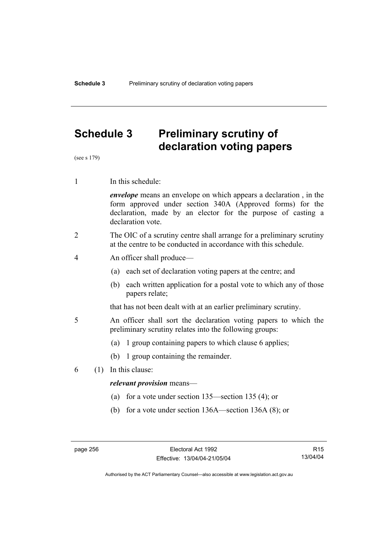# **Schedule 3 Preliminary scrutiny of declaration voting papers**

(see s 179)

1 In this schedule:

*envelope* means an envelope on which appears a declaration , in the form approved under section 340A (Approved forms) for the declaration, made by an elector for the purpose of casting a declaration vote.

- 2 The OIC of a scrutiny centre shall arrange for a preliminary scrutiny at the centre to be conducted in accordance with this schedule.
- 4 An officer shall produce—
	- (a) each set of declaration voting papers at the centre; and
	- (b) each written application for a postal vote to which any of those papers relate;

that has not been dealt with at an earlier preliminary scrutiny.

- 5 An officer shall sort the declaration voting papers to which the preliminary scrutiny relates into the following groups:
	- (a) 1 group containing papers to which clause 6 applies;
	- (b) 1 group containing the remainder.
- 6 (1) In this clause:

### *relevant provision* means—

- (a) for a vote under section 135—section 135 (4); or
- (b) for a vote under section 136A—section 136A (8); or

R15 13/04/04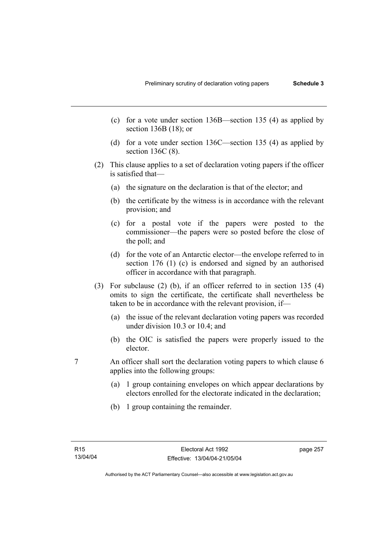- (c) for a vote under section 136B—section 135 (4) as applied by section 136B (18); or
- (d) for a vote under section 136C—section 135 (4) as applied by section 136C (8).
- (2) This clause applies to a set of declaration voting papers if the officer is satisfied that—
	- (a) the signature on the declaration is that of the elector; and
	- (b) the certificate by the witness is in accordance with the relevant provision; and
	- (c) for a postal vote if the papers were posted to the commissioner—the papers were so posted before the close of the poll; and
	- (d) for the vote of an Antarctic elector—the envelope referred to in section 176 (1) (c) is endorsed and signed by an authorised officer in accordance with that paragraph.
- (3) For subclause (2) (b), if an officer referred to in section 135 (4) omits to sign the certificate, the certificate shall nevertheless be taken to be in accordance with the relevant provision, if—
	- (a) the issue of the relevant declaration voting papers was recorded under division 10.3 or 10.4; and
	- (b) the OIC is satisfied the papers were properly issued to the elector.
- 7 An officer shall sort the declaration voting papers to which clause 6 applies into the following groups:
	- (a) 1 group containing envelopes on which appear declarations by electors enrolled for the electorate indicated in the declaration;
	- (b) 1 group containing the remainder.

page 257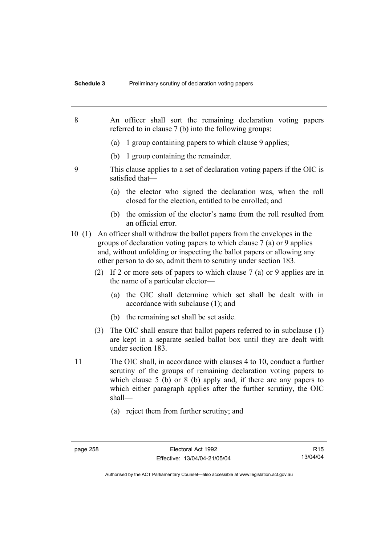- 8 An officer shall sort the remaining declaration voting papers referred to in clause 7 (b) into the following groups: (a) 1 group containing papers to which clause 9 applies; (b) 1 group containing the remainder. 9 This clause applies to a set of declaration voting papers if the OIC is satisfied that— (a) the elector who signed the declaration was, when the roll closed for the election, entitled to be enrolled; and (b) the omission of the elector's name from the roll resulted from an official error. 10 (1) An officer shall withdraw the ballot papers from the envelopes in the groups of declaration voting papers to which clause 7 (a) or 9 applies and, without unfolding or inspecting the ballot papers or allowing any other person to do so, admit them to scrutiny under section 183. (2) If 2 or more sets of papers to which clause 7 (a) or 9 applies are in the name of a particular elector— (a) the OIC shall determine which set shall be dealt with in accordance with subclause (1); and (b) the remaining set shall be set aside. (3) The OIC shall ensure that ballot papers referred to in subclause (1) are kept in a separate sealed ballot box until they are dealt with under section 183. 11 The OIC shall, in accordance with clauses 4 to 10, conduct a further scrutiny of the groups of remaining declaration voting papers to which clause 5 (b) or 8 (b) apply and, if there are any papers to which either paragraph applies after the further scrutiny, the OIC shall— (a) reject them from further scrutiny; and
	-

R15 13/04/04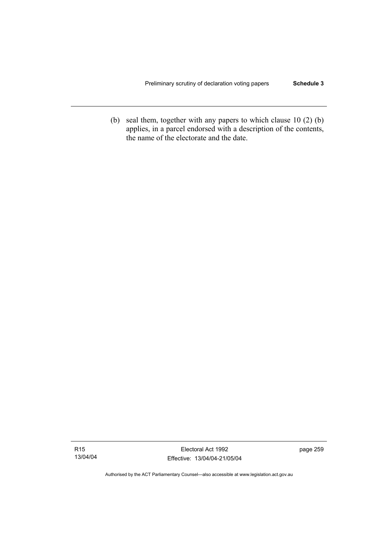(b) seal them, together with any papers to which clause 10 (2) (b) applies, in a parcel endorsed with a description of the contents, the name of the electorate and the date.

page 259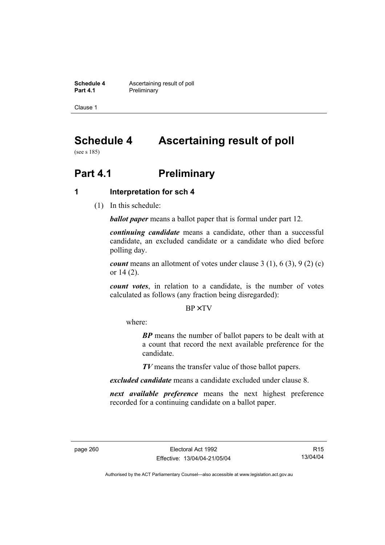**Schedule 4 Ascertaining result of poll**<br>**Part 4.1 Preliminary Preliminary** 

Clause 1

# **Schedule 4 Ascertaining result of poll**

(see s 185)

# **Part 4.1** Preliminary

## **1 Interpretation for sch 4**

(1) In this schedule:

*ballot paper* means a ballot paper that is formal under part 12.

*continuing candidate* means a candidate, other than a successful candidate, an excluded candidate or a candidate who died before polling day.

*count* means an allotment of votes under clause 3 (1), 6 (3), 9 (2) (c) or 14 (2).

*count votes*, in relation to a candidate, is the number of votes calculated as follows (any fraction being disregarded):

BP× TV

where:

*BP* means the number of ballot papers to be dealt with at a count that record the next available preference for the candidate.

*TV* means the transfer value of those ballot papers.

*excluded candidate* means a candidate excluded under clause 8.

*next available preference* means the next highest preference recorded for a continuing candidate on a ballot paper.

R15 13/04/04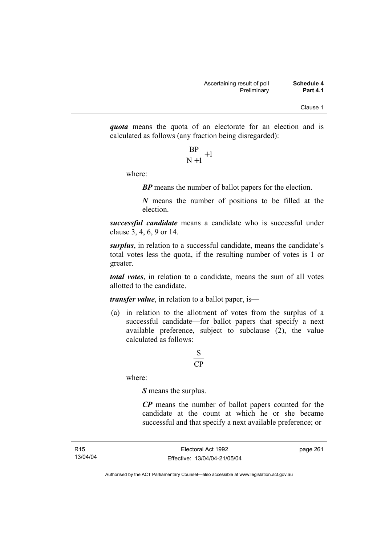*quota* means the quota of an electorate for an election and is calculated as follows (any fraction being disregarded):

$$
\frac{\text{BP}}{\text{N}+1}+1
$$

where:

*BP* means the number of ballot papers for the election.

*N* means the number of positions to be filled at the election.

*successful candidate* means a candidate who is successful under clause 3, 4, 6, 9 or 14.

*surplus*, in relation to a successful candidate, means the candidate's total votes less the quota, if the resulting number of votes is 1 or greater.

*total votes*, in relation to a candidate, means the sum of all votes allotted to the candidate.

*transfer value*, in relation to a ballot paper, is—

 (a) in relation to the allotment of votes from the surplus of a successful candidate—for ballot papers that specify a next available preference, subject to subclause  $(2)$ , the value calculated as follows:

# CP S

where:

*S* means the surplus.

*CP* means the number of ballot papers counted for the candidate at the count at which he or she became successful and that specify a next available preference; or

page 261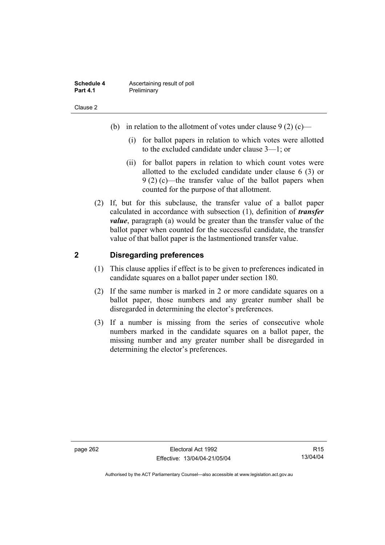| Schedule 4      | Ascertaining result of poll |
|-----------------|-----------------------------|
| <b>Part 4.1</b> | Preliminary                 |

- (b) in relation to the allotment of votes under clause  $9(2)$  (c)—
	- (i) for ballot papers in relation to which votes were allotted to the excluded candidate under clause 3—1; or
	- (ii) for ballot papers in relation to which count votes were allotted to the excluded candidate under clause 6 (3) or 9 (2) (c)—the transfer value of the ballot papers when counted for the purpose of that allotment.
- (2) If, but for this subclause, the transfer value of a ballot paper calculated in accordance with subsection (1), definition of *transfer value*, paragraph (a) would be greater than the transfer value of the ballot paper when counted for the successful candidate, the transfer value of that ballot paper is the lastmentioned transfer value.

# **2 Disregarding preferences**

- (1) This clause applies if effect is to be given to preferences indicated in candidate squares on a ballot paper under section 180.
- (2) If the same number is marked in 2 or more candidate squares on a ballot paper, those numbers and any greater number shall be disregarded in determining the elector's preferences.
- (3) If a number is missing from the series of consecutive whole numbers marked in the candidate squares on a ballot paper, the missing number and any greater number shall be disregarded in determining the elector's preferences.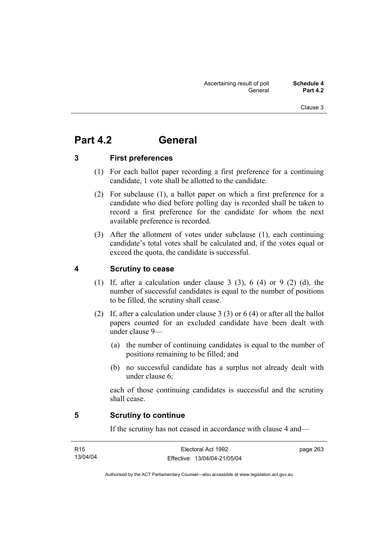# **Part 4.2 General**

# **3 First preferences**

- (1) For each ballot paper recording a first preference for a continuing candidate, 1 vote shall be allotted to the candidate.
- (2) For subclause (1), a ballot paper on which a first preference for a candidate who died before polling day is recorded shall be taken to record a first preference for the candidate for whom the next available preference is recorded.
- (3) After the allotment of votes under subclause (1), each continuing candidate's total votes shall be calculated and, if the votes equal or exceed the quota, the candidate is successful.

# **4 Scrutiny to cease**

- (1) If, after a calculation under clause 3 (3), 6 (4) or 9 (2) (d), the number of successful candidates is equal to the number of positions to be filled, the scrutiny shall cease.
- (2) If, after a calculation under clause 3 (3) or 6 (4) or after all the ballot papers counted for an excluded candidate have been dealt with under clause 9—
	- (a) the number of continuing candidates is equal to the number of positions remaining to be filled; and
	- (b) no successful candidate has a surplus not already dealt with under clause 6;

each of those continuing candidates is successful and the scrutiny shall cease.

### **5 Scrutiny to continue**

If the scrutiny has not ceased in accordance with clause 4 and—

| R <sub>15</sub> | Electoral Act 1992           | page 263 |
|-----------------|------------------------------|----------|
| 13/04/04        | Effective: 13/04/04-21/05/04 |          |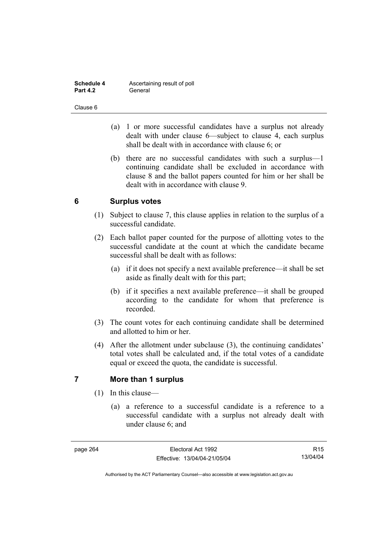| Schedule 4      | Ascertaining result of poll |
|-----------------|-----------------------------|
| <b>Part 4.2</b> | General                     |

- (a) 1 or more successful candidates have a surplus not already dealt with under clause 6—subject to clause 4, each surplus shall be dealt with in accordance with clause 6; or
- (b) there are no successful candidates with such a surplus—1 continuing candidate shall be excluded in accordance with clause 8 and the ballot papers counted for him or her shall be dealt with in accordance with clause 9.

# **6 Surplus votes**

- (1) Subject to clause 7, this clause applies in relation to the surplus of a successful candidate.
- (2) Each ballot paper counted for the purpose of allotting votes to the successful candidate at the count at which the candidate became successful shall be dealt with as follows:
	- (a) if it does not specify a next available preference—it shall be set aside as finally dealt with for this part;
	- (b) if it specifies a next available preference—it shall be grouped according to the candidate for whom that preference is recorded.
- (3) The count votes for each continuing candidate shall be determined and allotted to him or her.
- (4) After the allotment under subclause (3), the continuing candidates' total votes shall be calculated and, if the total votes of a candidate equal or exceed the quota, the candidate is successful.

# **7 More than 1 surplus**

- (1) In this clause—
	- (a) a reference to a successful candidate is a reference to a successful candidate with a surplus not already dealt with under clause 6; and

R15 13/04/04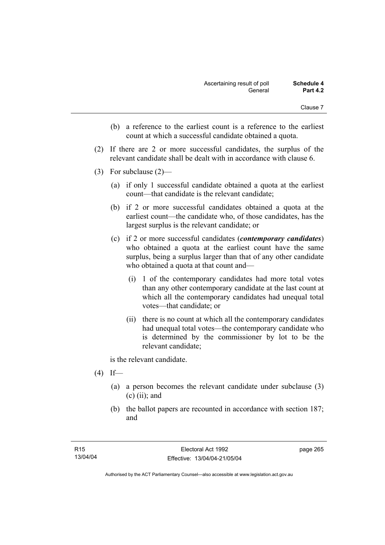- (b) a reference to the earliest count is a reference to the earliest count at which a successful candidate obtained a quota.
- (2) If there are 2 or more successful candidates, the surplus of the relevant candidate shall be dealt with in accordance with clause 6.
- (3) For subclause (2)—
	- (a) if only 1 successful candidate obtained a quota at the earliest count—that candidate is the relevant candidate;
	- (b) if 2 or more successful candidates obtained a quota at the earliest count—the candidate who, of those candidates, has the largest surplus is the relevant candidate; or
	- (c) if 2 or more successful candidates (*contemporary candidates*) who obtained a quota at the earliest count have the same surplus, being a surplus larger than that of any other candidate who obtained a quota at that count and—
		- (i) 1 of the contemporary candidates had more total votes than any other contemporary candidate at the last count at which all the contemporary candidates had unequal total votes—that candidate; or
		- (ii) there is no count at which all the contemporary candidates had unequal total votes—the contemporary candidate who is determined by the commissioner by lot to be the relevant candidate;

is the relevant candidate.

- $(4)$  If—
	- (a) a person becomes the relevant candidate under subclause (3)  $(c)$  (ii); and
	- (b) the ballot papers are recounted in accordance with section 187; and

page 265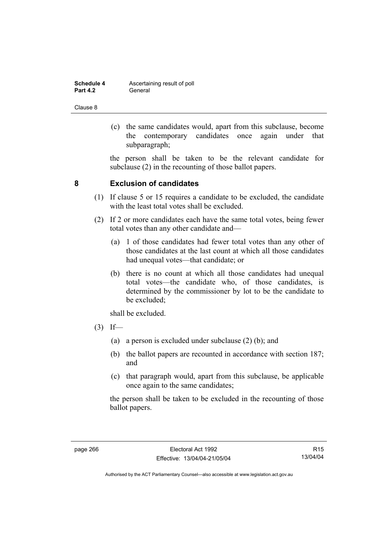| Schedule 4      | Ascertaining result of poll |
|-----------------|-----------------------------|
| <b>Part 4.2</b> | General                     |

 (c) the same candidates would, apart from this subclause, become the contemporary candidates once again under that subparagraph;

the person shall be taken to be the relevant candidate for subclause (2) in the recounting of those ballot papers.

# **8 Exclusion of candidates**

- (1) If clause 5 or 15 requires a candidate to be excluded, the candidate with the least total votes shall be excluded.
- (2) If 2 or more candidates each have the same total votes, being fewer total votes than any other candidate and—
	- (a) 1 of those candidates had fewer total votes than any other of those candidates at the last count at which all those candidates had unequal votes—that candidate; or
	- (b) there is no count at which all those candidates had unequal total votes—the candidate who, of those candidates, is determined by the commissioner by lot to be the candidate to be excluded;

shall be excluded.

- $(3)$  If—
	- (a) a person is excluded under subclause (2) (b); and
	- (b) the ballot papers are recounted in accordance with section 187; and
	- (c) that paragraph would, apart from this subclause, be applicable once again to the same candidates;

the person shall be taken to be excluded in the recounting of those ballot papers.

R15 13/04/04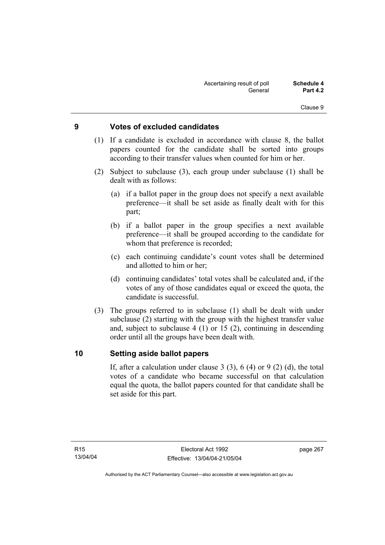# **9 Votes of excluded candidates**

- (1) If a candidate is excluded in accordance with clause 8, the ballot papers counted for the candidate shall be sorted into groups according to their transfer values when counted for him or her.
- (2) Subject to subclause (3), each group under subclause (1) shall be dealt with as follows:
	- (a) if a ballot paper in the group does not specify a next available preference—it shall be set aside as finally dealt with for this part;
	- (b) if a ballot paper in the group specifies a next available preference—it shall be grouped according to the candidate for whom that preference is recorded;
	- (c) each continuing candidate's count votes shall be determined and allotted to him or her;
	- (d) continuing candidates' total votes shall be calculated and, if the votes of any of those candidates equal or exceed the quota, the candidate is successful.
- (3) The groups referred to in subclause (1) shall be dealt with under subclause (2) starting with the group with the highest transfer value and, subject to subclause 4 (1) or 15 (2), continuing in descending order until all the groups have been dealt with.

### **10 Setting aside ballot papers**

If, after a calculation under clause 3 (3), 6 (4) or 9 (2) (d), the total votes of a candidate who became successful on that calculation equal the quota, the ballot papers counted for that candidate shall be set aside for this part.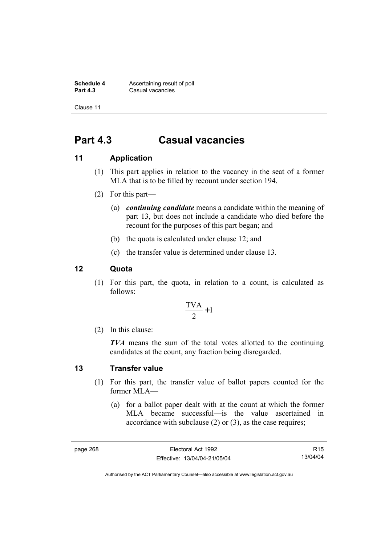**Schedule 4 Ascertaining result of poll**<br>**Part 4.3 Casual vacancies Casual vacancies** 

Clause 11

# **Part 4.3 Casual vacancies**

# **11 Application**

- (1) This part applies in relation to the vacancy in the seat of a former MLA that is to be filled by recount under section 194.
- (2) For this part—
	- (a) *continuing candidate* means a candidate within the meaning of part 13, but does not include a candidate who died before the recount for the purposes of this part began; and
	- (b) the quota is calculated under clause 12; and
	- (c) the transfer value is determined under clause 13.

# **12 Quota**

 (1) For this part, the quota, in relation to a count, is calculated as follows:

$$
\frac{\text{TVA}}{2} + 1
$$

(2) In this clause:

*TVA* means the sum of the total votes allotted to the continuing candidates at the count, any fraction being disregarded.

### **13 Transfer value**

- (1) For this part, the transfer value of ballot papers counted for the former MLA—
	- (a) for a ballot paper dealt with at the count at which the former MLA became successful—is the value ascertained in accordance with subclause (2) or (3), as the case requires;

R15 13/04/04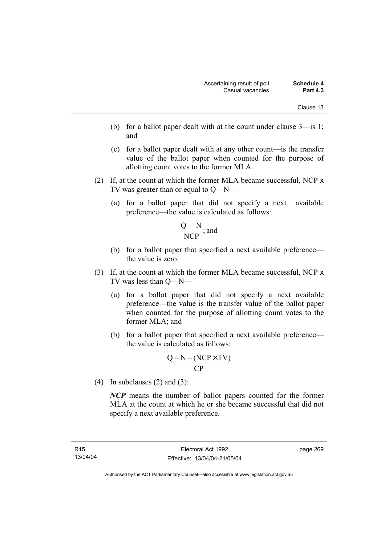- (b) for a ballot paper dealt with at the count under clause 3—is 1; and
- (c) for a ballot paper dealt with at any other count—is the transfer value of the ballot paper when counted for the purpose of allotting count votes to the former MLA.
- (2) If, at the count at which the former MLA became successful, NCP x TV was greater than or equal to Q—N—
	- (a) for a ballot paper that did not specify a next available preference—the value is calculated as follows:

$$
\frac{Q-N}{NCP}
$$
; and

- (b) for a ballot paper that specified a next available preference the value is zero.
- (3) If, at the count at which the former MLA became successful, NCP x TV was less than Q—N—
	- (a) for a ballot paper that did not specify a next available preference—the value is the transfer value of the ballot paper when counted for the purpose of allotting count votes to the former MLA; and
	- (b) for a ballot paper that specified a next available preference the value is calculated as follows:

$$
\frac{Q-N-(NCP \times TV)}{CP}
$$

(4) In subclauses (2) and (3):

*NCP* means the number of ballot papers counted for the former MLA at the count at which he or she became successful that did not specify a next available preference.

page 269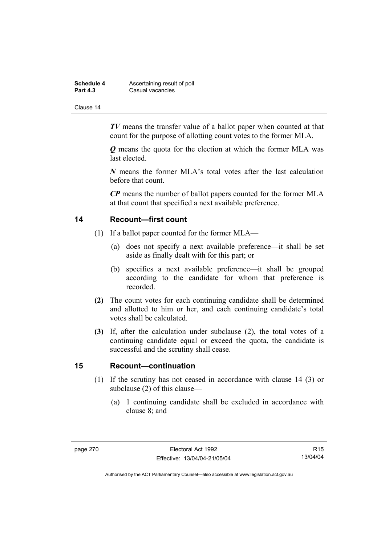| Schedule 4      | Ascertaining result of poll |
|-----------------|-----------------------------|
| <b>Part 4.3</b> | Casual vacancies            |

*TV* means the transfer value of a ballot paper when counted at that count for the purpose of allotting count votes to the former MLA.

*Q* means the quota for the election at which the former MLA was last elected.

*N* means the former MLA's total votes after the last calculation before that count.

*CP* means the number of ballot papers counted for the former MLA at that count that specified a next available preference.

### **14 Recount—first count**

- (1) If a ballot paper counted for the former MLA—
	- (a) does not specify a next available preference—it shall be set aside as finally dealt with for this part; or
	- (b) specifies a next available preference—it shall be grouped according to the candidate for whom that preference is recorded.
- **(2)** The count votes for each continuing candidate shall be determined and allotted to him or her, and each continuing candidate's total votes shall be calculated.
- **(3)** If, after the calculation under subclause (2), the total votes of a continuing candidate equal or exceed the quota, the candidate is successful and the scrutiny shall cease.

### **15 Recount—continuation**

- (1) If the scrutiny has not ceased in accordance with clause 14 (3) or subclause (2) of this clause—
	- (a) 1 continuing candidate shall be excluded in accordance with clause 8; and

R15 13/04/04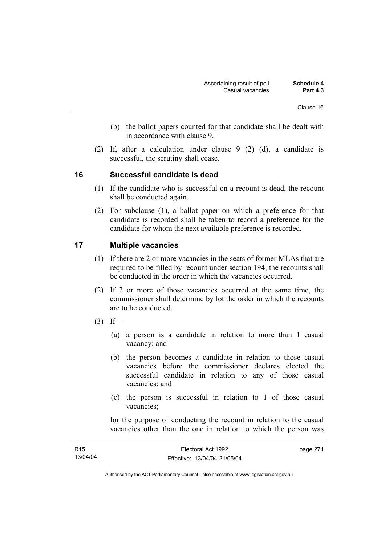- (b) the ballot papers counted for that candidate shall be dealt with in accordance with clause 9.
- (2) If, after a calculation under clause 9 (2) (d), a candidate is successful, the scrutiny shall cease.

### **16 Successful candidate is dead**

- (1) If the candidate who is successful on a recount is dead, the recount shall be conducted again.
- (2) For subclause (1), a ballot paper on which a preference for that candidate is recorded shall be taken to record a preference for the candidate for whom the next available preference is recorded.

### **17 Multiple vacancies**

- (1) If there are 2 or more vacancies in the seats of former MLAs that are required to be filled by recount under section 194, the recounts shall be conducted in the order in which the vacancies occurred.
- (2) If 2 or more of those vacancies occurred at the same time, the commissioner shall determine by lot the order in which the recounts are to be conducted.
- $(3)$  If—
	- (a) a person is a candidate in relation to more than 1 casual vacancy; and
	- (b) the person becomes a candidate in relation to those casual vacancies before the commissioner declares elected the successful candidate in relation to any of those casual vacancies; and
	- (c) the person is successful in relation to 1 of those casual vacancies;

for the purpose of conducting the recount in relation to the casual vacancies other than the one in relation to which the person was

| R <sub>15</sub> | Electoral Act 1992           | page 271 |
|-----------------|------------------------------|----------|
| 13/04/04        | Effective: 13/04/04-21/05/04 |          |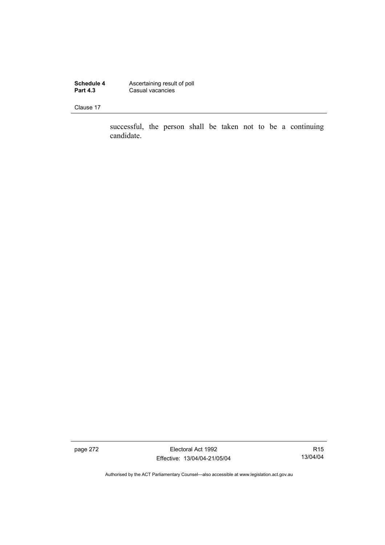**Schedule 4 Ascertaining result of poll Part 4.3 Casual vacancies** 

Clause 17

successful, the person shall be taken not to be a continuing candidate.

page 272 **Electoral Act 1992** Effective: 13/04/04-21/05/04

R15 13/04/04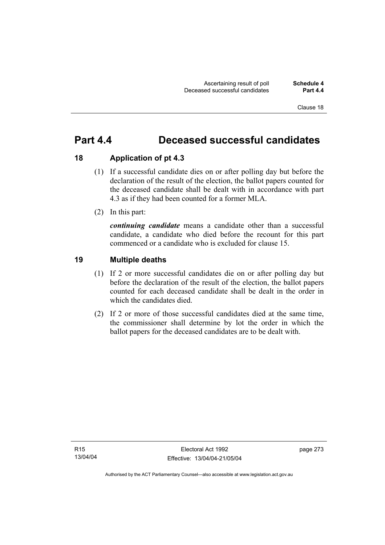# **Part 4.4 Deceased successful candidates**

# **18 Application of pt 4.3**

- (1) If a successful candidate dies on or after polling day but before the declaration of the result of the election, the ballot papers counted for the deceased candidate shall be dealt with in accordance with part 4.3 as if they had been counted for a former MLA.
- (2) In this part:

*continuing candidate* means a candidate other than a successful candidate, a candidate who died before the recount for this part commenced or a candidate who is excluded for clause 15.

# **19 Multiple deaths**

- (1) If 2 or more successful candidates die on or after polling day but before the declaration of the result of the election, the ballot papers counted for each deceased candidate shall be dealt in the order in which the candidates died.
- (2) If 2 or more of those successful candidates died at the same time, the commissioner shall determine by lot the order in which the ballot papers for the deceased candidates are to be dealt with.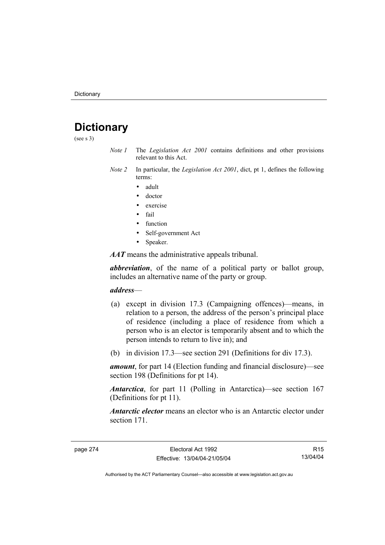# **Dictionary**

(see s 3)

- *Note 1* The *Legislation Act 2001* contains definitions and other provisions relevant to this Act.
- *Note 2* In particular, the *Legislation Act 2001*, dict, pt 1, defines the following terms:
	- adult
	- doctor
	- exercise
	- fail
	- function
	- Self-government Act
	- Speaker.

*AAT* means the administrative appeals tribunal.

*abbreviation*, of the name of a political party or ballot group, includes an alternative name of the party or group.

#### *address*—

- (a) except in division 17.3 (Campaigning offences)—means, in relation to a person, the address of the person's principal place of residence (including a place of residence from which a person who is an elector is temporarily absent and to which the person intends to return to live in); and
- (b) in division 17.3—see section 291 (Definitions for div 17.3).

*amount*, for part 14 (Election funding and financial disclosure)—see section 198 (Definitions for pt 14).

*Antarctica*, for part 11 (Polling in Antarctica)—see section 167 (Definitions for pt 11).

*Antarctic elector* means an elector who is an Antarctic elector under section 171.

R15 13/04/04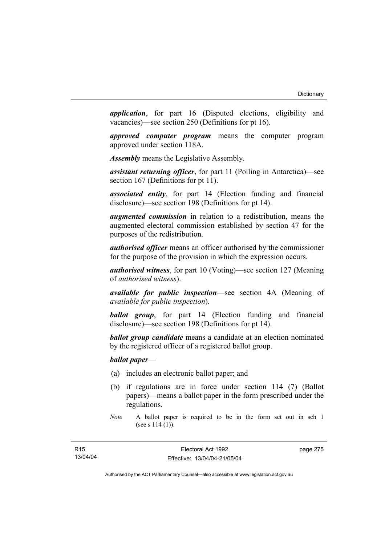*application*, for part 16 (Disputed elections, eligibility and vacancies)—see section 250 (Definitions for pt 16).

*approved computer program* means the computer program approved under section 118A.

*Assembly* means the Legislative Assembly.

*assistant returning officer*, for part 11 (Polling in Antarctica)—see section 167 (Definitions for pt 11).

*associated entity*, for part 14 (Election funding and financial disclosure)—see section 198 (Definitions for pt 14).

*augmented commission* in relation to a redistribution, means the augmented electoral commission established by section 47 for the purposes of the redistribution.

*authorised officer* means an officer authorised by the commissioner for the purpose of the provision in which the expression occurs.

*authorised witness*, for part 10 (Voting)—see section 127 (Meaning of *authorised witness*).

*available for public inspection*—see section 4A (Meaning of *available for public inspection*).

*ballot group*, for part 14 (Election funding and financial disclosure)—see section 198 (Definitions for pt 14).

*ballot group candidate* means a candidate at an election nominated by the registered officer of a registered ballot group.

*ballot paper*—

- (a) includes an electronic ballot paper; and
- (b) if regulations are in force under section 114 (7) (Ballot papers)—means a ballot paper in the form prescribed under the regulations.

page 275

*Note* A ballot paper is required to be in the form set out in sch 1 (see s 114 (1)).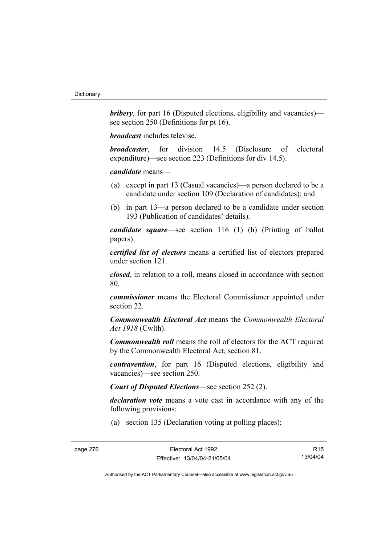*bribery*, for part 16 (Disputed elections, eligibility and vacancies) see section 250 (Definitions for pt 16).

*broadcast* includes televise.

*broadcaster*, for division 14.5 (Disclosure of electoral expenditure)—see section 223 (Definitions for div 14.5).

*candidate* means—

- (a) except in part 13 (Casual vacancies)—a person declared to be a candidate under section 109 (Declaration of candidates); and
- (b) in part 13—a person declared to be a candidate under section 193 (Publication of candidates' details).

*candidate square*—see section 116 (1) (h) (Printing of ballot papers).

*certified list of electors* means a certified list of electors prepared under section 121.

*closed*, in relation to a roll, means closed in accordance with section 80.

*commissioner* means the Electoral Commissioner appointed under section 22.

*Commonwealth Electoral Act* means the *Commonwealth Electoral Act 1918* (Cwlth).

*Commonwealth roll* means the roll of electors for the ACT required by the Commonwealth Electoral Act, section 81.

*contravention*, for part 16 (Disputed elections, eligibility and vacancies)—see section 250.

*Court of Disputed Elections*—see section 252 (2).

*declaration vote* means a vote cast in accordance with any of the following provisions:

(a) section 135 (Declaration voting at polling places);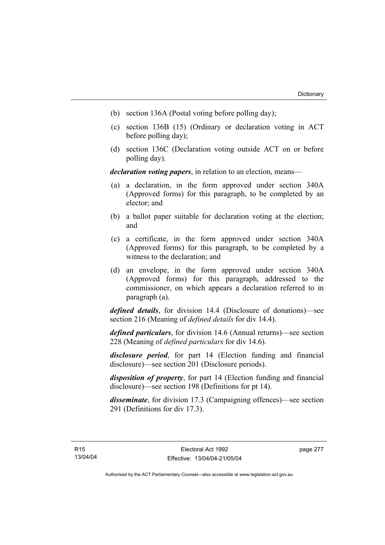- (b) section 136A (Postal voting before polling day);
- (c) section 136B (15) (Ordinary or declaration voting in ACT before polling day);
- (d) section 136C (Declaration voting outside ACT on or before polling day).

*declaration voting papers*, in relation to an election, means—

- (a) a declaration, in the form approved under section 340A (Approved forms) for this paragraph, to be completed by an elector; and
- (b) a ballot paper suitable for declaration voting at the election; and
- (c) a certificate, in the form approved under section 340A (Approved forms) for this paragraph, to be completed by a witness to the declaration; and
- (d) an envelope, in the form approved under section 340A (Approved forms) for this paragraph, addressed to the commissioner, on which appears a declaration referred to in paragraph (a).

*defined details*, for division 14.4 (Disclosure of donations)—see section 216 (Meaning of *defined details* for div 14.4).

*defined particulars*, for division 14.6 (Annual returns)—see section 228 (Meaning of *defined particulars* for div 14.6).

*disclosure period*, for part 14 (Election funding and financial disclosure)—see section 201 (Disclosure periods).

*disposition of property*, for part 14 (Election funding and financial disclosure)—see section 198 (Definitions for pt 14).

*disseminate*, for division 17.3 (Campaigning offences)—see section 291 (Definitions for div 17.3).

page 277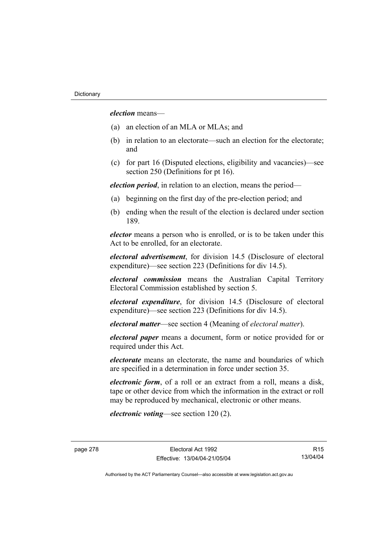*election* means—

- (a) an election of an MLA or MLAs; and
- (b) in relation to an electorate—such an election for the electorate; and
- (c) for part 16 (Disputed elections, eligibility and vacancies)—see section 250 (Definitions for pt 16).

*election period*, in relation to an election, means the period—

- (a) beginning on the first day of the pre-election period; and
- (b) ending when the result of the election is declared under section 189.

*elector* means a person who is enrolled, or is to be taken under this Act to be enrolled, for an electorate.

*electoral advertisement*, for division 14.5 (Disclosure of electoral expenditure)—see section 223 (Definitions for div 14.5).

*electoral commission* means the Australian Capital Territory Electoral Commission established by section 5.

*electoral expenditure*, for division 14.5 (Disclosure of electoral expenditure)—see section 223 (Definitions for div 14.5).

*electoral matter*—see section 4 (Meaning of *electoral matter*).

*electoral paper* means a document, form or notice provided for or required under this Act.

*electorate* means an electorate, the name and boundaries of which are specified in a determination in force under section 35.

*electronic form*, of a roll or an extract from a roll, means a disk, tape or other device from which the information in the extract or roll may be reproduced by mechanical, electronic or other means.

*electronic voting*—see section 120 (2).

R15 13/04/04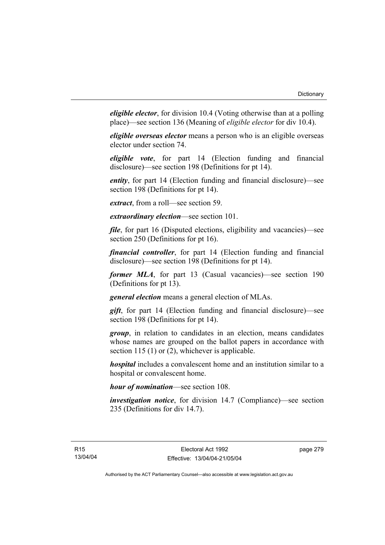*eligible elector*, for division 10.4 (Voting otherwise than at a polling place)—see section 136 (Meaning of *eligible elector* for div 10.4).

*eligible overseas elector* means a person who is an eligible overseas elector under section 74.

*eligible vote*, for part 14 (Election funding and financial disclosure)—see section 198 (Definitions for pt 14).

*entity*, for part 14 (Election funding and financial disclosure)—see section 198 (Definitions for pt 14).

*extract*, from a roll—see section 59.

*extraordinary election*—see section 101.

*file*, for part 16 (Disputed elections, eligibility and vacancies)—see section 250 (Definitions for pt 16).

*financial controller*, for part 14 (Election funding and financial disclosure)—see section 198 (Definitions for pt 14).

*former MLA*, for part 13 (Casual vacancies)—see section 190 (Definitions for pt 13).

*general election* means a general election of MLAs.

*gift*, for part 14 (Election funding and financial disclosure)—see section 198 (Definitions for pt 14).

*group*, in relation to candidates in an election, means candidates whose names are grouped on the ballot papers in accordance with section 115 (1) or (2), whichever is applicable.

*hospital* includes a convalescent home and an institution similar to a hospital or convalescent home.

*hour of nomination*—see section 108.

*investigation notice*, for division 14.7 (Compliance)—see section 235 (Definitions for div 14.7).

page 279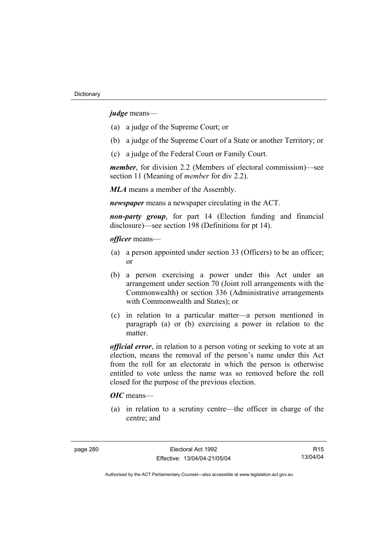*judge* means—

- (a) a judge of the Supreme Court; or
- (b) a judge of the Supreme Court of a State or another Territory; or
- (c) a judge of the Federal Court or Family Court.

*member*, for division 2.2 (Members of electoral commission)—see section 11 (Meaning of *member* for div 2.2).

*MLA* means a member of the Assembly.

*newspaper* means a newspaper circulating in the ACT.

*non-party group*, for part 14 (Election funding and financial disclosure)—see section 198 (Definitions for pt 14).

*officer* means—

- (a) a person appointed under section 33 (Officers) to be an officer; or
- (b) a person exercising a power under this Act under an arrangement under section 70 (Joint roll arrangements with the Commonwealth) or section 336 (Administrative arrangements with Commonwealth and States); or
- (c) in relation to a particular matter—a person mentioned in paragraph (a) or (b) exercising a power in relation to the matter.

*official error*, in relation to a person voting or seeking to vote at an election, means the removal of the person's name under this Act from the roll for an electorate in which the person is otherwise entitled to vote unless the name was so removed before the roll closed for the purpose of the previous election.

# *OIC* means—

 (a) in relation to a scrutiny centre—the officer in charge of the centre; and

R15 13/04/04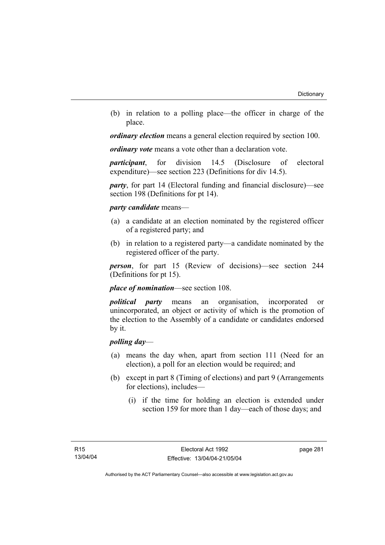(b) in relation to a polling place—the officer in charge of the place.

*ordinary election* means a general election required by section 100.

*ordinary vote* means a vote other than a declaration vote.

*participant*, for division 14.5 (Disclosure of electoral expenditure)—see section 223 (Definitions for div 14.5).

*party*, for part 14 (Electoral funding and financial disclosure)—see section 198 (Definitions for pt 14).

#### *party candidate* means—

- (a) a candidate at an election nominated by the registered officer of a registered party; and
- (b) in relation to a registered party—a candidate nominated by the registered officer of the party.

*person*, for part 15 (Review of decisions)—see section 244 (Definitions for pt 15).

*place of nomination*—see section 108.

*political party* means an organisation, incorporated or unincorporated, an object or activity of which is the promotion of the election to the Assembly of a candidate or candidates endorsed by it.

#### *polling day*—

- (a) means the day when, apart from section 111 (Need for an election), a poll for an election would be required; and
- (b) except in part 8 (Timing of elections) and part 9 (Arrangements for elections), includes—
	- (i) if the time for holding an election is extended under section 159 for more than 1 day—each of those days; and

page 281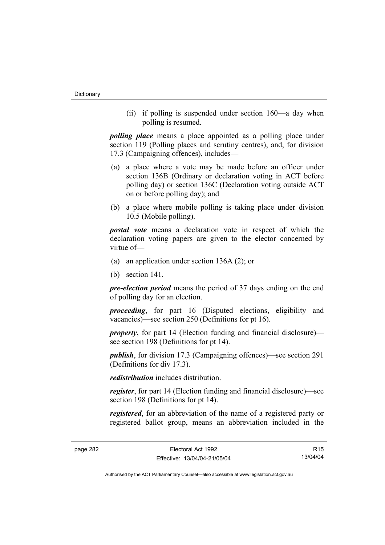(ii) if polling is suspended under section 160—a day when polling is resumed.

*polling place* means a place appointed as a polling place under section 119 (Polling places and scrutiny centres), and, for division 17.3 (Campaigning offences), includes—

- (a) a place where a vote may be made before an officer under section 136B (Ordinary or declaration voting in ACT before polling day) or section 136C (Declaration voting outside ACT on or before polling day); and
- (b) a place where mobile polling is taking place under division 10.5 (Mobile polling).

*postal vote* means a declaration vote in respect of which the declaration voting papers are given to the elector concerned by virtue of—

- (a) an application under section 136A (2); or
- (b) section 141.

*pre-election period* means the period of 37 days ending on the end of polling day for an election.

*proceeding*, for part 16 (Disputed elections, eligibility and vacancies)—see section 250 (Definitions for pt 16).

*property*, for part 14 (Election funding and financial disclosure) see section 198 (Definitions for pt 14).

*publish*, for division 17.3 (Campaigning offences)—see section 291 (Definitions for div 17.3).

*redistribution* includes distribution.

*register*, for part 14 (Election funding and financial disclosure)—see section 198 (Definitions for pt 14).

*registered*, for an abbreviation of the name of a registered party or registered ballot group, means an abbreviation included in the

R15 13/04/04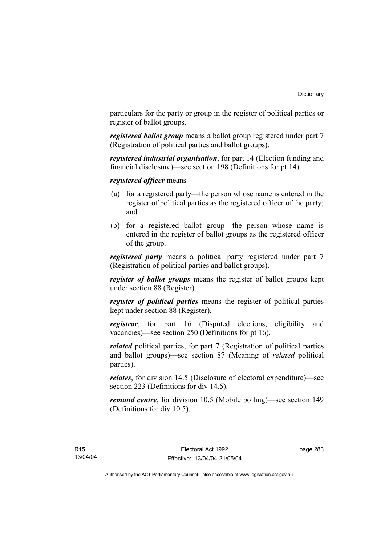particulars for the party or group in the register of political parties or register of ballot groups.

*registered ballot group* means a ballot group registered under part 7 (Registration of political parties and ballot groups).

*registered industrial organisation*, for part 14 (Election funding and financial disclosure)—see section 198 (Definitions for pt 14).

*registered officer* means—

- (a) for a registered party—the person whose name is entered in the register of political parties as the registered officer of the party; and
- (b) for a registered ballot group—the person whose name is entered in the register of ballot groups as the registered officer of the group.

*registered party* means a political party registered under part 7 (Registration of political parties and ballot groups).

*register of ballot groups* means the register of ballot groups kept under section 88 (Register).

*register of political parties* means the register of political parties kept under section 88 (Register).

*registrar*, for part 16 (Disputed elections, eligibility and vacancies)—see section 250 (Definitions for pt 16).

*related* political parties, for part 7 (Registration of political parties and ballot groups)—see section 87 (Meaning of *related* political parties).

*relates*, for division 14.5 (Disclosure of electoral expenditure)—see section 223 (Definitions for div 14.5).

*remand centre*, for division 10.5 (Mobile polling)—see section 149 (Definitions for div 10.5).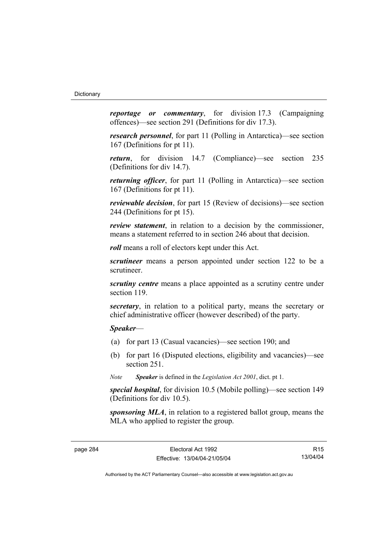*reportage or commentary*, for division 17.3 (Campaigning offences)—see section 291 (Definitions for div 17.3).

*research personnel*, for part 11 (Polling in Antarctica)—see section 167 (Definitions for pt 11).

*return*, for division 14.7 (Compliance)—see section 235 (Definitions for div 14.7).

*returning officer*, for part 11 (Polling in Antarctica)—see section 167 (Definitions for pt 11).

*reviewable decision*, for part 15 (Review of decisions)—see section 244 (Definitions for pt 15).

*review statement*, in relation to a decision by the commissioner, means a statement referred to in section 246 about that decision.

*roll* means a roll of electors kept under this Act.

*scrutineer* means a person appointed under section 122 to be a scrutineer.

*scrutiny centre* means a place appointed as a scrutiny centre under section 119.

*secretary*, in relation to a political party, means the secretary or chief administrative officer (however described) of the party.

*Speaker*—

- (a) for part 13 (Casual vacancies)—see section 190; and
- (b) for part 16 (Disputed elections, eligibility and vacancies)—see section 251.

*Note Speaker* is defined in the *Legislation Act 2001*, dict. pt 1.

*special hospital*, for division 10.5 (Mobile polling)—see section 149 (Definitions for div 10.5).

*sponsoring MLA*, in relation to a registered ballot group, means the MLA who applied to register the group.

R15 13/04/04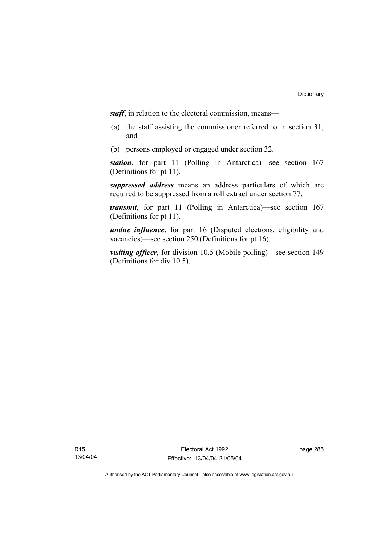*staff*, in relation to the electoral commission, means—

- (a) the staff assisting the commissioner referred to in section 31; and
- (b) persons employed or engaged under section 32.

*station*, for part 11 (Polling in Antarctica)—see section 167 (Definitions for pt 11).

*suppressed address* means an address particulars of which are required to be suppressed from a roll extract under section 77.

*transmit*, for part 11 (Polling in Antarctica)—see section 167 (Definitions for pt 11).

*undue influence*, for part 16 (Disputed elections, eligibility and vacancies)—see section 250 (Definitions for pt 16).

*visiting officer*, for division 10.5 (Mobile polling)—see section 149 (Definitions for div 10.5).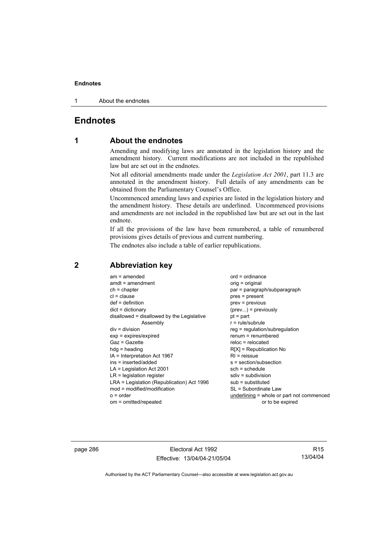1 About the endnotes

## **Endnotes**

# **1 About the endnotes**

Amending and modifying laws are annotated in the legislation history and the amendment history. Current modifications are not included in the republished law but are set out in the endnotes.

Not all editorial amendments made under the *Legislation Act 2001*, part 11.3 are annotated in the amendment history. Full details of any amendments can be obtained from the Parliamentary Counsel's Office.

Uncommenced amending laws and expiries are listed in the legislation history and the amendment history. These details are underlined. Uncommenced provisions and amendments are not included in the republished law but are set out in the last endnote.

If all the provisions of the law have been renumbered, a table of renumbered provisions gives details of previous and current numbering.

The endnotes also include a table of earlier republications.

| $am = amended$<br>$amdt = amendment$<br>$ch = chapter$<br>$cl = clause$<br>$def = definition$<br>$dict = dictionary$<br>disallowed = disallowed by the Legislative<br>Assembly<br>$div = division$<br>$exp = expires/expired$<br>$Gaz = Gazette$<br>$hda =$ heading<br>IA = Interpretation Act 1967<br>ins = inserted/added<br>$LA =$ Legislation Act 2001<br>$LR =$ legislation register<br>LRA = Legislation (Republication) Act 1996<br>mod = modified/modification<br>$o = order$ | $ord = ordinance$<br>orig = original<br>par = paragraph/subparagraph<br>$pres = present$<br>$prev = previous$<br>$(\text{prev})$ = previously<br>$pt = part$<br>$r = rule/subrule$<br>reg = regulation/subregulation<br>$renum = renumbered$<br>$reloc = relocated$<br>$R[X]$ = Republication No<br>$R1$ = reissue<br>$s = section/subsection$<br>$sch = schedule$<br>$sdiv = subdivision$<br>$sub =$ substituted<br>SL = Subordinate Law<br>underlining = whole or part not commenced |
|---------------------------------------------------------------------------------------------------------------------------------------------------------------------------------------------------------------------------------------------------------------------------------------------------------------------------------------------------------------------------------------------------------------------------------------------------------------------------------------|----------------------------------------------------------------------------------------------------------------------------------------------------------------------------------------------------------------------------------------------------------------------------------------------------------------------------------------------------------------------------------------------------------------------------------------------------------------------------------------|
| om = omitted/repealed                                                                                                                                                                                                                                                                                                                                                                                                                                                                 | or to be expired                                                                                                                                                                                                                                                                                                                                                                                                                                                                       |
|                                                                                                                                                                                                                                                                                                                                                                                                                                                                                       |                                                                                                                                                                                                                                                                                                                                                                                                                                                                                        |

### **2 Abbreviation key**

page 286 **Electoral Act 1992** Effective: 13/04/04-21/05/04

R15 13/04/04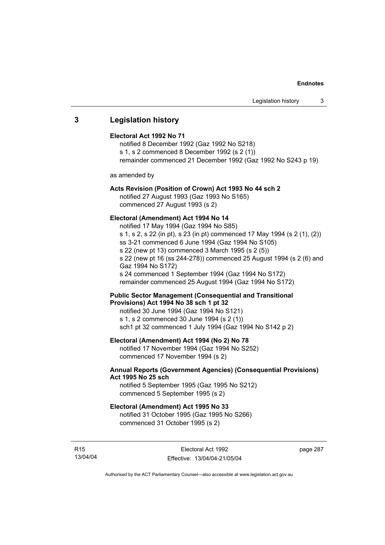### **3 Legislation history**

#### **Electoral Act 1992 No 71**

notified 8 December 1992 (Gaz 1992 No S218) s 1, s 2 commenced 8 December 1992 (s 2 (1)) remainder commenced 21 December 1992 (Gaz 1992 No S243 p 19)

as amended by

#### **Acts Revision (Position of Crown) Act 1993 No 44 sch 2**

notified 27 August 1993 (Gaz 1993 No S165) commenced 27 August 1993 (s 2)

#### **Electoral (Amendment) Act 1994 No 14**

notified 17 May 1994 (Gaz 1994 No S85) s 1, s 2, s 22 (in pt), s 23 (in pt) commenced 17 May 1994 (s 2 (1), (2)) ss 3-21 commenced 6 June 1994 (Gaz 1994 No S105) s 22 (new pt 13) commenced 3 March 1995 (s 2 (5)) s 22 (new pt 16 (ss 244-278)) commenced 25 August 1994 (s 2 (6) and Gaz 1994 No S172) s 24 commenced 1 September 1994 (Gaz 1994 No S172) remainder commenced 25 August 1994 (Gaz 1994 No S172)

#### **Public Sector Management (Consequential and Transitional Provisions) Act 1994 No 38 sch 1 pt 32**

notified 30 June 1994 (Gaz 1994 No S121) s 1, s 2 commenced 30 June 1994 (s 2 (1)) sch1 pt 32 commenced 1 July 1994 (Gaz 1994 No S142 p 2)

#### **Electoral (Amendment) Act 1994 (No 2) No 78**

notified 17 November 1994 (Gaz 1994 No S252) commenced 17 November 1994 (s 2)

#### **Annual Reports (Government Agencies) (Consequential Provisions) Act 1995 No 25 sch**

notified 5 September 1995 (Gaz 1995 No S212) commenced 5 September 1995 (s 2)

#### **Electoral (Amendment) Act 1995 No 33**

notified 31 October 1995 (Gaz 1995 No S266) commenced 31 October 1995 (s 2)

R15 13/04/04 page 287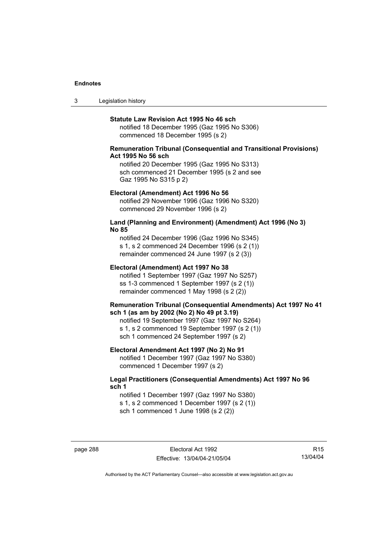3 Legislation history

#### **Statute Law Revision Act 1995 No 46 sch**

notified 18 December 1995 (Gaz 1995 No S306) commenced 18 December 1995 (s 2)

#### **Remuneration Tribunal (Consequential and Transitional Provisions) Act 1995 No 56 sch**

notified 20 December 1995 (Gaz 1995 No S313) sch commenced 21 December 1995 (s 2 and see Gaz 1995 No S315 p 2)

#### **Electoral (Amendment) Act 1996 No 56**

notified 29 November 1996 (Gaz 1996 No S320) commenced 29 November 1996 (s 2)

#### **Land (Planning and Environment) (Amendment) Act 1996 (No 3) No 85**

notified 24 December 1996 (Gaz 1996 No S345) s 1, s 2 commenced 24 December 1996 (s 2 (1)) remainder commenced 24 June 1997 (s 2 (3))

#### **Electoral (Amendment) Act 1997 No 38**

notified 1 September 1997 (Gaz 1997 No S257) ss 1-3 commenced 1 September 1997 (s 2 (1)) remainder commenced 1 May 1998 (s 2 (2))

#### **Remuneration Tribunal (Consequential Amendments) Act 1997 No 41 sch 1 (as am by 2002 (No 2) No 49 pt 3.19)**

notified 19 September 1997 (Gaz 1997 No S264) s 1, s 2 commenced 19 September 1997 (s 2 (1)) sch 1 commenced 24 September 1997 (s 2)

#### **Electoral Amendment Act 1997 (No 2) No 91**

notified 1 December 1997 (Gaz 1997 No S380) commenced 1 December 1997 (s 2)

#### **Legal Practitioners (Consequential Amendments) Act 1997 No 96 sch 1**

notified 1 December 1997 (Gaz 1997 No S380) s 1, s 2 commenced 1 December 1997 (s 2 (1)) sch 1 commenced 1 June 1998 (s 2 (2))

page 288 Electoral Act 1992 Effective: 13/04/04-21/05/04

R15 13/04/04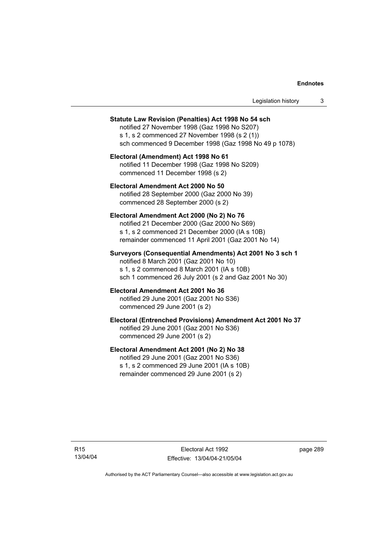| Legislation history |  |
|---------------------|--|
|---------------------|--|

#### **Statute Law Revision (Penalties) Act 1998 No 54 sch**

notified 27 November 1998 (Gaz 1998 No S207) s 1, s 2 commenced 27 November 1998 (s 2 (1)) sch commenced 9 December 1998 (Gaz 1998 No 49 p 1078)

**Electoral (Amendment) Act 1998 No 61**  notified 11 December 1998 (Gaz 1998 No S209) commenced 11 December 1998 (s 2)

**Electoral Amendment Act 2000 No 50**  notified 28 September 2000 (Gaz 2000 No 39) commenced 28 September 2000 (s 2)

#### **Electoral Amendment Act 2000 (No 2) No 76**

notified 21 December 2000 (Gaz 2000 No S69) s 1, s 2 commenced 21 December 2000 (IA s 10B) remainder commenced 11 April 2001 (Gaz 2001 No 14)

#### **Surveyors (Consequential Amendments) Act 2001 No 3 sch 1**

notified 8 March 2001 (Gaz 2001 No 10) s 1, s 2 commenced 8 March 2001 (IA s 10B) sch 1 commenced 26 July 2001 (s 2 and Gaz 2001 No 30)

# **Electoral Amendment Act 2001 No 36**

notified 29 June 2001 (Gaz 2001 No S36) commenced 29 June 2001 (s 2)

#### **Electoral (Entrenched Provisions) Amendment Act 2001 No 37**

notified 29 June 2001 (Gaz 2001 No S36) commenced 29 June 2001 (s 2)

#### **Electoral Amendment Act 2001 (No 2) No 38**

notified 29 June 2001 (Gaz 2001 No S36) s 1, s 2 commenced 29 June 2001 (IA s 10B) remainder commenced 29 June 2001 (s 2)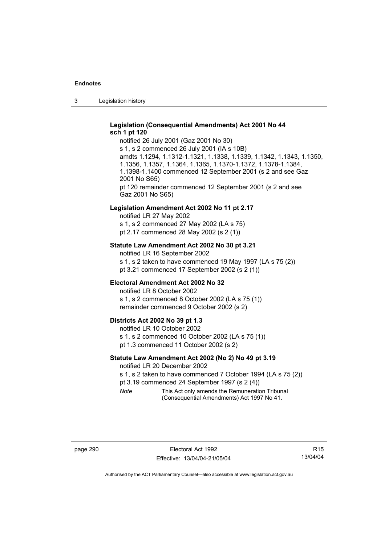3 Legislation history

#### **Legislation (Consequential Amendments) Act 2001 No 44 sch 1 pt 120**

notified 26 July 2001 (Gaz 2001 No 30) s 1, s 2 commenced 26 July 2001 (IA s 10B) amdts 1.1294, 1.1312-1.1321, 1.1338, 1.1339, 1.1342, 1.1343, 1.1350, 1.1356, 1.1357, 1.1364, 1.1365, 1.1370-1.1372, 1.1378-1.1384, 1.1398-1.1400 commenced 12 September 2001 (s 2 and see Gaz 2001 No S65) pt 120 remainder commenced 12 September 2001 (s 2 and see Gaz 2001 No S65)

#### **Legislation Amendment Act 2002 No 11 pt 2.17**

notified LR 27 May 2002 s 1, s 2 commenced 27 May 2002 (LA s 75) pt 2.17 commenced 28 May 2002 (s 2 (1))

#### **Statute Law Amendment Act 2002 No 30 pt 3.21**

notified LR 16 September 2002 s 1, s 2 taken to have commenced 19 May 1997 (LA s 75 (2)) pt 3.21 commenced 17 September 2002 (s 2 (1))

#### **Electoral Amendment Act 2002 No 32**

notified LR 8 October 2002 s 1, s 2 commenced 8 October 2002 (LA s 75 (1)) remainder commenced 9 October 2002 (s 2)

#### **Districts Act 2002 No 39 pt 1.3**

notified LR 10 October 2002 s 1, s 2 commenced 10 October 2002 (LA s 75 (1)) pt 1.3 commenced 11 October 2002 (s 2)

#### **Statute Law Amendment Act 2002 (No 2) No 49 pt 3.19**

notified LR 20 December 2002

s 1, s 2 taken to have commenced 7 October 1994 (LA s 75 (2))

pt 3.19 commenced 24 September 1997 (s 2 (4))

*Note* This Act only amends the Remuneration Tribunal (Consequential Amendments) Act 1997 No 41.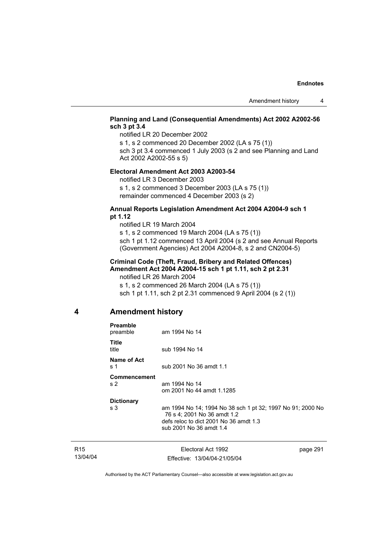#### **Planning and Land (Consequential Amendments) Act 2002 A2002-56 sch 3 pt 3.4**

notified LR 20 December 2002

s 1, s 2 commenced 20 December 2002 (LA s 75 (1)) sch 3 pt 3.4 commenced 1 July 2003 (s 2 and see Planning and Land

Act 2002 A2002-55 s 5)

#### **Electoral Amendment Act 2003 A2003-54**

notified LR 3 December 2003

s 1, s 2 commenced 3 December 2003 (LA s 75 (1)) remainder commenced 4 December 2003 (s 2)

#### **Annual Reports Legislation Amendment Act 2004 A2004-9 sch 1 pt 1.12**

notified LR 19 March 2004 s 1, s 2 commenced 19 March 2004 (LA s 75 (1)) sch 1 pt 1.12 commenced 13 April 2004 (s 2 and see Annual Reports (Government Agencies) Act 2004 A2004-8, s 2 and CN2004-5)

#### **Criminal Code (Theft, Fraud, Bribery and Related Offences) Amendment Act 2004 A2004-15 sch 1 pt 1.11, sch 2 pt 2.31**

notified LR 26 March 2004 s 1, s 2 commenced 26 March 2004 (LA s 75 (1)) sch 1 pt 1.11, sch 2 pt 2.31 commenced 9 April 2004 (s 2 (1))

### **4 Amendment history**

| <b>Preamble</b><br>preamble    | am 1994 No 14                                                                                                                                                  |
|--------------------------------|----------------------------------------------------------------------------------------------------------------------------------------------------------------|
| <b>Title</b><br>title          | sub 1994 No 14                                                                                                                                                 |
| Name of Act<br>s 1             | sub 2001 No 36 amdt 1.1                                                                                                                                        |
| Commencement<br>s <sub>2</sub> | am 1994 No 14<br>om 2001 No 44 amdt 1.1285                                                                                                                     |
| <b>Dictionary</b><br>s 3       | am 1994 No 14; 1994 No 38 sch 1 pt 32; 1997 No 91; 2000 No<br>76 s 4; 2001 No 36 amdt 1.2<br>defs reloc to dict 2001 No 36 amdt 1.3<br>sub 2001 No 36 amdt 1.4 |
|                                |                                                                                                                                                                |

| R <sub>15</sub> | Electoral Act 1992           | page 291 |
|-----------------|------------------------------|----------|
| 13/04/04        | Effective: 13/04/04-21/05/04 |          |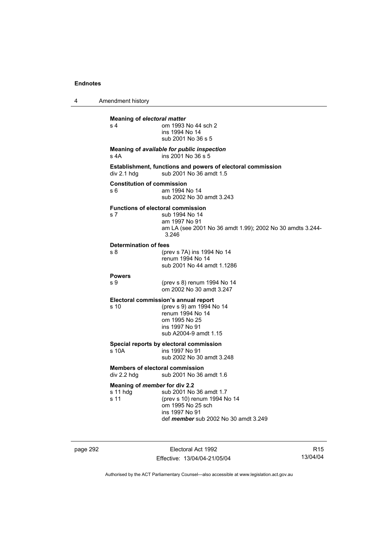| 4 | Amendment history                                     |                                                                                                                                                  |
|---|-------------------------------------------------------|--------------------------------------------------------------------------------------------------------------------------------------------------|
|   | <b>Meaning of electoral matter</b><br>s <sub>4</sub>  | om 1993 No 44 sch 2<br>ins 1994 No 14<br>sub 2001 No 36 s 5                                                                                      |
|   | s 4A                                                  | Meaning of available for public inspection<br>ins 2001 No 36 s 5                                                                                 |
|   | div 2.1 hdg                                           | Establishment, functions and powers of electoral commission<br>sub 2001 No 36 amdt 1.5                                                           |
|   | <b>Constitution of commission</b><br>s 6              | am 1994 No 14<br>sub 2002 No 30 amdt 3.243                                                                                                       |
|   | <b>Functions of electoral commission</b><br>s 7       | sub 1994 No 14<br>am 1997 No 91<br>am LA (see 2001 No 36 amdt 1.99); 2002 No 30 amdts 3.244-<br>3.246                                            |
|   | Determination of fees<br>s 8                          | (prev s 7A) ins 1994 No 14<br>renum 1994 No 14<br>sub 2001 No 44 amdt 1.1286                                                                     |
|   | <b>Powers</b><br>s 9                                  | (prev s 8) renum 1994 No 14<br>om 2002 No 30 amdt 3.247                                                                                          |
|   | s 10                                                  | Electoral commission's annual report<br>(prev s 9) am 1994 No 14<br>renum 1994 No 14<br>om 1995 No 25<br>ins 1997 No 91<br>sub A2004-9 amdt 1.15 |
|   | s 10A                                                 | Special reports by electoral commission<br>ins 1997 No 91<br>sub 2002 No 30 amdt 3.248                                                           |
|   | <b>Members of electoral commission</b><br>div 2.2 hdg | sub 2001 No 36 amdt 1.6                                                                                                                          |
|   | Meaning of member for div 2.2<br>s 11 hdg<br>s 11     | sub 2001 No 36 amdt 1.7<br>(prev s 10) renum 1994 No 14<br>om 1995 No 25 sch<br>ins 1997 No 91<br>def <i>member</i> sub 2002 No 30 amdt 3.249    |

page 292 **Electoral Act 1992** Effective: 13/04/04-21/05/04

R15 13/04/04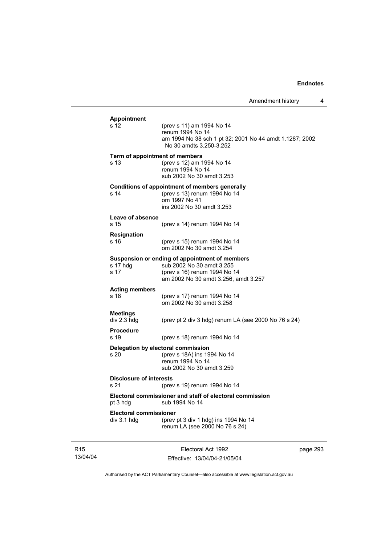| <b>Appointment</b>                           |                                                                                                                                                     |
|----------------------------------------------|-----------------------------------------------------------------------------------------------------------------------------------------------------|
| s 12                                         | (prev s 11) am 1994 No 14<br>renum 1994 No 14<br>am 1994 No 38 sch 1 pt 32; 2001 No 44 amdt 1.1287; 2002<br>No 30 amdts 3.250-3.252                 |
| s 13                                         | Term of appointment of members<br>(prev s 12) am 1994 No 14<br>renum 1994 No 14<br>sub 2002 No 30 amdt 3.253                                        |
| s 14                                         | <b>Conditions of appointment of members generally</b><br>(prev s 13) renum 1994 No 14<br>om 1997 No 41<br>ins 2002 No 30 amdt 3.253                 |
| Leave of absence<br>s 15                     | (prev s 14) renum 1994 No 14                                                                                                                        |
| <b>Resignation</b><br>s 16                   | (prev s 15) renum 1994 No 14<br>om 2002 No 30 amdt 3.254                                                                                            |
| s 17 hdg<br>s 17                             | Suspension or ending of appointment of members<br>sub 2002 No 30 amdt 3.255<br>(prev s 16) renum 1994 No 14<br>am 2002 No 30 amdt 3.256, amdt 3.257 |
| <b>Acting members</b><br>s 18                | (prev s 17) renum 1994 No 14<br>om 2002 No 30 amdt 3.258                                                                                            |
| <b>Meetings</b><br>div 2.3 hdg               | (prev pt 2 div 3 hdg) renum LA (see 2000 No 76 s 24)                                                                                                |
| <b>Procedure</b><br>s 19                     | (prev s 18) renum 1994 No 14                                                                                                                        |
| s 20                                         | Delegation by electoral commission<br>(prev s 18A) ins 1994 No 14<br>renum 1994 No 14<br>sub 2002 No 30 amdt 3.259                                  |
| <b>Disclosure of interests</b><br>s 21       | (prev s 19) renum 1994 No 14                                                                                                                        |
| pt 3 hdg                                     | Electoral commissioner and staff of electoral commission<br>sub 1994 No 14                                                                          |
| <b>Electoral commissioner</b><br>div 3.1 hdg | (prev pt 3 div 1 hdg) ins 1994 No 14<br>renum LA (see 2000 No 76 s 24)                                                                              |

R15 13/04/04

Electoral Act 1992 Effective: 13/04/04-21/05/04 page 293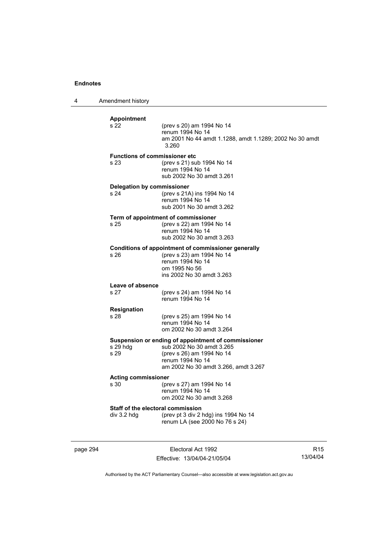4 Amendment history

| <b>Appointment</b><br>s 22                       | (prev s 20) am 1994 No 14<br>renum 1994 No 14<br>am 2001 No 44 amdt 1.1288, amdt 1.1289; 2002 No 30 amdt<br>3.260                                                         |
|--------------------------------------------------|---------------------------------------------------------------------------------------------------------------------------------------------------------------------------|
| <b>Functions of commissioner etc</b><br>s 23     | (prev s 21) sub 1994 No 14<br>renum 1994 No 14<br>sub 2002 No 30 amdt 3.261                                                                                               |
| Delegation by commissioner<br>s 24               | (prev s 21A) ins 1994 No 14<br>renum 1994 No 14<br>sub 2001 No 30 amdt 3.262                                                                                              |
| s 25                                             | Term of appointment of commissioner<br>(prev s 22) am 1994 No 14<br>renum 1994 No 14<br>sub 2002 No 30 amdt 3.263                                                         |
| s 26                                             | Conditions of appointment of commissioner generally<br>(prev s 23) am 1994 No 14<br>renum 1994 No 14<br>om 1995 No 56<br>ins 2002 No 30 amdt 3.263                        |
| Leave of absence                                 |                                                                                                                                                                           |
| s 27                                             | (prev s 24) am 1994 No 14<br>renum 1994 No 14                                                                                                                             |
| <b>Resignation</b><br>s 28                       | (prev s 25) am 1994 No 14<br>renum 1994 No 14<br>om 2002 No 30 amdt 3.264                                                                                                 |
| s 29 hdg<br>s 29                                 | Suspension or ending of appointment of commissioner<br>sub 2002 No 30 amdt 3.265<br>(prev s 26) am 1994 No 14<br>renum 1994 No 14<br>am 2002 No 30 amdt 3.266, amdt 3.267 |
| <b>Acting commissioner</b><br>s 30               | (prev s 27) am 1994 No 14<br>renum 1994 No 14<br>om 2002 No 30 amdt 3.268                                                                                                 |
| Staff of the electoral commission<br>div 3.2 hdg | (prev pt 3 div 2 hdg) ins 1994 No 14<br>renum LA (see 2000 No 76 s 24)                                                                                                    |
|                                                  |                                                                                                                                                                           |

page 294 Electoral Act 1992 Effective: 13/04/04-21/05/04

R15 13/04/04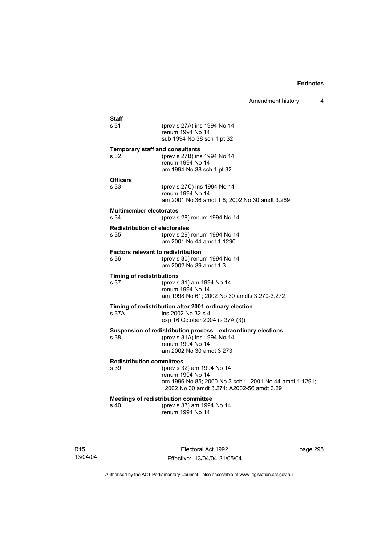| <b>Staff</b><br>s 31                              | (prev s 27A) ins 1994 No 14<br>renum 1994 No 14<br>sub 1994 No 38 sch 1 pt 32                                                                         |
|---------------------------------------------------|-------------------------------------------------------------------------------------------------------------------------------------------------------|
| <b>Temporary staff and consultants</b><br>s 32    | (prev s 27B) ins 1994 No 14<br>renum 1994 No 14<br>am 1994 No 38 sch 1 pt 32                                                                          |
| <b>Officers</b><br>s 33                           | (prev s 27C) ins 1994 No 14<br>renum 1994 No 14<br>am 2001 No 36 amdt 1.8; 2002 No 30 amdt 3.269                                                      |
| <b>Multimember electorates</b><br>s.34            | (prev s 28) renum 1994 No 14                                                                                                                          |
| <b>Redistribution of electorates</b><br>s 35      | (prev s 29) renum 1994 No 14<br>am 2001 No 44 amdt 1.1290                                                                                             |
| <b>Factors relevant to redistribution</b><br>s 36 | (prev s 30) renum 1994 No 14<br>am 2002 No 39 amdt 1.3                                                                                                |
| <b>Timing of redistributions</b><br>s 37          | (prev s 31) am 1994 No 14<br>renum 1994 No 14<br>am 1998 No 61; 2002 No 30 amdts 3.270-3.272                                                          |
| s 37A                                             | Timing of redistribution after 2001 ordinary election<br>ins 2002 No 32 s 4<br>exp 16 October 2004 (s 37A (3))                                        |
| s.38                                              | Suspension of redistribution process-extraordinary elections<br>(prev s 31A) ins 1994 No 14<br>renum 1994 No 14<br>am 2002 No 30 amdt 3.273           |
| <b>Redistribution committees</b><br>s 39          | (prev s 32) am 1994 No 14<br>renum 1994 No 14<br>am 1996 No 85; 2000 No 3 sch 1; 2001 No 44 amdt 1.1291;<br>2002 No 30 amdt 3.274; A2002-56 amdt 3.29 |
| s 40                                              | <b>Meetings of redistribution committee</b><br>(prev s 33) am 1994 No 14<br>renum 1994 No 14                                                          |

R15 13/04/04

Electoral Act 1992 Effective: 13/04/04-21/05/04 page 295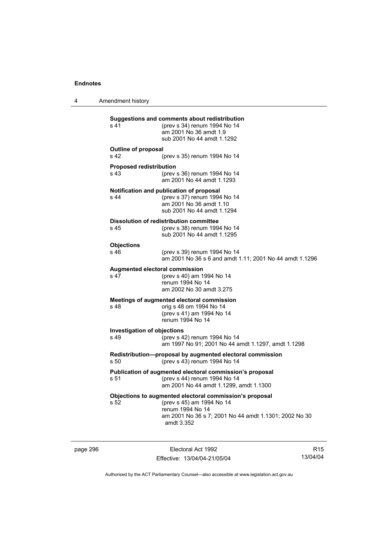4 Amendment history

**Suggestions and comments about redistribution**  s 41 (prev s 34) renum 1994 No 14 am 2001 No 36 amdt 1.9 sub 2001 No 44 amdt 1.1292 **Outline of proposal**  s 42 (prev s 35) renum 1994 No 14 **Proposed redistribution**  s 43 (prev s 36) renum 1994 No 14 am 2001 No 44 amdt 1.1293 **Notification and publication of proposal**  s 44 (prev s 37) renum 1994 No 14 am 2001 No 36 amdt 1.10 sub 2001 No 44 amdt 1.1294 **Dissolution of redistribution committee**  s 45 (prev s 38) renum 1994 No 14 sub 2001 No 44 amdt 1.1295 **Objections**  s 46 (prev s 39) renum 1994 No 14 am 2001 No 36 s 6 and amdt 1.11; 2001 No 44 amdt 1.1296 **Augmented electoral commission**  s 47 (prev s 40) am 1994 No 14 renum 1994 No 14 am 2002 No 30 amdt 3.275 **Meetings of augmented electoral commission**  s 48 orig s 48 om 1994 No 14 (prev s 41) am 1994 No 14 renum 1994 No 14 **Investigation of objections**  s 49 (prev s 42) renum 1994 No 14 am 1997 No 91; 2001 No 44 amdt 1.1297, amdt 1.1298 **Redistribution—proposal by augmented electoral commission**  s 50 (prev s 43) renum 1994 No 14 **Publication of augmented electoral commission's proposal**  s 51 (prev s 44) renum 1994 No 14 am 2001 No 44 amdt 1.1299, amdt 1.1300 **Objections to augmented electoral commission's proposal**  s 52 (prev s 45) am 1994 No 14 renum 1994 No 14 am 2001 No 36 s 7; 2001 No 44 amdt 1.1301; 2002 No 30 amdt 3.352

page 296 Electoral Act 1992 Effective: 13/04/04-21/05/04

R15 13/04/04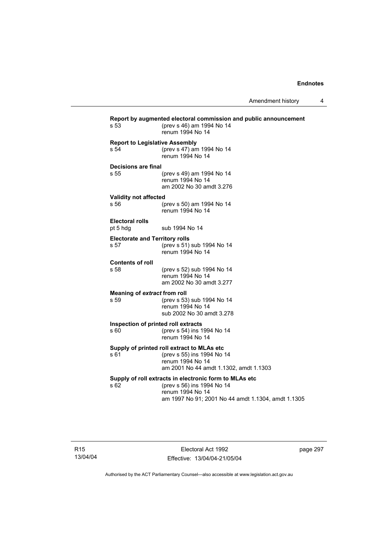| s 53                                          | Report by augmented electoral commission and public announcement<br>(prev s 46) am 1994 No 14<br>renum 1994 No 14                                              |
|-----------------------------------------------|----------------------------------------------------------------------------------------------------------------------------------------------------------------|
| <b>Report to Legislative Assembly</b><br>s 54 | (prev s 47) am 1994 No 14<br>renum 1994 No 14                                                                                                                  |
| Decisions are final<br>s 55                   | (prev s 49) am 1994 No 14<br>renum 1994 No 14<br>am 2002 No 30 amdt 3.276                                                                                      |
| <b>Validity not affected</b><br>s 56          | (prev s 50) am 1994 No 14<br>renum 1994 No 14                                                                                                                  |
| Electoral rolls<br>pt 5 hdg                   | sub 1994 No 14                                                                                                                                                 |
| <b>Electorate and Territory rolls</b><br>s 57 | (prev s 51) sub 1994 No 14<br>renum 1994 No 14                                                                                                                 |
| <b>Contents of roll</b><br>s 58               | (prev s 52) sub 1994 No 14<br>renum 1994 No 14<br>am 2002 No 30 amdt 3.277                                                                                     |
| Meaning of extract from roll<br>s 59          | (prev s 53) sub 1994 No 14<br>renum 1994 No 14<br>sub 2002 No 30 amdt 3.278                                                                                    |
| Inspection of printed roll extracts<br>s 60   | (prev s 54) ins 1994 No 14<br>renum 1994 No 14                                                                                                                 |
| s 61                                          | Supply of printed roll extract to MLAs etc<br>(prev s 55) ins 1994 No 14<br>renum 1994 No 14<br>am 2001 No 44 amdt 1.1302, amdt 1.1303                         |
| s 62                                          | Supply of roll extracts in electronic form to MLAs etc<br>(prev s 56) ins 1994 No 14<br>renum 1994 No 14<br>am 1997 No 91; 2001 No 44 amdt 1.1304, amdt 1.1305 |

page 297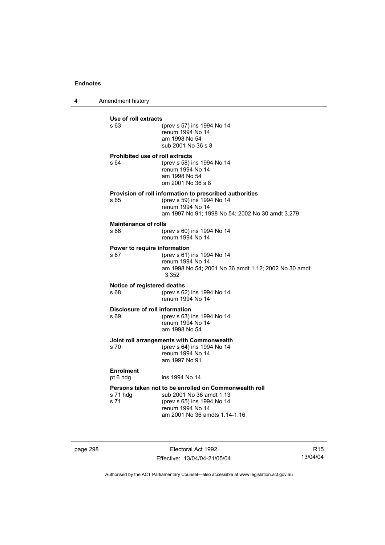4 Amendment history

| Use of roll extracts                    |                                                                                                                                                                      |
|-----------------------------------------|----------------------------------------------------------------------------------------------------------------------------------------------------------------------|
| s 63                                    | (prev s 57) ins 1994 No 14<br>renum 1994 No 14<br>am 1998 No 54<br>sub 2001 No 36 s 8                                                                                |
| Prohibited use of roll extracts<br>s 64 | (prev s 58) ins 1994 No 14<br>renum 1994 No 14<br>am 1998 No 54<br>om 2001 No 36 s 8                                                                                 |
| s 65                                    | Provision of roll information to prescribed authorities<br>(prev s 59) ins 1994 No 14<br>renum 1994 No 14<br>am 1997 No 91; 1998 No 54; 2002 No 30 amdt 3.279        |
| <b>Maintenance of rolls</b><br>s 66     | (prev s 60) ins 1994 No 14<br>renum 1994 No 14                                                                                                                       |
| Power to require information<br>s 67    | (prev s 61) ins 1994 No 14<br>renum 1994 No 14<br>am 1998 No 54; 2001 No 36 amdt 1.12; 2002 No 30 amdt<br>3.352                                                      |
| Notice of registered deaths<br>s 68     | (prev s 62) ins 1994 No 14<br>renum 1994 No 14                                                                                                                       |
| Disclosure of roll information<br>s 69  | (prev s 63) ins 1994 No 14<br>renum 1994 No 14<br>am 1998 No 54                                                                                                      |
| s 70                                    | Joint roll arrangements with Commonwealth<br>(prev s 64) ins 1994 No 14<br>renum 1994 No 14<br>am 1997 No 91                                                         |
| <b>Enrolment</b><br>pt 6 hdg            | ins 1994 No 14                                                                                                                                                       |
| s 71 hdg<br>s 71                        | Persons taken not to be enrolled on Commonwealth roll<br>sub 2001 No 36 amdt 1.13<br>(prev s 65) ins 1994 No 14<br>renum 1994 No 14<br>am 2001 No 36 amdts 1.14-1.16 |

page 298 Electoral Act 1992 Effective: 13/04/04-21/05/04

R15 13/04/04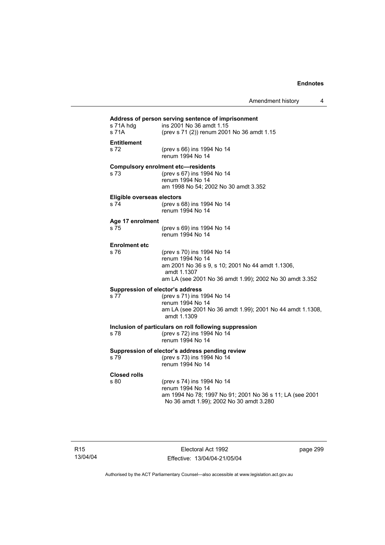| s 71A hdg<br>s 71A                 | ins 2001 No 36 amdt 1.15<br>(prev s 71 (2)) renum 2001 No 36 amdt 1.15                                                                                                       |
|------------------------------------|------------------------------------------------------------------------------------------------------------------------------------------------------------------------------|
| <b>Entitlement</b><br>s 72         | (prev s 66) ins 1994 No 14<br>renum 1994 No 14                                                                                                                               |
| s 73                               | <b>Compulsory enrolment etc-residents</b><br>(prev s 67) ins 1994 No 14<br>renum 1994 No 14<br>am 1998 No 54; 2002 No 30 amdt 3.352                                          |
| Eligible overseas electors<br>s 74 | (prev s 68) ins 1994 No 14<br>renum 1994 No 14                                                                                                                               |
| Age 17 enrolment<br>s 75           | (prev s 69) ins 1994 No 14<br>renum 1994 No 14                                                                                                                               |
| <b>Enrolment etc</b><br>s76        | (prev s 70) ins 1994 No 14<br>renum 1994 No 14<br>am 2001 No 36 s 9, s 10; 2001 No 44 amdt 1.1306,<br>amdt 1.1307<br>am LA (see 2001 No 36 amdt 1.99); 2002 No 30 amdt 3.352 |
| s 77                               | Suppression of elector's address<br>(prev s 71) ins 1994 No 14<br>renum 1994 No 14<br>am LA (see 2001 No 36 amdt 1.99); 2001 No 44 amdt 1.1308,<br>amdt 1.1309               |
| s 78                               | Inclusion of particulars on roll following suppression<br>(prev s 72) ins 1994 No 14<br>renum 1994 No 14                                                                     |
| s 79                               | Suppression of elector's address pending review<br>(prev s 73) ins 1994 No 14<br>renum 1994 No 14                                                                            |
| <b>Closed rolls</b><br>s 80        | (prev s 74) ins 1994 No 14<br>renum 1994 No 14<br>am 1994 No 78; 1997 No 91; 2001 No 36 s 11; LA (see 2001<br>No 36 amdt 1.99); 2002 No 30 amdt 3.280                        |

Electoral Act 1992 Effective: 13/04/04-21/05/04 page 299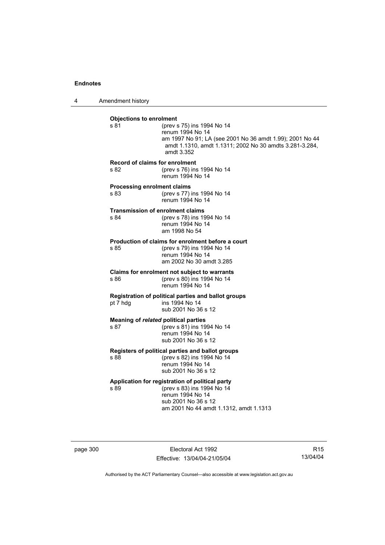4 Amendment history

| <b>Objections to enrolment</b><br>s 81     | (prev s 75) ins 1994 No 14<br>renum 1994 No 14<br>am 1997 No 91; LA (see 2001 No 36 amdt 1.99); 2001 No 44<br>amdt 1.1310, amdt 1.1311; 2002 No 30 amdts 3.281-3.284,<br>amdt 3.352 |
|--------------------------------------------|-------------------------------------------------------------------------------------------------------------------------------------------------------------------------------------|
| s 82                                       | Record of claims for enrolment<br>(prev s 76) ins 1994 No 14<br>renum 1994 No 14                                                                                                    |
| <b>Processing enrolment claims</b><br>s 83 | (prev s 77) ins 1994 No 14<br>renum 1994 No 14                                                                                                                                      |
| s 84                                       | <b>Transmission of enrolment claims</b><br>(prev s 78) ins 1994 No 14<br>renum 1994 No 14<br>am 1998 No 54                                                                          |
| s 85                                       | Production of claims for enrolment before a court<br>(prev s 79) ins 1994 No 14<br>renum 1994 No 14<br>am 2002 No 30 amdt 3.285                                                     |
| s 86                                       | Claims for enrolment not subject to warrants<br>(prev s 80) ins 1994 No 14<br>renum 1994 No 14                                                                                      |
| pt 7 hdg                                   | Registration of political parties and ballot groups<br>ins 1994 No 14<br>sub 2001 No 36 s 12                                                                                        |
| s 87                                       | Meaning of related political parties<br>(prev s 81) ins 1994 No 14<br>renum 1994 No 14<br>sub 2001 No 36 s 12                                                                       |
| s 88                                       | Registers of political parties and ballot groups<br>(prev s 82) ins 1994 No 14<br>renum 1994 No 14<br>sub 2001 No 36 s 12                                                           |
| s 89                                       | Application for registration of political party<br>(prev s 83) ins 1994 No 14<br>renum 1994 No 14<br>sub 2001 No 36 s 12<br>am 2001 No 44 amdt 1.1312, amdt 1.1313                  |

page 300 **Electoral Act 1992** Effective: 13/04/04-21/05/04

R15 13/04/04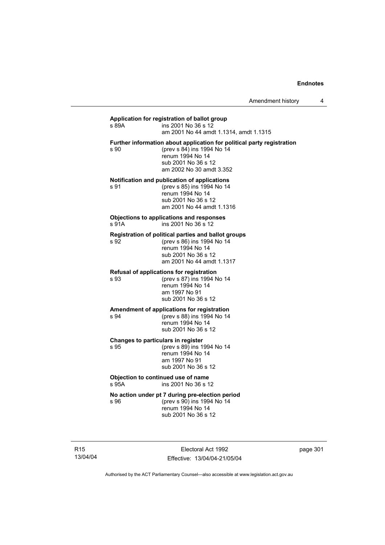# **Application for registration of ballot group**

 $\overline{5}$  ins 2001 No 36 s 12 am 2001 No 44 amdt 1.1314, amdt 1.1315 **Further information about application for political party registration**  s 90 (prev s 84) ins 1994 No 14 renum 1994 No 14 sub 2001 No 36 s 12 am 2002 No 30 amdt 3.352

#### **Notification and publication of applications**

s 91 (prev s 85) ins 1994 No 14 renum 1994 No 14 sub 2001 No 36 s 12 am 2001 No 44 amdt 1.1316

#### **Objections to applications and responses**   $ins 2001$  No  $36 s 12$

#### **Registration of political parties and ballot groups**

s 92 (prev s 86) ins 1994 No 14 renum 1994 No 14 sub 2001 No 36 s 12 am 2001 No 44 amdt 1.1317

#### **Refusal of applications for registration**

s 93 (prev s 87) ins 1994 No 14 renum 1994 No 14 am 1997 No 91 sub 2001 No 36 s 12

# **Amendment of applications for registration**

s 94 (prev s 88) ins 1994 No 14 renum 1994 No 14 sub 2001 No 36 s 12

#### **Changes to particulars in register**

s 95 (prev s 89) ins 1994 No 14 renum 1994 No 14 am 1997 No 91 sub 2001 No 36 s 12

#### **Objection to continued use of name**  s 95A ins 2001 No 36 s 12

# **No action under pt 7 during pre-election period**

s 96 (prev s 90) ins 1994 No 14 renum 1994 No 14 sub 2001 No 36 s 12

R15 13/04/04

Electoral Act 1992 Effective: 13/04/04-21/05/04 page 301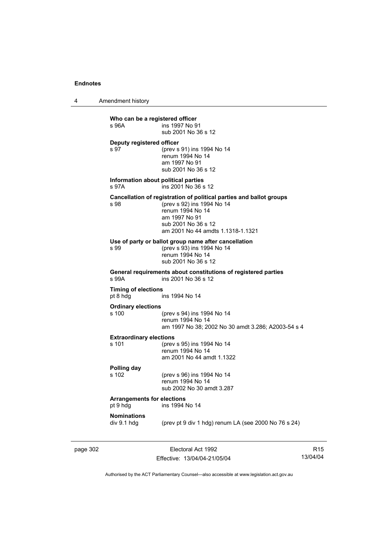4 Amendment history

**Who can be a registered officer**<br>**s** 96A **ins 1997** No 9 ins 1997 No 91 sub 2001 No 36 s 12 **Deputy registered officer**  s 97 (prev s 91) ins 1994 No 14 renum 1994 No 14 am 1997 No 91 sub 2001 No 36 s 12 **Information about political parties**  s 97A ins 2001 No 36 s 12 **Cancellation of registration of political parties and ballot groups**<br>s 98 (prev s 92) ins 1994 No 14 (prev s 92) ins 1994 No 14 renum 1994 No 14 am 1997 No 91 sub 2001 No 36 s 12 am 2001 No 44 amdts 1.1318-1.1321 **Use of party or ballot group name after cancellation**  s 99 (prev s 93) ins 1994 No 14 renum 1994 No 14 sub 2001 No 36 s 12 **General requirements about constitutions of registered parties**  ins 2001 No 36 s 12 **Timing of elections**  pt 8 hdg ins 1994 No 14 **Ordinary elections**  (prev s 94) ins 1994 No 14 renum 1994 No 14 am 1997 No 38; 2002 No 30 amdt 3.286; A2003-54 s 4 **Extraordinary elections**<br>s 101 (prev (prev s 95) ins 1994 No 14 renum 1994 No 14 am 2001 No 44 amdt 1.1322 **Polling day**  (prev s 96) ins 1994 No 14 renum 1994 No 14 sub 2002 No 30 amdt 3.287 **Arrangements for elections**  pt 9 hdg ins 1994 No 14 **Nominations**  div 9.1 hdg (prev pt 9 div 1 hdg) renum LA (see 2000 No 76 s 24)

page 302 Electoral Act 1992 Effective: 13/04/04-21/05/04

R15 13/04/04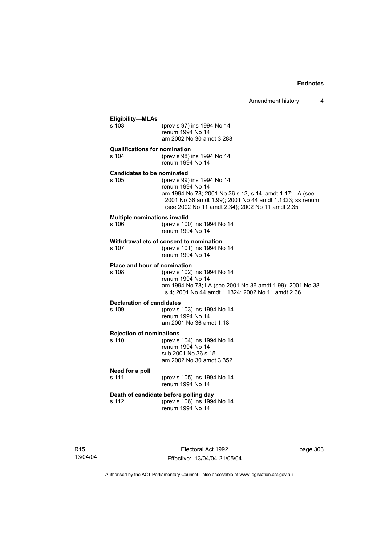| Eligibility-MLAs<br>s 103                           | (prev s 97) ins 1994 No 14<br>renum 1994 No 14<br>am 2002 No 30 amdt 3.288                                                                                                                                                |
|-----------------------------------------------------|---------------------------------------------------------------------------------------------------------------------------------------------------------------------------------------------------------------------------|
| <b>Qualifications for nomination</b><br>s 104       | (prev s 98) ins 1994 No 14<br>renum 1994 No 14                                                                                                                                                                            |
| <b>Candidates to be nominated</b><br>$\sin 105$     | (prev s 99) ins 1994 No 14<br>renum 1994 No 14<br>am 1994 No 78; 2001 No 36 s 13, s 14, amdt 1.17; LA (see<br>2001 No 36 amdt 1.99); 2001 No 44 amdt 1.1323; ss renum<br>(see 2002 No 11 amdt 2.34); 2002 No 11 amdt 2.35 |
| <b>Multiple nominations invalid</b><br>s 106        | (prev s 100) ins 1994 No 14<br>renum 1994 No 14                                                                                                                                                                           |
| s 107                                               | Withdrawal etc of consent to nomination<br>(prev s 101) ins 1994 No 14<br>renum 1994 No 14                                                                                                                                |
| Place and hour of nomination<br>s 108               | (prev s 102) ins 1994 No 14<br>renum 1994 No 14<br>am 1994 No 78; LA (see 2001 No 36 amdt 1.99); 2001 No 38<br>s 4; 2001 No 44 amdt 1.1324; 2002 No 11 amdt 2.36                                                          |
| <b>Declaration of candidates</b><br>s 109           | (prev s 103) ins 1994 No 14<br>renum 1994 No 14<br>am 2001 No 36 amdt 1.18                                                                                                                                                |
| <b>Rejection of nominations</b><br>s <sub>110</sub> | (prev s 104) ins 1994 No 14<br>renum 1994 No 14<br>sub 2001 No 36 s 15<br>am 2002 No 30 amdt 3.352                                                                                                                        |
| Need for a poll<br>s 111                            | (prev s 105) ins 1994 No 14<br>renum 1994 No 14                                                                                                                                                                           |
| s 112                                               | Death of candidate before polling day<br>(prev s 106) ins 1994 No 14<br>renum 1994 No 14                                                                                                                                  |
|                                                     |                                                                                                                                                                                                                           |

R15 13/04/04

Electoral Act 1992 Effective: 13/04/04-21/05/04 page 303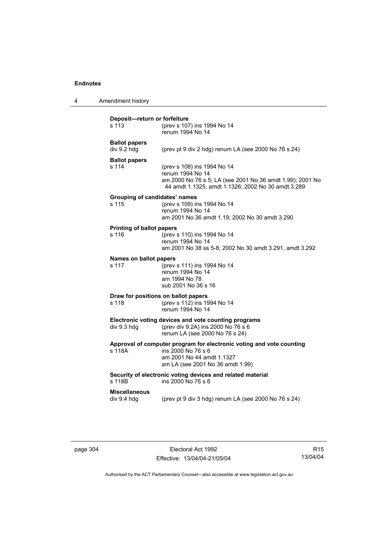| 4 | Amendment history |
|---|-------------------|
|---|-------------------|

| Deposit-return or forfeiture<br>s 113                                                                                                       | (prev s 107) ins 1994 No 14<br>renum 1994 No 14                                                                                                                    |  |
|---------------------------------------------------------------------------------------------------------------------------------------------|--------------------------------------------------------------------------------------------------------------------------------------------------------------------|--|
| <b>Ballot papers</b><br>div 9.2 hdg                                                                                                         | (prev pt 9 div 2 hdg) renum LA (see 2000 No 76 s 24)                                                                                                               |  |
| <b>Ballot papers</b><br>s 114                                                                                                               | (prev s 108) ins 1994 No 14<br>renum 1994 No 14<br>am 2000 No 76 s 5; LA (see 2001 No 36 amdt 1.99); 2001 No<br>44 amdt 1.1325, amdt 1.1326; 2002 No 30 amdt 3.289 |  |
| Grouping of candidates' names<br>s 115                                                                                                      | (prev s 109) ins 1994 No 14<br>renum 1994 No 14<br>am 2001 No 36 amdt 1.19; 2002 No 30 amdt 3.290                                                                  |  |
| <b>Printing of ballot papers</b><br>s 116                                                                                                   | (prev s 110) ins 1994 No 14<br>renum 1994 No 14<br>am 2001 No 38 ss 5-8; 2002 No 30 amdt 3.291, amdt 3.292                                                         |  |
| Names on ballot papers<br>s 117                                                                                                             | (prev s 111) ins 1994 No 14<br>renum 1994 No 14<br>am 1994 No 78<br>sub 2001 No 36 s 16                                                                            |  |
| Draw for positions on ballot papers<br>(prev s 112) ins 1994 No 14<br>s 118<br>renum 1994 No 14                                             |                                                                                                                                                                    |  |
| Electronic voting devices and vote counting programs<br>(prev div 9.2A) ins 2000 No 76 s 6<br>div 9.3 hdg<br>renum LA (see 2000 No 76 s 24) |                                                                                                                                                                    |  |
| s 118A                                                                                                                                      | Approval of computer program for electronic voting and vote counting<br>ins 2000 No 76 s 6<br>am 2001 No 44 amdt 1.1327<br>am LA (see 2001 No 36 amdt 1.99)        |  |
| s 118B                                                                                                                                      | Security of electronic voting devices and related material<br>ins 2000 No 76 s 6                                                                                   |  |
| Miscellaneous<br>div 9.4 hdg                                                                                                                | (prev pt 9 div 3 hdg) renum LA (see 2000 No 76 s 24)                                                                                                               |  |

page 304 Electoral Act 1992 Effective: 13/04/04-21/05/04

R15 13/04/04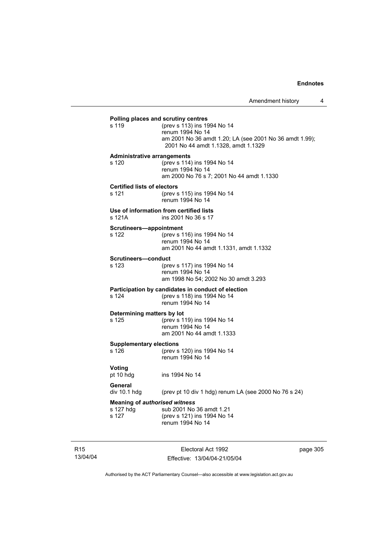|                                         | Polling places and scrutiny centres                     |
|-----------------------------------------|---------------------------------------------------------|
| s 119                                   | (prev s 113) ins 1994 No 14                             |
|                                         | renum 1994 No 14                                        |
|                                         | am 2001 No 36 amdt 1.20; LA (see 2001 No 36 amdt 1.99); |
|                                         | 2001 No 44 amdt 1.1328, amdt 1.1329                     |
| <b>Administrative arrangements</b>      |                                                         |
| s 120                                   | (prev s 114) ins 1994 No 14                             |
|                                         | renum 1994 No 14                                        |
|                                         | am 2000 No 76 s 7; 2001 No 44 amdt 1.1330               |
| <b>Certified lists of electors</b>      |                                                         |
| s 121                                   | (prev s 115) ins 1994 No 14                             |
|                                         | renum 1994 No 14                                        |
|                                         | Use of information from certified lists                 |
| s 121A                                  | ins 2001 No 36 s 17                                     |
| Scrutineers-appointment                 |                                                         |
| s 122                                   | (prev s 116) ins 1994 No 14                             |
|                                         | renum 1994 No 14                                        |
|                                         | am 2001 No 44 amdt 1.1331, amdt 1.1332                  |
| Scrutineers-conduct                     |                                                         |
| s 123                                   | (prev s 117) ins 1994 No 14                             |
|                                         | renum 1994 No 14                                        |
|                                         | am 1998 No 54; 2002 No 30 amdt 3.293                    |
|                                         | Participation by candidates in conduct of election      |
| s 124                                   | (prev s 118) ins 1994 No 14                             |
|                                         | renum 1994 No 14                                        |
| Determining matters by lot              |                                                         |
| s 125                                   | (prev s 119) ins 1994 No 14<br>renum 1994 No 14         |
|                                         | am 2001 No 44 amdt 1.1333                               |
|                                         |                                                         |
| <b>Supplementary elections</b><br>s 126 | (prev s 120) ins 1994 No 14                             |
|                                         | renum 1994 No 14                                        |
|                                         |                                                         |
| <b>Voting</b>                           |                                                         |
| pt 10 hdg                               | ins 1994 No 14                                          |
| General                                 |                                                         |
| div 10.1 hdg                            | (prev pt 10 div 1 hdg) renum LA (see 2000 No 76 s 24)   |
|                                         | <b>Meaning of authorised witness</b>                    |
| s 127 hdg                               | sub 2001 No 36 amdt 1.21                                |
| s 127                                   | (prev s 121) ins 1994 No 14                             |
|                                         | renum 1994 No 14                                        |

R15 13/04/04

Electoral Act 1992 Effective: 13/04/04-21/05/04 page 305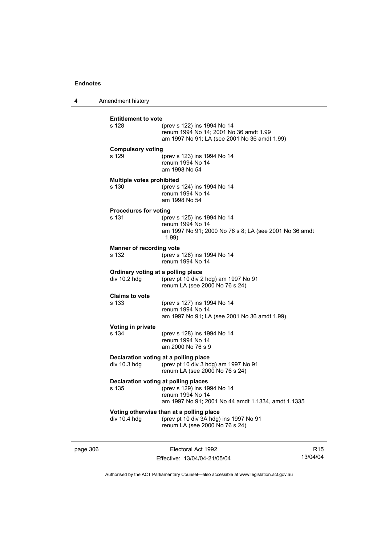4 Amendment history

|                                | Electoral Act 1992                                                                                                    |                                                                                                                                                                                                                                                                                                                           |
|--------------------------------|-----------------------------------------------------------------------------------------------------------------------|---------------------------------------------------------------------------------------------------------------------------------------------------------------------------------------------------------------------------------------------------------------------------------------------------------------------------|
| div 10.4 hdg                   | (prev pt 10 div 3A hdg) ins 1997 No 91<br>renum LA (see 2000 No 76 s 24)                                              |                                                                                                                                                                                                                                                                                                                           |
| s 135                          | (prev s 129) ins 1994 No 14<br>renum 1994 No 14<br>am 1997 No 91; 2001 No 44 amdt 1.1334, amdt 1.1335                 |                                                                                                                                                                                                                                                                                                                           |
| div 10.3 hdg                   | (prev pt 10 div 3 hdg) am 1997 No 91<br>renum LA (see 2000 No 76 s 24)                                                |                                                                                                                                                                                                                                                                                                                           |
| Voting in private<br>s 134     | (prev s 128) ins 1994 No 14<br>renum 1994 No 14<br>am 2000 No 76 s 9                                                  |                                                                                                                                                                                                                                                                                                                           |
| <b>Claims to vote</b><br>s 133 | (prev s 127) ins 1994 No 14<br>renum 1994 No 14<br>am 1997 No 91; LA (see 2001 No 36 amdt 1.99)                       |                                                                                                                                                                                                                                                                                                                           |
| div 10.2 hdg                   | (prev pt 10 div 2 hdg) am 1997 No 91<br>renum LA (see 2000 No 76 s 24)                                                |                                                                                                                                                                                                                                                                                                                           |
| s 132                          | (prev s 126) ins 1994 No 14<br>renum 1994 No 14                                                                       |                                                                                                                                                                                                                                                                                                                           |
| s 131                          | (prev s 125) ins 1994 No 14<br>renum 1994 No 14<br>am 1997 No 91; 2000 No 76 s 8; LA (see 2001 No 36 amdt<br>1.99)    |                                                                                                                                                                                                                                                                                                                           |
| s 130                          | (prev s 124) ins 1994 No 14<br>renum 1994 No 14<br>am 1998 No 54                                                      |                                                                                                                                                                                                                                                                                                                           |
| s 129                          | (prev s 123) ins 1994 No 14<br>renum 1994 No 14<br>am 1998 No 54                                                      |                                                                                                                                                                                                                                                                                                                           |
| s 128                          | (prev s 122) ins 1994 No 14<br>renum 1994 No 14; 2001 No 36 amdt 1.99<br>am 1997 No 91; LA (see 2001 No 36 amdt 1.99) |                                                                                                                                                                                                                                                                                                                           |
|                                |                                                                                                                       | <b>Entitlement to vote</b><br><b>Compulsory voting</b><br>Multiple votes prohibited<br><b>Procedures for voting</b><br><b>Manner of recording vote</b><br>Ordinary voting at a polling place<br>Declaration voting at a polling place<br>Declaration voting at polling places<br>Voting otherwise than at a polling place |

Effective: 13/04/04-21/05/04

R15 13/04/04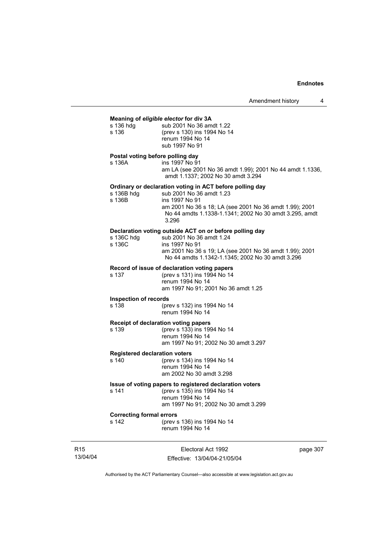#### **Meaning of** *eligible elector* **for div 3A**

| s 136 hdg | sub 2001 No 36 amdt 1.22    |
|-----------|-----------------------------|
| s 136     | (prev s 130) ins 1994 No 14 |
|           | renum 1994 No 14            |
|           | sub 1997 No 91              |
|           |                             |

#### **Postal voting before polling day**

s 136A ins 1997 No 91 am LA (see 2001 No 36 amdt 1.99); 2001 No 44 amdt 1.1336, amdt 1.1337; 2002 No 30 amdt 3.294

#### **Ordinary or declaration voting in ACT before polling day**

| sub 2001 No 36 amdt 1.23                                |
|---------------------------------------------------------|
| ins 1997 No 91                                          |
| am 2001 No 36 s 18; LA (see 2001 No 36 amdt 1.99); 2001 |
| No 44 amdts 1.1338-1.1341: 2002 No 30 amdt 3.295, amdt  |
| 3.296                                                   |
|                                                         |

#### **Declaration voting outside ACT on or before polling day**

| s 136C hdq | sub 2001 No 36 amdt 1.24                                |
|------------|---------------------------------------------------------|
| s 136C     | ins 1997 No 91                                          |
|            | am 2001 No 36 s 19; LA (see 2001 No 36 amdt 1.99); 2001 |
|            | No 44 amdts 1.1342-1.1345; 2002 No 30 amdt 3.296        |

#### **Record of issue of declaration voting papers**

| s 137 | (prev s 131) ins 1994 No 14         |
|-------|-------------------------------------|
|       | renum 1994 No 14                    |
|       | am 1997 No 91; 2001 No 36 amdt 1.25 |

#### **Inspection of records**

s 138 (prev s 132) ins 1994 No 14 renum 1994 No 14

#### **Receipt of declaration voting papers**

s 139 (prev s 133) ins 1994 No 14 renum 1994 No 14 am 1997 No 91; 2002 No 30 amdt 3.297

# **Registered declaration voters**<br>s 140 (prev s 134)

(prev s 134) ins 1994 No 14 renum 1994 No 14 am 2002 No 30 amdt 3.298

#### **Issue of voting papers to registered declaration voters**

s 141 (prev s 135) ins 1994 No 14 renum 1994 No 14 am 1997 No 91; 2002 No 30 amdt 3.299

**Correcting formal errors**<br>s 142 (prev s (prev s 136) ins 1994 No 14 renum 1994 No 14

R15 13/04/04

Electoral Act 1992 Effective: 13/04/04-21/05/04 page 307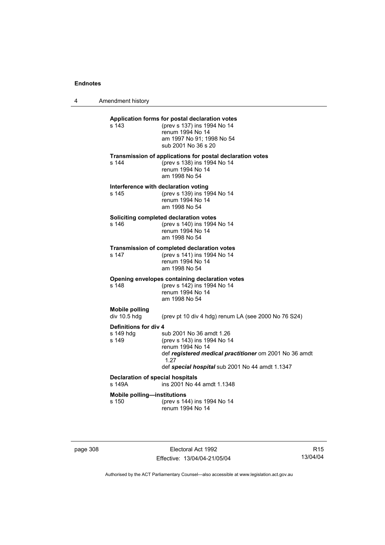4 Amendment history

| Application forms for postal declaration votes<br>(prev s 137) ins 1994 No 14<br>renum 1994 No 14<br>am 1997 No 91; 1998 No 54<br>sub 2001 No 36 s 20<br>Transmission of applications for postal declaration votes<br>(prev s 138) ins 1994 No 14<br>renum 1994 No 14<br>am 1998 No 54<br>Interference with declaration voting<br>(prev s 139) ins 1994 No 14 |
|---------------------------------------------------------------------------------------------------------------------------------------------------------------------------------------------------------------------------------------------------------------------------------------------------------------------------------------------------------------|
|                                                                                                                                                                                                                                                                                                                                                               |
|                                                                                                                                                                                                                                                                                                                                                               |
|                                                                                                                                                                                                                                                                                                                                                               |
| renum 1994 No 14<br>am 1998 No 54                                                                                                                                                                                                                                                                                                                             |
| Soliciting completed declaration votes                                                                                                                                                                                                                                                                                                                        |
| (prev s 140) ins 1994 No 14<br>renum 1994 No 14<br>am 1998 No 54                                                                                                                                                                                                                                                                                              |
| <b>Transmission of completed declaration votes</b><br>(prev s 141) ins 1994 No 14<br>renum 1994 No 14<br>am 1998 No 54                                                                                                                                                                                                                                        |
| Opening envelopes containing declaration votes<br>(prev s 142) ins 1994 No 14<br>renum 1994 No 14<br>am 1998 No 54                                                                                                                                                                                                                                            |
|                                                                                                                                                                                                                                                                                                                                                               |
| (prev pt 10 div 4 hdg) renum LA (see 2000 No 76 S24)                                                                                                                                                                                                                                                                                                          |
| Definitions for div 4<br>sub 2001 No 36 amdt 1.26<br>(prev s 143) ins 1994 No 14<br>renum 1994 No 14<br>def registered medical practitioner om 2001 No 36 amdt<br>1.27                                                                                                                                                                                        |
| def special hospital sub 2001 No 44 amdt 1.1347                                                                                                                                                                                                                                                                                                               |
| <b>Declaration of special hospitals</b><br>ins 2001 No 44 amdt 1.1348                                                                                                                                                                                                                                                                                         |
| <b>Mobile polling-institutions</b>                                                                                                                                                                                                                                                                                                                            |
| (prev s 144) ins 1994 No 14<br>renum 1994 No 14                                                                                                                                                                                                                                                                                                               |
|                                                                                                                                                                                                                                                                                                                                                               |

page 308 Electoral Act 1992 Effective: 13/04/04-21/05/04

R15 13/04/04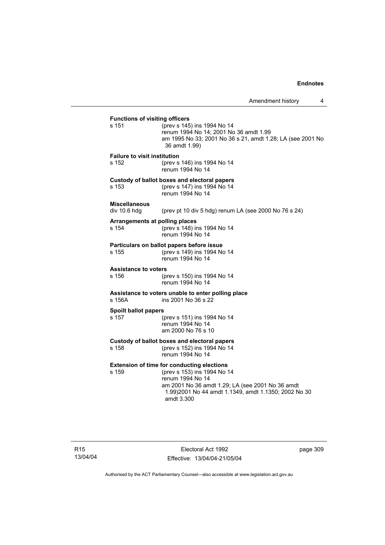## **Functions of visiting officers**<br>s 151 (prev s 145) (prev s 145) ins 1994 No 14 renum 1994 No 14; 2001 No 36 amdt 1.99 am 1995 No 33; 2001 No 36 s 21, amdt 1.28; LA (see 2001 No 36 amdt 1.99) **Failure to visit institution** s 152 (prev s 146) ins 1994 No 14 renum 1994 No 14 **Custody of ballot boxes and electoral papers** s 153 (prev s 147) ins 1994 No 14 renum 1994 No 14 **Miscellaneous**  (prev pt 10 div 5 hdg) renum LA (see 2000 No 76 s 24) **Arrangements at polling places** s 154 (prev s 148) ins 1994 No 14 renum 1994 No 14 **Particulars on ballot papers before issue** s 155 (prev s 149) ins 1994 No 14 renum 1994 No 14 **Assistance to voters** s 156 (prev s 150) ins 1994 No 14 renum 1994 No 14 **Assistance to voters unable to enter polling place** s 156A ins 2001 No 36 s 22 **Spoilt ballot papers** s 157 (prev s 151) ins 1994 No 14 renum 1994 No 14 am 2000 No 76 s 10 **Custody of ballot boxes and electoral papers** s 158 (prev s 152) ins 1994 No 14 renum 1994 No 14 **Extension of time for conducting elections** s 159 (prev s 153) ins 1994 No 14 renum 1994 No 14 am 2001 No 36 amdt 1.29; LA (see 2001 No 36 amdt 1.99)2001 No 44 amdt 1.1349, amdt 1.1350; 2002 No 30 amdt 3.300

page 309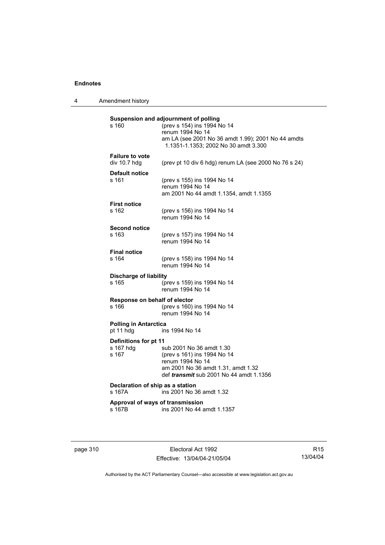4 Amendment history

| s 160                                       | Suspension and adjournment of polling<br>(prev s 154) ins 1994 No 14<br>renum 1994 No 14<br>am LA (see 2001 No 36 amdt 1.99); 2001 No 44 amdts<br>1.1351-1.1353; 2002 No 30 amdt 3.300 |
|---------------------------------------------|----------------------------------------------------------------------------------------------------------------------------------------------------------------------------------------|
| <b>Failure to vote</b><br>div 10.7 hdg      | (prev pt 10 div 6 hdg) renum LA (see 2000 No 76 s 24)                                                                                                                                  |
| <b>Default notice</b><br>s 161              | (prev s 155) ins 1994 No 14<br>renum 1994 No 14<br>am 2001 No 44 amdt 1.1354, amdt 1.1355                                                                                              |
| <b>First notice</b><br>s 162                | (prev s 156) ins 1994 No 14<br>renum 1994 No 14                                                                                                                                        |
| <b>Second notice</b><br>s 163               | (prev s 157) ins 1994 No 14<br>renum 1994 No 14                                                                                                                                        |
| <b>Final notice</b>                         |                                                                                                                                                                                        |
| s 164                                       | (prev s 158) ins 1994 No 14<br>renum 1994 No 14                                                                                                                                        |
| <b>Discharge of liability</b><br>s 165      | (prev s 159) ins 1994 No 14<br>renum 1994 No 14                                                                                                                                        |
| Response on behalf of elector<br>s 166      | (prev s 160) ins 1994 No 14<br>renum 1994 No 14                                                                                                                                        |
| <b>Polling in Antarctica</b><br>pt 11 hdg   | ins 1994 No 14                                                                                                                                                                         |
| Definitions for pt 11<br>s 167 hdq<br>s 167 | sub 2001 No 36 amdt 1.30<br>(prev s 161) ins 1994 No 14<br>renum 1994 No 14<br>am 2001 No 36 amdt 1.31, amdt 1.32<br>def <i>transmit</i> sub 2001 No 44 amdt 1.1356                    |
| Declaration of ship as a station<br>s 167A  | ins 2001 No 36 amdt 1.32                                                                                                                                                               |
| Approval of ways of transmission<br>s 167B  | ins 2001 No 44 amdt 1.1357                                                                                                                                                             |

page 310 **Electoral Act 1992** Effective: 13/04/04-21/05/04

R15 13/04/04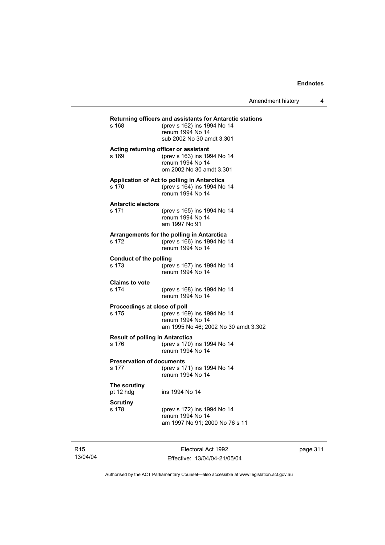| Amendment history |  |
|-------------------|--|
|-------------------|--|

| s 168                                           | Returning officers and assistants for Antarctic stations<br>(prev s 162) ins 1994 No 14<br>renum 1994 No 14<br>sub 2002 No 30 amdt 3.301 |
|-------------------------------------------------|------------------------------------------------------------------------------------------------------------------------------------------|
| s 169                                           | Acting returning officer or assistant<br>(prev s 163) ins 1994 No 14<br>renum 1994 No 14<br>om 2002 No 30 amdt 3.301                     |
| s 170                                           | Application of Act to polling in Antarctica<br>(prev s 164) ins 1994 No 14<br>renum 1994 No 14                                           |
| <b>Antarctic electors</b><br>s 171              | (prev s 165) ins 1994 No 14<br>renum 1994 No 14<br>am 1997 No 91                                                                         |
| s 172                                           | Arrangements for the polling in Antarctica<br>(prev s 166) ins 1994 No 14<br>renum 1994 No 14                                            |
| Conduct of the polling<br>s 173                 | (prev s 167) ins 1994 No 14<br>renum 1994 No 14                                                                                          |
| <b>Claims to vote</b><br>s 174                  | (prev s 168) ins 1994 No 14<br>renum 1994 No 14                                                                                          |
| Proceedings at close of poll<br>s 175           | (prev s 169) ins 1994 No 14<br>renum 1994 No 14<br>am 1995 No 46; 2002 No 30 amdt 3.302                                                  |
| <b>Result of polling in Antarctica</b><br>s 176 | (prev s 170) ins 1994 No 14<br>renum 1994 No 14                                                                                          |
| <b>Preservation of documents</b><br>s 177       | (prev s 171) ins 1994 No 14<br>renum 1994 No 14                                                                                          |
| The scrutiny<br>pt 12 hdg                       | ins 1994 No 14                                                                                                                           |
| <b>Scrutiny</b><br>s 178                        | (prev s 172) ins 1994 No 14<br>renum 1994 No 14<br>am 1997 No 91; 2000 No 76 s 11                                                        |

R15 13/04/04

Electoral Act 1992 Effective: 13/04/04-21/05/04 page 311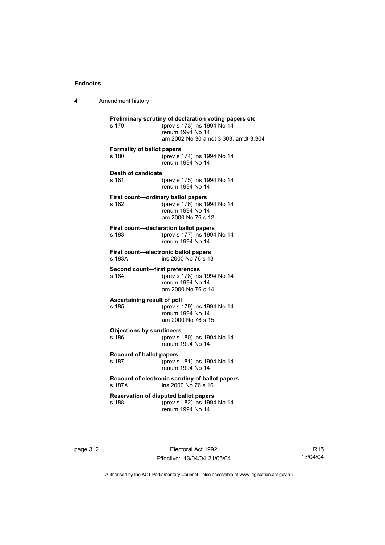4 Amendment history

| Preliminary scrutiny of declaration voting papers etc<br>(prev s 173) ins 1994 No 14<br>s 179<br>renum 1994 No 14<br>am 2002 No 30 amdt 3.303, amdt 3.304 |                                                                                                             |
|-----------------------------------------------------------------------------------------------------------------------------------------------------------|-------------------------------------------------------------------------------------------------------------|
| <b>Formality of ballot papers</b><br>s 180                                                                                                                | (prev s 174) ins 1994 No 14<br>renum 1994 No 14                                                             |
| Death of candidate<br>s 181                                                                                                                               | (prev s 175) ins 1994 No 14<br>renum 1994 No 14                                                             |
| s 182                                                                                                                                                     | First count-ordinary ballot papers<br>(prev s 176) ins 1994 No 14<br>renum 1994 No 14<br>am 2000 No 76 s 12 |
| s 183                                                                                                                                                     | First count-declaration ballot papers<br>(prev s 177) ins 1994 No 14<br>renum 1994 No 14                    |
| s 183A                                                                                                                                                    | First count-electronic ballot papers<br>ins 2000 No 76 s 13                                                 |
| Second count-first preferences<br>s 184                                                                                                                   | (prev s 178) ins 1994 No 14<br>renum 1994 No 14<br>am 2000 No 76 s 14                                       |
| Ascertaining result of poll<br>s 185                                                                                                                      | (prev s 179) ins 1994 No 14<br>renum 1994 No 14<br>am 2000 No 76 s 15                                       |
| <b>Objections by scrutineers</b><br>s 186                                                                                                                 | (prev s 180) ins 1994 No 14<br>renum 1994 No 14                                                             |
| <b>Recount of ballot papers</b><br>s 187                                                                                                                  | (prev s 181) ins 1994 No 14<br>renum 1994 No 14                                                             |
| s 187A                                                                                                                                                    | Recount of electronic scrutiny of ballot papers<br>ins 2000 No 76 s 16                                      |
| s 188                                                                                                                                                     | <b>Reservation of disputed ballot papers</b><br>(prev s 182) ins 1994 No 14<br>renum 1994 No 14             |

page 312 **Electoral Act 1992** Effective: 13/04/04-21/05/04

R15 13/04/04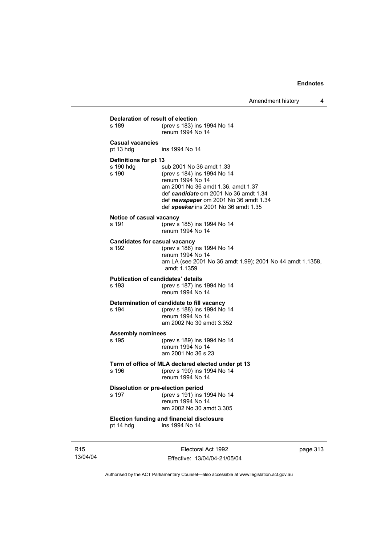| pt 14 hdg                                   | ins 1994 No 14                                                                                                                                                                                                                              |  |
|---------------------------------------------|---------------------------------------------------------------------------------------------------------------------------------------------------------------------------------------------------------------------------------------------|--|
| s 197                                       | Dissolution or pre-election period<br>(prev s 191) ins 1994 No 14<br>renum 1994 No 14<br>am 2002 No 30 amdt 3.305<br><b>Election funding and financial disclosure</b>                                                                       |  |
| s 196                                       | Term of office of MLA declared elected under pt 13<br>(prev s 190) ins 1994 No 14<br>renum 1994 No 14                                                                                                                                       |  |
| <b>Assembly nominees</b><br>s 195           | (prev s 189) ins 1994 No 14<br>renum 1994 No 14<br>am 2001 No 36 s 23                                                                                                                                                                       |  |
| s 194                                       | Determination of candidate to fill vacancy<br>(prev s 188) ins 1994 No 14<br>renum 1994 No 14<br>am 2002 No 30 amdt 3.352                                                                                                                   |  |
| s 193                                       | Publication of candidates' details<br>(prev s 187) ins 1994 No 14<br>renum 1994 No 14                                                                                                                                                       |  |
| s 192                                       | <b>Candidates for casual vacancy</b><br>(prev s 186) ins 1994 No 14<br>renum 1994 No 14<br>am LA (see 2001 No 36 amdt 1.99); 2001 No 44 amdt 1.1358,<br>amdt 1.1359                                                                         |  |
| Notice of casual vacancy<br>s 191           | (prev s 185) ins 1994 No 14<br>renum 1994 No 14                                                                                                                                                                                             |  |
| Definitions for pt 13<br>s 190 hdg<br>s 190 | sub 2001 No 36 amdt 1.33<br>(prev s 184) ins 1994 No 14<br>renum 1994 No 14<br>am 2001 No 36 amdt 1.36, amdt 1.37<br>def candidate om 2001 No 36 amdt 1.34<br>def newspaper om 2001 No 36 amdt 1.34<br>def speaker ins 2001 No 36 amdt 1.35 |  |
| <b>Casual vacancies</b><br>pt 13 hdg        | ins 1994 No 14                                                                                                                                                                                                                              |  |
| s 189                                       | (prev s 183) ins 1994 No 14<br>renum 1994 No 14                                                                                                                                                                                             |  |

R15 13/04/04

Effective: 13/04/04-21/05/04

page 313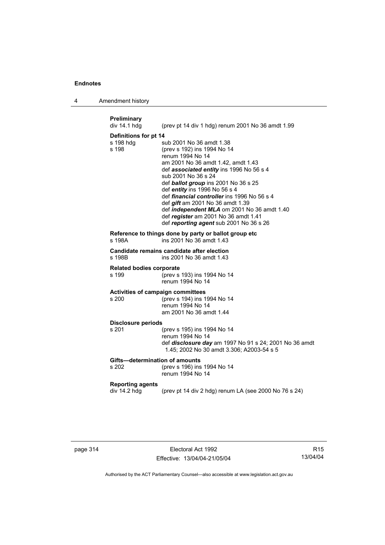4 Amendment history

| Preliminary<br>div 14.1 hdg                       | (prev pt 14 div 1 hdg) renum 2001 No 36 amdt 1.99                                                                                                                                                                                                                                                                                                                                                                                                                                                       |
|---------------------------------------------------|---------------------------------------------------------------------------------------------------------------------------------------------------------------------------------------------------------------------------------------------------------------------------------------------------------------------------------------------------------------------------------------------------------------------------------------------------------------------------------------------------------|
| Definitions for pt 14                             |                                                                                                                                                                                                                                                                                                                                                                                                                                                                                                         |
| s 198 hdg<br>s 198                                | sub 2001 No 36 amdt 1.38<br>(prev s 192) ins 1994 No 14<br>renum 1994 No 14<br>am 2001 No 36 amdt 1.42, amdt 1.43<br>def associated entity ins 1996 No 56 s 4<br>sub 2001 No 36 s 24<br>def <b>ballot group</b> ins 2001 No 36 s 25<br>def entity ins 1996 No 56 s 4<br>def financial controller ins 1996 No 56 s 4<br>def <i>gift</i> am 2001 No 36 amdt 1.39<br>def <i>independent MLA</i> om 2001 No 36 amdt 1.40<br>def register am 2001 No 36 amdt 1.41<br>def reporting agent sub 2001 No 36 s 26 |
| s 198A                                            | Reference to things done by party or ballot group etc<br>ins 2001 No 36 amdt 1.43                                                                                                                                                                                                                                                                                                                                                                                                                       |
| s 198B                                            | Candidate remains candidate after election<br>ins 2001 No 36 amdt 1.43                                                                                                                                                                                                                                                                                                                                                                                                                                  |
| <b>Related bodies corporate</b><br>s 199          | (prev s 193) ins 1994 No 14<br>renum 1994 No 14                                                                                                                                                                                                                                                                                                                                                                                                                                                         |
| <b>Activities of campaign committees</b><br>s 200 | (prev s 194) ins 1994 No 14<br>renum 1994 No 14<br>am 2001 No 36 amdt 1.44                                                                                                                                                                                                                                                                                                                                                                                                                              |
| <b>Disclosure periods</b>                         |                                                                                                                                                                                                                                                                                                                                                                                                                                                                                                         |
| s 201                                             | (prev s 195) ins 1994 No 14<br>renum 1994 No 14<br>def disclosure day am 1997 No 91 s 24; 2001 No 36 amdt<br>1.45; 2002 No 30 amdt 3.306; A2003-54 s 5                                                                                                                                                                                                                                                                                                                                                  |
| Gifts—determination of amounts<br>s 202           | (prev s 196) ins 1994 No 14<br>renum 1994 No 14                                                                                                                                                                                                                                                                                                                                                                                                                                                         |
| <b>Reporting agents</b><br>div 14.2 hdg           | (prev pt 14 div 2 hdg) renum LA (see 2000 No 76 s 24)                                                                                                                                                                                                                                                                                                                                                                                                                                                   |
|                                                   |                                                                                                                                                                                                                                                                                                                                                                                                                                                                                                         |

page 314 **Electoral Act 1992** Effective: 13/04/04-21/05/04

R15 13/04/04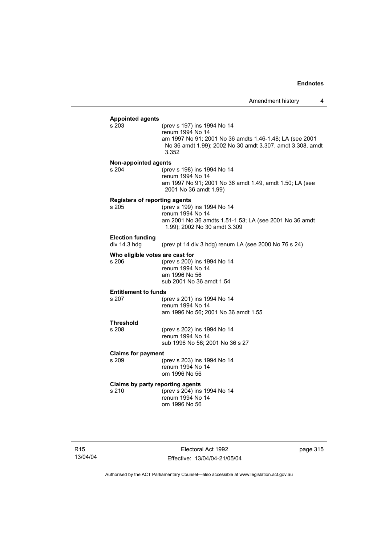| <b>Appointed agents</b>              |                                                           |
|--------------------------------------|-----------------------------------------------------------|
| s 203                                | (prev s 197) ins 1994 No 14                               |
|                                      | renum 1994 No 14                                          |
|                                      | am 1997 No 91; 2001 No 36 amdts 1.46-1.48; LA (see 2001   |
|                                      | No 36 amdt 1.99); 2002 No 30 amdt 3.307, amdt 3.308, amdt |
|                                      | 3.352                                                     |
| Non-appointed agents                 |                                                           |
| s 204                                | (prev s 198) ins 1994 No 14                               |
|                                      | renum 1994 No 14                                          |
|                                      | am 1997 No 91; 2001 No 36 amdt 1.49, amdt 1.50; LA (see   |
|                                      | 2001 No 36 amdt 1.99)                                     |
| <b>Registers of reporting agents</b> |                                                           |
| s 205                                | (prev s 199) ins 1994 No 14                               |
|                                      | renum 1994 No 14                                          |
|                                      | am 2001 No 36 amdts 1.51-1.53; LA (see 2001 No 36 amdt    |
|                                      | 1.99); 2002 No 30 amdt 3.309                              |
| <b>Election funding</b>              |                                                           |
| div 14.3 hdg                         | (prev pt 14 div 3 hdg) renum LA (see 2000 No 76 s 24)     |
| Who eligible votes are cast for      |                                                           |
| s 206                                | (prev s 200) ins 1994 No 14                               |
|                                      | renum 1994 No 14                                          |
|                                      | am 1996 No 56                                             |
|                                      | sub 2001 No 36 amdt 1.54                                  |
| <b>Entitlement to funds</b>          |                                                           |
| s 207                                | (prev s 201) ins 1994 No 14                               |
|                                      | renum 1994 No 14                                          |
|                                      | am 1996 No 56; 2001 No 36 amdt 1.55                       |
| <b>Threshold</b>                     |                                                           |
| s 208                                | (prev s 202) ins 1994 No 14                               |
|                                      | renum 1994 No 14                                          |
|                                      | sub 1996 No 56; 2001 No 36 s 27                           |
| <b>Claims for payment</b>            |                                                           |
| s 209                                | (prev s 203) ins 1994 No 14                               |
|                                      | renum 1994 No 14                                          |
|                                      | om 1996 No 56                                             |
| Claims by party reporting agents     |                                                           |
| s 210                                | (prev s 204) ins 1994 No 14                               |
|                                      | renum 1994 No 14                                          |
|                                      | om 1996 No 56                                             |
|                                      |                                                           |
|                                      |                                                           |

Electoral Act 1992 Effective: 13/04/04-21/05/04 page 315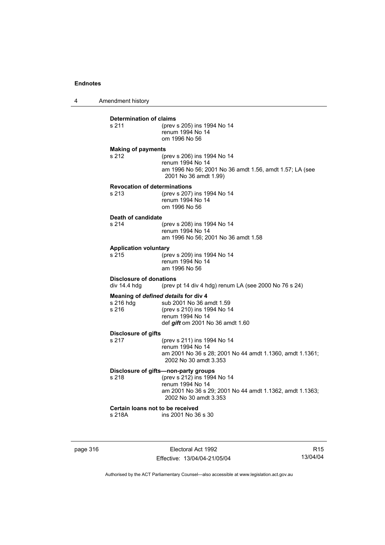4 Amendment history

| s 211                                          | (prev s 205) ins 1994 No 14<br>renum 1994 No 14<br>om 1996 No 56                                                                    |
|------------------------------------------------|-------------------------------------------------------------------------------------------------------------------------------------|
| <b>Making of payments</b>                      |                                                                                                                                     |
| s 212                                          | (prev s 206) ins 1994 No 14<br>renum 1994 No 14<br>am 1996 No 56; 2001 No 36 amdt 1.56, amdt 1.57; LA (see<br>2001 No 36 amdt 1.99) |
|                                                | <b>Revocation of determinations</b>                                                                                                 |
| $s$ 213                                        | (prev s 207) ins 1994 No 14<br>renum 1994 No 14<br>om 1996 No 56                                                                    |
| Death of candidate                             |                                                                                                                                     |
| s 214                                          | (prev s 208) ins 1994 No 14                                                                                                         |
|                                                | renum 1994 No 14<br>am 1996 No 56; 2001 No 36 amdt 1.58                                                                             |
| <b>Application voluntary</b>                   |                                                                                                                                     |
| s 215                                          | (prev s 209) ins 1994 No 14<br>renum 1994 No 14<br>am 1996 No 56                                                                    |
| <b>Disclosure of donations</b><br>div 14.4 hdg | (prev pt 14 div 4 hdg) renum LA (see 2000 No $76$ s $24$ )                                                                          |
|                                                | Meaning of defined details for div 4                                                                                                |
| s 216 hdg<br>s 216                             | sub 2001 No 36 amdt 1.59<br>(prev s 210) ins 1994 No 14                                                                             |
|                                                | renum 1994 No 14                                                                                                                    |
|                                                | def gift om 2001 No 36 amdt 1.60                                                                                                    |
| Disclosure of gifts                            |                                                                                                                                     |
| s 217                                          | (prev s 211) ins 1994 No 14                                                                                                         |
|                                                | renum 1994 No 14<br>am 2001 No 36 s 28; 2001 No 44 amdt 1.1360, amdt 1.1361;<br>2002 No 30 amdt 3.353                               |
|                                                | Disclosure of gifts-non-party groups                                                                                                |
| s 218                                          | (prev s 212) ins 1994 No 14<br>renum 1994 No 14                                                                                     |
|                                                | am 2001 No 36 s 29; 2001 No 44 amdt 1.1362, amdt 1.1363;<br>2002 No 30 amdt 3.353                                                   |
|                                                | Certain loans not to be received                                                                                                    |
| s 218A                                         | ins 2001 No 36 s 30                                                                                                                 |

page 316 Electoral Act 1992 Effective: 13/04/04-21/05/04

R15 13/04/04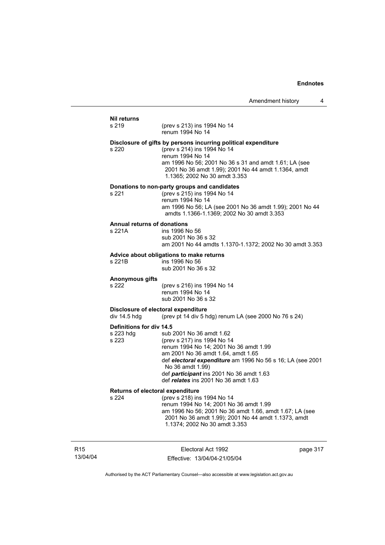## **Nil returns** s 219 (prev s 213) ins 1994 No 14 renum 1994 No 14 **Disclosure of gifts by persons incurring political expenditure** s 220 (prev s 214) ins 1994 No 14 renum 1994 No 14 am 1996 No 56; 2001 No 36 s 31 and amdt 1.61; LA (see 2001 No 36 amdt 1.99); 2001 No 44 amdt 1.1364, amdt 1.1365; 2002 No 30 amdt 3.353 **Donations to non-party groups and candidates** s 221 (prev s 215) ins 1994 No 14 renum 1994 No 14 am 1996 No 56; LA (see 2001 No 36 amdt 1.99); 2001 No 44 amdts 1.1366-1.1369; 2002 No 30 amdt 3.353 **Annual returns of donations** ins 1996 No 56 sub 2001 No 36 s 32 am 2001 No 44 amdts 1.1370-1.1372; 2002 No 30 amdt 3.353 **Advice about obligations to make returns** s 221B ins 1996 No 56 sub 2001 No 36 s 32 **Anonymous gifts** s 222 (prev s 216) ins 1994 No 14 renum 1994 No 14 sub 2001 No 36 s 32 **Disclosure of electoral expenditure**<br>div 14.5 hdq (prev pt 14 div 5 h (prev pt 14 div 5 hdg) renum LA (see 2000 No 76 s 24) **Definitions for div 14.5** s 223 hdg sub 2001 No 36 amdt 1.62<br>s 223 (prev s 217) ins 1994 No 14 (prev s 217) ins 1994 No 14 renum 1994 No 14; 2001 No 36 amdt 1.99 am 2001 No 36 amdt 1.64, amdt 1.65 def *electoral expenditure* am 1996 No 56 s 16; LA (see 2001 No 36 amdt 1.99) def *participant* ins 2001 No 36 amdt 1.63 def *relates* ins 2001 No 36 amdt 1.63 **Returns of electoral expenditure** s 224 (prev s 218) ins 1994 No 14 renum 1994 No 14; 2001 No 36 amdt 1.99 am 1996 No 56; 2001 No 36 amdt 1.66, amdt 1.67; LA (see 2001 No 36 amdt 1.99); 2001 No 44 amdt 1.1373, amdt 1.1374; 2002 No 30 amdt 3.353

R15 13/04/04

Electoral Act 1992 Effective: 13/04/04-21/05/04 page 317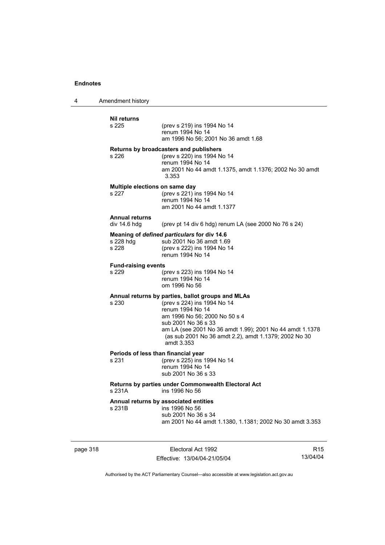4 Amendment history

| <b>Nil returns</b><br>s 225                  | (prev s 219) ins 1994 No 14<br>renum 1994 No 14<br>am 1996 No 56: 2001 No 36 amdt 1.68                                                                                                                                                                                                          |
|----------------------------------------------|-------------------------------------------------------------------------------------------------------------------------------------------------------------------------------------------------------------------------------------------------------------------------------------------------|
| s 226                                        | Returns by broadcasters and publishers<br>(prev s 220) ins 1994 No 14<br>renum 1994 No 14<br>am 2001 No 44 amdt 1.1375, amdt 1.1376; 2002 No 30 amdt<br>3.353                                                                                                                                   |
| Multiple elections on same day<br>s 227      | (prev s 221) ins 1994 No 14<br>renum 1994 No 14<br>am 2001 No 44 amdt 1.1377                                                                                                                                                                                                                    |
| <b>Annual returns</b><br>div 14.6 hdg        | (prev pt 14 div 6 hdg) renum LA (see 2000 No 76 s 24)                                                                                                                                                                                                                                           |
| s 228 hdg<br>s 228                           | Meaning of defined particulars for div 14.6<br>sub 2001 No 36 amdt 1.69<br>(prev s 222) ins 1994 No 14<br>renum 1994 No 14                                                                                                                                                                      |
| <b>Fund-raising events</b><br>s 229          | (prev s 223) ins 1994 No 14<br>renum 1994 No 14<br>om 1996 No 56                                                                                                                                                                                                                                |
| s 230                                        | Annual returns by parties, ballot groups and MLAs<br>(prev s 224) ins 1994 No 14<br>renum 1994 No 14<br>am 1996 No 56; 2000 No 50 s 4<br>sub 2001 No 36 s 33<br>am LA (see 2001 No 36 amdt 1.99); 2001 No 44 amdt 1.1378<br>(as sub 2001 No 36 amdt 2.2), amdt 1.1379; 2002 No 30<br>amdt 3.353 |
| Periods of less than financial year<br>s 231 | (prev s 225) ins 1994 No 14<br>renum 1994 No 14<br>sub 2001 No 36 s 33                                                                                                                                                                                                                          |
| s 231A                                       | Returns by parties under Commonwealth Electoral Act<br>ins 1996 No 56                                                                                                                                                                                                                           |
| s 231B                                       | Annual returns by associated entities<br>ins 1996 No 56<br>sub 2001 No 36 s 34<br>am 2001 No 44 amdt 1.1380, 1.1381; 2002 No 30 amdt 3.353                                                                                                                                                      |

page 318 Electoral Act 1992 Effective: 13/04/04-21/05/04

R15 13/04/04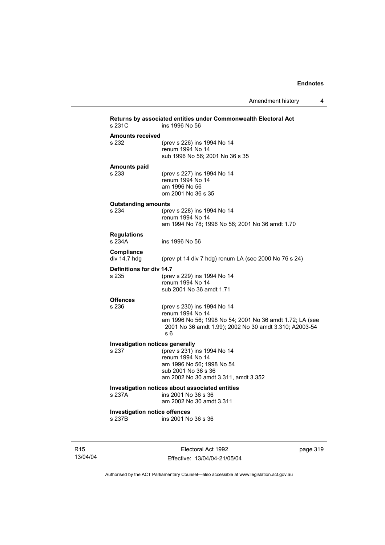Amendment history 4

| s 231C                                 | Returns by associated entities under Commonwealth Electoral Act<br>ins 1996 No 56                                  |
|----------------------------------------|--------------------------------------------------------------------------------------------------------------------|
| <b>Amounts received</b>                |                                                                                                                    |
| s 232                                  | (prev s 226) ins 1994 No 14                                                                                        |
|                                        | renum 1994 No 14                                                                                                   |
|                                        | sub 1996 No 56; 2001 No 36 s 35                                                                                    |
| <b>Amounts paid</b>                    |                                                                                                                    |
| s 233                                  | (prev s 227) ins 1994 No 14                                                                                        |
|                                        | renum 1994 No 14                                                                                                   |
|                                        | am 1996 No 56                                                                                                      |
|                                        | om 2001 No 36 s 35                                                                                                 |
| <b>Outstanding amounts</b>             |                                                                                                                    |
| s 234                                  | (prev s 228) ins 1994 No 14                                                                                        |
|                                        | renum 1994 No 14                                                                                                   |
|                                        | am 1994 No 78; 1996 No 56; 2001 No 36 amdt 1.70                                                                    |
| <b>Regulations</b>                     |                                                                                                                    |
| s 234A                                 | ins 1996 No 56                                                                                                     |
|                                        |                                                                                                                    |
| Compliance<br>div 14.7 hdg             |                                                                                                                    |
|                                        | (prev pt 14 div 7 hdg) renum LA (see 2000 No 76 s 24)                                                              |
| Definitions for div 14.7               |                                                                                                                    |
| s 235                                  | (prev s 229) ins 1994 No 14                                                                                        |
|                                        | renum 1994 No 14                                                                                                   |
|                                        | sub 2001 No 36 amdt 1.71                                                                                           |
| <b>Offences</b>                        |                                                                                                                    |
| s 236                                  | (prev s 230) ins 1994 No 14                                                                                        |
|                                        | renum 1994 No 14                                                                                                   |
|                                        | am 1996 No 56; 1998 No 54; 2001 No 36 amdt 1.72; LA (see<br>2001 No 36 amdt 1.99); 2002 No 30 amdt 3.310; A2003-54 |
|                                        | s 6                                                                                                                |
|                                        |                                                                                                                    |
| <b>Investigation notices generally</b> |                                                                                                                    |
| s 237                                  | (prev s 231) ins 1994 No 14                                                                                        |
|                                        | renum 1994 No 14<br>am 1996 No 56; 1998 No 54                                                                      |
|                                        | sub 2001 No 36 s 36                                                                                                |
|                                        | am 2002 No 30 amdt 3.311, amdt 3.352                                                                               |
|                                        |                                                                                                                    |
| s 237A                                 | Investigation notices about associated entities<br>ins 2001 No 36 s 36                                             |
|                                        | am 2002 No 30 amdt 3.311                                                                                           |
|                                        |                                                                                                                    |
| <b>Investigation notice offences</b>   |                                                                                                                    |
| s 237B                                 | ins 2001 No 36 s 36                                                                                                |
|                                        |                                                                                                                    |
|                                        |                                                                                                                    |

R15 13/04/04

Electoral Act 1992 Effective: 13/04/04-21/05/04 page 319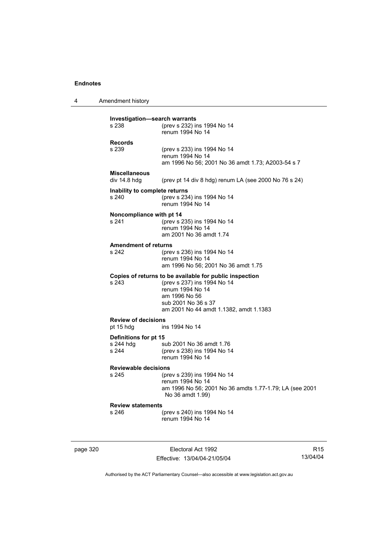4 Amendment history

| Investigation-search warrants<br>s 238      | (prev s 232) ins 1994 No 14                                                                                                                                                                  |
|---------------------------------------------|----------------------------------------------------------------------------------------------------------------------------------------------------------------------------------------------|
|                                             | renum 1994 No 14                                                                                                                                                                             |
| <b>Records</b><br>s 239                     | (prev s 233) ins 1994 No 14<br>renum 1994 No 14<br>am 1996 No 56; 2001 No 36 amdt 1.73; A2003-54 s 7                                                                                         |
| <b>Miscellaneous</b><br>div 14.8 hdg        | (prev pt 14 div 8 hdg) renum LA (see 2000 No 76 s 24)                                                                                                                                        |
| Inability to complete returns<br>s 240      | (prev s 234) ins 1994 No 14<br>renum 1994 No 14                                                                                                                                              |
| Noncompliance with pt 14<br>s 241           | (prev s 235) ins 1994 No 14<br>renum 1994 No 14<br>am 2001 No 36 amdt 1.74                                                                                                                   |
| <b>Amendment of returns</b><br>s 242        | (prev s 236) ins 1994 No 14<br>renum 1994 No 14<br>am 1996 No 56; 2001 No 36 amdt 1.75                                                                                                       |
| s 243                                       | Copies of returns to be available for public inspection<br>(prev s 237) ins 1994 No 14<br>renum 1994 No 14<br>am 1996 No 56<br>sub 2001 No 36 s 37<br>am 2001 No 44 amdt 1.1382, amdt 1.1383 |
| <b>Review of decisions</b><br>pt 15 hdg     | ins 1994 No 14                                                                                                                                                                               |
| Definitions for pt 15<br>s 244 hdg<br>s 244 | sub 2001 No 36 amdt 1.76<br>(prev s 238) ins 1994 No 14<br>renum 1994 No 14                                                                                                                  |
| <b>Reviewable decisions</b><br>s 245        | (prev s 239) ins 1994 No 14<br>renum 1994 No 14<br>am 1996 No 56; 2001 No 36 amdts 1.77-1.79; LA (see 2001<br>No 36 amdt 1.99)                                                               |
| <b>Review statements</b><br>s 246           | (prev s 240) ins 1994 No 14<br>renum 1994 No 14                                                                                                                                              |

page 320 **Electoral Act 1992** Effective: 13/04/04-21/05/04

R15 13/04/04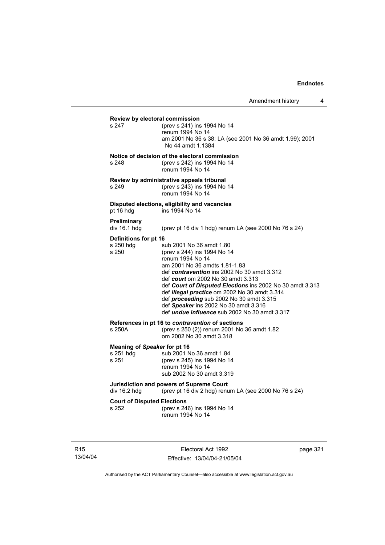## **Review by electoral commission**<br>s 247 (prev s 241) ins s 247 (prev s 241) ins 1994 No 14 renum 1994 No 14 am 2001 No 36 s 38; LA (see 2001 No 36 amdt 1.99); 2001 No 44 amdt 1.1384 **Notice of decision of the electoral commission** s 248 (prev s 242) ins 1994 No 14 renum 1994 No 14 **Review by administrative appeals tribunal** s 249 (prev s 243) ins 1994 No 14 renum 1994 No 14 **Disputed elections, eligibility and vacancies** pt 16 hdg ins 1994 No 14 **Preliminary**  (prev pt 16 div 1 hdg) renum LA (see 2000 No 76 s 24) **Definitions for pt 16**<br>s 250 hdg su s 250 hdg sub 2001 No 36 amdt 1.80<br>s 250 (prev s 244) ins 1994 No 14 (prev s 244) ins 1994 No 14 renum 1994 No 14 am 2001 No 36 amdts 1.81-1.83 def *contravention* ins 2002 No 30 amdt 3.312 def *court* om 2002 No 30 amdt 3.313 def *Court of Disputed Elections* ins 2002 No 30 amdt 3.313 def *illegal practice* om 2002 No 30 amdt 3.314 def *proceeding* sub 2002 No 30 amdt 3.315 def *Speaker* ins 2002 No 30 amdt 3.316 def *undue influence* sub 2002 No 30 amdt 3.317 **References in pt 16 to** *contravention* **of sections**<br>s 250A (orev s 250 (2)) renum 2001 No (prev s 250 (2)) renum 2001 No 36 amdt 1.82 om 2002 No 30 amdt 3.318 **Meaning of** *Speaker* **for pt 16** s 251 hdg sub 2001 No 36 amdt 1.84<br>s 251 (prev s 245) ins 1994 No 14 (prev s 245) ins 1994 No 14 renum 1994 No 14 sub 2002 No 30 amdt 3.319 **Jurisdiction and powers of Supreme Court**  div 16.2 hdg (prev pt 16 div 2 hdg) renum LA (see 2000 No 76 s 24) **Court of Disputed Elections** s 252 (prev s 246) ins 1994 No 14 renum 1994 No 14

R15 13/04/04

Electoral Act 1992 Effective: 13/04/04-21/05/04 page 321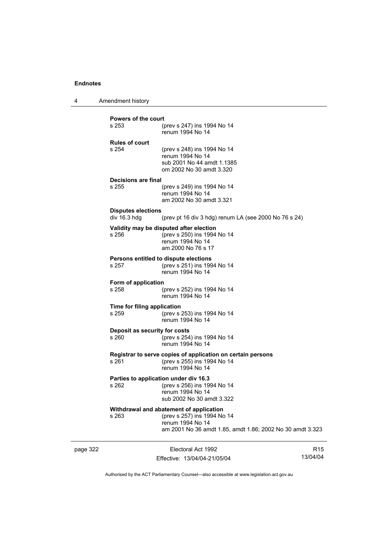4 Amendment history

| <b>Powers of the court</b>           |                                                             |
|--------------------------------------|-------------------------------------------------------------|
| s 253                                | (prev s 247) ins 1994 No 14<br>renum 1994 No 14             |
| <b>Rules of court</b>                |                                                             |
| s 254                                | (prev s 248) ins 1994 No 14                                 |
|                                      | renum 1994 No 14<br>sub 2001 No 44 amdt 1.1385              |
|                                      | om 2002 No 30 amdt 3.320                                    |
|                                      |                                                             |
| Decisions are final<br>s 255         | (prev s 249) ins 1994 No 14                                 |
|                                      | renum 1994 No 14                                            |
|                                      | am 2002 No 30 amdt 3.321                                    |
| <b>Disputes elections</b>            |                                                             |
| div 16.3 hdg                         | (prev pt 16 div 3 hdg) renum LA (see 2000 No 76 s 24)       |
|                                      | Validity may be disputed after election                     |
| s 256                                | (prev s 250) ins 1994 No 14                                 |
|                                      | renum 1994 No 14                                            |
|                                      | am 2000 No 76 s 17                                          |
|                                      | Persons entitled to dispute elections                       |
| s 257                                | (prev s 251) ins 1994 No 14                                 |
|                                      | renum 1994 No 14                                            |
| Form of application                  |                                                             |
| s 258                                | (prev s 252) ins 1994 No 14<br>renum 1994 No 14             |
|                                      |                                                             |
| Time for filing application<br>s 259 | (prev s 253) ins 1994 No 14                                 |
|                                      | renum 1994 No 14                                            |
| Deposit as security for costs        |                                                             |
| s 260                                | (prev s 254) ins 1994 No 14                                 |
|                                      | renum 1994 No 14                                            |
|                                      | Registrar to serve copies of application on certain persons |
| s 261                                | (prev s 255) ins 1994 No 14                                 |
|                                      | renum 1994 No 14                                            |
|                                      | Parties to application under div 16.3                       |
| s 262                                | (prev s 256) ins 1994 No 14                                 |
|                                      | renum 1994 No 14                                            |
|                                      | sub 2002 No 30 amdt 3.322                                   |
|                                      | Withdrawal and abatement of application                     |
| s 263                                | (prev s 257) ins 1994 No 14<br>renum 1994 No 14             |
|                                      | am 2001 No 36 amdt 1.85, amdt 1.86; 2002 No 30 amdt 3.323   |
|                                      |                                                             |
|                                      |                                                             |

page 322 **Electoral Act 1992** Effective: 13/04/04-21/05/04

R15 13/04/04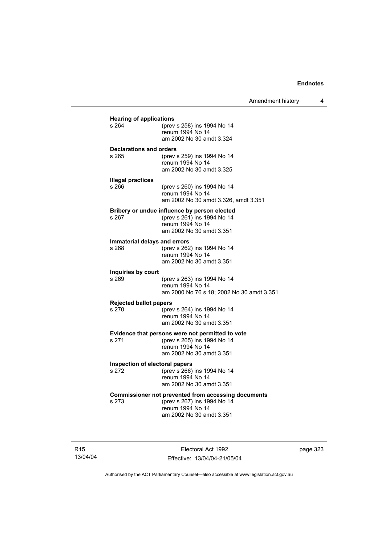| <b>Hearing of applications</b>        |                                                                                                                                           |
|---------------------------------------|-------------------------------------------------------------------------------------------------------------------------------------------|
| s 264                                 | (prev s 258) ins 1994 No 14<br>renum 1994 No 14<br>am 2002 No 30 amdt 3.324                                                               |
| <b>Declarations and orders</b>        |                                                                                                                                           |
| s 265                                 | (prev s 259) ins 1994 No 14<br>renum 1994 No 14<br>am 2002 No 30 amdt 3.325                                                               |
| <b>Illegal practices</b>              |                                                                                                                                           |
| s 266                                 | (prev s 260) ins 1994 No 14<br>renum 1994 No 14<br>am 2002 No 30 amdt 3.326, amdt 3.351                                                   |
|                                       | Bribery or undue influence by person elected                                                                                              |
| s 267                                 | (prev s 261) ins 1994 No 14<br>renum 1994 No 14<br>am 2002 No 30 amdt 3.351                                                               |
|                                       |                                                                                                                                           |
| Immaterial delays and errors<br>s 268 | (prev s 262) ins 1994 No 14                                                                                                               |
|                                       | renum 1994 No 14<br>am 2002 No 30 amdt 3.351                                                                                              |
| Inquiries by court                    |                                                                                                                                           |
| s 269                                 | (prev s 263) ins 1994 No 14<br>renum 1994 No 14<br>am 2000 No 76 s 18; 2002 No 30 amdt 3.351                                              |
| <b>Rejected ballot papers</b>         |                                                                                                                                           |
| s 270                                 | (prev s 264) ins 1994 No 14<br>renum 1994 No 14<br>am 2002 No 30 amdt 3.351                                                               |
|                                       |                                                                                                                                           |
| s 271                                 | Evidence that persons were not permitted to vote<br>(prev s 265) ins 1994 No 14                                                           |
|                                       | renum 1994 No 14<br>am 2002 No 30 amdt 3.351                                                                                              |
| Inspection of electoral papers        |                                                                                                                                           |
| s 272                                 | (prev s 266) ins 1994 No 14<br>renum 1994 No 14                                                                                           |
|                                       | am 2002 No 30 amdt 3.351                                                                                                                  |
| s 273                                 | <b>Commissioner not prevented from accessing documents</b><br>(prev s 267) ins 1994 No 14<br>renum 1994 No 14<br>am 2002 No 30 amdt 3.351 |
|                                       |                                                                                                                                           |

R15 13/04/04

Electoral Act 1992 Effective: 13/04/04-21/05/04 page 323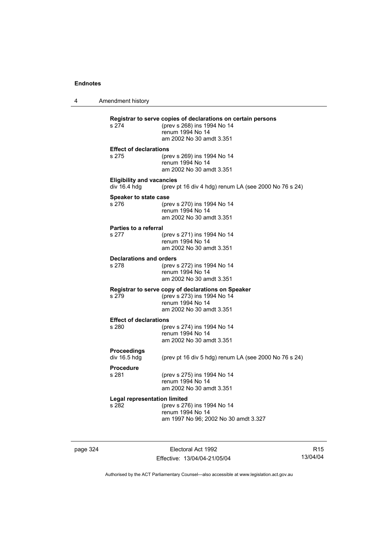4 Amendment history **Registrar to serve copies of declarations on certain persons** (prev s 268) ins 1994 No 14 renum 1994 No 14 am 2002 No 30 amdt 3.351 **Effect of declarations** s 275 (prev s 269) ins 1994 No 14 renum 1994 No 14 am 2002 No 30 amdt 3.351 **Eligibility and vacancies**  div 16.4 hdg (prev pt 16 div 4 hdg) renum LA (see 2000 No 76 s 24) **Speaker to state case** s 276 (prev s 270) ins 1994 No 14 renum 1994 No 14 am 2002 No 30 amdt 3.351 **Parties to a referral** s 277 (prev s 271) ins 1994 No 14 renum 1994 No 14 am 2002 No 30 amdt 3.351 **Declarations and orders**<br>s 278 (prev) s 278 (prev s 272) ins 1994 No 14 renum 1994 No 14 am 2002 No 30 amdt 3.351 **Registrar to serve copy of declarations on Speaker** s 279 (prev s 273) ins 1994 No 14 renum 1994 No 14 am 2002 No 30 amdt 3.351 **Effect of declarations** s 280 (prev s 274) ins 1994 No 14 renum 1994 No 14 am 2002 No 30 amdt 3.351 **Proceedings**  (prev pt 16 div 5 hdg) renum LA (see 2000 No 76 s 24) **Procedure** (prev s 275) ins 1994 No 14 renum 1994 No 14 am 2002 No 30 amdt 3.351 **Legal representation limited** s 282 (prev s 276) ins 1994 No 14 renum 1994 No 14 am 1997 No 96; 2002 No 30 amdt 3.327

page 324 Electoral Act 1992 Effective: 13/04/04-21/05/04

R15 13/04/04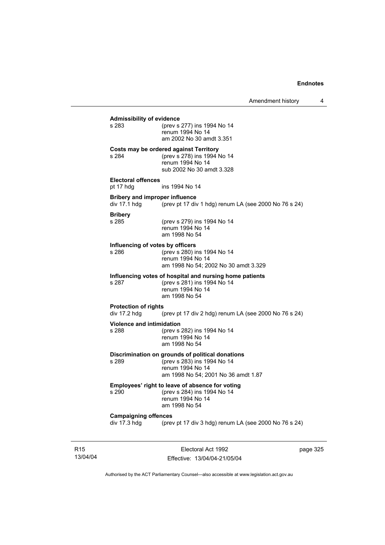## **Admissibility of evidence** (prev s 277) ins 1994 No 14 renum 1994 No 14 am 2002 No 30 amdt 3.351 **Costs may be ordered against Territory** s 284 (prev s 278) ins 1994 No 14 renum 1994 No 14 sub 2002 No 30 amdt 3.328 **Electoral offences** pt 17 hdg ins 1994 No 14 **Bribery and improper influence**<br>div 17.1 hdg (prev pt 17 div (prev pt 17 div 1 hdg) renum LA (see 2000 No 76 s 24) **Bribery** s 285 (prev s 279) ins 1994 No 14 renum 1994 No 14 am 1998 No 54 **Influencing of votes by officers** s 286 (prev s 280) ins 1994 No 14 renum 1994 No 14 am 1998 No 54; 2002 No 30 amdt 3.329 **Influencing votes of hospital and nursing home patients** s 287 (prev s 281) ins 1994 No 14 renum 1994 No 14 am 1998 No 54 **Protection of rights**  div 17.2 hdg (prev pt 17 div 2 hdg) renum LA (see 2000 No 76 s 24) **Violence and intimidation**<br>s 288 (prev s) (prev s 282) ins 1994 No 14 renum 1994 No 14 am 1998 No 54 **Discrimination on grounds of political donations** s 289 (prev s 283) ins 1994 No 14 renum 1994 No 14 am 1998 No 54; 2001 No 36 amdt 1.87 **Employees' right to leave of absence for voting** s 290 (prev s 284) ins 1994 No 14 renum 1994 No 14 am 1998 No 54 **Campaigning offences**  div 17.3 hdg (prev pt 17 div 3 hdg) renum LA (see 2000 No 76 s 24)

R15 13/04/04

Electoral Act 1992 Effective: 13/04/04-21/05/04 page 325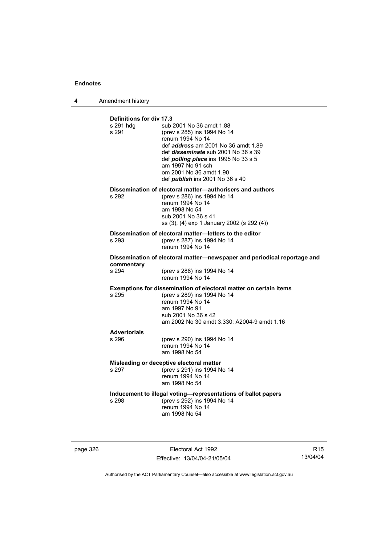4 Amendment history

| <b>Definitions for div 17.3</b><br>s 291 hdg<br>s 291 | sub 2001 No 36 amdt 1.88<br>(prev s 285) ins 1994 No 14<br>renum 1994 No 14<br>def <i>address</i> am 2001 No 36 amdt 1.89<br>def <i>disseminate</i> sub 2001 No 36 s 39<br>def <i>polling place</i> ins 1995 No 33 s 5<br>am 1997 No 91 sch<br>om 2001 No 36 amdt 1.90<br>def <i>publish</i> ins 2001 No 36 s 40 |
|-------------------------------------------------------|------------------------------------------------------------------------------------------------------------------------------------------------------------------------------------------------------------------------------------------------------------------------------------------------------------------|
| s 292                                                 | Dissemination of electoral matter-authorisers and authors<br>(prev s 286) ins 1994 No 14<br>renum 1994 No 14<br>am 1998 No 54<br>sub 2001 No 36 s 41<br>ss (3), (4) exp 1 January 2002 (s 292 (4))                                                                                                               |
| s 293                                                 | Dissemination of electoral matter-letters to the editor<br>(prev s 287) ins 1994 No 14<br>renum 1994 No 14                                                                                                                                                                                                       |
| commentary<br>s 294                                   | Dissemination of electoral matter-newspaper and periodical reportage and<br>(prev s 288) ins 1994 No 14<br>renum 1994 No 14                                                                                                                                                                                      |
| s 295                                                 | Exemptions for dissemination of electoral matter on certain items<br>(prev s 289) ins 1994 No 14<br>renum 1994 No 14<br>am 1997 No 91<br>sub 2001 No 36 s 42<br>am 2002 No 30 amdt 3.330; A2004-9 amdt 1.16                                                                                                      |
| <b>Advertorials</b><br>s 296                          | (prev s 290) ins 1994 No 14<br>renum 1994 No 14<br>am 1998 No 54                                                                                                                                                                                                                                                 |
| s 297                                                 | Misleading or deceptive electoral matter<br>(prev s 291) ins 1994 No 14<br>renum 1994 No 14<br>am 1998 No 54                                                                                                                                                                                                     |
| s 298                                                 | Inducement to illegal voting-representations of ballot papers<br>(prev s 292) ins 1994 No 14<br>renum 1994 No 14<br>am 1998 No 54                                                                                                                                                                                |

page 326 Electoral Act 1992 Effective: 13/04/04-21/05/04

R15 13/04/04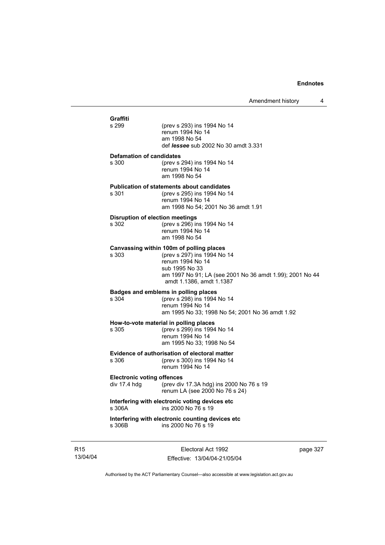| Graffiti |                                                   |                                                                                                                                                                                                       |
|----------|---------------------------------------------------|-------------------------------------------------------------------------------------------------------------------------------------------------------------------------------------------------------|
| s 299    |                                                   | (prev s 293) ins 1994 No 14<br>renum 1994 No 14<br>am 1998 No 54<br>def <i>lessee</i> sub 2002 No 30 amdt 3.331                                                                                       |
| s 300    | <b>Defamation of candidates</b>                   | (prev s 294) ins 1994 No 14<br>renum 1994 No 14<br>am 1998 No 54                                                                                                                                      |
| s 301    |                                                   | <b>Publication of statements about candidates</b><br>(prev s 295) ins 1994 No 14<br>renum 1994 No 14<br>am 1998 No 54; 2001 No 36 amdt 1.91                                                           |
| s 302    |                                                   | <b>Disruption of election meetings</b><br>(prev s 296) ins 1994 No 14<br>renum 1994 No 14<br>am 1998 No 54                                                                                            |
| s 303    |                                                   | Canvassing within 100m of polling places<br>(prev s 297) ins 1994 No 14<br>renum 1994 No 14<br>sub 1995 No 33<br>am 1997 No 91; LA (see 2001 No 36 amdt 1.99); 2001 No 44<br>amdt 1.1386, amdt 1.1387 |
| s 304    |                                                   | Badges and emblems in polling places<br>(prev s 298) ins 1994 No 14<br>renum 1994 No 14<br>am 1995 No 33; 1998 No 54; 2001 No 36 amdt 1.92                                                            |
| s 305    |                                                   | How-to-vote material in polling places<br>(prev s 299) ins 1994 No 14<br>renum 1994 No 14<br>am 1995 No 33: 1998 No 54                                                                                |
| s 306    |                                                   | Evidence of authorisation of electoral matter<br>(prev s 300) ins 1994 No 14<br>renum 1994 No 14                                                                                                      |
|          | <b>Electronic voting offences</b><br>div 17.4 hdg | (prev div 17.3A hdg) ins 2000 No 76 s 19<br>renum LA (see 2000 No 76 s 24)                                                                                                                            |
| s 306A   |                                                   | Interfering with electronic voting devices etc<br>ins 2000 No 76 s 19                                                                                                                                 |
| s 306B   |                                                   | Interfering with electronic counting devices etc<br>ins 2000 No 76 s 19                                                                                                                               |

R15 13/04/04

Electoral Act 1992 Effective: 13/04/04-21/05/04 page 327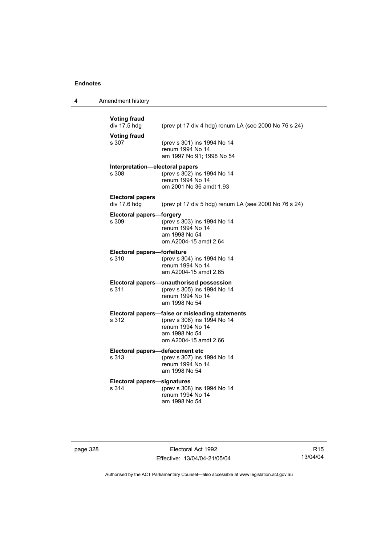4 Amendment history

| <b>Voting fraud</b><br>div 17.5 hdg     | (prev pt 17 div 4 hdg) renum LA (see 2000 No 76 s 24)                                                                                        |
|-----------------------------------------|----------------------------------------------------------------------------------------------------------------------------------------------|
| <b>Voting fraud</b><br>s 307            | (prev s 301) ins 1994 No 14<br>renum 1994 No 14<br>am 1997 No 91: 1998 No 54                                                                 |
| s 308                                   | Interpretation-electoral papers<br>(prev s 302) ins 1994 No 14<br>renum 1994 No 14<br>om 2001 No 36 amdt 1.93                                |
| <b>Electoral papers</b><br>div 17.6 hdg | (prev pt 17 div 5 hdg) renum LA (see 2000 No 76 s 24)                                                                                        |
| s 309                                   | <b>Electoral papers-forgery</b><br>(prev s 303) ins 1994 No 14<br>renum 1994 No 14<br>am 1998 No 54<br>om A2004-15 amdt 2.64                 |
| s 310                                   | Electoral papers-forfeiture<br>(prev s 304) ins 1994 No 14<br>renum 1994 No 14<br>am A2004-15 amdt 2.65                                      |
| s 311                                   | Electoral papers-unauthorised possession<br>(prev s 305) ins 1994 No 14<br>renum 1994 No 14<br>am 1998 No 54                                 |
| s 312                                   | Electoral papers-false or misleading statements<br>(prev s 306) ins 1994 No 14<br>renum 1994 No 14<br>am 1998 No 54<br>om A2004-15 amdt 2.66 |
| s 313                                   | Electoral papers-defacement etc<br>(prev s 307) ins 1994 No 14<br>renum 1994 No 14<br>am 1998 No 54                                          |
| s 314                                   | <b>Electoral papers-signatures</b><br>(prev s 308) ins 1994 No 14<br>renum 1994 No 14<br>am 1998 No 54                                       |

page 328 Electoral Act 1992 Effective: 13/04/04-21/05/04

R15 13/04/04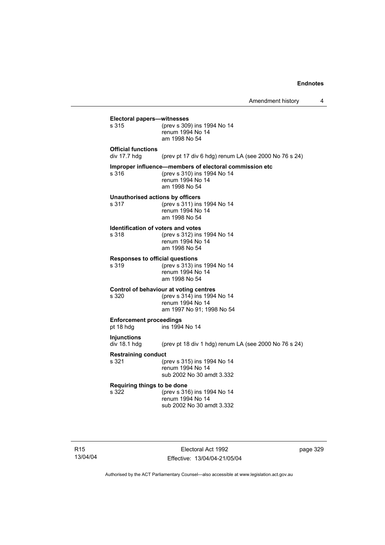|                                                    | Amendment history                                                                                                          | 4        |
|----------------------------------------------------|----------------------------------------------------------------------------------------------------------------------------|----------|
| Electoral papers-witnesses<br>s 315                | (prev s 309) ins 1994 No 14<br>renum 1994 No 14<br>am 1998 No 54                                                           |          |
| <b>Official functions</b><br>div $17.7$ hdg        | (prev pt 17 div 6 hdg) renum LA (see 2000 No 76 s 24)                                                                      |          |
| s 316                                              | Improper influence—members of electoral commission etc<br>(prev s 310) ins 1994 No 14<br>renum 1994 No 14<br>am 1998 No 54 |          |
| Unauthorised actions by officers<br>s 317          | (prev s 311) ins 1994 No 14<br>renum 1994 No 14<br>am 1998 No 54                                                           |          |
| <b>Identification of voters and votes</b><br>s 318 | (prev s 312) ins 1994 No 14<br>renum 1994 No 14<br>am 1998 No 54                                                           |          |
| <b>Responses to official questions</b><br>s 319    | (prev s 313) ins 1994 No 14<br>renum 1994 No 14<br>am 1998 No 54                                                           |          |
| s 320                                              | Control of behaviour at voting centres<br>(prev s 314) ins 1994 No 14<br>renum 1994 No 14<br>am 1997 No 91; 1998 No 54     |          |
| <b>Enforcement proceedings</b><br>pt 18 hdg        | ins 1994 No 14                                                                                                             |          |
| <b>Injunctions</b><br>div 18.1 hdg                 | (prev pt 18 div 1 hdg) renum LA (see 2000 No 76 s 24)                                                                      |          |
| <b>Restraining conduct</b><br>s 321                | (prev s 315) ins 1994 No 14<br>renum 1994 No 14<br>sub 2002 No 30 amdt 3.332                                               |          |
| Requiring things to be done<br>s 322               | (prev s 316) ins 1994 No 14<br>renum 1994 No 14<br>sub 2002 No 30 amdt 3.332                                               |          |
|                                                    | Electoral Act 1992                                                                                                         | page 329 |

Effective: 13/04/04-21/05/04

R15 13/04/04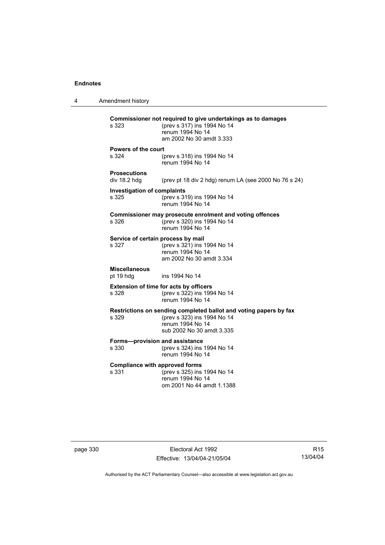4 Amendment history **Commissioner not required to give undertakings as to damages** s 323 (prev s 317) ins 1994 No 14 renum 1994 No 14 am 2002 No 30 amdt 3.333 **Powers of the court** s 324 (prev s 318) ins 1994 No 14 renum 1994 No 14 **Prosecutions**  (prev pt 18 div 2 hdg) renum LA (see 2000 No 76 s 24) **Investigation of complaints** s 325 (prev s 319) ins 1994 No 14 renum 1994 No 14 **Commissioner may prosecute enrolment and voting offences** s 326 (prev s 320) ins 1994 No 14 renum 1994 No 14 **Service of certain process by mail**<br>s 327 (prev s 321) ins 1  $(prev s 321)$  ins 1994 No 14 renum 1994 No 14 am 2002 No 30 amdt 3.334 **Miscellaneous** pt 19 hdg ins 1994 No 14 **Extension of time for acts by officers** s 328 (prev s 322) ins 1994 No 14 renum 1994 No 14 **Restrictions on sending completed ballot and voting papers by fax** s 329 (prev s 323) ins 1994 No 14 renum 1994 No 14 sub 2002 No 30 amdt 3.335 **Forms—provision and assistance** s 330 (prev s 324) ins 1994 No 14 renum 1994 No 14 **Compliance with approved forms**<br>s 331 (prev s 325) ins (prev s 325) ins 1994 No 14 renum 1994 No 14 om 2001 No 44 amdt 1.1388

page 330 **Electoral Act 1992** Effective: 13/04/04-21/05/04

R15 13/04/04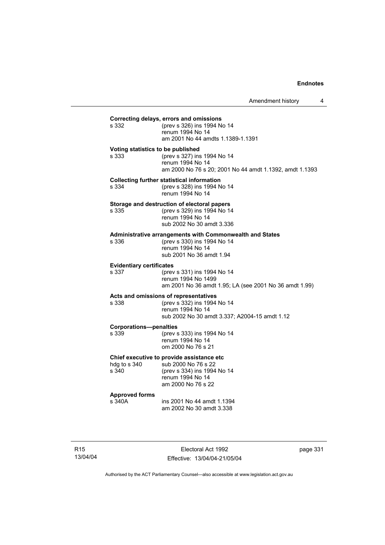| s 332                                      | Correcting delays, errors and omissions<br>(prev s 326) ins 1994 No 14<br>renum 1994 No 14<br>am 2001 No 44 amdts 1.1389-1.1391           |
|--------------------------------------------|-------------------------------------------------------------------------------------------------------------------------------------------|
| Voting statistics to be published<br>s.333 | (prev s 327) ins 1994 No 14<br>renum 1994 No 14<br>am 2000 No 76 s 20; 2001 No 44 amdt 1.1392, amdt 1.1393                                |
| s 334                                      | <b>Collecting further statistical information</b><br>(prev s 328) ins 1994 No 14<br>renum 1994 No 14                                      |
| s 335                                      | Storage and destruction of electoral papers<br>(prev s 329) ins 1994 No 14<br>renum 1994 No 14<br>sub 2002 No 30 amdt 3.336               |
| s 336                                      | Administrative arrangements with Commonwealth and States<br>(prev s 330) ins 1994 No 14<br>renum 1994 No 14<br>sub 2001 No 36 amdt 1.94   |
| <b>Evidentiary certificates</b><br>s 337   | (prev s 331) ins 1994 No 14<br>renum 1994 No 1499<br>am 2001 No 36 amdt 1.95; LA (see 2001 No 36 amdt 1.99)                               |
| s 338                                      | Acts and omissions of representatives<br>(prev s 332) ins 1994 No 14<br>renum 1994 No 14<br>sub 2002 No 30 amdt 3.337; A2004-15 amdt 1.12 |
| <b>Corporations-penalties</b><br>s 339     | (prev s 333) ins 1994 No 14<br>renum 1994 No 14<br>om 2000 No 76 s 21                                                                     |
| hdg to s 340<br>s 340                      | Chief executive to provide assistance etc<br>sub 2000 No 76 s 22<br>(prev s 334) ins 1994 No 14<br>renum 1994 No 14<br>am 2000 No 76 s 22 |
| <b>Approved forms</b><br>s 340A            | ins 2001 No 44 amdt 1.1394<br>am 2002 No 30 amdt 3.338                                                                                    |
|                                            |                                                                                                                                           |

R15 13/04/04

Electoral Act 1992 Effective: 13/04/04-21/05/04 page 331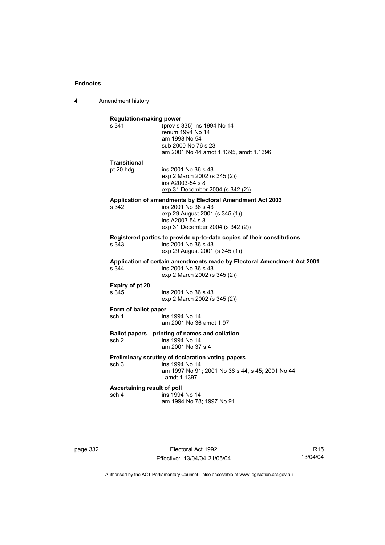4 Amendment history

| <b>Regulation-making power</b><br>s 341 | (prev s 335) ins 1994 No 14                                            |
|-----------------------------------------|------------------------------------------------------------------------|
|                                         | renum 1994 No 14                                                       |
|                                         | am 1998 No 54                                                          |
|                                         | sub 2000 No 76 s 23                                                    |
|                                         | am 2001 No 44 amdt 1.1395, amdt 1.1396                                 |
| <b>Transitional</b>                     |                                                                        |
| pt 20 hdg                               | ins 2001 No 36 s 43                                                    |
|                                         | exp 2 March 2002 (s 345 (2))                                           |
|                                         | ins A2003-54 s 8                                                       |
|                                         | exp 31 December 2004 (s 342 (2))                                       |
|                                         | Application of amendments by Electoral Amendment Act 2003              |
| s 342                                   | ins 2001 No 36 s 43                                                    |
|                                         | exp 29 August 2001 (s 345 (1))                                         |
|                                         | ins A2003-54 s 8                                                       |
|                                         | exp 31 December 2004 (s 342 (2))                                       |
|                                         | Registered parties to provide up-to-date copies of their constitutions |
| s.343                                   | ins 2001 No 36 s 43                                                    |
|                                         | exp 29 August 2001 (s 345 (1))                                         |
|                                         | Application of certain amendments made by Electoral Amendment Act 2001 |
| s 344                                   | ins 2001 No 36 s 43                                                    |
|                                         | exp 2 March 2002 (s 345 (2))                                           |
| Expiry of pt 20                         |                                                                        |
| s 345                                   | ins 2001 No 36 s 43                                                    |
|                                         | exp 2 March 2002 (s 345 (2))                                           |
| Form of ballot paper                    |                                                                        |
| sch 1                                   | ins 1994 No 14                                                         |
|                                         | am 2001 No 36 amdt 1.97                                                |
|                                         | Ballot papers---printing of names and collation                        |
| sch <sub>2</sub>                        | ins 1994 No 14                                                         |
|                                         | am 2001 No 37 s 4                                                      |
|                                         |                                                                        |
|                                         |                                                                        |
| sch 3                                   | Preliminary scrutiny of declaration voting papers<br>ins 1994 No 14    |
|                                         | am 1997 No 91; 2001 No 36 s 44, s 45; 2001 No 44                       |
|                                         | amdt 1.1397                                                            |
|                                         |                                                                        |
| Ascertaining result of poll<br>sch 4    | ins 1994 No 14                                                         |

page 332 Electoral Act 1992 Effective: 13/04/04-21/05/04

R15 13/04/04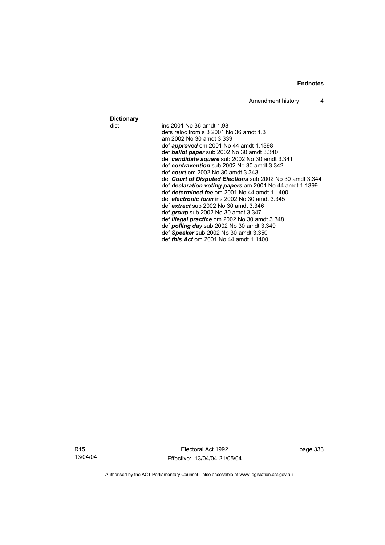Amendment history 4

**Dictionary**

ins 2001 No 36 amdt 1.98 defs reloc from s 3 2001 No 36 amdt 1.3 am 2002 No 30 amdt 3.339 def *approved* om 2001 No 44 amdt 1.1398 def *ballot paper* sub 2002 No 30 amdt 3.340 def *candidate square* sub 2002 No 30 amdt 3.341 def *contravention* sub 2002 No 30 amdt 3.342 def *court* om 2002 No 30 amdt 3.343 def *Court of Disputed Elections* sub 2002 No 30 amdt 3.344 def *declaration voting papers* am 2001 No 44 amdt 1.1399 def *determined fee* om 2001 No 44 amdt 1.1400 def *electronic form* ins 2002 No 30 amdt 3.345 def *extract* sub 2002 No 30 amdt 3.346 def *group* sub 2002 No 30 amdt 3.347 def *illegal practice* om 2002 No 30 amdt 3.348 def *polling day* sub 2002 No 30 amdt 3.349 def *Speaker* sub 2002 No 30 amdt 3.350 def *this Act* om 2001 No 44 amdt 1.1400

R15 13/04/04

Electoral Act 1992 Effective: 13/04/04-21/05/04 page 333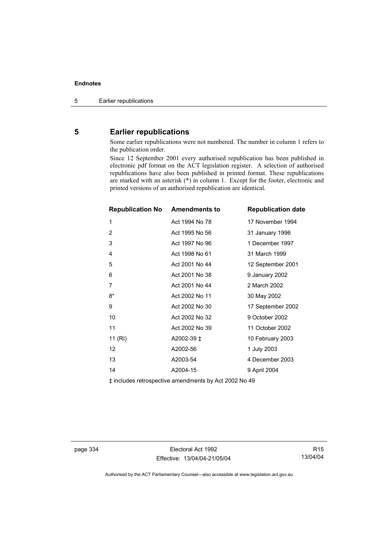## **5 Earlier republications**

Some earlier republications were not numbered. The number in column 1 refers to the publication order.

Since 12 September 2001 every authorised republication has been published in electronic pdf format on the ACT legislation register. A selection of authorised republications have also been published in printed format. These republications are marked with an asterisk (\*) in column 1. Except for the footer, electronic and printed versions of an authorised republication are identical.

| <b>Republication No Amendments to</b> |                | <b>Republication date</b> |
|---------------------------------------|----------------|---------------------------|
| 1                                     | Act 1994 No 78 | 17 November 1994          |
| 2                                     | Act 1995 No 56 | 31 January 1996           |
| 3                                     | Act 1997 No 96 | 1 December 1997           |
| 4                                     | Act 1998 No 61 | 31 March 1999             |
| 5                                     | Act 2001 No 44 | 12 September 2001         |
| 6                                     | Act 2001 No 38 | 9 January 2002            |
| 7                                     | Act 2001 No 44 | 2 March 2002              |
| $8*$                                  | Act 2002 No 11 | 30 May 2002               |
| 9                                     | Act 2002 No 30 | 17 September 2002         |
| 10                                    | Act 2002 No 32 | 9 October 2002            |
| 11                                    | Act 2002 No 39 | 11 October 2002           |
| 11 (RI)                               | A2002-39 ‡     | 10 February 2003          |
| 12                                    | A2002-56       | 1 July 2003               |
| 13                                    | A2003-54       | 4 December 2003           |
| 14                                    | A2004-15       | 9 April 2004              |
|                                       |                |                           |

‡ includes retrospective amendments by Act 2002 No 49

page 334 Electoral Act 1992 Effective: 13/04/04-21/05/04

R15 13/04/04